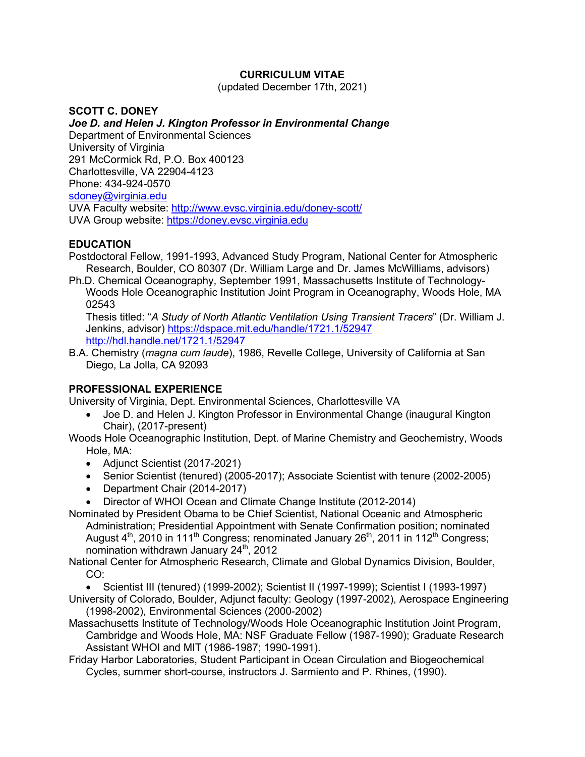## **CURRICULUM VITAE**

(updated December 17th, 2021)

**SCOTT C. DONEY** *Joe D. and Helen J. Kington Professor in Environmental Change* Department of Environmental Sciences University of Virginia 291 McCormick Rd, P.O. Box 400123 Charlottesville, VA 22904-4123 Phone: 434-924-0570 sdoney@virginia.edu UVA Faculty website: http://www.evsc.virginia.edu/doney-scott/ UVA Group website: https://doney.evsc.virginia.edu

## **EDUCATION**

- Postdoctoral Fellow, 1991-1993, Advanced Study Program, National Center for Atmospheric Research, Boulder, CO 80307 (Dr. William Large and Dr. James McWilliams, advisors)
- Ph.D. Chemical Oceanography, September 1991, Massachusetts Institute of Technology-Woods Hole Oceanographic Institution Joint Program in Oceanography, Woods Hole, MA 02543

Thesis titled: "*A Study of North Atlantic Ventilation Using Transient Tracers*" (Dr. William J. Jenkins, advisor) https://dspace.mit.edu/handle/1721.1/52947 http://hdl.handle.net/1721.1/52947

B.A. Chemistry (*magna cum laude*), 1986, Revelle College, University of California at San Diego, La Jolla, CA 92093

## **PROFESSIONAL EXPERIENCE**

University of Virginia, Dept. Environmental Sciences, Charlottesville VA

- Joe D. and Helen J. Kington Professor in Environmental Change (inaugural Kington Chair), (2017-present)
- Woods Hole Oceanographic Institution, Dept. of Marine Chemistry and Geochemistry, Woods Hole, MA:
	- Adjunct Scientist (2017-2021)
	- Senior Scientist (tenured) (2005-2017); Associate Scientist with tenure (2002-2005)
	- Department Chair (2014-2017)
	- Director of WHOI Ocean and Climate Change Institute (2012-2014)
- Nominated by President Obama to be Chief Scientist, National Oceanic and Atmospheric Administration; Presidential Appointment with Senate Confirmation position; nominated August  $4<sup>th</sup>$ , 2010 in 111<sup>th</sup> Congress; renominated January 26<sup>th</sup>, 2011 in 112<sup>th</sup> Congress; nomination withdrawn January 24<sup>th</sup>, 2012

National Center for Atmospheric Research, Climate and Global Dynamics Division, Boulder, CO:

• Scientist III (tenured) (1999-2002); Scientist II (1997-1999); Scientist I (1993-1997)

- University of Colorado, Boulder, Adjunct faculty: Geology (1997-2002), Aerospace Engineering (1998-2002), Environmental Sciences (2000-2002)
- Massachusetts Institute of Technology/Woods Hole Oceanographic Institution Joint Program, Cambridge and Woods Hole, MA: NSF Graduate Fellow (1987-1990); Graduate Research Assistant WHOI and MIT (1986-1987; 1990-1991).
- Friday Harbor Laboratories, Student Participant in Ocean Circulation and Biogeochemical Cycles, summer short-course, instructors J. Sarmiento and P. Rhines, (1990).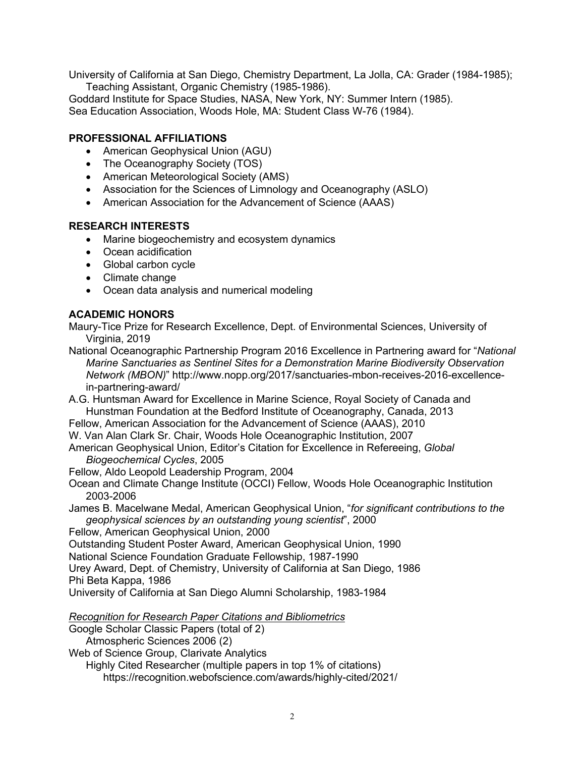University of California at San Diego, Chemistry Department, La Jolla, CA: Grader (1984-1985); Teaching Assistant, Organic Chemistry (1985-1986).

Goddard Institute for Space Studies, NASA, New York, NY: Summer Intern (1985). Sea Education Association, Woods Hole, MA: Student Class W-76 (1984).

## **PROFESSIONAL AFFILIATIONS**

- American Geophysical Union (AGU)
- The Oceanography Society (TOS)
- American Meteorological Society (AMS)
- Association for the Sciences of Limnology and Oceanography (ASLO)
- American Association for the Advancement of Science (AAAS)

## **RESEARCH INTERESTS**

- Marine biogeochemistry and ecosystem dynamics
- Ocean acidification
- Global carbon cycle
- Climate change
- Ocean data analysis and numerical modeling

## **ACADEMIC HONORS**

Maury-Tice Prize for Research Excellence, Dept. of Environmental Sciences, University of Virginia, 2019

National Oceanographic Partnership Program 2016 Excellence in Partnering award for "*National Marine Sanctuaries as Sentinel Sites for a Demonstration Marine Biodiversity Observation Network (MBON)*" http://www.nopp.org/2017/sanctuaries-mbon-receives-2016-excellencein-partnering-award/

A.G. Huntsman Award for Excellence in Marine Science, Royal Society of Canada and Hunstman Foundation at the Bedford Institute of Oceanography, Canada, 2013

Fellow, American Association for the Advancement of Science (AAAS), 2010

W. Van Alan Clark Sr. Chair, Woods Hole Oceanographic Institution, 2007

American Geophysical Union, Editor's Citation for Excellence in Refereeing, *Global Biogeochemical Cycles*, 2005

Fellow, Aldo Leopold Leadership Program, 2004

Ocean and Climate Change Institute (OCCI) Fellow, Woods Hole Oceanographic Institution 2003-2006

James B. Macelwane Medal, American Geophysical Union, "*for significant contributions to the geophysical sciences by an outstanding young scientist*", 2000

Fellow, American Geophysical Union, 2000

Outstanding Student Poster Award, American Geophysical Union, 1990

National Science Foundation Graduate Fellowship, 1987-1990

Urey Award, Dept. of Chemistry, University of California at San Diego, 1986

Phi Beta Kappa, 1986

University of California at San Diego Alumni Scholarship, 1983-1984

*Recognition for Research Paper Citations and Bibliometrics*

Google Scholar Classic Papers (total of 2)

Atmospheric Sciences 2006 (2)

Web of Science Group, Clarivate Analytics

Highly Cited Researcher (multiple papers in top 1% of citations) https://recognition.webofscience.com/awards/highly-cited/2021/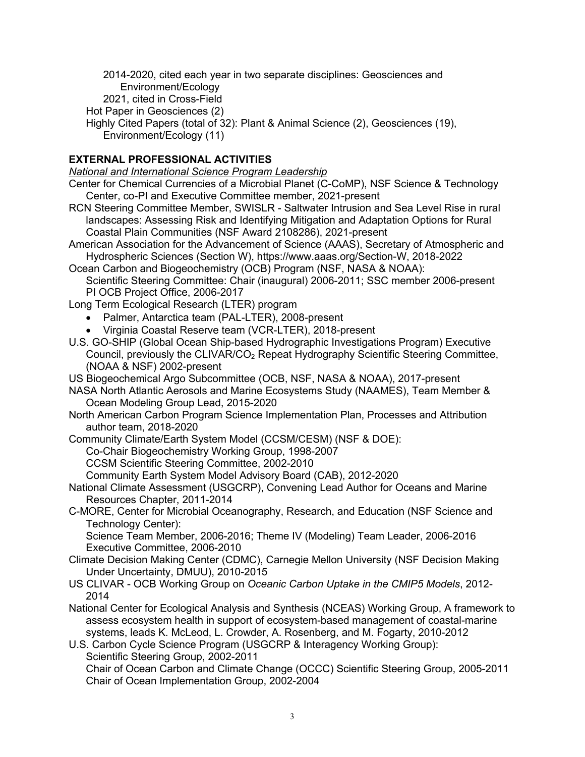2014-2020, cited each year in two separate disciplines: Geosciences and Environment/Ecology

- 2021, cited in Cross-Field
- Hot Paper in Geosciences (2)
- Highly Cited Papers (total of 32): Plant & Animal Science (2), Geosciences (19), Environment/Ecology (11)

## **EXTERNAL PROFESSIONAL ACTIVITIES**

*National and International Science Program Leadership*

- Center for Chemical Currencies of a Microbial Planet (C-CoMP), NSF Science & Technology Center, co-PI and Executive Committee member, 2021-present
- RCN Steering Committee Member, SWISLR Saltwater Intrusion and Sea Level Rise in rural landscapes: Assessing Risk and Identifying Mitigation and Adaptation Options for Rural Coastal Plain Communities (NSF Award 2108286), 2021-present
- American Association for the Advancement of Science (AAAS), Secretary of Atmospheric and Hydrospheric Sciences (Section W), https://www.aaas.org/Section-W, 2018-2022
- Ocean Carbon and Biogeochemistry (OCB) Program (NSF, NASA & NOAA):
	- Scientific Steering Committee: Chair (inaugural) 2006-2011; SSC member 2006-present PI OCB Project Office, 2006-2017
- Long Term Ecological Research (LTER) program
	- Palmer, Antarctica team (PAL-LTER), 2008-present
	- Virginia Coastal Reserve team (VCR-LTER), 2018-present
- U.S. GO-SHIP (Global Ocean Ship-based Hydrographic Investigations Program) Executive Council, previously the CLIVAR/CO<sub>2</sub> Repeat Hydrography Scientific Steering Committee, (NOAA & NSF) 2002-present
- US Biogeochemical Argo Subcommittee (OCB, NSF, NASA & NOAA), 2017-present
- NASA North Atlantic Aerosols and Marine Ecosystems Study (NAAMES), Team Member & Ocean Modeling Group Lead, 2015-2020
- North American Carbon Program Science Implementation Plan, Processes and Attribution author team, 2018-2020
- Community Climate/Earth System Model (CCSM/CESM) (NSF & DOE):

Co-Chair Biogeochemistry Working Group, 1998-2007

- CCSM Scientific Steering Committee, 2002-2010
- Community Earth System Model Advisory Board (CAB), 2012-2020
- National Climate Assessment (USGCRP), Convening Lead Author for Oceans and Marine Resources Chapter, 2011-2014
- C-MORE, Center for Microbial Oceanography, Research, and Education (NSF Science and Technology Center):

Science Team Member, 2006-2016; Theme IV (Modeling) Team Leader, 2006-2016 Executive Committee, 2006-2010

- Climate Decision Making Center (CDMC), Carnegie Mellon University (NSF Decision Making Under Uncertainty, DMUU), 2010-2015
- US CLIVAR OCB Working Group on *Oceanic Carbon Uptake in the CMIP5 Models*, 2012- 2014
- National Center for Ecological Analysis and Synthesis (NCEAS) Working Group, A framework to assess ecosystem health in support of ecosystem-based management of coastal-marine systems, leads K. McLeod, L. Crowder, A. Rosenberg, and M. Fogarty, 2010-2012
- U.S. Carbon Cycle Science Program (USGCRP & Interagency Working Group): Scientific Steering Group, 2002-2011 Chair of Ocean Carbon and Climate Change (OCCC) Scientific Steering Group, 2005-2011 Chair of Ocean Implementation Group, 2002-2004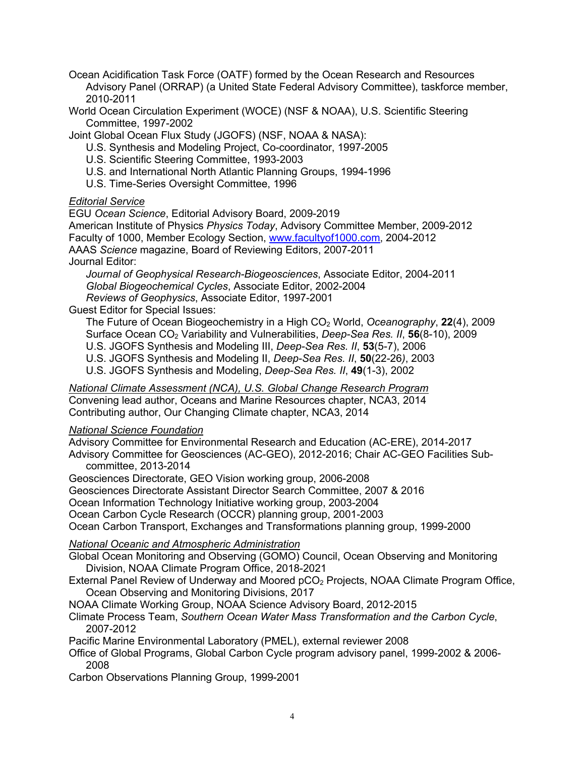Ocean Acidification Task Force (OATF) formed by the Ocean Research and Resources Advisory Panel (ORRAP) (a United State Federal Advisory Committee), taskforce member, 2010-2011

World Ocean Circulation Experiment (WOCE) (NSF & NOAA), U.S. Scientific Steering Committee, 1997-2002

Joint Global Ocean Flux Study (JGOFS) (NSF, NOAA & NASA):

- U.S. Synthesis and Modeling Project, Co-coordinator, 1997-2005
- U.S. Scientific Steering Committee, 1993-2003
- U.S. and International North Atlantic Planning Groups, 1994-1996
- U.S. Time-Series Oversight Committee, 1996

#### *Editorial Service*

EGU *Ocean Science*, Editorial Advisory Board, 2009-2019

American Institute of Physics *Physics Today*, Advisory Committee Member, 2009-2012 Faculty of 1000, Member Ecology Section, www.facultyof1000.com, 2004-2012 AAAS *Science* magazine, Board of Reviewing Editors, 2007-2011 Journal Editor:

*Journal of Geophysical Research-Biogeosciences*, Associate Editor, 2004-2011 *Global Biogeochemical Cycles*, Associate Editor, 2002-2004 *Reviews of Geophysics*, Associate Editor, 1997-2001

Guest Editor for Special Issues:

The Future of Ocean Biogeochemistry in a High CO2 World, *Oceanography*, **22**(4), 2009 Surface Ocean CO2 Variability and Vulnerabilities, *Deep-Sea Res. II*, **56**(8-10), 2009 U.S. JGOFS Synthesis and Modeling III, *Deep-Sea Res. II*, **53**(5-7), 2006

U.S. JGOFS Synthesis and Modeling II, *Deep-Sea Res. II*, **50**(22-26*)*, 2003

U.S. JGOFS Synthesis and Modeling, *Deep-Sea Res. II*, **49**(1-3), 2002

*National Climate Assessment (NCA), U.S. Global Change Research Program* Convening lead author, Oceans and Marine Resources chapter, NCA3, 2014 Contributing author, Our Changing Climate chapter, NCA3, 2014

### *National Science Foundation*

Advisory Committee for Environmental Research and Education (AC-ERE), 2014-2017 Advisory Committee for Geosciences (AC-GEO), 2012-2016; Chair AC-GEO Facilities Subcommittee, 2013-2014

Geosciences Directorate, GEO Vision working group, 2006-2008

Geosciences Directorate Assistant Director Search Committee, 2007 & 2016

Ocean Information Technology Initiative working group, 2003-2004

Ocean Carbon Cycle Research (OCCR) planning group, 2001-2003

Ocean Carbon Transport, Exchanges and Transformations planning group, 1999-2000

### *National Oceanic and Atmospheric Administration*

Global Ocean Monitoring and Observing (GOMO) Council, Ocean Observing and Monitoring Division, NOAA Climate Program Office, 2018-2021

External Panel Review of Underway and Moored pCO2 Projects, NOAA Climate Program Office, Ocean Observing and Monitoring Divisions, 2017

NOAA Climate Working Group, NOAA Science Advisory Board, 2012-2015

Climate Process Team, *Southern Ocean Water Mass Transformation and the Carbon Cycle*, 2007-2012

Pacific Marine Environmental Laboratory (PMEL), external reviewer 2008

Office of Global Programs, Global Carbon Cycle program advisory panel, 1999-2002 & 2006- 2008

Carbon Observations Planning Group, 1999-2001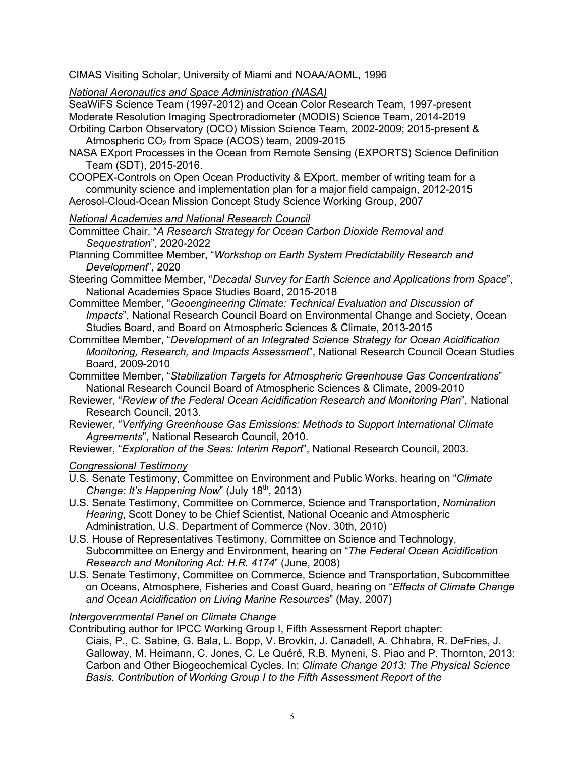CIMAS Visiting Scholar, University of Miami and NOAA/AOML, 1996

*National Aeronautics and Space Administration (NASA)*

SeaWiFS Science Team (1997-2012) and Ocean Color Research Team, 1997-present Moderate Resolution Imaging Spectroradiometer (MODIS) Science Team, 2014-2019 Orbiting Carbon Observatory (OCO) Mission Science Team, 2002-2009; 2015-present &

Atmospheric  $CO<sub>2</sub>$  from Space (ACOS) team, 2009-2015

- NASA EXport Processes in the Ocean from Remote Sensing (EXPORTS) Science Definition Team (SDT), 2015-2016.
- COOPEX-Controls on Open Ocean Productivity & EXport, member of writing team for a community science and implementation plan for a major field campaign, 2012-2015 Aerosol-Cloud-Ocean Mission Concept Study Science Working Group, 2007

### *National Academies and National Research Council*

- Committee Chair, "*A Research Strategy for Ocean Carbon Dioxide Removal and Sequestration*", 2020-2022
- Planning Committee Member, "*Workshop on Earth System Predictability Research and Development*", 2020
- Steering Committee Member, "*Decadal Survey for Earth Science and Applications from Space*", National Academies Space Studies Board, 2015-2018
- Committee Member, "*Geoengineering Climate: Technical Evaluation and Discussion of Impacts*", National Research Council Board on Environmental Change and Society, Ocean Studies Board, and Board on Atmospheric Sciences & Climate, 2013-2015
- Committee Member, "*Development of an Integrated Science Strategy for Ocean Acidification Monitoring, Research, and Impacts Assessment*", National Research Council Ocean Studies Board, 2009-2010
- Committee Member, "*Stabilization Targets for Atmospheric Greenhouse Gas Concentrations*" National Research Council Board of Atmospheric Sciences & Climate, 2009-2010
- Reviewer, "*Review of the Federal Ocean Acidification Research and Monitoring Plan*", National Research Council, 2013.
- Reviewer, "*Verifying Greenhouse Gas Emissions: Methods to Support International Climate Agreements*", National Research Council, 2010.

Reviewer, "*Exploration of the Seas: Interim Report*", National Research Council, 2003.

## *Congressional Testimony*

- U.S. Senate Testimony, Committee on Environment and Public Works, hearing on "*Climate Change: It's Happening Now*" (July 18<sup>th</sup>, 2013)
- U.S. Senate Testimony, Committee on Commerce, Science and Transportation, *Nomination Hearing*, Scott Doney to be Chief Scientist, National Oceanic and Atmospheric Administration, U.S. Department of Commerce (Nov. 30th, 2010)
- U.S. House of Representatives Testimony, Committee on Science and Technology, Subcommittee on Energy and Environment, hearing on "*The Federal Ocean Acidification Research and Monitoring Act: H.R. 4174*" (June, 2008)
- U.S. Senate Testimony, Committee on Commerce, Science and Transportation, Subcommittee on Oceans, Atmosphere, Fisheries and Coast Guard, hearing on "*Effects of Climate Change and Ocean Acidification on Living Marine Resources*" (May, 2007)

# *Intergovernmental Panel on Climate Change*

Contributing author for IPCC Working Group I, Fifth Assessment Report chapter:

Ciais, P., C. Sabine, G. Bala, L. Bopp, V. Brovkin, J. Canadell, A. Chhabra, R. DeFries, J. Galloway, M. Heimann, C. Jones, C. Le Quéré, R.B. Myneni, S. Piao and P. Thornton, 2013: Carbon and Other Biogeochemical Cycles. In: *Climate Change 2013: The Physical Science Basis. Contribution of Working Group I to the Fifth Assessment Report of the*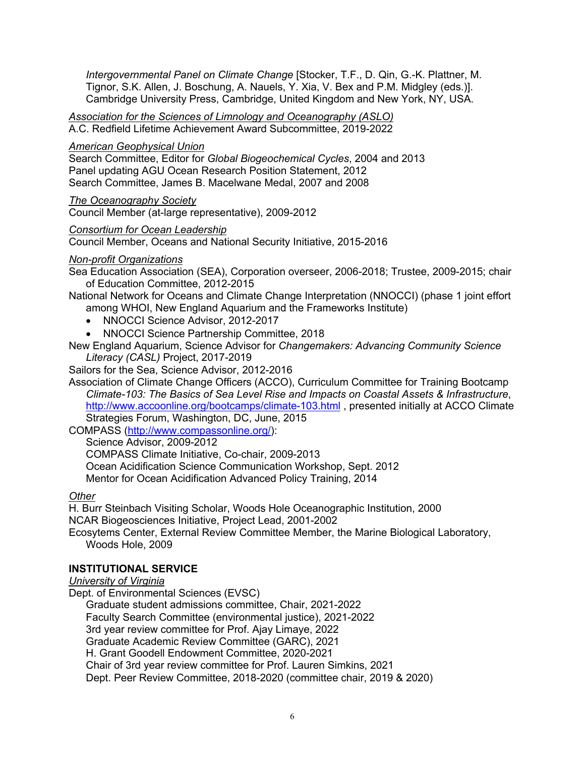*Intergovernmental Panel on Climate Change* [Stocker, T.F., D. Qin, G.-K. Plattner, M. Tignor, S.K. Allen, J. Boschung, A. Nauels, Y. Xia, V. Bex and P.M. Midgley (eds.)]. Cambridge University Press, Cambridge, United Kingdom and New York, NY, USA.

*Association for the Sciences of Limnology and Oceanography (ASLO)* A.C. Redfield Lifetime Achievement Award Subcommittee, 2019-2022

#### *American Geophysical Union*

Search Committee, Editor for *Global Biogeochemical Cycles*, 2004 and 2013 Panel updating AGU Ocean Research Position Statement, 2012 Search Committee, James B. Macelwane Medal, 2007 and 2008

#### *The Oceanography Society*

Council Member (at-large representative), 2009-2012

#### *Consortium for Ocean Leadership*

Council Member, Oceans and National Security Initiative, 2015-2016

#### *Non-profit Organizations*

Sea Education Association (SEA), Corporation overseer, 2006-2018; Trustee, 2009-2015; chair of Education Committee, 2012-2015

National Network for Oceans and Climate Change Interpretation (NNOCCI) (phase 1 joint effort among WHOI, New England Aquarium and the Frameworks Institute)

- NNOCCI Science Advisor, 2012-2017
- NNOCCI Science Partnership Committee, 2018

New England Aquarium, Science Advisor for *Changemakers: Advancing Community Science Literacy (CASL)* Project, 2017-2019

Sailors for the Sea, Science Advisor, 2012-2016

Association of Climate Change Officers (ACCO), Curriculum Committee for Training Bootcamp *Climate-103: The Basics of Sea Level Rise and Impacts on Coastal Assets & Infrastructure*, http://www.accoonline.org/bootcamps/climate-103.html , presented initially at ACCO Climate Strategies Forum, Washington, DC, June, 2015

COMPASS (http://www.compassonline.org/):

Science Advisor, 2009-2012 COMPASS Climate Initiative, Co-chair, 2009-2013 Ocean Acidification Science Communication Workshop, Sept. 2012 Mentor for Ocean Acidification Advanced Policy Training, 2014

#### *Other*

H. Burr Steinbach Visiting Scholar, Woods Hole Oceanographic Institution, 2000

NCAR Biogeosciences Initiative, Project Lead, 2001-2002

Ecosytems Center, External Review Committee Member, the Marine Biological Laboratory, Woods Hole, 2009

### **INSTITUTIONAL SERVICE**

#### *University of Virginia*

Dept. of Environmental Sciences (EVSC) Graduate student admissions committee, Chair, 2021-2022 Faculty Search Committee (environmental justice), 2021-2022 3rd year review committee for Prof. Ajay Limaye, 2022 Graduate Academic Review Committee (GARC), 2021 H. Grant Goodell Endowment Committee, 2020-2021 Chair of 3rd year review committee for Prof. Lauren Simkins, 2021 Dept. Peer Review Committee, 2018-2020 (committee chair, 2019 & 2020)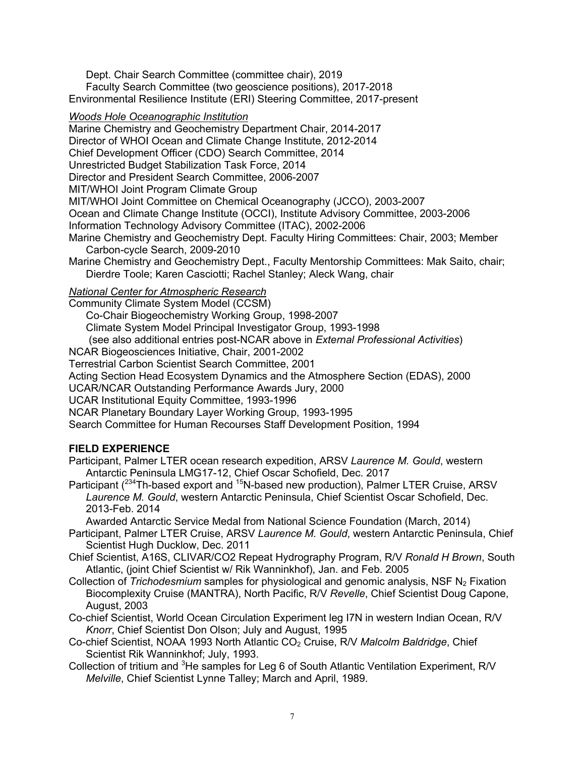Dept. Chair Search Committee (committee chair), 2019 Faculty Search Committee (two geoscience positions), 2017-2018 Environmental Resilience Institute (ERI) Steering Committee, 2017-present

### *Woods Hole Oceanographic Institution*

Marine Chemistry and Geochemistry Department Chair, 2014-2017 Director of WHOI Ocean and Climate Change Institute, 2012-2014 Chief Development Officer (CDO) Search Committee, 2014 Unrestricted Budget Stabilization Task Force, 2014 Director and President Search Committee, 2006-2007 MIT/WHOI Joint Program Climate Group MIT/WHOI Joint Committee on Chemical Oceanography (JCCO), 2003-2007 Ocean and Climate Change Institute (OCCI), Institute Advisory Committee, 2003-2006 Information Technology Advisory Committee (ITAC), 2002-2006 Marine Chemistry and Geochemistry Dept. Faculty Hiring Committees: Chair, 2003; Member Carbon-cycle Search, 2009-2010 Marine Chemistry and Geochemistry Dept., Faculty Mentorship Committees: Mak Saito, chair; Dierdre Toole; Karen Casciotti; Rachel Stanley; Aleck Wang, chair *National Center for Atmospheric Research* Community Climate System Model (CCSM)

Co-Chair Biogeochemistry Working Group, 1998-2007 Climate System Model Principal Investigator Group, 1993-1998 (see also additional entries post-NCAR above in *External Professional Activities*) NCAR Biogeosciences Initiative, Chair, 2001-2002 Terrestrial Carbon Scientist Search Committee, 2001 Acting Section Head Ecosystem Dynamics and the Atmosphere Section (EDAS), 2000 UCAR/NCAR Outstanding Performance Awards Jury, 2000 UCAR Institutional Equity Committee, 1993-1996

NCAR Planetary Boundary Layer Working Group, 1993-1995

Search Committee for Human Recourses Staff Development Position, 1994

## **FIELD EXPERIENCE**

Participant, Palmer LTER ocean research expedition, ARSV *Laurence M. Gould*, western Antarctic Peninsula LMG17-12, Chief Oscar Schofield, Dec. 2017

Participant (<sup>234</sup>Th-based export and <sup>15</sup>N-based new production), Palmer LTER Cruise, ARSV *Laurence M. Gould*, western Antarctic Peninsula, Chief Scientist Oscar Schofield, Dec. 2013-Feb. 2014

Awarded Antarctic Service Medal from National Science Foundation (March, 2014)

- Participant, Palmer LTER Cruise, ARSV *Laurence M. Gould*, western Antarctic Peninsula, Chief Scientist Hugh Ducklow, Dec. 2011
- Chief Scientist, A16S, CLIVAR/CO2 Repeat Hydrography Program, R/V *Ronald H Brown*, South Atlantic, (joint Chief Scientist w/ Rik Wanninkhof), Jan. and Feb. 2005
- Collection of *Trichodesmium* samples for physiological and genomic analysis, NSF N<sub>2</sub> Fixation Biocomplexity Cruise (MANTRA), North Pacific, R/V *Revelle*, Chief Scientist Doug Capone, August, 2003
- Co-chief Scientist, World Ocean Circulation Experiment leg I7N in western Indian Ocean, R/V *Knorr*, Chief Scientist Don Olson; July and August, 1995
- Co-chief Scientist, NOAA 1993 North Atlantic CO2 Cruise, R/V *Malcolm Baldridge*, Chief Scientist Rik Wanninkhof; July, 1993.
- Collection of tritium and <sup>3</sup>He samples for Leg 6 of South Atlantic Ventilation Experiment, R/V *Melville*, Chief Scientist Lynne Talley; March and April, 1989.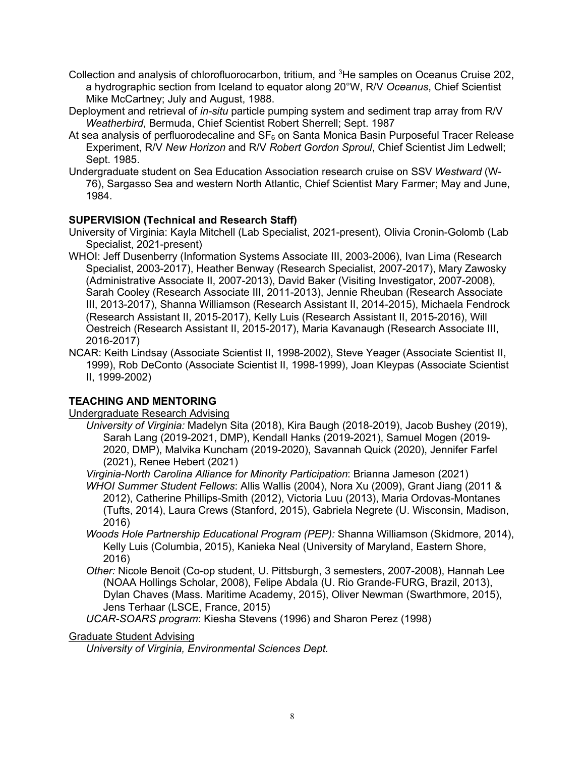- Collection and analysis of chlorofluorocarbon, tritium, and <sup>3</sup>He samples on Oceanus Cruise 202, a hydrographic section from Iceland to equator along 20°W, R/V *Oceanus*, Chief Scientist Mike McCartney; July and August, 1988.
- Deployment and retrieval of *in-situ* particle pumping system and sediment trap array from R/V *Weatherbird*, Bermuda, Chief Scientist Robert Sherrell; Sept. 1987
- At sea analysis of perfluorodecaline and  $SF_6$  on Santa Monica Basin Purposeful Tracer Release Experiment, R/V *New Horizon* and R/V *Robert Gordon Sproul*, Chief Scientist Jim Ledwell; Sept. 1985.
- Undergraduate student on Sea Education Association research cruise on SSV *Westward* (W-76), Sargasso Sea and western North Atlantic, Chief Scientist Mary Farmer; May and June, 1984.

### **SUPERVISION (Technical and Research Staff)**

- University of Virginia: Kayla Mitchell (Lab Specialist, 2021-present), Olivia Cronin-Golomb (Lab Specialist, 2021-present)
- WHOI: Jeff Dusenberry (Information Systems Associate III, 2003-2006), Ivan Lima (Research Specialist, 2003-2017), Heather Benway (Research Specialist, 2007-2017), Mary Zawosky (Administrative Associate II, 2007-2013), David Baker (Visiting Investigator, 2007-2008), Sarah Cooley (Research Associate III, 2011-2013), Jennie Rheuban (Research Associate III, 2013-2017), Shanna Williamson (Research Assistant II, 2014-2015), Michaela Fendrock (Research Assistant II, 2015-2017), Kelly Luis (Research Assistant II, 2015-2016), Will Oestreich (Research Assistant II, 2015-2017), Maria Kavanaugh (Research Associate III, 2016-2017)
- NCAR: Keith Lindsay (Associate Scientist II, 1998-2002), Steve Yeager (Associate Scientist II, 1999), Rob DeConto (Associate Scientist II, 1998-1999), Joan Kleypas (Associate Scientist II, 1999-2002)

## **TEACHING AND MENTORING**

Undergraduate Research Advising

- *University of Virginia:* Madelyn Sita (2018), Kira Baugh (2018-2019), Jacob Bushey (2019), Sarah Lang (2019-2021, DMP), Kendall Hanks (2019-2021), Samuel Mogen (2019- 2020, DMP), Malvika Kuncham (2019-2020), Savannah Quick (2020), Jennifer Farfel (2021), Renee Hebert (2021)
- *Virginia-North Carolina Alliance for Minority Participation*: Brianna Jameson (2021) *WHOI Summer Student Fellows*: Allis Wallis (2004), Nora Xu (2009), Grant Jiang (2011 &
	- 2012), Catherine Phillips-Smith (2012), Victoria Luu (2013), Maria Ordovas-Montanes (Tufts, 2014), Laura Crews (Stanford, 2015), Gabriela Negrete (U. Wisconsin, Madison, 2016)
- *Woods Hole Partnership Educational Program (PEP):* Shanna Williamson (Skidmore, 2014), Kelly Luis (Columbia, 2015), Kanieka Neal (University of Maryland, Eastern Shore, 2016)
- *Other:* Nicole Benoit (Co-op student, U. Pittsburgh, 3 semesters, 2007-2008), Hannah Lee (NOAA Hollings Scholar, 2008), Felipe Abdala (U. Rio Grande-FURG, Brazil, 2013), Dylan Chaves (Mass. Maritime Academy, 2015), Oliver Newman (Swarthmore, 2015), Jens Terhaar (LSCE, France, 2015)

*UCAR-SOARS program*: Kiesha Stevens (1996) and Sharon Perez (1998)

#### Graduate Student Advising

*University of Virginia, Environmental Sciences Dept.*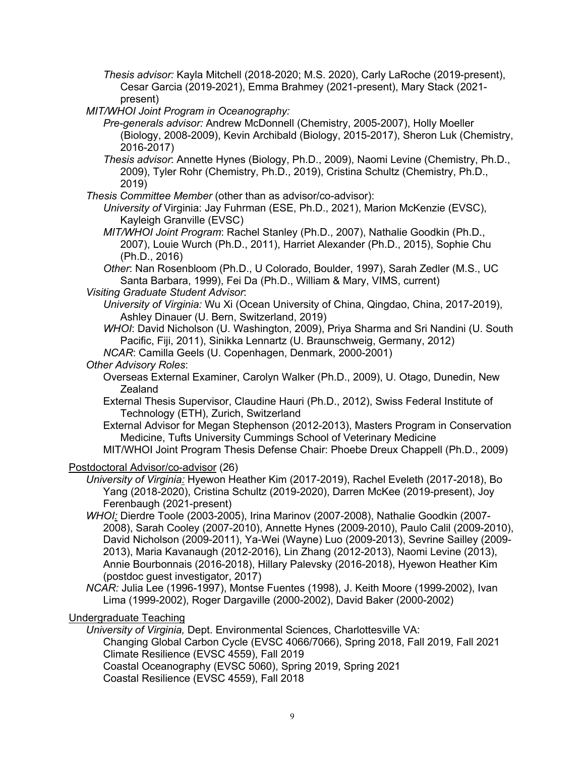*Thesis advisor:* Kayla Mitchell (2018-2020; M.S. 2020), Carly LaRoche (2019-present), Cesar Garcia (2019-2021), Emma Brahmey (2021-present), Mary Stack (2021 present)

*MIT/WHOI Joint Program in Oceanography:* 

- *Pre-generals advisor:* Andrew McDonnell (Chemistry, 2005-2007), Holly Moeller (Biology, 2008-2009), Kevin Archibald (Biology, 2015-2017), Sheron Luk (Chemistry, 2016-2017)
- *Thesis advisor*: Annette Hynes (Biology, Ph.D., 2009), Naomi Levine (Chemistry, Ph.D., 2009), Tyler Rohr (Chemistry, Ph.D., 2019), Cristina Schultz (Chemistry, Ph.D., 2019)
- *Thesis Committee Member* (other than as advisor/co-advisor):
	- *University of* Virginia: Jay Fuhrman (ESE, Ph.D., 2021), Marion McKenzie (EVSC), Kayleigh Granville (EVSC)
	- *MIT/WHOI Joint Program*: Rachel Stanley (Ph.D., 2007), Nathalie Goodkin (Ph.D., 2007), Louie Wurch (Ph.D., 2011), Harriet Alexander (Ph.D., 2015), Sophie Chu (Ph.D., 2016)
	- *Other*: Nan Rosenbloom (Ph.D., U Colorado, Boulder, 1997), Sarah Zedler (M.S., UC Santa Barbara, 1999), Fei Da (Ph.D., William & Mary, VIMS, current)

*Visiting Graduate Student Advisor*:

- *University of Virginia:* Wu Xi (Ocean University of China, Qingdao, China, 2017-2019), Ashley Dinauer (U. Bern, Switzerland, 2019)
- *WHOI*: David Nicholson (U. Washington, 2009), Priya Sharma and Sri Nandini (U. South Pacific, Fiji, 2011), Sinikka Lennartz (U. Braunschweig, Germany, 2012)
- *NCAR*: Camilla Geels (U. Copenhagen, Denmark, 2000-2001)

### *Other Advisory Roles*:

- Overseas External Examiner, Carolyn Walker (Ph.D., 2009), U. Otago, Dunedin, New **Zealand**
- External Thesis Supervisor, Claudine Hauri (Ph.D., 2012), Swiss Federal Institute of Technology (ETH), Zurich, Switzerland
- External Advisor for Megan Stephenson (2012-2013), Masters Program in Conservation Medicine, Tufts University Cummings School of Veterinary Medicine
- MIT/WHOI Joint Program Thesis Defense Chair: Phoebe Dreux Chappell (Ph.D., 2009)

### Postdoctoral Advisor/co-advisor (26)

- *University of Virginia:* Hyewon Heather Kim (2017-2019), Rachel Eveleth (2017-2018), Bo Yang (2018-2020), Cristina Schultz (2019-2020), Darren McKee (2019-present), Joy Ferenbaugh (2021-present)
- *WHOI:* Dierdre Toole (2003-2005), Irina Marinov (2007-2008), Nathalie Goodkin (2007- 2008), Sarah Cooley (2007-2010), Annette Hynes (2009-2010), Paulo Calil (2009-2010), David Nicholson (2009-2011), Ya-Wei (Wayne) Luo (2009-2013), Sevrine Sailley (2009- 2013), Maria Kavanaugh (2012-2016), Lin Zhang (2012-2013), Naomi Levine (2013), Annie Bourbonnais (2016-2018), Hillary Palevsky (2016-2018), Hyewon Heather Kim (postdoc guest investigator, 2017)
- *NCAR:* Julia Lee (1996-1997), Montse Fuentes (1998), J. Keith Moore (1999-2002), Ivan Lima (1999-2002), Roger Dargaville (2000-2002), David Baker (2000-2002)

### Undergraduate Teaching

*University of Virginia,* Dept. Environmental Sciences, Charlottesville VA: Changing Global Carbon Cycle (EVSC 4066/7066), Spring 2018, Fall 2019, Fall 2021 Climate Resilience (EVSC 4559), Fall 2019 Coastal Oceanography (EVSC 5060), Spring 2019, Spring 2021 Coastal Resilience (EVSC 4559), Fall 2018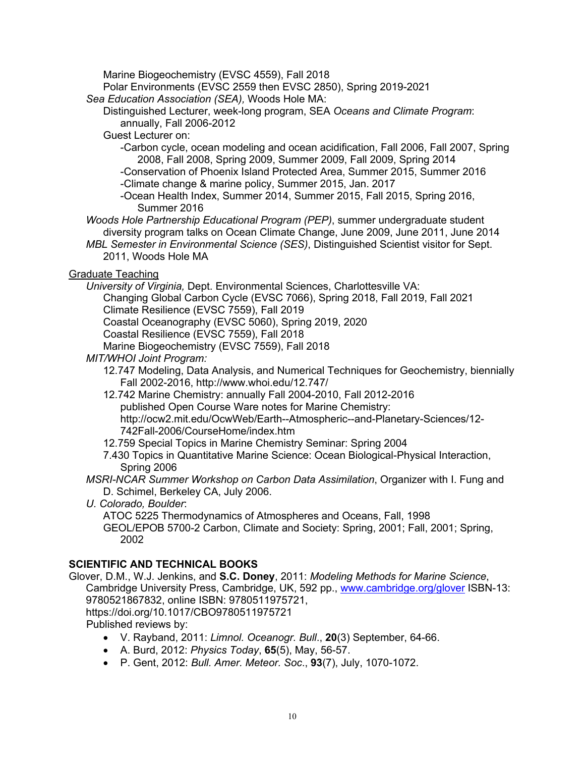Marine Biogeochemistry (EVSC 4559), Fall 2018

Polar Environments (EVSC 2559 then EVSC 2850), Spring 2019-2021

*Sea Education Association (SEA),* Woods Hole MA:

Distinguished Lecturer, week-long program, SEA *Oceans and Climate Program*: annually, Fall 2006-2012

Guest Lecturer on:

-Carbon cycle, ocean modeling and ocean acidification, Fall 2006, Fall 2007, Spring 2008, Fall 2008, Spring 2009, Summer 2009, Fall 2009, Spring 2014

-Conservation of Phoenix Island Protected Area, Summer 2015, Summer 2016

-Climate change & marine policy, Summer 2015, Jan. 2017

-Ocean Health Index, Summer 2014, Summer 2015, Fall 2015, Spring 2016, Summer 2016

*Woods Hole Partnership Educational Program (PEP)*, summer undergraduate student diversity program talks on Ocean Climate Change, June 2009, June 2011, June 2014

*MBL Semester in Environmental Science (SES)*, Distinguished Scientist visitor for Sept. 2011, Woods Hole MA

## Graduate Teaching

*University of Virginia,* Dept. Environmental Sciences, Charlottesville VA:

Changing Global Carbon Cycle (EVSC 7066), Spring 2018, Fall 2019, Fall 2021

Climate Resilience (EVSC 7559), Fall 2019

Coastal Oceanography (EVSC 5060), Spring 2019, 2020

Coastal Resilience (EVSC 7559), Fall 2018

Marine Biogeochemistry (EVSC 7559), Fall 2018

*MIT/WHOI Joint Program:* 

12.747 Modeling, Data Analysis, and Numerical Techniques for Geochemistry, biennially Fall 2002-2016, http://www.whoi.edu/12.747/

12.742 Marine Chemistry: annually Fall 2004-2010, Fall 2012-2016 published Open Course Ware notes for Marine Chemistry: http://ocw2.mit.edu/OcwWeb/Earth--Atmospheric--and-Planetary-Sciences/12- 742Fall-2006/CourseHome/index.htm

12.759 Special Topics in Marine Chemistry Seminar: Spring 2004

7.430 Topics in Quantitative Marine Science: Ocean Biological-Physical Interaction, Spring 2006

*MSRI-NCAR Summer Workshop on Carbon Data Assimilation*, Organizer with I. Fung and D. Schimel, Berkeley CA, July 2006.

*U. Colorado, Boulder*:

ATOC 5225 Thermodynamics of Atmospheres and Oceans, Fall, 1998 GEOL/EPOB 5700-2 Carbon, Climate and Society: Spring, 2001; Fall, 2001; Spring, 2002

# **SCIENTIFIC AND TECHNICAL BOOKS**

Glover, D.M., W.J. Jenkins, and **S.C. Doney**, 2011: *Modeling Methods for Marine Science*, Cambridge University Press, Cambridge, UK, 592 pp., www.cambridge.org/glover ISBN-13: 9780521867832, online ISBN: 9780511975721, https://doi.org/10.1017/CBO9780511975721

Published reviews by:

- V. Rayband, 2011: *Limnol. Oceanogr. Bull*., **20**(3) September, 64-66.
- A. Burd, 2012: *Physics Today*, **65**(5), May, 56-57.
- P. Gent, 2012: *Bull. Amer. Meteor. Soc*., **93**(7), July, 1070-1072.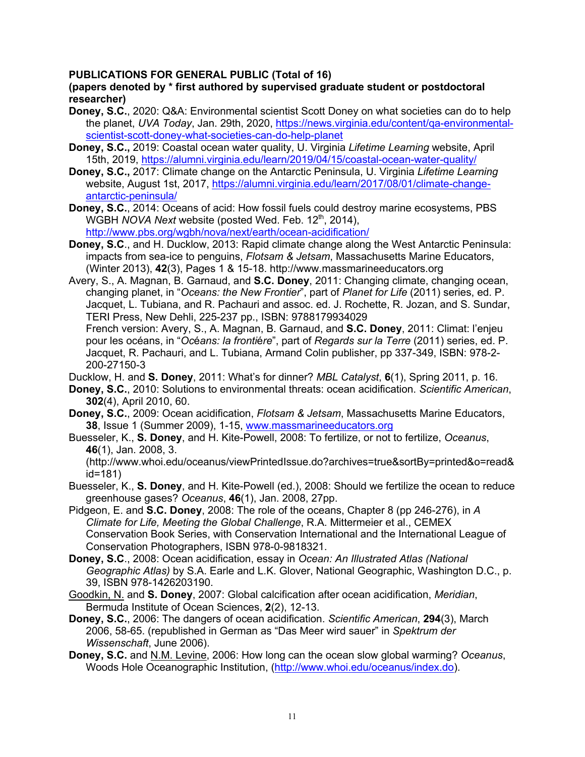### **PUBLICATIONS FOR GENERAL PUBLIC (Total of 16)**

#### **(papers denoted by \* first authored by supervised graduate student or postdoctoral researcher)**

- **Doney, S.C.**, 2020: Q&A: Environmental scientist Scott Doney on what societies can do to help the planet, *UVA Today*, Jan. 29th, 2020, https://news.virginia.edu/content/qa-environmentalscientist-scott-doney-what-societies-can-do-help-planet
- **Doney, S.C.,** 2019: Coastal ocean water quality, U. Virginia *Lifetime Learning* website, April 15th, 2019, https://alumni.virginia.edu/learn/2019/04/15/coastal-ocean-water-quality/
- **Doney, S.C.,** 2017: Climate change on the Antarctic Peninsula, U. Virginia *Lifetime Learning* website, August 1st, 2017, https://alumni.virginia.edu/learn/2017/08/01/climate-changeantarctic-peninsula/
- **Doney, S.C.**, 2014: Oceans of acid: How fossil fuels could destroy marine ecosystems, PBS WGBH *NOVA Next* website (posted Wed. Feb. 12<sup>th</sup>, 2014), http://www.pbs.org/wgbh/nova/next/earth/ocean-acidification/
- **Doney, S.C**., and H. Ducklow, 2013: Rapid climate change along the West Antarctic Peninsula: impacts from sea-ice to penguins, *Flotsam & Jetsam*, Massachusetts Marine Educators, (Winter 2013), **42**(3), Pages 1 & 15-18. http://www.massmarineeducators.org

Avery, S., A. Magnan, B. Garnaud, and **S.C. Doney**, 2011: Changing climate, changing ocean, changing planet, in "*Oceans: the New Frontier*", part of *Planet for Life* (2011) series, ed. P. Jacquet, L. Tubiana, and R. Pachauri and assoc. ed. J. Rochette, R. Jozan, and S. Sundar, TERI Press, New Dehli, 225-237 pp., ISBN: 9788179934029

French version: Avery, S., A. Magnan, B. Garnaud, and **S.C. Doney**, 2011: Climat: l'enjeu pour les océans, in "*Oc*é*ans: la fronti*é*re*", part of *Regards sur la Terre* (2011) series, ed. P. Jacquet, R. Pachauri, and L. Tubiana, Armand Colin publisher, pp 337-349, ISBN: 978-2- 200-27150-3

Ducklow, H. and **S. Doney**, 2011: What's for dinner? *MBL Catalyst*, **6**(1), Spring 2011, p. 16.

- **Doney, S.C.**, 2010: Solutions to environmental threats: ocean acidification. *Scientific American*, **302**(4), April 2010, 60.
- **Doney, S.C.**, 2009: Ocean acidification, *Flotsam & Jetsam*, Massachusetts Marine Educators, **38**, Issue 1 (Summer 2009), 1-15, www.massmarineeducators.org

Buesseler, K., **S. Doney**, and H. Kite-Powell, 2008: To fertilize, or not to fertilize, *Oceanus*, **46**(1), Jan. 2008, 3.

(http://www.whoi.edu/oceanus/viewPrintedIssue.do?archives=true&sortBy=printed&o=read& id=181)

- Buesseler, K., **S. Doney**, and H. Kite-Powell (ed.), 2008: Should we fertilize the ocean to reduce greenhouse gases? *Oceanus*, **46**(1), Jan. 2008, 27pp.
- Pidgeon, E. and **S.C. Doney**, 2008: The role of the oceans, Chapter 8 (pp 246-276), in *A Climate for Life, Meeting the Global Challenge*, R.A. Mittermeier et al., CEMEX Conservation Book Series, with Conservation International and the International League of Conservation Photographers, ISBN 978-0-9818321.
- **Doney, S.C**., 2008: Ocean acidification, essay in *Ocean: An Illustrated Atlas (National Geographic Atlas)* by S.A. Earle and L.K. Glover, National Geographic, Washington D.C., p. 39, ISBN 978-1426203190.
- Goodkin, N. and **S. Doney**, 2007: Global calcification after ocean acidification, *Meridian*, Bermuda Institute of Ocean Sciences, **2**(2), 12-13.
- **Doney, S.C.**, 2006: The dangers of ocean acidification. *Scientific American*, **294**(3), March 2006, 58-65. (republished in German as "Das Meer wird sauer" in *Spektrum der Wissenschaft*, June 2006).
- **Doney, S.C.** and N.M. Levine, 2006: How long can the ocean slow global warming? *Oceanus*, Woods Hole Oceanographic Institution, (http://www.whoi.edu/oceanus/index.do).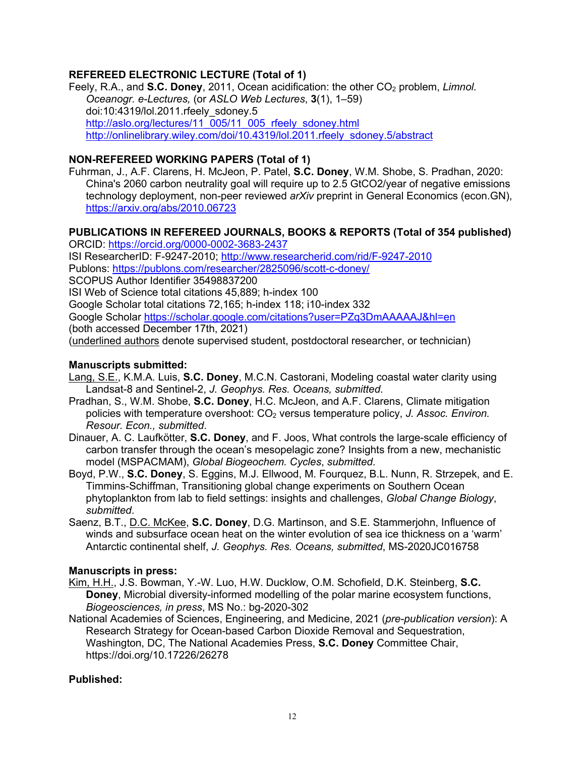## **REFEREED ELECTRONIC LECTURE (Total of 1)**

Feely, R.A., and S.C. Doney, 2011, Ocean acidification: the other CO<sub>2</sub> problem, *Limnol. Oceanogr. e-Lectures,* (or *ASLO Web Lectures*, **3**(1), 1–59) doi:10:4319/lol.2011.rfeely\_sdoney.5 http://aslo.org/lectures/11\_005/11\_005\_rfeely\_sdoney.html http://onlinelibrary.wiley.com/doi/10.4319/lol.2011.rfeely\_sdoney.5/abstract

## **NON-REFEREED WORKING PAPERS (Total of 1)**

Fuhrman, J., A.F. Clarens, H. McJeon, P. Patel, **S.C. Doney**, W.M. Shobe, S. Pradhan, 2020: China's 2060 carbon neutrality goal will require up to 2.5 GtCO2/year of negative emissions technology deployment, non-peer reviewed *arXiv* preprint in General Economics (econ.GN), https://arxiv.org/abs/2010.06723

## **PUBLICATIONS IN REFEREED JOURNALS, BOOKS & REPORTS (Total of 354 published)**

ORCID: https://orcid.org/0000-0002-3683-2437 ISI ResearcherID: F-9247-2010; http://www.researcherid.com/rid/F-9247-2010 Publons: https://publons.com/researcher/2825096/scott-c-doney/ SCOPUS Author Identifier 35498837200 ISI Web of Science total citations 45,889; h-index 100 Google Scholar total citations 72,165; h-index 118; i10-index 332 Google Scholar https://scholar.google.com/citations?user=PZq3DmAAAAAJ&hl=en (both accessed December 17th, 2021) (underlined authors denote supervised student, postdoctoral researcher, or technician)

#### **Manuscripts submitted:**

- Lang, S.E., K.M.A. Luis, **S.C. Doney**, M.C.N. Castorani, Modeling coastal water clarity using Landsat-8 and Sentinel-2, *J. Geophys. Res. Oceans, submitted*.
- Pradhan, S., W.M. Shobe, **S.C. Doney**, H.C. McJeon, and A.F. Clarens, Climate mitigation policies with temperature overshoot: CO2 versus temperature policy, *J. Assoc. Environ. Resour. Econ., submitted*.
- Dinauer, A. C. Laufkötter, **S.C. Doney**, and F. Joos, What controls the large-scale efficiency of carbon transfer through the ocean's mesopelagic zone? Insights from a new, mechanistic model (MSPACMAM), *Global Biogeochem. Cycles*, *submitted*.
- Boyd, P.W., **S.C. Doney**, S. Eggins, M.J. Ellwood, M. Fourquez, B.L. Nunn, R. Strzepek, and E. Timmins-Schiffman, Transitioning global change experiments on Southern Ocean phytoplankton from lab to field settings: insights and challenges, *Global Change Biology*, *submitted*.
- Saenz, B.T., D.C. McKee, **S.C. Doney**, D.G. Martinson, and S.E. Stammerjohn, Influence of winds and subsurface ocean heat on the winter evolution of sea ice thickness on a 'warm' Antarctic continental shelf, *J. Geophys. Res. Oceans, submitted*, MS-2020JC016758

### **Manuscripts in press:**

- Kim, H.H., J.S. Bowman, Y.-W. Luo, H.W. Ducklow, O.M. Schofield, D.K. Steinberg, **S.C. Doney**, Microbial diversity-informed modelling of the polar marine ecosystem functions, *Biogeosciences, in press*, MS No.: bg-2020-302
- National Academies of Sciences, Engineering, and Medicine, 2021 (*pre-publication version*): A Research Strategy for Ocean-based Carbon Dioxide Removal and Sequestration, Washington, DC, The National Academies Press, **S.C. Doney** Committee Chair, https://doi.org/10.17226/26278

### **Published:**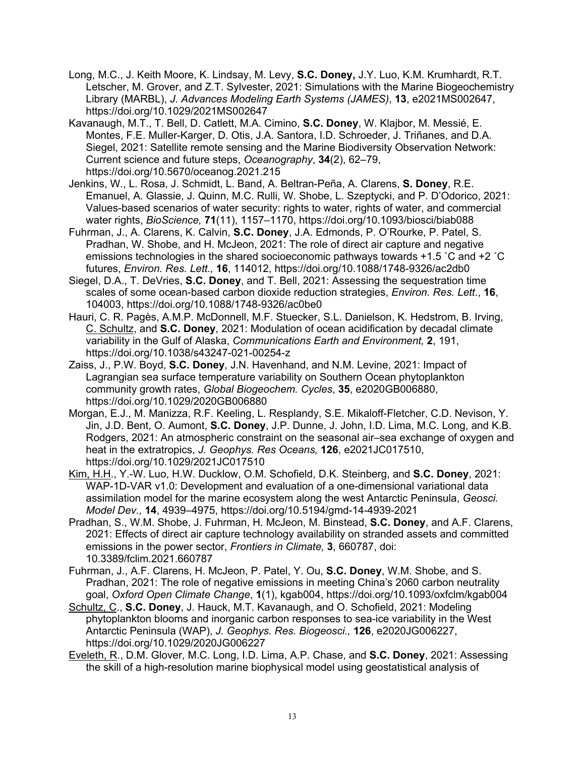- Long, M.C., J. Keith Moore, K. Lindsay, M. Levy, **S.C. Doney,** J.Y. Luo, K.M. Krumhardt, R.T. Letscher, M. Grover, and Z.T. Sylvester, 2021: Simulations with the Marine Biogeochemistry Library (MARBL), *J. Advances Modeling Earth Systems (JAMES)*, **13**, e2021MS002647, https://doi.org/10.1029/2021MS002647
- Kavanaugh, M.T., T. Bell, D. Catlett, M.A. Cimino, **S.C. Doney**, W. Klajbor, M. Messié, E. Montes, F.E. Muller-Karger, D. Otis, J.A. Santora, I.D. Schroeder, J. Triñanes, and D.A. Siegel, 2021: Satellite remote sensing and the Marine Biodiversity Observation Network: Current science and future steps, *Oceanography*, **34**(2), 62–79, https://doi.org/10.5670/oceanog.2021.215
- Jenkins, W., L. Rosa, J. Schmidt, L. Band, A. Beltran-Peña, A. Clarens, **S. Doney**, R.E. Emanuel, A. Glassie, J. Quinn, M.C. Rulli, W. Shobe, L. Szeptycki, and P. D'Odorico, 2021: Values-based scenarios of water security: rights to water, rights of water, and commercial water rights, *BioScience,* **71**(11), 1157–1170, https://doi.org/10.1093/biosci/biab088
- Fuhrman, J., A. Clarens, K. Calvin, **S.C. Doney**, J.A. Edmonds, P. O'Rourke, P. Patel, S. Pradhan, W. Shobe, and H. McJeon, 2021: The role of direct air capture and negative emissions technologies in the shared socioeconomic pathways towards +1.5 ˚C and +2 ˚C futures, *Environ. Res. Lett.,* **16**, 114012, https://doi.org/10.1088/1748-9326/ac2db0
- Siegel, D.A., T. DeVries, **S.C. Doney**, and T. Bell, 2021: Assessing the sequestration time scales of some ocean-based carbon dioxide reduction strategies, *Environ. Res. Lett.*, **16**, 104003, https://doi.org/10.1088/1748-9326/ac0be0
- Hauri, C. R. Pagès, A.M.P. McDonnell, M.F. Stuecker, S.L. Danielson, K. Hedstrom, B. Irving, C. Schultz, and **S.C. Doney**, 2021: Modulation of ocean acidification by decadal climate variability in the Gulf of Alaska, *Communications Earth and Environment,* **2**, 191, https://doi.org/10.1038/s43247-021-00254-z
- Zaiss, J., P.W. Boyd, **S.C. Doney**, J.N. Havenhand, and N.M. Levine, 2021: Impact of Lagrangian sea surface temperature variability on Southern Ocean phytoplankton community growth rates, *Global Biogeochem. Cycles*, **35**, e2020GB006880, https://doi.org/10.1029/2020GB006880
- Morgan, E.J., M. Manizza, R.F. Keeling, L. Resplandy, S.E. Mikaloff-Fletcher, C.D. Nevison, Y. Jin, J.D. Bent, O. Aumont, **S.C. Doney**, J.P. Dunne, J. John, I.D. Lima, M.C. Long, and K.B. Rodgers, 2021: An atmospheric constraint on the seasonal air–sea exchange of oxygen and heat in the extratropics, *J. Geophys. Res Oceans,* **126**, e2021JC017510, https://doi.org/10.1029/2021JC017510
- Kim, H.H., Y.-W. Luo, H.W. Ducklow, O.M. Schofield, D.K. Steinberg, and **S.C. Doney**, 2021: WAP-1D-VAR v1.0: Development and evaluation of a one-dimensional variational data assimilation model for the marine ecosystem along the west Antarctic Peninsula, *Geosci. Model Dev.,* **14**, 4939–4975, https://doi.org/10.5194/gmd-14-4939-2021
- Pradhan, S., W.M. Shobe, J. Fuhrman, H. McJeon, M. Binstead, **S.C. Doney**, and A.F. Clarens, 2021: Effects of direct air capture technology availability on stranded assets and committed emissions in the power sector, *Frontiers in Climate,* **3**, 660787, doi: 10.3389/fclim.2021.660787
- Fuhrman, J., A.F. Clarens, H. McJeon, P. Patel, Y. Ou, **S.C. Doney**, W.M. Shobe, and S. Pradhan, 2021: The role of negative emissions in meeting China's 2060 carbon neutrality goal, *Oxford Open Climate Change*, **1**(1), kgab004, https://doi.org/10.1093/oxfclm/kgab004
- Schultz, C., **S.C. Doney**, J. Hauck, M.T. Kavanaugh, and O. Schofield, 2021: Modeling phytoplankton blooms and inorganic carbon responses to sea-ice variability in the West Antarctic Peninsula (WAP), *J. Geophys. Res. Biogeosci.,* **126**, e2020JG006227, https://doi.org/10.1029/2020JG006227
- Eveleth, R., D.M. Glover, M.C. Long, I.D. Lima, A.P. Chase, and **S.C. Doney**, 2021: Assessing the skill of a high-resolution marine biophysical model using geostatistical analysis of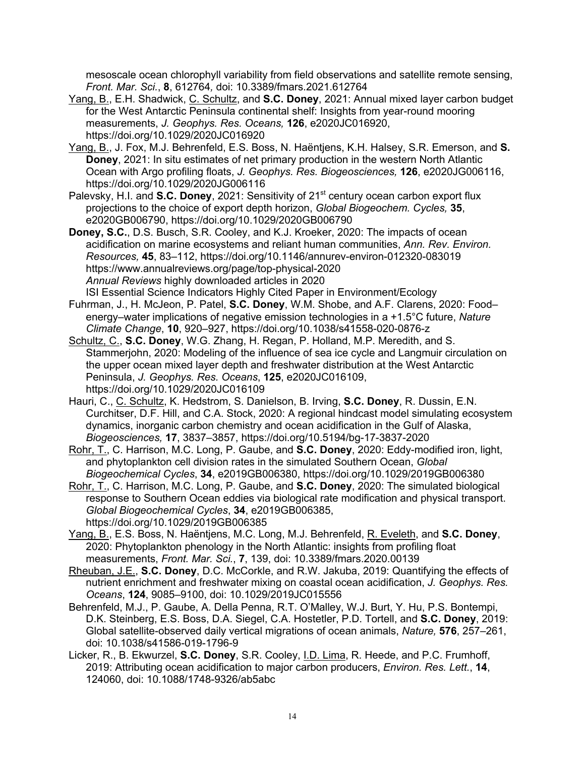mesoscale ocean chlorophyll variability from field observations and satellite remote sensing, *Front. Mar. Sci.*, **8**, 612764*,* doi: 10.3389/fmars.2021.612764

- Yang, B., E.H. Shadwick, C. Schultz, and **S.C. Doney**, 2021: Annual mixed layer carbon budget for the West Antarctic Peninsula continental shelf: Insights from year-round mooring measurements, *J. Geophys. Res. Oceans,* **126**, e2020JC016920, https://doi.org/10.1029/2020JC016920
- Yang, B., J. Fox, M.J. Behrenfeld, E.S. Boss, N. Haëntjens, K.H. Halsey, S.R. Emerson, and **S. Doney**, 2021: In situ estimates of net primary production in the western North Atlantic Ocean with Argo profiling floats, *J. Geophys. Res. Biogeosciences,* **126**, e2020JG006116, https://doi.org/10.1029/2020JG006116
- Palevsky, H.I. and **S.C. Doney**, 2021: Sensitivity of 21<sup>st</sup> century ocean carbon export flux projections to the choice of export depth horizon, *Global Biogeochem. Cycles,* **35**, e2020GB006790, https://doi.org/10.1029/2020GB006790
- **Doney, S.C.**, D.S. Busch, S.R. Cooley, and K.J. Kroeker, 2020: The impacts of ocean acidification on marine ecosystems and reliant human communities, *Ann. Rev. Environ. Resources,* **45**, 83–112, https://doi.org/10.1146/annurev-environ-012320-083019 https://www.annualreviews.org/page/top-physical-2020 *Annual Reviews* highly downloaded articles in 2020 ISI Essential Science Indicators Highly Cited Paper in Environment/Ecology
- Fuhrman, J., H. McJeon, P. Patel, **S.C. Doney**, W.M. Shobe, and A.F. Clarens, 2020: Food– energy–water implications of negative emission technologies in a +1.5°C future, *Nature Climate Change*, **10**, 920–927, https://doi.org/10.1038/s41558-020-0876-z
- Schultz, C., **S.C. Doney**, W.G. Zhang, H. Regan, P. Holland, M.P. Meredith, and S. Stammerjohn, 2020: Modeling of the influence of sea ice cycle and Langmuir circulation on the upper ocean mixed layer depth and freshwater distribution at the West Antarctic Peninsula, *J. Geophys. Res. Oceans*, **125**, e2020JC016109, https://doi.org/10.1029/2020JC016109
- Hauri, C., C. Schultz, K. Hedstrom, S. Danielson, B. Irving, **S.C. Doney**, R. Dussin, E.N. Curchitser, D.F. Hill, and C.A. Stock, 2020: A regional hindcast model simulating ecosystem dynamics, inorganic carbon chemistry and ocean acidification in the Gulf of Alaska, *Biogeosciences,* **17**, 3837–3857, https://doi.org/10.5194/bg-17-3837-2020
- Rohr, T., C. Harrison, M.C. Long, P. Gaube, and **S.C. Doney**, 2020: Eddy-modified iron, light, and phytoplankton cell division rates in the simulated Southern Ocean, *Global Biogeochemical Cycles*, **34**, e2019GB006380, https://doi.org/10.1029/2019GB006380
- Rohr, T., C. Harrison, M.C. Long, P. Gaube, and **S.C. Doney**, 2020: The simulated biological response to Southern Ocean eddies via biological rate modification and physical transport. *Global Biogeochemical Cycles*, **34**, e2019GB006385, https://doi.org/10.1029/2019GB006385
- Yang, B., E.S. Boss, N. Haëntjens, M.C. Long, M.J. Behrenfeld, R. Eveleth, and **S.C. Doney**, 2020: Phytoplankton phenology in the North Atlantic: insights from profiling float measurements, *Front. Mar. Sci.*, **7**, 139, doi: 10.3389/fmars.2020.00139
- Rheuban, J.E., **S.C. Doney**, D.C. McCorkle, and R.W. Jakuba, 2019: Quantifying the effects of nutrient enrichment and freshwater mixing on coastal ocean acidification, *J. Geophys. Res. Oceans*, **124**, 9085–9100, doi: 10.1029/2019JC015556
- Behrenfeld, M.J., P. Gaube, A. Della Penna, R.T. O'Malley, W.J. Burt, Y. Hu, P.S. Bontempi, D.K. Steinberg, E.S. Boss, D.A. Siegel, C.A. Hostetler, P.D. Tortell, and **S.C. Doney**, 2019: Global satellite-observed daily vertical migrations of ocean animals, *Nature,* **576**, 257–261, doi: 10.1038/s41586-019-1796-9
- Licker, R., B. Ekwurzel, **S.C. Doney**, S.R. Cooley, I.D. Lima, R. Heede, and P.C. Frumhoff, 2019: Attributing ocean acidification to major carbon producers, *Environ. Res. Lett.*, **14**, 124060, doi: 10.1088/1748-9326/ab5abc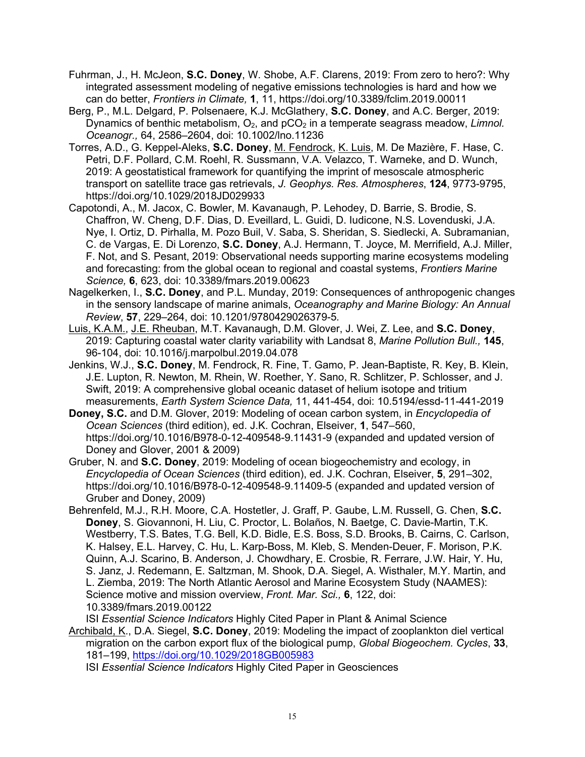- Fuhrman, J., H. McJeon, **S.C. Doney**, W. Shobe, A.F. Clarens, 2019: From zero to hero?: Why integrated assessment modeling of negative emissions technologies is hard and how we can do better, *Frontiers in Climate,* **1**, 11, https://doi.org/10.3389/fclim.2019.00011
- Berg, P., M.L. Delgard, P. Polsenaere, K.J. McGlathery, **S.C. Doney**, and A.C. Berger, 2019: Dynamics of benthic metabolism, O<sub>2</sub>, and pCO<sub>2</sub> in a temperate seagrass meadow, *Limnol. Oceanogr.,* 64, 2586–2604, doi: 10.1002/lno.11236
- Torres, A.D., G. Keppel-Aleks, **S.C. Doney**, M. Fendrock, K. Luis, M. De Mazière, F. Hase, C. Petri, D.F. Pollard, C.M. Roehl, R. Sussmann, V.A. Velazco, T. Warneke, and D. Wunch, 2019: A geostatistical framework for quantifying the imprint of mesoscale atmospheric transport on satellite trace gas retrievals, *J. Geophys. Res. Atmospheres*, **124**, 9773-9795, https://doi.org/10.1029/2018JD029933
- Capotondi, A., M. Jacox, C. Bowler, M. Kavanaugh, P. Lehodey, D. Barrie, S. Brodie, S. Chaffron, W. Cheng, D.F. Dias, D. Eveillard, L. Guidi, D. Iudicone, N.S. Lovenduski, J.A. Nye, I. Ortiz, D. Pirhalla, M. Pozo Buil, V. Saba, S. Sheridan, S. Siedlecki, A. Subramanian, C. de Vargas, E. Di Lorenzo, **S.C. Doney**, A.J. Hermann, T. Joyce, M. Merrifield, A.J. Miller, F. Not, and S. Pesant, 2019: Observational needs supporting marine ecosystems modeling and forecasting: from the global ocean to regional and coastal systems, *Frontiers Marine Science,* **6**, 623, doi: 10.3389/fmars.2019.00623
- Nagelkerken, I., **S.C. Doney**, and P.L. Munday, 2019: Consequences of anthropogenic changes in the sensory landscape of marine animals, *Oceanography and Marine Biology: An Annual Review*, **57**, 229–264, doi: 10.1201/9780429026379-5*.*
- Luis, K.A.M., J.E. Rheuban, M.T. Kavanaugh, D.M. Glover, J. Wei, Z. Lee, and **S.C. Doney**, 2019: Capturing coastal water clarity variability with Landsat 8, *Marine Pollution Bull.,* **145**, 96-104, doi: 10.1016/j.marpolbul.2019.04.078
- Jenkins, W.J., **S.C. Doney**, M. Fendrock, R. Fine, T. Gamo, P. Jean-Baptiste, R. Key, B. Klein, J.E. Lupton, R. Newton, M. Rhein, W. Roether, Y. Sano, R. Schlitzer, P. Schlosser, and J. Swift, 2019: A comprehensive global oceanic dataset of helium isotope and tritium measurements, *Earth System Science Data,* 11, 441-454, doi: 10.5194/essd-11-441-2019
- **Doney, S.C.** and D.M. Glover, 2019: Modeling of ocean carbon system, in *Encyclopedia of Ocean Sciences* (third edition), ed. J.K. Cochran, Elseiver, **1**, 547–560, https://doi.org/10.1016/B978-0-12-409548-9.11431-9 (expanded and updated version of Doney and Glover, 2001 & 2009)
- Gruber, N. and **S.C. Doney**, 2019: Modeling of ocean biogeochemistry and ecology, in *Encyclopedia of Ocean Sciences* (third edition), ed. J.K. Cochran, Elseiver, **5**, 291–302, https://doi.org/10.1016/B978-0-12-409548-9.11409-5 (expanded and updated version of Gruber and Doney, 2009)
- Behrenfeld, M.J., R.H. Moore, C.A. Hostetler, J. Graff, P. Gaube, L.M. Russell, G. Chen, **S.C. Doney**, S. Giovannoni, H. Liu, C. Proctor, L. Bolaños, N. Baetge, C. Davie-Martin, T.K. Westberry, T.S. Bates, T.G. Bell, K.D. Bidle, E.S. Boss, S.D. Brooks, B. Cairns, C. Carlson, K. Halsey, E.L. Harvey, C. Hu, L. Karp-Boss, M. Kleb, S. Menden-Deuer, F. Morison, P.K. Quinn, A.J. Scarino, B. Anderson, J. Chowdhary, E. Crosbie, R. Ferrare, J.W. Hair, Y. Hu, S. Janz, J. Redemann, E. Saltzman, M. Shook, D.A. Siegel, A. Wisthaler, M.Y. Martin, and L. Ziemba, 2019: The North Atlantic Aerosol and Marine Ecosystem Study (NAAMES): Science motive and mission overview, *Front. Mar. Sci.,* **6**, 122, doi: 10.3389/fmars.2019.00122

ISI *Essential Science Indicators* Highly Cited Paper in Plant & Animal Science Archibald, K., D.A. Siegel, **S.C. Doney**, 2019: Modeling the impact of zooplankton diel vertical

migration on the carbon export flux of the biological pump, *Global Biogeochem. Cycles*, **33**, 181–199, https://doi.org/10.1029/2018GB005983

ISI *Essential Science Indicators* Highly Cited Paper in Geosciences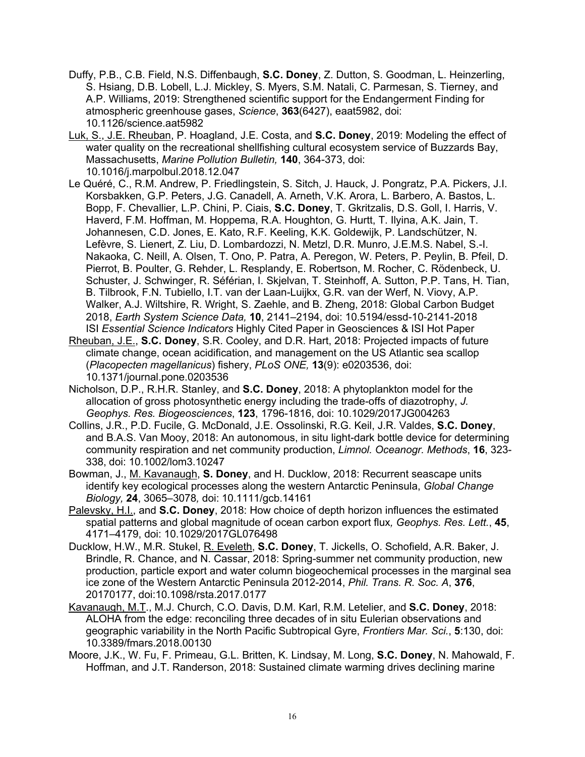- Duffy, P.B., C.B. Field, N.S. Diffenbaugh, **S.C. Doney**, Z. Dutton, S. Goodman, L. Heinzerling, S. Hsiang, D.B. Lobell, L.J. Mickley, S. Myers, S.M. Natali, C. Parmesan, S. Tierney, and A.P. Williams, 2019: Strengthened scientific support for the Endangerment Finding for atmospheric greenhouse gases, *Science*, **363**(6427), eaat5982, doi: 10.1126/science.aat5982
- Luk, S., J.E. Rheuban, P. Hoagland, J.E. Costa, and **S.C. Doney**, 2019: Modeling the effect of water quality on the recreational shellfishing cultural ecosystem service of Buzzards Bay, Massachusetts, *Marine Pollution Bulletin,* **140**, 364-373, doi: 10.1016/j.marpolbul.2018.12.047
- Le Quéré, C., R.M. Andrew, P. Friedlingstein, S. Sitch, J. Hauck, J. Pongratz, P.A. Pickers, J.I. Korsbakken, G.P. Peters, J.G. Canadell, A. Arneth, V.K. Arora, L. Barbero, A. Bastos, L. Bopp, F. Chevallier, L.P. Chini, P. Ciais, **S.C. Doney**, T. Gkritzalis, D.S. Goll, I. Harris, V. Haverd, F.M. Hoffman, M. Hoppema, R.A. Houghton, G. Hurtt, T. Ilyina, A.K. Jain, T. Johannesen, C.D. Jones, E. Kato, R.F. Keeling, K.K. Goldewijk, P. Landschützer, N. Lefèvre, S. Lienert, Z. Liu, D. Lombardozzi, N. Metzl, D.R. Munro, J.E.M.S. Nabel, S.-I. Nakaoka, C. Neill, A. Olsen, T. Ono, P. Patra, A. Peregon, W. Peters, P. Peylin, B. Pfeil, D. Pierrot, B. Poulter, G. Rehder, L. Resplandy, E. Robertson, M. Rocher, C. Rödenbeck, U. Schuster, J. Schwinger, R. Séférian, I. Skjelvan, T. Steinhoff, A. Sutton, P.P. Tans, H. Tian, B. Tilbrook, F.N. Tubiello, I.T. van der Laan-Luijkx, G.R. van der Werf, N. Viovy, A.P. Walker, A.J. Wiltshire, R. Wright, S. Zaehle, and B. Zheng, 2018: Global Carbon Budget 2018, *Earth System Science Data,* **10**, 2141–2194, doi: 10.5194/essd-10-2141-2018 ISI *Essential Science Indicators* Highly Cited Paper in Geosciences & ISI Hot Paper
- Rheuban, J.E., **S.C. Doney**, S.R. Cooley, and D.R. Hart, 2018: Projected impacts of future climate change, ocean acidification, and management on the US Atlantic sea scallop (*Placopecten magellanicus*) fishery, *PLoS ONE,* **13**(9): e0203536, doi: 10.1371/journal.pone.0203536
- Nicholson, D.P., R.H.R. Stanley, and **S.C. Doney**, 2018: A phytoplankton model for the allocation of gross photosynthetic energy including the trade-offs of diazotrophy, *J. Geophys. Res. Biogeosciences*, **123**, 1796-1816, doi: 10.1029/2017JG004263
- Collins, J.R., P.D. Fucile, G. McDonald, J.E. Ossolinski, R.G. Keil, J.R. Valdes, **S.C. Doney**, and B.A.S. Van Mooy, 2018: An autonomous, in situ light-dark bottle device for determining community respiration and net community production, *Limnol. Oceanogr. Methods*, **16**, 323- 338, doi: 10.1002/lom3.10247
- Bowman, J., M. Kavanaugh, **S. Doney**, and H. Ducklow, 2018: Recurrent seascape units identify key ecological processes along the western Antarctic Peninsula, *Global Change Biology,* **24**, 3065–3078*,* doi: 10.1111/gcb.14161
- Palevsky, H.I., and **S.C. Doney**, 2018: How choice of depth horizon influences the estimated spatial patterns and global magnitude of ocean carbon export flux*, Geophys. Res. Lett.*, **45**, 4171–4179, doi: 10.1029/2017GL076498
- Ducklow, H.W., M.R. Stukel, R. Eveleth, **S.C. Doney**, T. Jickells, O. Schofield, A.R. Baker, J. Brindle, R. Chance, and N. Cassar, 2018: Spring-summer net community production, new production, particle export and water column biogeochemical processes in the marginal sea ice zone of the Western Antarctic Peninsula 2012-2014, *Phil. Trans. R. Soc. A*, **376**, 20170177, doi:10.1098/rsta.2017.0177
- Kavanaugh, M.T., M.J. Church, C.O. Davis, D.M. Karl, R.M. Letelier, and **S.C. Doney**, 2018: ALOHA from the edge: reconciling three decades of in situ Eulerian observations and geographic variability in the North Pacific Subtropical Gyre, *Frontiers Mar. Sci.*, **5**:130, doi: 10.3389/fmars.2018.00130
- Moore, J.K., W. Fu, F. Primeau, G.L. Britten, K. Lindsay, M. Long, **S.C. Doney**, N. Mahowald, F. Hoffman, and J.T. Randerson, 2018: Sustained climate warming drives declining marine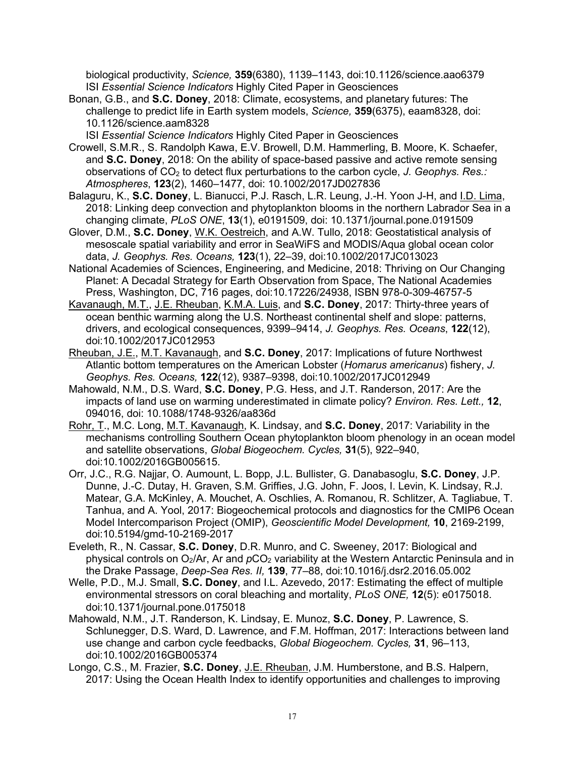biological productivity, *Science,* **359**(6380), 1139–1143, doi:10.1126/science.aao6379 ISI *Essential Science Indicators* Highly Cited Paper in Geosciences

Bonan, G.B., and **S.C. Doney**, 2018: Climate, ecosystems, and planetary futures: The challenge to predict life in Earth system models, *Science,* **359**(6375), eaam8328, doi: 10.1126/science.aam8328

ISI *Essential Science Indicators* Highly Cited Paper in Geosciences

- Crowell, S.M.R., S. Randolph Kawa, E.V. Browell, D.M. Hammerling, B. Moore, K. Schaefer, and **S.C. Doney**, 2018: On the ability of space-based passive and active remote sensing observations of CO2 to detect flux perturbations to the carbon cycle, *J. Geophys. Res.: Atmospheres*, **123**(2), 1460–1477, doi: 10.1002/2017JD027836
- Balaguru, K., **S.C. Doney**, L. Bianucci, P.J. Rasch, L.R. Leung, J.-H. Yoon J-H, and I.D. Lima, 2018: Linking deep convection and phytoplankton blooms in the northern Labrador Sea in a changing climate, *PLoS ONE*, **13**(1), e0191509, doi: 10.1371/journal.pone.0191509
- Glover, D.M., **S.C. Doney**, W.K. Oestreich, and A.W. Tullo, 2018: Geostatistical analysis of mesoscale spatial variability and error in SeaWiFS and MODIS/Aqua global ocean color data, *J. Geophys. Res. Oceans,* **123**(1), 22–39, doi:10.1002/2017JC013023
- National Academies of Sciences, Engineering, and Medicine, 2018: Thriving on Our Changing Planet: A Decadal Strategy for Earth Observation from Space, The National Academies Press, Washington, DC, 716 pages, doi:10.17226/24938, ISBN 978-0-309-46757-5
- Kavanaugh, M.T., J.E. Rheuban, K.M.A. Luis, and **S.C. Doney**, 2017: Thirty-three years of ocean benthic warming along the U.S. Northeast continental shelf and slope: patterns, drivers, and ecological consequences, 9399–9414, *J. Geophys. Res. Oceans*, **122**(12), doi:10.1002/2017JC012953
- Rheuban, J.E., M.T. Kavanaugh, and **S.C. Doney**, 2017: Implications of future Northwest Atlantic bottom temperatures on the American Lobster (*Homarus americanus*) fishery, *J. Geophys. Res. Oceans,* **122**(12), 9387–9398, doi:10.1002/2017JC012949
- Mahowald, N.M., D.S. Ward, **S.C. Doney**, P.G. Hess, and J.T. Randerson, 2017: Are the impacts of land use on warming underestimated in climate policy? *Environ. Res. Lett.,* **12**, 094016, doi: 10.1088/1748-9326/aa836d
- Rohr, T., M.C. Long, M.T. Kavanaugh, K. Lindsay, and **S.C. Doney**, 2017: Variability in the mechanisms controlling Southern Ocean phytoplankton bloom phenology in an ocean model and satellite observations, *Global Biogeochem. Cycles,* **31**(5), 922–940, doi:10.1002/2016GB005615.
- Orr, J.C., R.G. Najjar, O. Aumount, L. Bopp, J.L. Bullister, G. Danabasoglu, **S.C. Doney**, J.P. Dunne, J.-C. Dutay, H. Graven, S.M. Griffies, J.G. John, F. Joos, I. Levin, K. Lindsay, R.J. Matear, G.A. McKinley, A. Mouchet, A. Oschlies, A. Romanou, R. Schlitzer, A. Tagliabue, T. Tanhua, and A. Yool, 2017: Biogeochemical protocols and diagnostics for the CMIP6 Ocean Model Intercomparison Project (OMIP), *Geoscientific Model Development,* **10**, 2169-2199, doi:10.5194/gmd-10-2169-2017
- Eveleth, R., N. Cassar, **S.C. Doney**, D.R. Munro, and C. Sweeney, 2017: Biological and physical controls on O<sub>2</sub>/Ar, Ar and pCO<sub>2</sub> variability at the Western Antarctic Peninsula and in the Drake Passage, *Deep-Sea Res. II,* **139**, 77–88, doi:10.1016/j.dsr2.2016.05.002
- Welle, P.D., M.J. Small, **S.C. Doney**, and I.L. Azevedo, 2017: Estimating the effect of multiple environmental stressors on coral bleaching and mortality, *PLoS ONE,* **12**(5): e0175018. doi:10.1371/journal.pone.0175018
- Mahowald, N.M., J.T. Randerson, K. Lindsay, E. Munoz, **S.C. Doney**, P. Lawrence, S. Schlunegger, D.S. Ward, D. Lawrence, and F.M. Hoffman, 2017: Interactions between land use change and carbon cycle feedbacks, *Global Biogeochem. Cycles,* **31**, 96–113, doi:10.1002/2016GB005374
- Longo, C.S., M. Frazier, **S.C. Doney**, J.E. Rheuban, J.M. Humberstone, and B.S. Halpern, 2017: Using the Ocean Health Index to identify opportunities and challenges to improving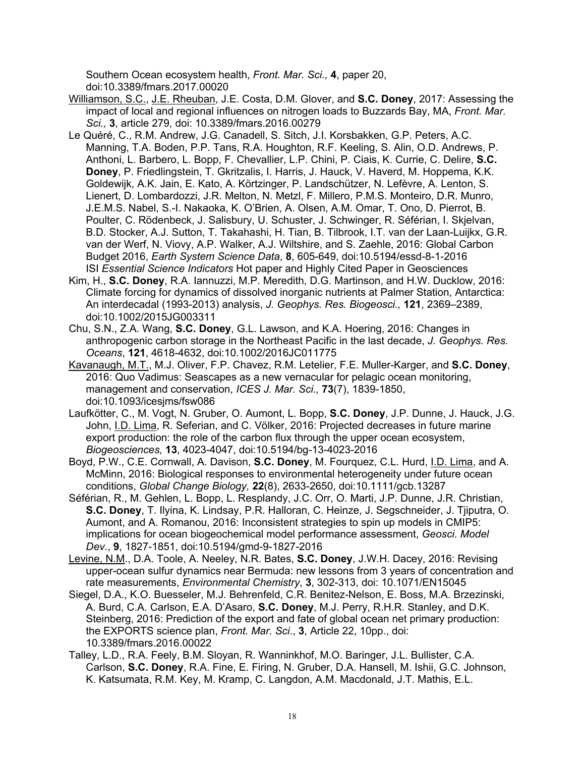Southern Ocean ecosystem health, *Front. Mar. Sci.,* **4**, paper 20, doi:10.3389/fmars.2017.00020

Williamson, S.C., J.E. Rheuban, J.E. Costa, D.M. Glover, and **S.C. Doney**, 2017: Assessing the impact of local and regional influences on nitrogen loads to Buzzards Bay, MA, *Front. Mar. Sci.,* **3**, article 279*,* doi: 10.3389/fmars.2016.00279

- Le Quéré, C., R.M. Andrew, J.G. Canadell, S. Sitch, J.I. Korsbakken, G.P. Peters, A.C. Manning, T.A. Boden, P.P. Tans, R.A. Houghton, R.F. Keeling, S. Alin, O.D. Andrews, P. Anthoni, L. Barbero, L. Bopp, F. Chevallier, L.P. Chini, P. Ciais, K. Currie, C. Delire, **S.C. Doney**, P. Friedlingstein, T. Gkritzalis, I. Harris, J. Hauck, V. Haverd, M. Hoppema, K.K. Goldewijk, A.K. Jain, E. Kato, A. Körtzinger, P. Landschützer, N. Lefèvre, A. Lenton, S. Lienert, D. Lombardozzi, J.R. Melton, N. Metzl, F. Millero, P.M.S. Monteiro, D.R. Munro, J.E.M.S. Nabel, S.-I. Nakaoka, K. O'Brien, A. Olsen, A.M. Omar, T. Ono, D. Pierrot, B. Poulter, C. Rödenbeck, J. Salisbury, U. Schuster, J. Schwinger, R. Séférian, I. Skjelvan, B.D. Stocker, A.J. Sutton, T. Takahashi, H. Tian, B. Tilbrook, I.T. van der Laan-Luijkx, G.R. van der Werf, N. Viovy, A.P. Walker, A.J. Wiltshire, and S. Zaehle, 2016: Global Carbon Budget 2016, *Earth System Science Data*, **8**, 605-649, doi:10.5194/essd-8-1-2016 ISI *Essential Science Indicators* Hot paper and Highly Cited Paper in Geosciences
- Kim, H., **S.C. Doney**, R.A. Iannuzzi, M.P. Meredith, D.G. Martinson, and H.W. Ducklow, 2016: Climate forcing for dynamics of dissolved inorganic nutrients at Palmer Station, Antarctica: An interdecadal (1993-2013) analysis, *J. Geophys. Res. Biogeosci.,* **121**, 2369–2389, doi:10.1002/2015JG003311
- Chu, S.N., Z.A. Wang, **S.C. Doney**, G.L. Lawson, and K.A. Hoering, 2016: Changes in anthropogenic carbon storage in the Northeast Pacific in the last decade, *J. Geophys. Res. Oceans*, **121**, 4618-4632, doi:10.1002/2016JC011775
- Kavanaugh, M.T., M.J. Oliver, F.P. Chavez, R.M. Letelier, F.E. Muller-Karger, and **S.C. Doney**, 2016: Quo Vadimus: Seascapes as a new vernacular for pelagic ocean monitoring, management and conservation, *ICES J. Mar. Sci.,* **73**(7), 1839-1850, doi:10.1093/icesjms/fsw086
- Laufkötter, C., M. Vogt, N. Gruber, O. Aumont, L. Bopp, **S.C. Doney**, J.P. Dunne, J. Hauck, J.G. John, I.D. Lima, R. Seferian, and C. Völker, 2016: Projected decreases in future marine export production: the role of the carbon flux through the upper ocean ecosystem, *Biogeosciences,* **13**, 4023-4047, doi:10.5194/bg-13-4023-2016
- Boyd, P.W., C.E. Cornwall, A. Davison, **S.C. Doney**, M. Fourquez, C.L. Hurd, I.D. Lima, and A. McMinn, 2016: Biological responses to environmental heterogeneity under future ocean conditions, *Global Change Biology,* **22**(8), 2633-2650, doi:10.1111/gcb.13287
- Séférian, R., M. Gehlen, L. Bopp, L. Resplandy, J.C. Orr, O. Marti, J.P. Dunne, J.R. Christian, **S.C. Doney**, T. Ilyina, K. Lindsay, P.R. Halloran, C. Heinze, J. Segschneider, J. Tjiputra, O. Aumont, and A. Romanou, 2016: Inconsistent strategies to spin up models in CMIP5: implications for ocean biogeochemical model performance assessment, *Geosci. Model Dev*., **9**, 1827-1851, doi:10.5194/gmd-9-1827-2016
- Levine, N.M., D.A. Toole, A. Neeley, N.R. Bates, **S.C. Doney**, J.W.H. Dacey, 2016: Revising upper-ocean sulfur dynamics near Bermuda: new lessons from 3 years of concentration and rate measurements, *Environmental Chemistry*, **3**, 302-313, doi: 10.1071/EN15045
- Siegel, D.A., K.O. Buesseler, M.J. Behrenfeld, C.R. Benitez-Nelson, E. Boss, M.A. Brzezinski, A. Burd, C.A. Carlson, E.A. D'Asaro, **S.C. Doney**, M.J. Perry, R.H.R. Stanley, and D.K. Steinberg, 2016: Prediction of the export and fate of global ocean net primary production: the EXPORTS science plan, *Front. Mar. Sci*., **3**, Article 22, 10pp., doi: 10.3389/fmars.2016.00022
- Talley, L.D., R.A. Feely, B.M. Sloyan, R. Wanninkhof, M.O. Baringer, J.L. Bullister, C.A. Carlson, **S.C. Doney**, R.A. Fine, E. Firing, N. Gruber, D.A. Hansell, M. Ishii, G.C. Johnson, K. Katsumata, R.M. Key, M. Kramp, C. Langdon, A.M. Macdonald, J.T. Mathis, E.L.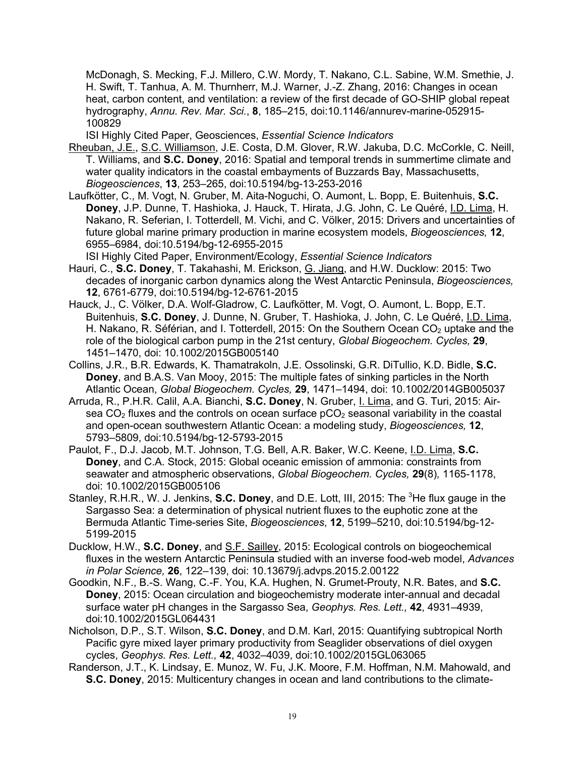McDonagh, S. Mecking, F.J. Millero, C.W. Mordy, T. Nakano, C.L. Sabine, W.M. Smethie, J. H. Swift, T. Tanhua, A. M. Thurnherr, M.J. Warner, J.-Z. Zhang, 2016: Changes in ocean heat, carbon content, and ventilation: a review of the first decade of GO-SHIP global repeat hydrography, *Annu. Rev. Mar. Sci.*, **8**, 185–215, doi:10.1146/annurev-marine-052915- 100829

ISI Highly Cited Paper, Geosciences, *Essential Science Indicators*

- Rheuban, J.E., S.C. Williamson, J.E. Costa, D.M. Glover, R.W. Jakuba, D.C. McCorkle, C. Neill, T. Williams, and **S.C. Doney**, 2016: Spatial and temporal trends in summertime climate and water quality indicators in the coastal embayments of Buzzards Bay, Massachusetts, *Biogeosciences*, **13**, 253–265, doi:10.5194/bg-13-253-2016
- Laufkötter, C., M. Vogt, N. Gruber, M. Aita-Noguchi, O. Aumont, L. Bopp, E. Buitenhuis, **S.C. Doney**, J.P. Dunne, T. Hashioka, J. Hauck, T. Hirata, J.G. John, C. Le Quéré, I.D. Lima, H. Nakano, R. Seferian, I. Totterdell, M. Vichi, and C. Völker, 2015: Drivers and uncertainties of future global marine primary production in marine ecosystem models, *Biogeosciences,* **12**, 6955–6984, doi:10.5194/bg-12-6955-2015

ISI Highly Cited Paper, Environment/Ecology, *Essential Science Indicators*

- Hauri, C., **S.C. Doney**, T. Takahashi, M. Erickson, G. Jiang, and H.W. Ducklow: 2015: Two decades of inorganic carbon dynamics along the West Antarctic Peninsula, *Biogeosciences,*  **12**, 6761-6779, doi:10.5194/bg-12-6761-2015
- Hauck, J., C. Völker, D.A. Wolf-Gladrow, C. Laufkötter, M. Vogt, O. Aumont, L. Bopp, E.T. Buitenhuis, **S.C. Doney**, J. Dunne, N. Gruber, T. Hashioka, J. John, C. Le Quéré, I.D. Lima, H. Nakano, R. Séférian, and I. Totterdell, 2015: On the Southern Ocean  $CO<sub>2</sub>$  uptake and the role of the biological carbon pump in the 21st century, *Global Biogeochem. Cycles,* **29**, 1451–1470, doi: 10.1002/2015GB005140
- Collins, J.R., B.R. Edwards, K. Thamatrakoln, J.E. Ossolinski, G.R. DiTullio, K.D. Bidle, **S.C. Doney**, and B.A.S. Van Mooy, 2015: The multiple fates of sinking particles in the North Atlantic Ocean, *Global Biogeochem. Cycles,* **29**, 1471–1494, doi: 10.1002/2014GB005037
- Arruda, R., P.H.R. Calil, A.A. Bianchi, **S.C. Doney**, N. Gruber, I. Lima, and G. Turi, 2015: Airsea  $CO<sub>2</sub>$  fluxes and the controls on ocean surface  $pCO<sub>2</sub>$  seasonal variability in the coastal and open-ocean southwestern Atlantic Ocean: a modeling study, *Biogeosciences,* **12**, 5793–5809, doi:10.5194/bg-12-5793-2015
- Paulot, F., D.J. Jacob, M.T. Johnson, T.G. Bell, A.R. Baker, W.C. Keene, I.D. Lima, **S.C. Doney**, and C.A. Stock, 2015: Global oceanic emission of ammonia: constraints from seawater and atmospheric observations, *Global Biogeochem. Cycles,* **29**(8)*,* 1165-1178, doi: 10.1002/2015GB005106
- Stanley, R.H.R., W. J. Jenkins, S.C. Doney, and D.E. Lott, III, 2015: The <sup>3</sup>He flux gauge in the Sargasso Sea: a determination of physical nutrient fluxes to the euphotic zone at the Bermuda Atlantic Time-series Site, *Biogeosciences*, **12**, 5199–5210, doi:10.5194/bg-12- 5199-2015
- Ducklow, H.W., **S.C. Doney**, and S.F. Sailley, 2015: Ecological controls on biogeochemical fluxes in the western Antarctic Peninsula studied with an inverse food-web model, *Advances in Polar Science,* **26**, 122–139, doi: 10.13679/j.advps.2015.2.00122
- Goodkin, N.F., B.-S. Wang, C.-F. You, K.A. Hughen, N. Grumet-Prouty, N.R. Bates, and **S.C. Doney**, 2015: Ocean circulation and biogeochemistry moderate inter-annual and decadal surface water pH changes in the Sargasso Sea, *Geophys. Res. Lett.,* **42**, 4931–4939, doi:10.1002/2015GL064431
- Nicholson, D.P., S.T. Wilson, **S.C. Doney**, and D.M. Karl, 2015: Quantifying subtropical North Pacific gyre mixed layer primary productivity from Seaglider observations of diel oxygen cycles, *Geophys. Res. Lett.,* **42**, 4032–4039, doi:10.1002/2015GL063065
- Randerson, J.T., K. Lindsay, E. Munoz, W. Fu, J.K. Moore, F.M. Hoffman, N.M. Mahowald, and **S.C. Doney**, 2015: Multicentury changes in ocean and land contributions to the climate-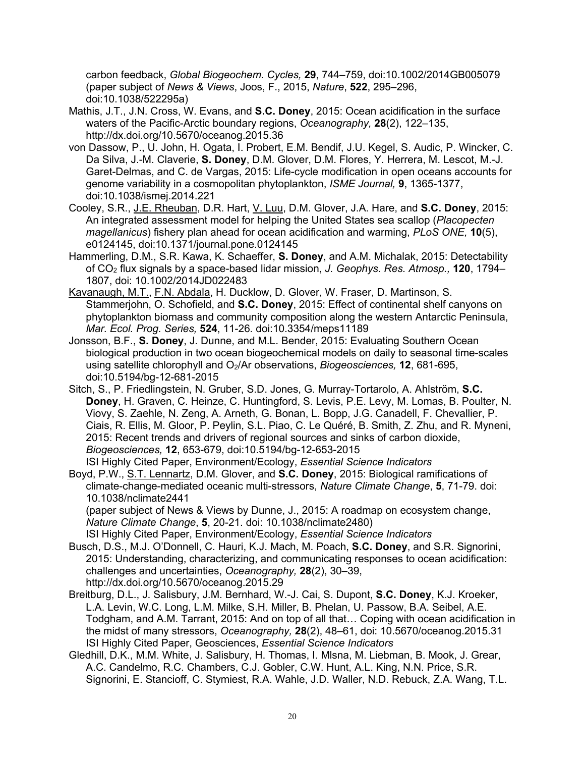carbon feedback, *Global Biogeochem. Cycles,* **29**, 744–759, doi:10.1002/2014GB005079 (paper subject of *News & Views*, Joos, F., 2015, *Nature*, **522**, 295–296, doi:10.1038/522295a)

- Mathis, J.T., J.N. Cross, W. Evans, and **S.C. Doney**, 2015: Ocean acidification in the surface waters of the Pacific-Arctic boundary regions, *Oceanography,* **28**(2), 122–135, http://dx.doi.org/10.5670/oceanog.2015.36
- von Dassow, P., U. John, H. Ogata, I. Probert, E.M. Bendif, J.U. Kegel, S. Audic, P. Wincker, C. Da Silva, J.-M. Claverie, **S. Doney**, D.M. Glover, D.M. Flores, Y. Herrera, M. Lescot, M.-J. Garet-Delmas, and C. de Vargas, 2015: Life-cycle modification in open oceans accounts for genome variability in a cosmopolitan phytoplankton, *ISME Journal,* **9**, 1365-1377, doi:10.1038/ismej.2014.221
- Cooley, S.R., J.E. Rheuban, D.R. Hart, V. Luu, D.M. Glover, J.A. Hare, and **S.C. Doney**, 2015: An integrated assessment model for helping the United States sea scallop (*Placopecten magellanicus*) fishery plan ahead for ocean acidification and warming, *PLoS ONE,* **10**(5), e0124145, doi:10.1371/journal.pone.0124145
- Hammerling, D.M., S.R. Kawa, K. Schaeffer, **S. Doney**, and A.M. Michalak, 2015: Detectability of CO2 flux signals by a space-based lidar mission, *J. Geophys. Res. Atmosp.,* **120**, 1794– 1807, doi: 10.1002/2014JD022483
- Kavanaugh, M.T., F.N. Abdala, H. Ducklow, D. Glover, W. Fraser, D. Martinson, S. Stammerjohn, O. Schofield, and **S.C. Doney**, 2015: Effect of continental shelf canyons on phytoplankton biomass and community composition along the western Antarctic Peninsula, *Mar. Ecol. Prog. Series,* **524**, 11-26*.* doi:10.3354/meps11189
- Jonsson, B.F., **S. Doney**, J. Dunne, and M.L. Bender, 2015: Evaluating Southern Ocean biological production in two ocean biogeochemical models on daily to seasonal time-scales using satellite chlorophyll and O<sub>2</sub>/Ar observations, *Biogeosciences*, **12**, 681-695, doi:10.5194/bg-12-681-2015
- Sitch, S., P. Friedlingstein, N. Gruber, S.D. Jones, G. Murray-Tortarolo, A. Ahlström, **S.C. Doney**, H. Graven, C. Heinze, C. Huntingford, S. Levis, P.E. Levy, M. Lomas, B. Poulter, N. Viovy, S. Zaehle, N. Zeng, A. Arneth, G. Bonan, L. Bopp, J.G. Canadell, F. Chevallier, P. Ciais, R. Ellis, M. Gloor, P. Peylin, S.L. Piao, C. Le Quéré, B. Smith, Z. Zhu, and R. Myneni, 2015: Recent trends and drivers of regional sources and sinks of carbon dioxide, *Biogeosciences,* **12**, 653-679, doi:10.5194/bg-12-653-2015 ISI Highly Cited Paper, Environment/Ecology, *Essential Science Indicators*
- Boyd, P.W., S.T. Lennartz, D.M. Glover, and **S.C. Doney**, 2015: Biological ramifications of climate-change-mediated oceanic multi-stressors, *Nature Climate Change*, **5**, 71-79. doi: 10.1038/nclimate2441

(paper subject of News & Views by Dunne, J., 2015: A roadmap on ecosystem change, *Nature Climate Change*, **5**, 20-21. doi: 10.1038/nclimate2480)

ISI Highly Cited Paper, Environment/Ecology, *Essential Science Indicators*

- Busch, D.S., M.J. O'Donnell, C. Hauri, K.J. Mach, M. Poach, **S.C. Doney**, and S.R. Signorini, 2015: Understanding, characterizing, and communicating responses to ocean acidification: challenges and uncertainties, *Oceanography,* **28**(2), 30–39, http://dx.doi.org/10.5670/oceanog.2015.29
- Breitburg, D.L., J. Salisbury, J.M. Bernhard, W.-J. Cai, S. Dupont, **S.C. Doney**, K.J. Kroeker, L.A. Levin, W.C. Long, L.M. Milke, S.H. Miller, B. Phelan, U. Passow, B.A. Seibel, A.E. Todgham, and A.M. Tarrant, 2015: And on top of all that… Coping with ocean acidification in the midst of many stressors, *Oceanography,* **28**(2), 48–61, doi: 10.5670/oceanog.2015.31 ISI Highly Cited Paper, Geosciences, *Essential Science Indicators*
- Gledhill, D.K., M.M. White, J. Salisbury, H. Thomas, I. Mlsna, M. Liebman, B. Mook, J. Grear, A.C. Candelmo, R.C. Chambers, C.J. Gobler, C.W. Hunt, A.L. King, N.N. Price, S.R. Signorini, E. Stancioff, C. Stymiest, R.A. Wahle, J.D. Waller, N.D. Rebuck, Z.A. Wang, T.L.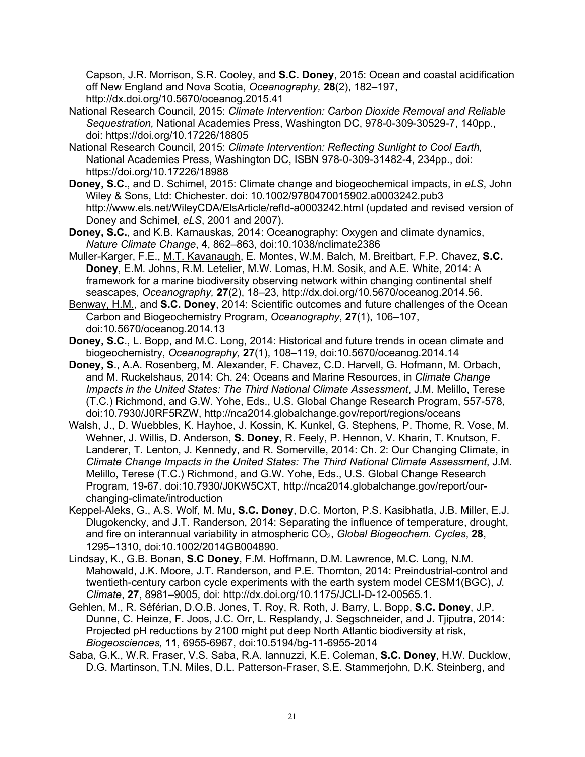Capson, J.R. Morrison, S.R. Cooley, and **S.C. Doney**, 2015: Ocean and coastal acidification off New England and Nova Scotia, *Oceanography,* **28**(2), 182–197, http://dx.doi.org/10.5670/oceanog.2015.41

- National Research Council, 2015: *Climate Intervention: Carbon Dioxide Removal and Reliable Sequestration,* National Academies Press, Washington DC, 978-0-309-30529-7, 140pp., doi: https://doi.org/10.17226/18805
- National Research Council, 2015: *Climate Intervention: Reflecting Sunlight to Cool Earth,*  National Academies Press, Washington DC, ISBN 978-0-309-31482-4, 234pp., doi: https://doi.org/10.17226/18988
- **Doney, S.C.**, and D. Schimel, 2015: Climate change and biogeochemical impacts, in *eLS*, John Wiley & Sons, Ltd: Chichester. doi: 10.1002/9780470015902.a0003242.pub3 http://www.els.net/WileyCDA/ElsArticle/refId-a0003242.html (updated and revised version of Doney and Schimel, *eLS*, 2001 and 2007).
- **Doney, S.C.**, and K.B. Karnauskas, 2014: Oceanography: Oxygen and climate dynamics, *Nature Climate Change*, **4**, 862–863, doi:10.1038/nclimate2386
- Muller-Karger, F.E., M.T. Kavanaugh, E. Montes, W.M. Balch, M. Breitbart, F.P. Chavez, **S.C. Doney**, E.M. Johns, R.M. Letelier, M.W. Lomas, H.M. Sosik, and A.E. White, 2014: A framework for a marine biodiversity observing network within changing continental shelf seascapes, *Oceanography,* **27**(2), 18–23, http://dx.doi.org/10.5670/oceanog.2014.56.
- Benway, H.M., and **S.C. Doney**, 2014: Scientific outcomes and future challenges of the Ocean Carbon and Biogeochemistry Program, *Oceanography*, **27**(1), 106–107, doi:10.5670/oceanog.2014.13
- **Doney, S.C**., L. Bopp, and M.C. Long, 2014: Historical and future trends in ocean climate and biogeochemistry, *Oceanography,* **27**(1), 108–119, doi:10.5670/oceanog.2014.14
- **Doney, S**., A.A. Rosenberg, M. Alexander, F. Chavez, C.D. Harvell, G. Hofmann, M. Orbach, and M. Ruckelshaus, 2014: Ch. 24: Oceans and Marine Resources, in *Climate Change Impacts in the United States: The Third National Climate Assessment*, J.M. Melillo, Terese (T.C.) Richmond, and G.W. Yohe, Eds., U.S. Global Change Research Program, 557-578, doi:10.7930/J0RF5RZW, http://nca2014.globalchange.gov/report/regions/oceans
- Walsh, J., D. Wuebbles, K. Hayhoe, J. Kossin, K. Kunkel, G. Stephens, P. Thorne, R. Vose, M. Wehner, J. Willis, D. Anderson, **S. Doney**, R. Feely, P. Hennon, V. Kharin, T. Knutson, F. Landerer, T. Lenton, J. Kennedy, and R. Somerville, 2014: Ch. 2: Our Changing Climate, in *Climate Change Impacts in the United States: The Third National Climate Assessment*, J.M. Melillo, Terese (T.C.) Richmond, and G.W. Yohe, Eds., U.S. Global Change Research Program, 19-67. doi:10.7930/J0KW5CXT, http://nca2014.globalchange.gov/report/ourchanging-climate/introduction
- Keppel-Aleks, G., A.S. Wolf, M. Mu, **S.C. Doney**, D.C. Morton, P.S. Kasibhatla, J.B. Miller, E.J. Dlugokencky, and J.T. Randerson, 2014: Separating the influence of temperature, drought, and fire on interannual variability in atmospheric CO<sub>2</sub>, *Global Biogeochem. Cycles*, **28**, 1295–1310, doi:10.1002/2014GB004890.
- Lindsay, K., G.B. Bonan, **S.C Doney**, F.M. Hoffmann, D.M. Lawrence, M.C. Long, N.M. Mahowald, J.K. Moore, J.T. Randerson, and P.E. Thornton, 2014: Preindustrial-control and twentieth-century carbon cycle experiments with the earth system model CESM1(BGC), *J. Climate*, **27**, 8981–9005, doi: http://dx.doi.org/10.1175/JCLI-D-12-00565.1.
- Gehlen, M., R. Séférian, D.O.B. Jones, T. Roy, R. Roth, J. Barry, L. Bopp, **S.C. Doney**, J.P. Dunne, C. Heinze, F. Joos, J.C. Orr, L. Resplandy, J. Segschneider, and J. Tjiputra, 2014: Projected pH reductions by 2100 might put deep North Atlantic biodiversity at risk, *Biogeosciences,* **11**, 6955-6967, doi:10.5194/bg-11-6955-2014
- Saba, G.K., W.R. Fraser, V.S. Saba, R.A. Iannuzzi, K.E. Coleman, **S.C. Doney**, H.W. Ducklow, D.G. Martinson, T.N. Miles, D.L. Patterson-Fraser, S.E. Stammerjohn, D.K. Steinberg, and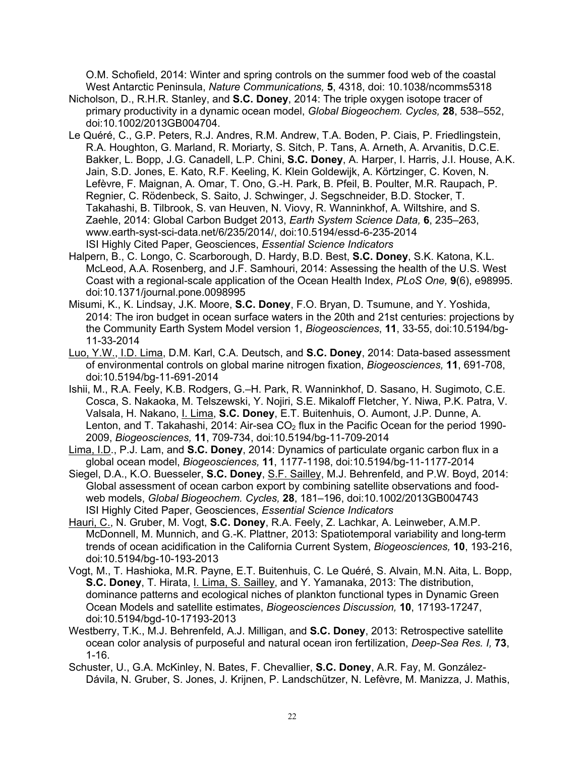O.M. Schofield, 2014: Winter and spring controls on the summer food web of the coastal West Antarctic Peninsula, *Nature Communications,* **5**, 4318, doi: 10.1038/ncomms5318

- Nicholson, D., R.H.R. Stanley, and **S.C. Doney**, 2014: The triple oxygen isotope tracer of primary productivity in a dynamic ocean model, *Global Biogeochem. Cycles,* **28**, 538–552, doi:10.1002/2013GB004704.
- Le Quéré, C., G.P. Peters, R.J. Andres, R.M. Andrew, T.A. Boden, P. Ciais, P. Friedlingstein, R.A. Houghton, G. Marland, R. Moriarty, S. Sitch, P. Tans, A. Arneth, A. Arvanitis, D.C.E. Bakker, L. Bopp, J.G. Canadell, L.P. Chini, **S.C. Doney**, A. Harper, I. Harris, J.I. House, A.K. Jain, S.D. Jones, E. Kato, R.F. Keeling, K. Klein Goldewijk, A. Körtzinger, C. Koven, N. Lefèvre, F. Maignan, A. Omar, T. Ono, G.-H. Park, B. Pfeil, B. Poulter, M.R. Raupach, P. Regnier, C. Rödenbeck, S. Saito, J. Schwinger, J. Segschneider, B.D. Stocker, T. Takahashi, B. Tilbrook, S. van Heuven, N. Viovy, R. Wanninkhof, A. Wiltshire, and S. Zaehle, 2014: Global Carbon Budget 2013, *Earth System Science Data,* **6**, 235–263, www.earth-syst-sci-data.net/6/235/2014/, doi:10.5194/essd-6-235-2014 ISI Highly Cited Paper, Geosciences, *Essential Science Indicators*
- Halpern, B., C. Longo, C. Scarborough, D. Hardy, B.D. Best, **S.C. Doney**, S.K. Katona, K.L. McLeod, A.A. Rosenberg, and J.F. Samhouri, 2014: Assessing the health of the U.S. West Coast with a regional-scale application of the Ocean Health Index, *PLoS One,* **9**(6), e98995. doi:10.1371/journal.pone.0098995
- Misumi, K., K. Lindsay, J.K. Moore, **S.C. Doney**, F.O. Bryan, D. Tsumune, and Y. Yoshida, 2014: The iron budget in ocean surface waters in the 20th and 21st centuries: projections by the Community Earth System Model version 1, *Biogeosciences*, **11**, 33-55, doi:10.5194/bg-11-33-2014
- Luo, Y.W., I.D. Lima, D.M. Karl, C.A. Deutsch, and **S.C. Doney**, 2014: Data-based assessment of environmental controls on global marine nitrogen fixation, *Biogeosciences,* **11**, 691-708, doi:10.5194/bg-11-691-2014
- Ishii, M., R.A. Feely, K.B. Rodgers, G.–H. Park, R. Wanninkhof, D. Sasano, H. Sugimoto, C.E. Cosca, S. Nakaoka, M. Telszewski, Y. Nojiri, S.E. Mikaloff Fletcher, Y. Niwa, P.K. Patra, V. Valsala, H. Nakano, I. Lima, **S.C. Doney**, E.T. Buitenhuis, O. Aumont, J.P. Dunne, A. Lenton, and T. Takahashi, 2014: Air-sea  $CO<sub>2</sub>$  flux in the Pacific Ocean for the period 1990-2009, *Biogeosciences,* **11**, 709-734, doi:10.5194/bg-11-709-2014
- Lima, I.D., P.J. Lam, and **S.C. Doney**, 2014: Dynamics of particulate organic carbon flux in a global ocean model, *Biogeosciences,* **11**, 1177-1198, doi:10.5194/bg-11-1177-2014
- Siegel, D.A., K.O. Buesseler, **S.C. Doney**, S.F. Sailley, M.J. Behrenfeld, and P.W. Boyd, 2014: Global assessment of ocean carbon export by combining satellite observations and foodweb models, *Global Biogeochem. Cycles,* **28**, 181–196, doi:10.1002/2013GB004743 ISI Highly Cited Paper, Geosciences, *Essential Science Indicators*
- Hauri, C., N. Gruber, M. Vogt, **S.C. Doney**, R.A. Feely, Z. Lachkar, A. Leinweber, A.M.P. McDonnell, M. Munnich, and G.-K. Plattner, 2013: Spatiotemporal variability and long-term trends of ocean acidification in the California Current System, *Biogeosciences,* **10**, 193-216, doi:10.5194/bg-10-193-2013
- Vogt, M., T. Hashioka, M.R. Payne, E.T. Buitenhuis, C. Le Quéré, S. Alvain, M.N. Aita, L. Bopp, **S.C. Doney**, T. Hirata, I. Lima, S. Sailley, and Y. Yamanaka, 2013: The distribution, dominance patterns and ecological niches of plankton functional types in Dynamic Green Ocean Models and satellite estimates, *Biogeosciences Discussion,* **10**, 17193-17247, doi:10.5194/bgd-10-17193-2013
- Westberry, T.K., M.J. Behrenfeld, A.J. Milligan, and **S.C. Doney**, 2013: Retrospective satellite ocean color analysis of purposeful and natural ocean iron fertilization, *Deep-Sea Res. I,* **73**, 1-16.
- Schuster, U., G.A. McKinley, N. Bates, F. Chevallier, **S.C. Doney**, A.R. Fay, M. González-Dávila, N. Gruber, S. Jones, J. Krijnen, P. Landschützer, N. Lefèvre, M. Manizza, J. Mathis,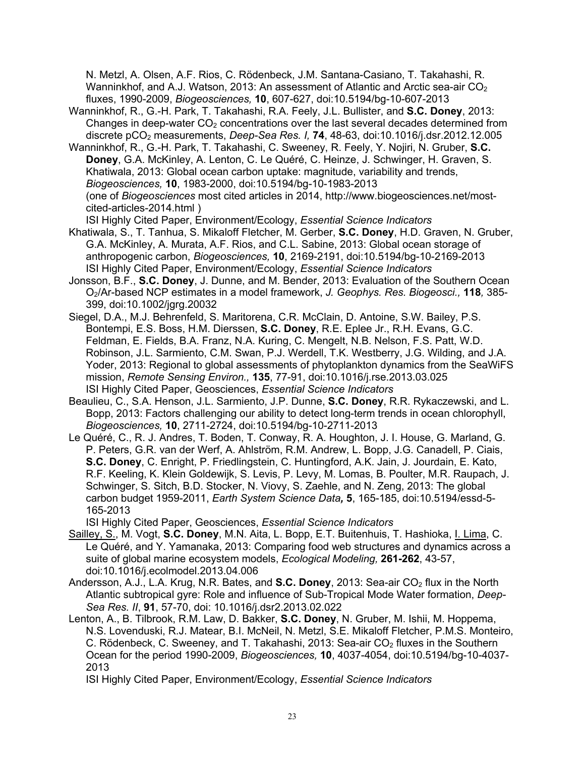N. Metzl, A. Olsen, A.F. Rios, C. Rödenbeck, J.M. Santana-Casiano, T. Takahashi, R. Wanninkhof, and A.J. Watson, 2013: An assessment of Atlantic and Arctic sea-air CO<sub>2</sub> fluxes, 1990-2009, *Biogeosciences,* **10**, 607-627, doi:10.5194/bg-10-607-2013

Wanninkhof, R., G.-H. Park, T. Takahashi, R.A. Feely, J.L. Bullister, and **S.C. Doney**, 2013: Changes in deep-water  $CO<sub>2</sub>$  concentrations over the last several decades determined from discrete pCO2 measurements, *Deep-Sea Res. I,* **74**, 48-63, doi:10.1016/j.dsr.2012.12.005

Wanninkhof, R., G.-H. Park, T. Takahashi, C. Sweeney, R. Feely, Y. Nojiri, N. Gruber, **S.C. Doney**, G.A. McKinley, A. Lenton, C. Le Quéré, C. Heinze, J. Schwinger, H. Graven, S. Khatiwala, 2013: Global ocean carbon uptake: magnitude, variability and trends, *Biogeosciences,* **10**, 1983-2000, doi:10.5194/bg-10-1983-2013 (one of *Biogeosciences* most cited articles in 2014, http://www.biogeosciences.net/mostcited-articles-2014.html )

ISI Highly Cited Paper, Environment/Ecology, *Essential Science Indicators*

- Khatiwala, S., T. Tanhua, S. Mikaloff Fletcher, M. Gerber, **S.C. Doney**, H.D. Graven, N. Gruber, G.A. McKinley, A. Murata, A.F. Rios, and C.L. Sabine, 2013: Global ocean storage of anthropogenic carbon, *Biogeosciences,* **10**, 2169-2191, doi:10.5194/bg-10-2169-2013 ISI Highly Cited Paper, Environment/Ecology, *Essential Science Indicators*
- Jonsson, B.F., **S.C. Doney**, J. Dunne, and M. Bender, 2013: Evaluation of the Southern Ocean O2/Ar-based NCP estimates in a model framework, *J. Geophys. Res. Biogeosci.,* **118***,* 385- 399, doi:10.1002/jgrg.20032
- Siegel, D.A., M.J. Behrenfeld, S. Maritorena, C.R. McClain, D. Antoine, S.W. Bailey, P.S. Bontempi, E.S. Boss, H.M. Dierssen, **S.C. Doney**, R.E. Eplee Jr., R.H. Evans, G.C. Feldman, E. Fields, B.A. Franz, N.A. Kuring, C. Mengelt, N.B. Nelson, F.S. Patt, W.D. Robinson, J.L. Sarmiento, C.M. Swan, P.J. Werdell, T.K. Westberry, J.G. Wilding, and J.A. Yoder, 2013: Regional to global assessments of phytoplankton dynamics from the SeaWiFS mission, *Remote Sensing Environ.,* **135**, 77-91, doi:10.1016/j.rse.2013.03.025 ISI Highly Cited Paper, Geosciences, *Essential Science Indicators*
- Beaulieu, C., S.A. Henson, J.L. Sarmiento, J.P. Dunne, **S.C. Doney**, R.R. Rykaczewski, and L. Bopp, 2013: Factors challenging our ability to detect long-term trends in ocean chlorophyll, *Biogeosciences,* **10**, 2711-2724, doi:10.5194/bg-10-2711-2013
- Le Quéré, C., R. J. Andres, T. Boden, T. Conway, R. A. Houghton, J. I. House, G. Marland, G. P. Peters, G.R. van der Werf, A. Ahlström, R.M. Andrew, L. Bopp, J.G. Canadell, P. Ciais, **S.C. Doney**, C. Enright, P. Friedlingstein, C. Huntingford, A.K. Jain, J. Jourdain, E. Kato, R.F. Keeling, K. Klein Goldewijk, S. Levis, P. Levy, M. Lomas, B. Poulter, M.R. Raupach, J. Schwinger, S. Sitch, B.D. Stocker, N. Viovy, S. Zaehle, and N. Zeng, 2013: The global carbon budget 1959-2011, *Earth System Science Data,* **5**, 165-185, doi:10.5194/essd-5- 165-2013

ISI Highly Cited Paper, Geosciences, *Essential Science Indicators*

- Sailley, S., M. Vogt, **S.C. Doney**, M.N. Aita, L. Bopp, E.T. Buitenhuis, T. Hashioka, I. Lima, C. Le Quéré, and Y. Yamanaka, 2013: Comparing food web structures and dynamics across a suite of global marine ecosystem models, *Ecological Modeling,* **261-262**, 43-57, doi:10.1016/j.ecolmodel.2013.04.006
- Andersson, A.J., L.A. Krug, N.R. Bates, and **S.C. Doney**, 2013: Sea-air CO2 flux in the North Atlantic subtropical gyre: Role and influence of Sub-Tropical Mode Water formation, *Deep-Sea Res. II*, **91**, 57-70, doi: 10.1016/j.dsr2.2013.02.022
- Lenton, A., B. Tilbrook, R.M. Law, D. Bakker, **S.C. Doney**, N. Gruber, M. Ishii, M. Hoppema, N.S. Lovenduski, R.J. Matear, B.I. McNeil, N. Metzl, S.E. Mikaloff Fletcher, P.M.S. Monteiro, C. Rödenbeck, C. Sweeney, and T. Takahashi, 2013: Sea-air CO<sub>2</sub> fluxes in the Southern Ocean for the period 1990-2009, *Biogeosciences,* **10**, 4037-4054, doi:10.5194/bg-10-4037- 2013

ISI Highly Cited Paper, Environment/Ecology, *Essential Science Indicators*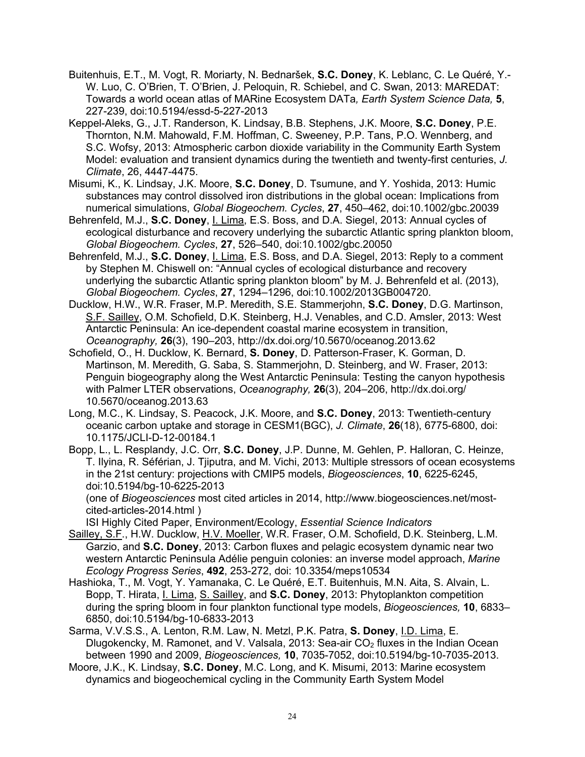- Buitenhuis, E.T., M. Vogt, R. Moriarty, N. Bednaršek, **S.C. Doney**, K. Leblanc, C. Le Quéré, Y.- W. Luo, C. O'Brien, T. O'Brien, J. Peloquin, R. Schiebel, and C. Swan, 2013: MAREDAT: Towards a world ocean atlas of MARine Ecosystem DATa*, Earth System Science Data,* **5**, 227-239, doi:10.5194/essd-5-227-2013
- Keppel-Aleks, G., J.T. Randerson, K. Lindsay, B.B. Stephens, J.K. Moore, **S.C. Doney**, P.E. Thornton, N.M. Mahowald, F.M. Hoffman, C. Sweeney, P.P. Tans, P.O. Wennberg, and S.C. Wofsy, 2013: Atmospheric carbon dioxide variability in the Community Earth System Model: evaluation and transient dynamics during the twentieth and twenty-first centuries, *J. Climate*, 26, 4447-4475.
- Misumi, K., K. Lindsay, J.K. Moore, **S.C. Doney**, D. Tsumune, and Y. Yoshida, 2013: Humic substances may control dissolved iron distributions in the global ocean: Implications from numerical simulations, *Global Biogeochem. Cycles*, **27**, 450–462, doi:10.1002/gbc.20039
- Behrenfeld, M.J., **S.C. Doney**, I. Lima, E.S. Boss, and D.A. Siegel, 2013: Annual cycles of ecological disturbance and recovery underlying the subarctic Atlantic spring plankton bloom, *Global Biogeochem. Cycles*, **27**, 526–540, doi:10.1002/gbc.20050
- Behrenfeld, M.J., **S.C. Doney**, I. Lima, E.S. Boss, and D.A. Siegel, 2013: Reply to a comment by Stephen M. Chiswell on: "Annual cycles of ecological disturbance and recovery underlying the subarctic Atlantic spring plankton bloom" by M. J. Behrenfeld et al. (2013), *Global Biogeochem. Cycles*, **27**, 1294–1296, doi:10.1002/2013GB004720.
- Ducklow, H.W., W.R. Fraser, M.P. Meredith, S.E. Stammerjohn, **S.C. Doney**, D.G. Martinson, S.F. Sailley, O.M. Schofield, D.K. Steinberg, H.J. Venables, and C.D. Amsler, 2013: West Antarctic Peninsula: An ice-dependent coastal marine ecosystem in transition, *Oceanography,* **26**(3), 190–203, http://dx.doi.org/10.5670/oceanog.2013.62
- Schofield, O., H. Ducklow, K. Bernard, **S. Doney**, D. Patterson-Fraser, K. Gorman, D. Martinson, M. Meredith, G. Saba, S. Stammerjohn, D. Steinberg, and W. Fraser, 2013: Penguin biogeography along the West Antarctic Peninsula: Testing the canyon hypothesis with Palmer LTER observations, *Oceanography,* **26**(3), 204–206, http://dx.doi.org/ 10.5670/oceanog.2013.63
- Long, M.C., K. Lindsay, S. Peacock, J.K. Moore, and **S.C. Doney**, 2013: Twentieth-century oceanic carbon uptake and storage in CESM1(BGC), *J. Climate*, **26**(18), 6775-6800, doi: 10.1175/JCLI-D-12-00184.1
- Bopp, L., L. Resplandy, J.C. Orr, **S.C. Doney**, J.P. Dunne, M. Gehlen, P. Halloran, C. Heinze, T. Ilyina, R. Séférian, J. Tjiputra, and M. Vichi, 2013: Multiple stressors of ocean ecosystems in the 21st century: projections with CMIP5 models, *Biogeosciences*, **10**, 6225-6245, doi:10.5194/bg-10-6225-2013

(one of *Biogeosciences* most cited articles in 2014, http://www.biogeosciences.net/mostcited-articles-2014.html )

ISI Highly Cited Paper, Environment/Ecology, *Essential Science Indicators*

- Sailley, S.F., H.W. Ducklow, H.V. Moeller, W.R. Fraser, O.M. Schofield, D.K. Steinberg, L.M. Garzio, and **S.C. Doney**, 2013: Carbon fluxes and pelagic ecosystem dynamic near two western Antarctic Peninsula Adélie penguin colonies: an inverse model approach, *Marine Ecology Progress Series*, **492**, 253-272, doi: 10.3354/meps10534
- Hashioka, T., M. Vogt, Y. Yamanaka, C. Le Quéré, E.T. Buitenhuis, M.N. Aita, S. Alvain, L. Bopp, T. Hirata, I. Lima, S. Sailley, and **S.C. Doney**, 2013: Phytoplankton competition during the spring bloom in four plankton functional type models, *Biogeosciences,* **10**, 6833– 6850, doi:10.5194/bg-10-6833-2013
- Sarma, V.V.S.S., A. Lenton, R.M. Law, N. Metzl, P.K. Patra, **S. Doney**, I.D. Lima, E. Dlugokencky, M. Ramonet, and V. Valsala, 2013: Sea-air CO<sub>2</sub> fluxes in the Indian Ocean between 1990 and 2009, *Biogeosciences,* **10**, 7035-7052, doi:10.5194/bg-10-7035-2013.
- Moore, J.K., K. Lindsay, **S.C. Doney**, M.C. Long, and K. Misumi, 2013: Marine ecosystem dynamics and biogeochemical cycling in the Community Earth System Model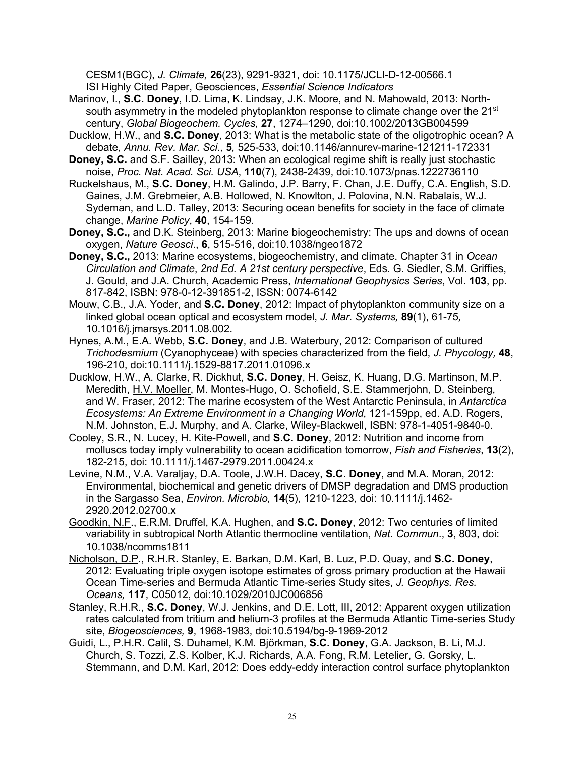CESM1(BGC), *J. Climate,* **26**(23), 9291-9321, doi: 10.1175/JCLI-D-12-00566.1 ISI Highly Cited Paper, Geosciences, *Essential Science Indicators*

- Marinov, I., **S.C. Doney**, I.D. Lima, K. Lindsay, J.K. Moore, and N. Mahowald, 2013: Northsouth asymmetry in the modeled phytoplankton response to climate change over the 21 $^{\rm st}$ century, *Global Biogeochem. Cycles,* **27**, 1274–1290, doi:10.1002/2013GB004599
- Ducklow, H.W., and **S.C. Doney**, 2013: What is the metabolic state of the oligotrophic ocean? A debate, *Annu. Rev. Mar. Sci.,* **5***,* 525-533, doi:10.1146/annurev-marine-121211-172331
- **Doney, S.C.** and S.F. Sailley, 2013: When an ecological regime shift is really just stochastic noise, *Proc. Nat. Acad. Sci. USA*, **110**(7), 2438-2439, doi:10.1073/pnas.1222736110
- Ruckelshaus, M., **S.C. Doney**, H.M. Galindo, J.P. Barry, F. Chan, J.E. Duffy, C.A. English, S.D. Gaines, J.M. Grebmeier, A.B. Hollowed, N. Knowlton, J. Polovina, N.N. Rabalais, W.J. Sydeman, and L.D. Talley, 2013: Securing ocean benefits for society in the face of climate change, *Marine Policy*, **40**, 154-159.
- **Doney, S.C.,** and D.K. Steinberg, 2013: Marine biogeochemistry: The ups and downs of ocean oxygen, *Nature Geosci*., **6**, 515-516, doi:10.1038/ngeo1872
- **Doney, S.C.,** 2013: Marine ecosystems, biogeochemistry, and climate. Chapter 31 in *Ocean Circulation and Climate*, *2nd Ed. A 21st century perspective*, Eds. G. Siedler, S.M. Griffies, J. Gould, and J.A. Church, Academic Press, *International Geophysics Series*, Vol. **103**, pp. 817-842, ISBN: 978-0-12-391851-2, ISSN: 0074-6142
- Mouw, C.B., J.A. Yoder, and **S.C. Doney**, 2012: Impact of phytoplankton community size on a linked global ocean optical and ecosystem model, *J. Mar. Systems,* **89**(1), 61-75*,*  10.1016/j.jmarsys.2011.08.002.
- Hynes, A.M., E.A. Webb, **S.C. Doney**, and J.B. Waterbury, 2012: Comparison of cultured *Trichodesmium* (Cyanophyceae) with species characterized from the field, *J. Phycology,* **48**, 196-210, doi:10.1111/j.1529-8817.2011.01096.x
- Ducklow, H.W., A. Clarke, R. Dickhut, **S.C. Doney**, H. Geisz, K. Huang, D.G. Martinson, M.P. Meredith, H.V. Moeller, M. Montes-Hugo, O. Schofield, S.E. Stammerjohn, D. Steinberg, and W. Fraser, 2012: The marine ecosystem of the West Antarctic Peninsula, in *Antarctica Ecosystems: An Extreme Environment in a Changing World*, 121-159pp, ed. A.D. Rogers, N.M. Johnston, E.J. Murphy, and A. Clarke, Wiley-Blackwell, ISBN: 978-1-4051-9840-0.
- Cooley, S.R., N. Lucey, H. Kite-Powell, and **S.C. Doney**, 2012: Nutrition and income from molluscs today imply vulnerability to ocean acidification tomorrow, *Fish and Fisheries*, **13**(2), 182-215, doi: 10.1111/j.1467-2979.2011.00424.x
- Levine, N.M., V.A. Varaljay, D.A. Toole, J.W.H. Dacey, **S.C. Doney**, and M.A. Moran, 2012: Environmental, biochemical and genetic drivers of DMSP degradation and DMS production in the Sargasso Sea, *Environ. Microbio,* **14**(5), 1210-1223, doi: 10.1111/j.1462- 2920.2012.02700.x
- Goodkin, N.F., E.R.M. Druffel, K.A. Hughen, and **S.C. Doney**, 2012: Two centuries of limited variability in subtropical North Atlantic thermocline ventilation, *Nat. Commun*., **3**, 803, doi: 10.1038/ncomms1811
- Nicholson, D.P., R.H.R. Stanley, E. Barkan, D.M. Karl, B. Luz, P.D. Quay, and **S.C. Doney**, 2012: Evaluating triple oxygen isotope estimates of gross primary production at the Hawaii Ocean Time-series and Bermuda Atlantic Time-series Study sites, *J. Geophys. Res. Oceans,* **117**, C05012, doi:10.1029/2010JC006856
- Stanley, R.H.R., **S.C. Doney**, W.J. Jenkins, and D.E. Lott, III, 2012: Apparent oxygen utilization rates calculated from tritium and helium-3 profiles at the Bermuda Atlantic Time-series Study site, *Biogeosciences,* **9**, 1968-1983, doi:10.5194/bg-9-1969-2012
- Guidi, L., P.H.R. Calil, S. Duhamel, K.M. Björkman, **S.C. Doney**, G.A. Jackson, B. Li, M.J. Church, S. Tozzi, Z.S. Kolber, K.J. Richards, A.A. Fong, R.M. Letelier, G. Gorsky, L. Stemmann, and D.M. Karl, 2012: Does eddy-eddy interaction control surface phytoplankton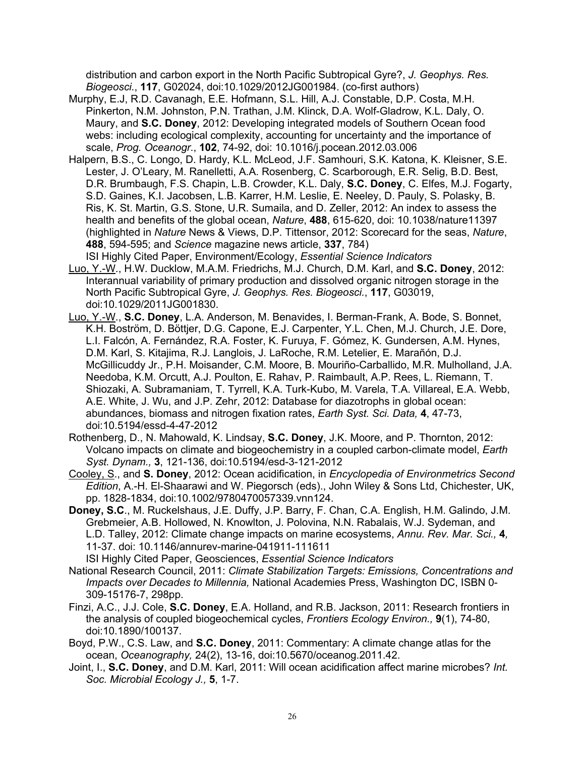distribution and carbon export in the North Pacific Subtropical Gyre?, *J. Geophys. Res. Biogeosci.*, **117**, G02024, doi:10.1029/2012JG001984. (co-first authors)

- Murphy, E.J, R.D. Cavanagh, E.E. Hofmann, S.L. Hill, A.J. Constable, D.P. Costa, M.H. Pinkerton, N.M. Johnston, P.N. Trathan, J.M. Klinck, D.A. Wolf-Gladrow, K.L. Daly, O. Maury, and **S.C. Doney**, 2012: Developing integrated models of Southern Ocean food webs: including ecological complexity, accounting for uncertainty and the importance of scale, *Prog. Oceanogr*., **102**, 74-92, doi: 10.1016/j.pocean.2012.03.006
- Halpern, B.S., C. Longo, D. Hardy, K.L. McLeod, J.F. Samhouri, S.K. Katona, K. Kleisner, S.E. Lester, J. O'Leary, M. Ranelletti, A.A. Rosenberg, C. Scarborough, E.R. Selig, B.D. Best, D.R. Brumbaugh, F.S. Chapin, L.B. Crowder, K.L. Daly, **S.C. Doney**, C. Elfes, M.J. Fogarty, S.D. Gaines, K.I. Jacobsen, L.B. Karrer, H.M. Leslie, E. Neeley, D. Pauly, S. Polasky, B. Ris, K. St. Martin, G.S. Stone, U.R. Sumaila, and D. Zeller, 2012: An index to assess the health and benefits of the global ocean, *Nature*, **488**, 615-620, doi: 10.1038/nature11397 (highlighted in *Nature* News & Views, D.P. Tittensor, 2012: Scorecard for the seas, *Nature*, **488**, 594-595; and *Science* magazine news article, **337**, 784) ISI Highly Cited Paper, Environment/Ecology, *Essential Science Indicators*
- Luo, Y.-W., H.W. Ducklow, M.A.M. Friedrichs, M.J. Church, D.M. Karl, and **S.C. Doney**, 2012: Interannual variability of primary production and dissolved organic nitrogen storage in the North Pacific Subtropical Gyre, *J. Geophys. Res. Biogeosci.*, **117**, G03019, doi:10.1029/2011JG001830.
- Luo, Y.-W., **S.C. Doney**, L.A. Anderson, M. Benavides, I. Berman-Frank, A. Bode, S. Bonnet, K.H. Boström, D. Böttjer, D.G. Capone, E.J. Carpenter, Y.L. Chen, M.J. Church, J.E. Dore, L.I. Falcón, A. Fernández, R.A. Foster, K. Furuya, F. Gómez, K. Gundersen, A.M. Hynes, D.M. Karl, S. Kitajima, R.J. Langlois, J. LaRoche, R.M. Letelier, E. Marañón, D.J. McGillicuddy Jr., P.H. Moisander, C.M. Moore, B. Mouriño-Carballido, M.R. Mulholland, J.A. Needoba, K.M. Orcutt, A.J. Poulton, E. Rahav, P. Raimbault, A.P. Rees, L. Riemann, T. Shiozaki, A. Subramaniam, T. Tyrrell, K.A. Turk-Kubo, M. Varela, T.A. Villareal, E.A. Webb, A.E. White, J. Wu, and J.P. Zehr, 2012: Database for diazotrophs in global ocean: abundances, biomass and nitrogen fixation rates, *Earth Syst. Sci. Data,* **4**, 47-73, doi:10.5194/essd-4-47-2012
- Rothenberg, D., N. Mahowald, K. Lindsay, **S.C. Doney**, J.K. Moore, and P. Thornton, 2012: Volcano impacts on climate and biogeochemistry in a coupled carbon-climate model, *Earth Syst. Dynam.,* **3**, 121-136, doi:10.5194/esd-3-121-2012
- Cooley, S., and **S. Doney**, 2012: Ocean acidification, in *Encyclopedia of Environmetrics Second Edition*, A.-H. El-Shaarawi and W. Piegorsch (eds)., John Wiley & Sons Ltd, Chichester, UK, pp. 1828-1834, doi:10.1002/9780470057339.vnn124.
- **Doney, S.C**., M. Ruckelshaus, J.E. Duffy, J.P. Barry, F. Chan, C.A. English, H.M. Galindo, J.M. Grebmeier, A.B. Hollowed, N. Knowlton, J. Polovina, N.N. Rabalais, W.J. Sydeman, and L.D. Talley, 2012: Climate change impacts on marine ecosystems, *Annu. Rev. Mar. Sci.,* **4***,*  11-37. doi: 10.1146/annurev-marine-041911-111611 ISI Highly Cited Paper, Geosciences, *Essential Science Indicators*
- National Research Council, 2011: *Climate Stabilization Targets: Emissions, Concentrations and Impacts over Decades to Millennia,* National Academies Press, Washington DC, ISBN 0- 309-15176-7, 298pp.
- Finzi, A.C., J.J. Cole, **S.C. Doney**, E.A. Holland, and R.B. Jackson, 2011: Research frontiers in the analysis of coupled biogeochemical cycles, *Frontiers Ecology Environ.,* **9**(1), 74-80, doi:10.1890/100137.
- Boyd, P.W., C.S. Law, and **S.C. Doney**, 2011: Commentary: A climate change atlas for the ocean, *Oceanography,* 24(2), 13-16, doi:10.5670/oceanog.2011.42.
- Joint, I., **S.C. Doney**, and D.M. Karl, 2011: Will ocean acidification affect marine microbes? *Int. Soc. Microbial Ecology J.,* **5**, 1-7.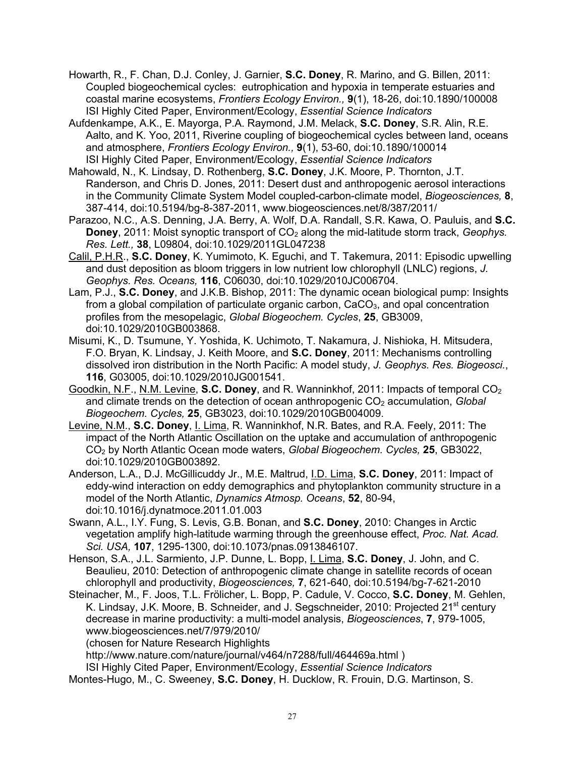- Howarth, R., F. Chan, D.J. Conley, J. Garnier, **S.C. Doney**, R. Marino, and G. Billen, 2011: Coupled biogeochemical cycles: eutrophication and hypoxia in temperate estuaries and coastal marine ecosystems, *Frontiers Ecology Environ.,* **9**(1), 18-26, doi:10.1890/100008 ISI Highly Cited Paper, Environment/Ecology, *Essential Science Indicators*
- Aufdenkampe, A.K., E. Mayorga, P.A. Raymond, J.M. Melack, **S.C. Doney**, S.R. Alin, R.E. Aalto, and K. Yoo, 2011, Riverine coupling of biogeochemical cycles between land, oceans and atmosphere, *Frontiers Ecology Environ.,* **9**(1), 53-60, doi:10.1890/100014 ISI Highly Cited Paper, Environment/Ecology, *Essential Science Indicators*
- Mahowald, N., K. Lindsay, D. Rothenberg, **S.C. Doney**, J.K. Moore, P. Thornton, J.T. Randerson, and Chris D. Jones, 2011: Desert dust and anthropogenic aerosol interactions in the Community Climate System Model coupled-carbon-climate model, *Biogeosciences,* **8**, 387-414, doi:10.5194/bg-8-387-2011, www.biogeosciences.net/8/387/2011/
- Parazoo, N.C., A.S. Denning, J.A. Berry, A. Wolf, D.A. Randall, S.R. Kawa, O. Pauluis, and **S.C. Doney**, 2011: Moist synoptic transport of CO<sub>2</sub> along the mid-latitude storm track, *Geophys. Res. Lett.,* **38**, L09804, doi:10.1029/2011GL047238
- Calil, P.H.R., **S.C. Doney**, K. Yumimoto, K. Eguchi, and T. Takemura, 2011: Episodic upwelling and dust deposition as bloom triggers in low nutrient low chlorophyll (LNLC) regions, *J. Geophys. Res. Oceans,* **116**, C06030, doi:10.1029/2010JC006704.
- Lam, P.J., **S.C. Doney**, and J.K.B. Bishop, 2011: The dynamic ocean biological pump: Insights from a global compilation of particulate organic carbon,  $CaCO<sub>3</sub>$ , and opal concentration profiles from the mesopelagic, *Global Biogeochem. Cycles*, **25**, GB3009, doi:10.1029/2010GB003868.
- Misumi, K., D. Tsumune, Y. Yoshida, K. Uchimoto, T. Nakamura, J. Nishioka, H. Mitsudera, F.O. Bryan, K. Lindsay, J. Keith Moore, and **S.C. Doney**, 2011: Mechanisms controlling dissolved iron distribution in the North Pacific: A model study, *J. Geophys. Res. Biogeosci.*, **116**, G03005, doi:10.1029/2010JG001541.
- Goodkin, N.F., N.M. Levine, S.C. Doney, and R. Wanninkhof, 2011: Impacts of temporal CO<sub>2</sub> and climate trends on the detection of ocean anthropogenic CO<sub>2</sub> accumulation, *Global Biogeochem. Cycles,* **25**, GB3023, doi:10.1029/2010GB004009.
- Levine, N.M., **S.C. Doney**, I. Lima, R. Wanninkhof, N.R. Bates, and R.A. Feely, 2011: The impact of the North Atlantic Oscillation on the uptake and accumulation of anthropogenic CO2 by North Atlantic Ocean mode waters, *Global Biogeochem. Cycles,* **25**, GB3022, doi:10.1029/2010GB003892.
- Anderson, L.A., D.J. McGillicuddy Jr., M.E. Maltrud, I.D. Lima, **S.C. Doney**, 2011: Impact of eddy-wind interaction on eddy demographics and phytoplankton community structure in a model of the North Atlantic, *Dynamics Atmosp. Oceans*, **52**, 80-94, doi:10.1016/j.dynatmoce.2011.01.003
- Swann, A.L., I.Y. Fung, S. Levis, G.B. Bonan, and **S.C. Doney**, 2010: Changes in Arctic vegetation amplify high-latitude warming through the greenhouse effect, *Proc. Nat. Acad. Sci. USA,* **107**, 1295-1300, doi:10.1073/pnas.0913846107.
- Henson, S.A., J.L. Sarmiento, J.P. Dunne, L. Bopp, I. Lima, **S.C. Doney**, J. John, and C. Beaulieu, 2010: Detection of anthropogenic climate change in satellite records of ocean chlorophyll and productivity, *Biogeosciences,* **7**, 621-640, doi:10.5194/bg-7-621-2010
- Steinacher, M., F. Joos, T.L. Frölicher, L. Bopp, P. Cadule, V. Cocco, **S.C. Doney**, M. Gehlen, K. Lindsay, J.K. Moore, B. Schneider, and J. Segschneider, 2010; Projected 21<sup>st</sup> century decrease in marine productivity: a multi-model analysis, *Biogeosciences*, **7**, 979-1005, www.biogeosciences.net/7/979/2010/

(chosen for Nature Research Highlights

http://www.nature.com/nature/journal/v464/n7288/full/464469a.html )

ISI Highly Cited Paper, Environment/Ecology, *Essential Science Indicators*

Montes-Hugo, M., C. Sweeney, **S.C. Doney**, H. Ducklow, R. Frouin, D.G. Martinson, S.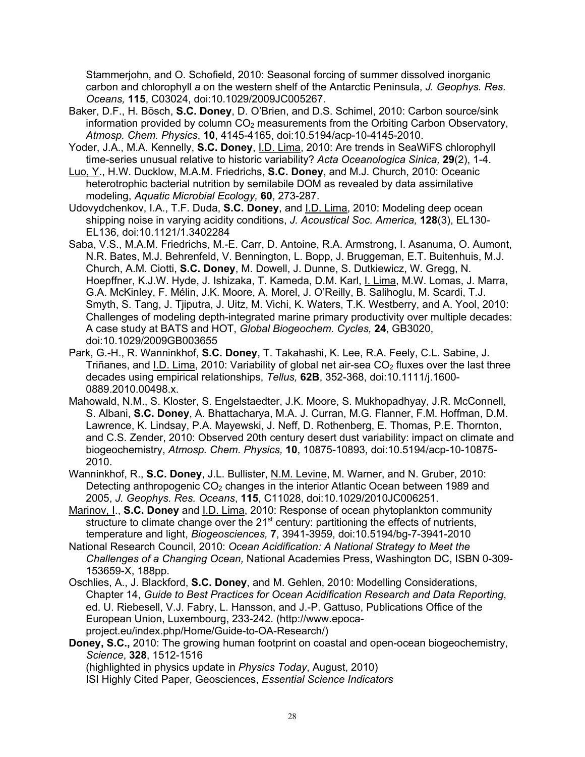Stammerjohn, and O. Schofield, 2010: Seasonal forcing of summer dissolved inorganic carbon and chlorophyll *a* on the western shelf of the Antarctic Peninsula, *J. Geophys. Res. Oceans,* **115**, C03024, doi:10.1029/2009JC005267.

- Baker, D.F., H. Bösch, **S.C. Doney**, D. O'Brien, and D.S. Schimel, 2010: Carbon source/sink information provided by column  $CO<sub>2</sub>$  measurements from the Orbiting Carbon Observatory, *Atmosp. Chem. Physics*, **10**, 4145-4165, doi:10.5194/acp-10-4145-2010.
- Yoder, J.A., M.A. Kennelly, **S.C. Doney**, I.D. Lima, 2010: Are trends in SeaWiFS chlorophyll time-series unusual relative to historic variability? *Acta Oceanologica Sinica,* **29**(2), 1-4.
- Luo, Y., H.W. Ducklow, M.A.M. Friedrichs, **S.C. Doney**, and M.J. Church, 2010: Oceanic heterotrophic bacterial nutrition by semilabile DOM as revealed by data assimilative modeling, *Aquatic Microbial Ecology,* **60**, 273-287.

Udovydchenkov, I.A., T.F. Duda, **S.C. Doney**, and I.D. Lima, 2010: Modeling deep ocean shipping noise in varying acidity conditions, *J. Acoustical Soc. America,* **128**(3), EL130- EL136, doi:10.1121/1.3402284

- Saba, V.S., M.A.M. Friedrichs, M.-E. Carr, D. Antoine, R.A. Armstrong, I. Asanuma, O. Aumont, N.R. Bates, M.J. Behrenfeld, V. Bennington, L. Bopp, J. Bruggeman, E.T. Buitenhuis, M.J. Church, A.M. Ciotti, **S.C. Doney**, M. Dowell, J. Dunne, S. Dutkiewicz, W. Gregg, N. Hoepffner, K.J.W. Hyde, J. Ishizaka, T. Kameda, D.M. Karl, I. Lima, M.W. Lomas, J. Marra, G.A. McKinley, F. Mélin, J.K. Moore, A. Morel, J. O'Reilly, B. Salihoglu, M. Scardi, T.J. Smyth, S. Tang, J. Tjiputra, J. Uitz, M. Vichi, K. Waters, T.K. Westberry, and A. Yool, 2010: Challenges of modeling depth-integrated marine primary productivity over multiple decades: A case study at BATS and HOT, *Global Biogeochem. Cycles,* **24**, GB3020, doi:10.1029/2009GB003655
- Park, G.-H., R. Wanninkhof, **S.C. Doney**, T. Takahashi, K. Lee, R.A. Feely, C.L. Sabine, J. Triñanes, and I.D. Lima, 2010: Variability of global net air-sea  $CO<sub>2</sub>$  fluxes over the last three decades using empirical relationships, *Tellus,* **62B**, 352-368, doi:10.1111/j.1600- 0889.2010.00498.x.
- Mahowald, N.M., S. Kloster, S. Engelstaedter, J.K. Moore, S. Mukhopadhyay, J.R. McConnell, S. Albani, **S.C. Doney**, A. Bhattacharya, M.A. J. Curran, M.G. Flanner, F.M. Hoffman, D.M. Lawrence, K. Lindsay, P.A. Mayewski, J. Neff, D. Rothenberg, E. Thomas, P.E. Thornton, and C.S. Zender, 2010: Observed 20th century desert dust variability: impact on climate and biogeochemistry, *Atmosp. Chem. Physics,* **10**, 10875-10893, doi:10.5194/acp-10-10875- 2010.
- Wanninkhof, R., **S.C. Doney**, J.L. Bullister, N.M. Levine, M. Warner, and N. Gruber, 2010: Detecting anthropogenic  $CO<sub>2</sub>$  changes in the interior Atlantic Ocean between 1989 and 2005, *J. Geophys. Res. Oceans*, **115**, C11028, doi:10.1029/2010JC006251.
- Marinov, I., **S.C. Doney** and I.D. Lima, 2010: Response of ocean phytoplankton community structure to climate change over the 21<sup>st</sup> century: partitioning the effects of nutrients, temperature and light, *Biogeosciences,* **7**, 3941-3959, doi:10.5194/bg-7-3941-2010
- National Research Council, 2010: *Ocean Acidification: A National Strategy to Meet the Challenges of a Changing Ocean,* National Academies Press, Washington DC, ISBN 0-309- 153659-X, 188pp.
- Oschlies, A., J. Blackford, **S.C. Doney**, and M. Gehlen, 2010: Modelling Considerations, Chapter 14, *Guide to Best Practices for Ocean Acidification Research and Data Reporting*, ed. U. Riebesell, V.J. Fabry, L. Hansson, and J.-P. Gattuso, Publications Office of the European Union, Luxembourg, 233-242. (http://www.epocaproject.eu/index.php/Home/Guide-to-OA-Research/)
- **Doney, S.C.,** 2010: The growing human footprint on coastal and open-ocean biogeochemistry, *Science*, **328**, 1512-1516 (highlighted in physics update in *Physics Today*, August, 2010) ISI Highly Cited Paper, Geosciences, *Essential Science Indicators*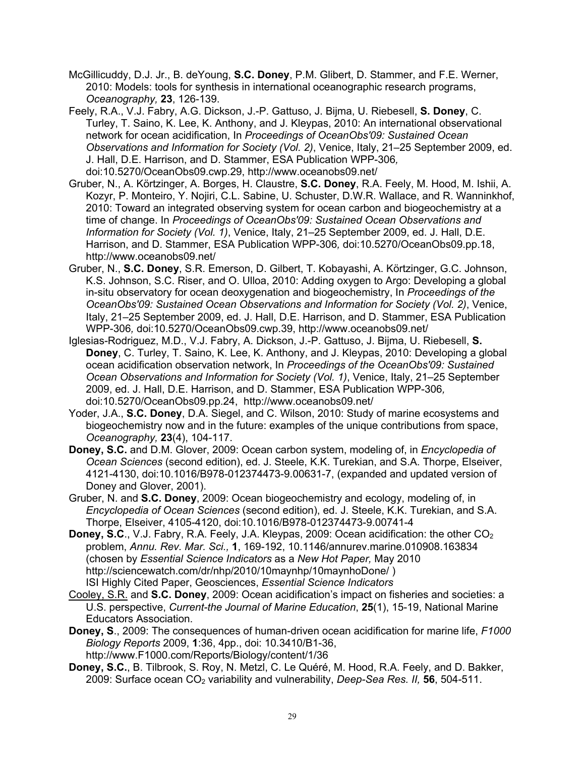- McGillicuddy, D.J. Jr., B. deYoung, **S.C. Doney**, P.M. Glibert, D. Stammer, and F.E. Werner, 2010: Models: tools for synthesis in international oceanographic research programs, *Oceanography,* **23**, 126-139.
- Feely, R.A., V.J. Fabry, A.G. Dickson, J.-P. Gattuso, J. Bijma, U. Riebesell, **S. Doney**, C. Turley, T. Saino, K. Lee, K. Anthony, and J. Kleypas, 2010: An international observational network for ocean acidification, In *Proceedings of OceanObs'09: Sustained Ocean Observations and Information for Society (Vol. 2)*, Venice, Italy, 21–25 September 2009, ed. J. Hall, D.E. Harrison, and D. Stammer, ESA Publication WPP-306*,* doi:10.5270/OceanObs09.cwp.29, http://www.oceanobs09.net/
- Gruber, N., A. Körtzinger, A. Borges, H. Claustre, **S.C. Doney**, R.A. Feely, M. Hood, M. Ishii, A. Kozyr, P. Monteiro, Y. Nojiri, C.L. Sabine, U. Schuster, D.W.R. Wallace, and R. Wanninkhof, 2010: Toward an integrated observing system for ocean carbon and biogeochemistry at a time of change. In *Proceedings of OceanObs'09: Sustained Ocean Observations and Information for Society (Vol. 1)*, Venice, Italy, 21–25 September 2009, ed. J. Hall, D.E. Harrison, and D. Stammer, ESA Publication WPP-306*,* doi:10.5270/OceanObs09.pp.18, http://www.oceanobs09.net/
- Gruber, N., **S.C. Doney**, S.R. Emerson, D. Gilbert, T. Kobayashi, A. Körtzinger, G.C. Johnson, K.S. Johnson, S.C. Riser, and O. Ulloa, 2010: Adding oxygen to Argo: Developing a global in-situ observatory for ocean deoxygenation and biogeochemistry, In *Proceedings of the OceanObs'09: Sustained Ocean Observations and Information for Society (Vol. 2)*, Venice, Italy, 21–25 September 2009, ed. J. Hall, D.E. Harrison, and D. Stammer, ESA Publication WPP-306*,* doi:10.5270/OceanObs09.cwp.39, http://www.oceanobs09.net/
- Iglesias-Rodriguez, M.D., V.J. Fabry, A. Dickson, J.-P. Gattuso, J. Bijma, U. Riebesell, **S. Doney**, C. Turley, T. Saino, K. Lee, K. Anthony, and J. Kleypas, 2010: Developing a global ocean acidification observation network, In *Proceedings of the OceanObs'09: Sustained Ocean Observations and Information for Society (Vol. 1)*, Venice, Italy, 21–25 September 2009, ed. J. Hall, D.E. Harrison, and D. Stammer, ESA Publication WPP-306*,* doi:10.5270/OceanObs09.pp.24, http://www.oceanobs09.net/
- Yoder, J.A., **S.C. Doney**, D.A. Siegel, and C. Wilson, 2010: Study of marine ecosystems and biogeochemistry now and in the future: examples of the unique contributions from space, *Oceanography,* **23**(4), 104-117.
- **Doney, S.C.** and D.M. Glover, 2009: Ocean carbon system, modeling of, in *Encyclopedia of Ocean Sciences* (second edition), ed. J. Steele, K.K. Turekian, and S.A. Thorpe, Elseiver, 4121-4130, doi:10.1016/B978-012374473-9.00631-7, (expanded and updated version of Doney and Glover, 2001).
- Gruber, N. and **S.C. Doney**, 2009: Ocean biogeochemistry and ecology, modeling of, in *Encyclopedia of Ocean Sciences* (second edition), ed. J. Steele, K.K. Turekian, and S.A. Thorpe, Elseiver, 4105-4120, doi:10.1016/B978-012374473-9.00741-4
- **Doney, S.C., V.J. Fabry, R.A. Feely, J.A. Kleypas, 2009: Ocean acidification: the other CO<sub>2</sub>** problem, *Annu. Rev. Mar. Sci.,* **1**, 169-192, 10.1146/annurev.marine.010908.163834 (chosen by *Essential Science Indicators* as a *New Hot Paper,* May 2010 http://sciencewatch.com/dr/nhp/2010/10maynhp/10maynhoDone/ ) ISI Highly Cited Paper, Geosciences, *Essential Science Indicators*
- Cooley, S.R. and **S.C. Doney**, 2009: Ocean acidification's impact on fisheries and societies: a U.S. perspective, *Current-the Journal of Marine Education*, **25**(1), 15-19, National Marine Educators Association.
- **Doney, S**., 2009: The consequences of human-driven ocean acidification for marine life, *F1000 Biology Reports* 2009, **1**:36, 4pp., doi: 10.3410/B1-36, http://www.F1000.com/Reports/Biology/content/1/36
- **Doney, S.C.**, B. Tilbrook, S. Roy, N. Metzl, C. Le Quéré, M. Hood, R.A. Feely, and D. Bakker, 2009: Surface ocean CO2 variability and vulnerability, *Deep-Sea Res. II,* **56**, 504-511.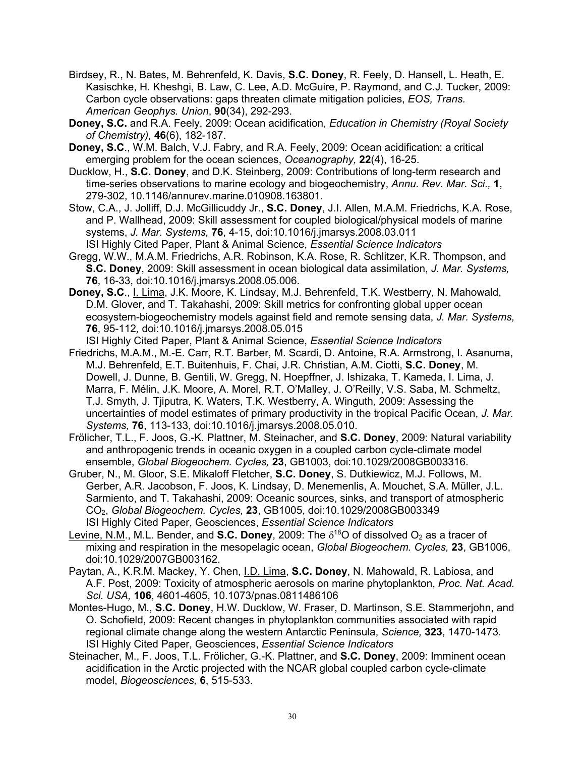- Birdsey, R., N. Bates, M. Behrenfeld, K. Davis, **S.C. Doney**, R. Feely, D. Hansell, L. Heath, E. Kasischke, H. Kheshgi, B. Law, C. Lee, A.D. McGuire, P. Raymond, and C.J. Tucker, 2009: Carbon cycle observations: gaps threaten climate mitigation policies, *EOS, Trans. American Geophys. Union*, **90**(34), 292-293.
- **Doney, S.C.** and R.A. Feely, 2009: Ocean acidification, *Education in Chemistry (Royal Society of Chemistry),* **46**(6), 182-187.
- **Doney, S.C**., W.M. Balch, V.J. Fabry, and R.A. Feely, 2009: Ocean acidification: a critical emerging problem for the ocean sciences, *Oceanography,* **22**(4), 16-25.
- Ducklow, H., **S.C. Doney**, and D.K. Steinberg, 2009: Contributions of long-term research and time-series observations to marine ecology and biogeochemistry, *Annu. Rev. Mar. Sci.,* **1**, 279-302, 10.1146/annurev.marine.010908.163801.
- Stow, C.A., J. Jolliff, D.J. McGillicuddy Jr., **S.C. Doney**, J.I. Allen, M.A.M. Friedrichs, K.A. Rose, and P. Wallhead, 2009: Skill assessment for coupled biological/physical models of marine systems, *J. Mar. Systems,* **76**, 4-15, doi:10.1016/j.jmarsys.2008.03.011 ISI Highly Cited Paper, Plant & Animal Science, *Essential Science Indicators*
- Gregg, W.W., M.A.M. Friedrichs, A.R. Robinson, K.A. Rose, R. Schlitzer, K.R. Thompson, and **S.C. Doney**, 2009: Skill assessment in ocean biological data assimilation, *J. Mar. Systems,*  **76**, 16-33, doi:10.1016/j.jmarsys.2008.05.006.
- **Doney, S.C**., I. Lima, J.K. Moore, K. Lindsay, M.J. Behrenfeld, T.K. Westberry, N. Mahowald, D.M. Glover, and T. Takahashi, 2009: Skill metrics for confronting global upper ocean ecosystem-biogeochemistry models against field and remote sensing data, *J. Mar. Systems,*  **76**, 95-112*,* doi:10.1016/j.jmarsys.2008.05.015
	- ISI Highly Cited Paper, Plant & Animal Science, *Essential Science Indicators*
- Friedrichs, M.A.M., M.-E. Carr, R.T. Barber, M. Scardi, D. Antoine, R.A. Armstrong, I. Asanuma, M.J. Behrenfeld, E.T. Buitenhuis, F. Chai, J.R. Christian, A.M. Ciotti, **S.C. Doney**, M. Dowell, J. Dunne, B. Gentili, W. Gregg, N. Hoepffner, J. Ishizaka, T. Kameda, I. Lima, J. Marra, F. Mélin, J.K. Moore, A. Morel, R.T. O'Malley, J. O'Reilly, V.S. Saba, M. Schmeltz, T.J. Smyth, J. Tjiputra, K. Waters, T.K. Westberry, A. Winguth, 2009: Assessing the uncertainties of model estimates of primary productivity in the tropical Pacific Ocean, *J. Mar. Systems,* **76**, 113-133, doi:10.1016/j.jmarsys.2008.05.010.
- Frölicher, T.L., F. Joos, G.-K. Plattner, M. Steinacher, and **S.C. Doney**, 2009: Natural variability and anthropogenic trends in oceanic oxygen in a coupled carbon cycle-climate model ensemble, *Global Biogeochem. Cycles,* **23**, GB1003, doi:10.1029/2008GB003316.
- Gruber, N., M. Gloor, S.E. Mikaloff Fletcher, **S.C. Doney**, S. Dutkiewicz, M.J. Follows, M. Gerber, A.R. Jacobson, F. Joos, K. Lindsay, D. Menemenlis, A. Mouchet, S.A. Müller, J.L. Sarmiento, and T. Takahashi, 2009: Oceanic sources, sinks, and transport of atmospheric CO2, *Global Biogeochem. Cycles,* **23**, GB1005, doi:10.1029/2008GB003349 ISI Highly Cited Paper, Geosciences, *Essential Science Indicators*
- Levine, N.M., M.L. Bender, and **S.C. Doney**, 2009: The  $\delta^{18}$ O of dissolved O<sub>2</sub> as a tracer of mixing and respiration in the mesopelagic ocean, *Global Biogeochem. Cycles,* **23**, GB1006, doi:10.1029/2007GB003162.
- Paytan, A., K.R.M. Mackey, Y. Chen, I.D. Lima, **S.C. Doney**, N. Mahowald, R. Labiosa, and A.F. Post, 2009: Toxicity of atmospheric aerosols on marine phytoplankton, *Proc. Nat. Acad. Sci. USA,* **106**, 4601-4605, 10.1073/pnas.0811486106
- Montes-Hugo, M., **S.C. Doney**, H.W. Ducklow, W. Fraser, D. Martinson, S.E. Stammerjohn, and O. Schofield, 2009: Recent changes in phytoplankton communities associated with rapid regional climate change along the western Antarctic Peninsula, *Science,* **323**, 1470-1473. ISI Highly Cited Paper, Geosciences, *Essential Science Indicators*
- Steinacher, M., F. Joos, T.L. Frölicher, G.-K. Plattner, and **S.C. Doney**, 2009: Imminent ocean acidification in the Arctic projected with the NCAR global coupled carbon cycle-climate model, *Biogeosciences,* **6**, 515-533.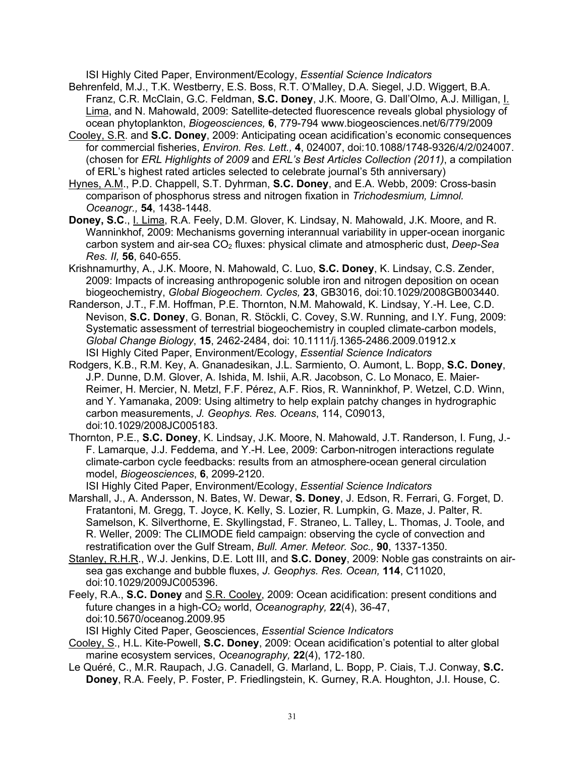ISI Highly Cited Paper, Environment/Ecology, *Essential Science Indicators*

- Behrenfeld, M.J., T.K. Westberry, E.S. Boss, R.T. O'Malley, D.A. Siegel, J.D. Wiggert, B.A. Franz, C.R. McClain, G.C. Feldman, **S.C. Doney**, J.K. Moore, G. Dall'Olmo, A.J. Milligan, I. Lima, and N. Mahowald, 2009: Satellite-detected fluorescence reveals global physiology of ocean phytoplankton, *Biogeosciences,* **6**, 779-794 www.biogeosciences.net/6/779/2009
- Cooley, S.R. and **S.C. Doney**, 2009: Anticipating ocean acidification's economic consequences for commercial fisheries, *Environ. Res. Lett.,* **4**, 024007, doi:10.1088/1748-9326/4/2/024007. (chosen for *ERL Highlights of 2009* and *ERL's Best Articles Collection (2011)*, a compilation of ERL's highest rated articles selected to celebrate journal's 5th anniversary)
- Hynes, A.M., P.D. Chappell, S.T. Dyhrman, **S.C. Doney**, and E.A. Webb, 2009: Cross-basin comparison of phosphorus stress and nitrogen fixation in *Trichodesmium, Limnol. Oceanogr.,* **54**, 1438-1448.
- **Doney, S.C**., I. Lima, R.A. Feely, D.M. Glover, K. Lindsay, N. Mahowald, J.K. Moore, and R. Wanninkhof, 2009: Mechanisms governing interannual variability in upper-ocean inorganic carbon system and air-sea CO2 fluxes: physical climate and atmospheric dust, *Deep-Sea Res. II,* **56**, 640-655.
- Krishnamurthy, A., J.K. Moore, N. Mahowald, C. Luo, **S.C. Doney**, K. Lindsay, C.S. Zender, 2009: Impacts of increasing anthropogenic soluble iron and nitrogen deposition on ocean biogeochemistry, *Global Biogeochem. Cycles,* **23**, GB3016, doi:10.1029/2008GB003440.
- Randerson, J.T., F.M. Hoffman, P.E. Thornton, N.M. Mahowald, K. Lindsay, Y.-H. Lee, C.D. Nevison, **S.C. Doney**, G. Bonan, R. Stöckli, C. Covey, S.W. Running, and I.Y. Fung, 2009: Systematic assessment of terrestrial biogeochemistry in coupled climate-carbon models, *Global Change Biology*, **15**, 2462-2484, doi: 10.1111/j.1365-2486.2009.01912.x ISI Highly Cited Paper, Environment/Ecology, *Essential Science Indicators*
- Rodgers, K.B., R.M. Key, A. Gnanadesikan, J.L. Sarmiento, O. Aumont, L. Bopp, **S.C. Doney**, J.P. Dunne, D.M. Glover, A. Ishida, M. Ishii, A.R. Jacobson, C. Lo Monaco, E. Maier-Reimer, H. Mercier, N. Metzl, F.F. Pérez, A.F. Rios, R. Wanninkhof, P. Wetzel, C.D. Winn, and Y. Yamanaka, 2009: Using altimetry to help explain patchy changes in hydrographic carbon measurements, *J. Geophys. Res. Oceans*, 114, C09013, doi:10.1029/2008JC005183.
- Thornton, P.E., **S.C. Doney**, K. Lindsay, J.K. Moore, N. Mahowald, J.T. Randerson, I. Fung, J.- F. Lamarque, J.J. Feddema, and Y.-H. Lee, 2009: Carbon-nitrogen interactions regulate climate-carbon cycle feedbacks: results from an atmosphere-ocean general circulation model, *Biogeosciences*, **6**, 2099-2120.

ISI Highly Cited Paper, Environment/Ecology, *Essential Science Indicators*

- Marshall, J., A. Andersson, N. Bates, W. Dewar, **S. Doney**, J. Edson, R. Ferrari, G. Forget, D. Fratantoni, M. Gregg, T. Joyce, K. Kelly, S. Lozier, R. Lumpkin, G. Maze, J. Palter, R. Samelson, K. Silverthorne, E. Skyllingstad, F. Straneo, L. Talley, L. Thomas, J. Toole, and R. Weller, 2009: The CLIMODE field campaign: observing the cycle of convection and restratification over the Gulf Stream, *Bull. Amer. Meteor. Soc.,* **90**, 1337-1350.
- Stanley, R.H.R., W.J. Jenkins, D.E. Lott III, and **S.C. Doney**, 2009: Noble gas constraints on airsea gas exchange and bubble fluxes, *J. Geophys. Res. Ocean,* **114**, C11020, doi:10.1029/2009JC005396.
- Feely, R.A., **S.C. Doney** and S.R. Cooley, 2009: Ocean acidification: present conditions and future changes in a high-CO2 world, *Oceanography,* **22**(4), 36-47, doi:10.5670/oceanog.2009.95

ISI Highly Cited Paper, Geosciences, *Essential Science Indicators*

- Cooley, S., H.L. Kite-Powell, **S.C. Doney**, 2009: Ocean acidification's potential to alter global marine ecosystem services, *Oceanography,* **22**(4), 172-180.
- Le Quéré, C., M.R. Raupach, J.G. Canadell, G. Marland, L. Bopp, P. Ciais, T.J. Conway, **S.C. Doney**, R.A. Feely, P. Foster, P. Friedlingstein, K. Gurney, R.A. Houghton, J.I. House, C.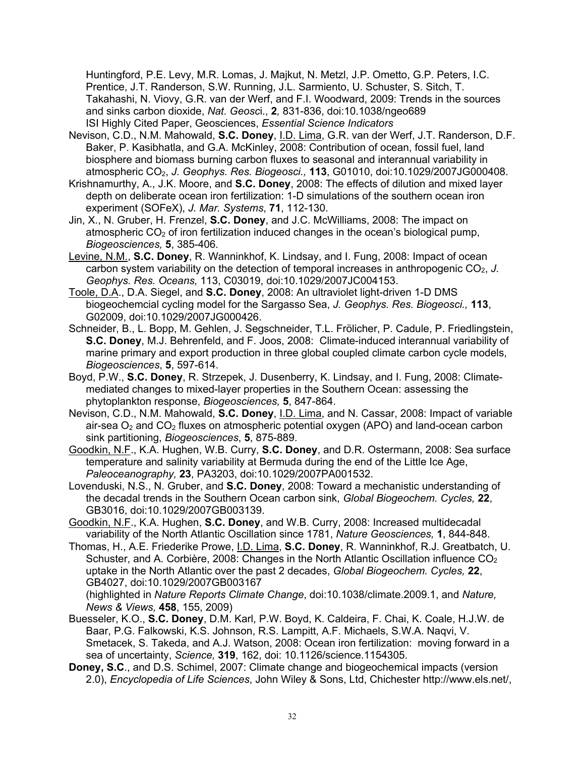Huntingford, P.E. Levy, M.R. Lomas, J. Majkut, N. Metzl, J.P. Ometto, G.P. Peters, I.C. Prentice, J.T. Randerson, S.W. Running, J.L. Sarmiento, U. Schuster, S. Sitch, T. Takahashi, N. Viovy, G.R. van der Werf, and F.I. Woodward, 2009: Trends in the sources and sinks carbon dioxide, *Nat. Geosc*i., **2***,* 831-836, doi:10.1038/ngeo689 ISI Highly Cited Paper, Geosciences, *Essential Science Indicators*

- Nevison, C.D., N.M. Mahowald, **S.C. Doney**, I.D. Lima, G.R. van der Werf, J.T. Randerson, D.F. Baker, P. Kasibhatla, and G.A. McKinley, 2008: Contribution of ocean, fossil fuel, land biosphere and biomass burning carbon fluxes to seasonal and interannual variability in atmospheric CO2, *J. Geophys. Res. Biogeosci.,* **113**, G01010, doi:10.1029/2007JG000408.
- Krishnamurthy, A., J.K. Moore, and **S.C. Doney**, 2008: The effects of dilution and mixed layer depth on deliberate ocean iron fertilization: 1-D simulations of the southern ocean iron experiment (SOFeX), *J. Mar. Systems*, **71**, 112-130.
- Jin, X., N. Gruber, H. Frenzel, **S.C. Doney**, and J.C. McWilliams, 2008: The impact on atmospheric  $CO<sub>2</sub>$  of iron fertilization induced changes in the ocean's biological pump. *Biogeosciences,* **5**, 385-406*.*
- Levine, N.M., **S.C. Doney**, R. Wanninkhof, K. Lindsay, and I. Fung, 2008: Impact of ocean carbon system variability on the detection of temporal increases in anthropogenic CO<sub>2</sub>, J. *Geophys. Res. Oceans,* 113, C03019, doi:10.1029/2007JC004153.
- Toole, D.A., D.A. Siegel, and **S.C. Doney**, 2008: An ultraviolet light-driven 1-D DMS biogeochemcial cycling model for the Sargasso Sea, *J. Geophys. Res. Biogeosci.,* **113**, G02009, doi:10.1029/2007JG000426.
- Schneider, B., L. Bopp, M. Gehlen, J. Segschneider, T.L. Frölicher, P. Cadule, P. Friedlingstein, **S.C. Doney**, M.J. Behrenfeld, and F. Joos, 2008: Climate-induced interannual variability of marine primary and export production in three global coupled climate carbon cycle models, *Biogeosciences*, **5**, 597-614.
- Boyd, P.W., **S.C. Doney**, R. Strzepek, J. Dusenberry, K. Lindsay, and I. Fung, 2008: Climatemediated changes to mixed-layer properties in the Southern Ocean: assessing the phytoplankton response, *Biogeosciences,* **5**, 847-864.
- Nevison, C.D., N.M. Mahowald, **S.C. Doney**, I.D. Lima, and N. Cassar, 2008: Impact of variable air-sea  $O_2$  and  $CO_2$  fluxes on atmospheric potential oxygen (APO) and land-ocean carbon sink partitioning, *Biogeosciences*, **5**, 875-889.
- Goodkin, N.F., K.A. Hughen, W.B. Curry, **S.C. Doney**, and D.R. Ostermann, 2008: Sea surface temperature and salinity variability at Bermuda during the end of the Little Ice Age, *Paleoceanography,* **23**, PA3203, doi:10.1029/2007PA001532.
- Lovenduski, N.S., N. Gruber, and **S.C. Doney**, 2008: Toward a mechanistic understanding of the decadal trends in the Southern Ocean carbon sink, *Global Biogeochem. Cycles,* **22**, GB3016, doi:10.1029/2007GB003139.
- Goodkin, N.F., K.A. Hughen, **S.C. Doney**, and W.B. Curry, 2008: Increased multidecadal variability of the North Atlantic Oscillation since 1781, *Nature Geosciences,* **1**, 844-848.
- Thomas, H., A.E. Friederike Prowe, I.D. Lima, **S.C. Doney**, R. Wanninkhof, R.J. Greatbatch, U. Schuster, and A. Corbière, 2008: Changes in the North Atlantic Oscillation influence  $CO<sub>2</sub>$ uptake in the North Atlantic over the past 2 decades, *Global Biogeochem. Cycles,* **22**, GB4027, doi:10.1029/2007GB003167

(highlighted in *Nature Reports Climate Change*, doi:10.1038/climate.2009.1, and *Nature, News & Views,* **458**, 155, 2009)

- Buesseler, K.O., **S.C. Doney**, D.M. Karl, P.W. Boyd, K. Caldeira, F. Chai, K. Coale, H.J.W. de Baar, P.G. Falkowski, K.S. Johnson, R.S. Lampitt, A.F. Michaels, S.W.A. Naqvi, V. Smetacek, S. Takeda, and A.J. Watson, 2008: Ocean iron fertilization: moving forward in a sea of uncertainty, *Science,* **319**, 162, doi: 10.1126/science.1154305.
- **Doney, S.C**., and D.S. Schimel, 2007: Climate change and biogeochemical impacts (version 2.0), *Encyclopedia of Life Sciences*, John Wiley & Sons, Ltd, Chichester http://www.els.net/,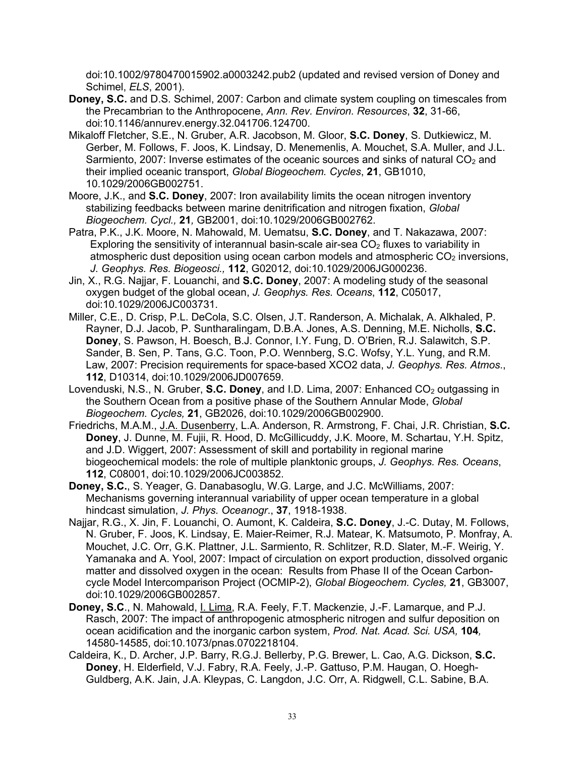doi:10.1002/9780470015902.a0003242.pub2 (updated and revised version of Doney and Schimel, *ELS*, 2001).

- **Doney, S.C.** and D.S. Schimel, 2007: Carbon and climate system coupling on timescales from the Precambrian to the Anthropocene, *Ann. Rev. Environ. Resources*, **32**, 31-66, doi:10.1146/annurev.energy.32.041706.124700.
- Mikaloff Fletcher, S.E., N. Gruber, A.R. Jacobson, M. Gloor, **S.C. Doney**, S. Dutkiewicz, M. Gerber, M. Follows, F. Joos, K. Lindsay, D. Menemenlis, A. Mouchet, S.A. Muller, and J.L. Sarmiento, 2007: Inverse estimates of the oceanic sources and sinks of natural  $CO<sub>2</sub>$  and their implied oceanic transport, *Global Biogeochem. Cycles*, **21**, GB1010, 10.1029/2006GB002751.
- Moore, J.K., and **S.C. Doney**, 2007: Iron availability limits the ocean nitrogen inventory stabilizing feedbacks between marine denitrification and nitrogen fixation, *Global Biogeochem. Cycl.,* **21***,* GB2001, doi:10.1029/2006GB002762.
- Patra, P.K., J.K. Moore, N. Mahowald, M. Uematsu, **S.C. Doney**, and T. Nakazawa, 2007: Exploring the sensitivity of interannual basin-scale air-sea  $CO<sub>2</sub>$  fluxes to variability in atmospheric dust deposition using ocean carbon models and atmospheric  $CO<sub>2</sub>$  inversions, *J. Geophys. Res. Biogeosci.,* **112**, G02012, doi:10.1029/2006JG000236.
- Jin, X., R.G. Najjar, F. Louanchi, and **S.C. Doney**, 2007: A modeling study of the seasonal oxygen budget of the global ocean, *J. Geophys. Res. Oceans*, **112**, C05017, doi:10.1029/2006JC003731.
- Miller, C.E., D. Crisp, P.L. DeCola, S.C. Olsen, J.T. Randerson, A. Michalak, A. Alkhaled, P. Rayner, D.J. Jacob, P. Suntharalingam, D.B.A. Jones, A.S. Denning, M.E. Nicholls, **S.C. Doney**, S. Pawson, H. Boesch, B.J. Connor, I.Y. Fung, D. O'Brien, R.J. Salawitch, S.P. Sander, B. Sen, P. Tans, G.C. Toon, P.O. Wennberg, S.C. Wofsy, Y.L. Yung, and R.M. Law, 2007: Precision requirements for space-based XCO2 data, *J. Geophys. Res. Atmos*., **112**, D10314, doi:10.1029/2006JD007659.
- Lovenduski, N.S., N. Gruber, S.C. Doney, and I.D. Lima, 2007: Enhanced CO<sub>2</sub> outgassing in the Southern Ocean from a positive phase of the Southern Annular Mode, *Global Biogeochem. Cycles,* **21**, GB2026, doi:10.1029/2006GB002900.
- Friedrichs, M.A.M., J.A. Dusenberry, L.A. Anderson, R. Armstrong, F. Chai, J.R. Christian, **S.C. Doney**, J. Dunne, M. Fujii, R. Hood, D. McGillicuddy, J.K. Moore, M. Schartau, Y.H. Spitz, and J.D. Wiggert, 2007: Assessment of skill and portability in regional marine biogeochemical models: the role of multiple planktonic groups, *J. Geophys. Res. Oceans*, **112**, C08001, doi:10.1029/2006JC003852.
- **Doney, S.C.**, S. Yeager, G. Danabasoglu, W.G. Large, and J.C. McWilliams, 2007: Mechanisms governing interannual variability of upper ocean temperature in a global hindcast simulation, *J. Phys. Oceanogr*., **37**, 1918-1938.
- Najjar, R.G., X. Jin, F. Louanchi, O. Aumont, K. Caldeira, **S.C. Doney**, J.-C. Dutay, M. Follows, N. Gruber, F. Joos, K. Lindsay, E. Maier-Reimer, R.J. Matear, K. Matsumoto, P. Monfray, A. Mouchet, J.C. Orr, G.K. Plattner, J.L. Sarmiento, R. Schlitzer, R.D. Slater, M.-F. Weirig, Y. Yamanaka and A. Yool, 2007: Impact of circulation on export production, dissolved organic matter and dissolved oxygen in the ocean: Results from Phase II of the Ocean Carboncycle Model Intercomparison Project (OCMIP-2), *Global Biogeochem. Cycles,* **21**, GB3007, doi:10.1029/2006GB002857.
- **Doney, S.C**., N. Mahowald, I. Lima, R.A. Feely, F.T. Mackenzie, J.-F. Lamarque, and P.J. Rasch, 2007: The impact of anthropogenic atmospheric nitrogen and sulfur deposition on ocean acidification and the inorganic carbon system, *Prod. Nat. Acad. Sci. USA,* **104***,*  14580-14585, doi:10.1073/pnas.0702218104.
- Caldeira, K., D. Archer, J.P. Barry, R.G.J. Bellerby, P.G. Brewer, L. Cao, A.G. Dickson, **S.C. Doney**, H. Elderfield, V.J. Fabry, R.A. Feely, J.-P. Gattuso, P.M. Haugan, O. Hoegh-Guldberg, A.K. Jain, J.A. Kleypas, C. Langdon, J.C. Orr, A. Ridgwell, C.L. Sabine, B.A.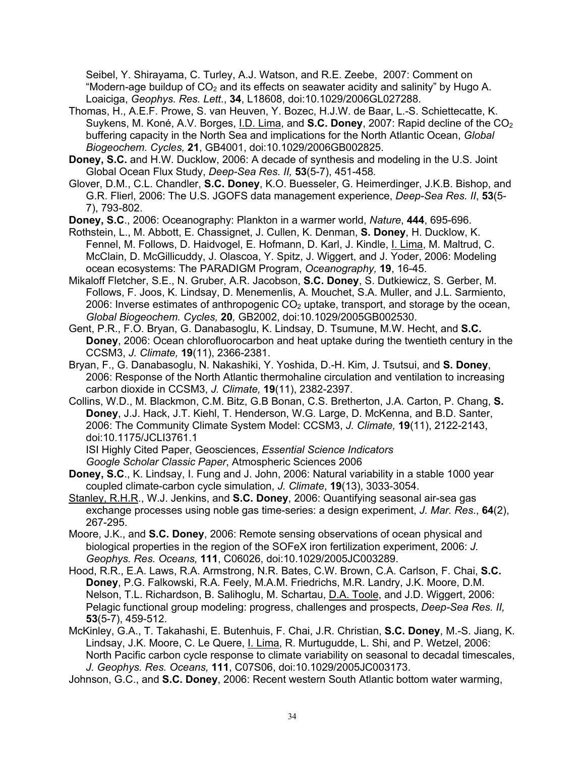Seibel, Y. Shirayama, C. Turley, A.J. Watson, and R.E. Zeebe, 2007: Comment on "Modern-age buildup of  $CO<sub>2</sub>$  and its effects on seawater acidity and salinity" by Hugo A. Loaiciga, *Geophys. Res. Lett*., **34**, L18608, doi:10.1029/2006GL027288.

- Thomas, H., A.E.F. Prowe, S. van Heuven, Y. Bozec, H.J.W. de Baar, L.-S. Schiettecatte, K. Suykens, M. Koné, A.V. Borges, I.D. Lima, and **S.C. Doney**, 2007: Rapid decline of the CO<sub>2</sub> buffering capacity in the North Sea and implications for the North Atlantic Ocean, *Global Biogeochem. Cycles,* **21**, GB4001, doi:10.1029/2006GB002825.
- **Doney, S.C.** and H.W. Ducklow, 2006: A decade of synthesis and modeling in the U.S. Joint Global Ocean Flux Study, *Deep-Sea Res. II,* **53**(5-7), 451-458*.*
- Glover, D.M., C.L. Chandler, **S.C. Doney**, K.O. Buesseler, G. Heimerdinger, J.K.B. Bishop, and G.R. Flierl, 2006: The U.S. JGOFS data management experience, *Deep-Sea Res. II*, **53**(5- 7), 793-802.
- **Doney, S.C**., 2006: Oceanography: Plankton in a warmer world, *Nature*, **444**, 695-696.
- Rothstein, L., M. Abbott, E. Chassignet, J. Cullen, K. Denman, **S. Doney**, H. Ducklow, K. Fennel, M. Follows, D. Haidvogel, E. Hofmann, D. Karl, J. Kindle, I. Lima, M. Maltrud, C. McClain, D. McGillicuddy, J. Olascoa, Y. Spitz, J. Wiggert, and J. Yoder, 2006: Modeling ocean ecosystems: The PARADIGM Program, *Oceanography,* **19**, 16-45.
- Mikaloff Fletcher, S.E., N. Gruber, A.R. Jacobson, **S.C. Doney**, S. Dutkiewicz, S. Gerber, M. Follows, F. Joos, K. Lindsay, D. Menemenlis, A. Mouchet, S.A. Muller, and J.L. Sarmiento, 2006: Inverse estimates of anthropogenic  $CO<sub>2</sub>$  uptake, transport, and storage by the ocean, *Global Biogeochem. Cycles,* **20***,* GB2002, doi:10.1029/2005GB002530.
- Gent, P.R., F.O. Bryan, G. Danabasoglu, K. Lindsay, D. Tsumune, M.W. Hecht, and **S.C. Doney**, 2006: Ocean chlorofluorocarbon and heat uptake during the twentieth century in the CCSM3, *J. Climate,* **19**(11), 2366-2381.
- Bryan, F., G. Danabasoglu, N. Nakashiki, Y. Yoshida, D.-H. Kim, J. Tsutsui, and **S. Doney**, 2006: Response of the North Atlantic thermohaline circulation and ventilation to increasing carbon dioxide in CCSM3, *J. Climate,* **19**(11), 2382-2397.
- Collins, W.D., M. Blackmon, C.M. Bitz, G.B Bonan, C.S. Bretherton, J.A. Carton, P. Chang, **S. Doney**, J.J. Hack, J.T. Kiehl, T. Henderson, W.G. Large, D. McKenna, and B.D. Santer, 2006: The Community Climate System Model: CCSM3, *J. Climate,* **19**(11), 2122-2143, doi:10.1175/JCLI3761.1

ISI Highly Cited Paper, Geosciences, *Essential Science Indicators Google Scholar Classic Paper*, Atmospheric Sciences 2006

- **Doney, S.C**., K. Lindsay, I. Fung and J. John, 2006: Natural variability in a stable 1000 year coupled climate-carbon cycle simulation, *J. Climate*, **19**(13), 3033-3054.
- Stanley, R.H.R., W.J. Jenkins, and **S.C. Doney**, 2006: Quantifying seasonal air-sea gas exchange processes using noble gas time-series: a design experiment, *J. Mar. Res*., **64**(2), 267-295.
- Moore, J.K., and **S.C. Doney**, 2006: Remote sensing observations of ocean physical and biological properties in the region of the SOFeX iron fertilization experiment, 2006: *J. Geophys. Res. Oceans,* **111**, C06026, doi:10.1029/2005JC003289.
- Hood, R.R., E.A. Laws, R.A. Armstrong, N.R. Bates, C.W. Brown, C.A. Carlson, F. Chai, **S.C. Doney**, P.G. Falkowski, R.A. Feely, M.A.M. Friedrichs, M.R. Landry, J.K. Moore, D.M. Nelson, T.L. Richardson, B. Salihoglu, M. Schartau, D.A. Toole, and J.D. Wiggert, 2006: Pelagic functional group modeling: progress, challenges and prospects, *Deep-Sea Res. II,*  **53**(5-7), 459-512.
- McKinley, G.A., T. Takahashi, E. Butenhuis, F. Chai, J.R. Christian, **S.C. Doney**, M.-S. Jiang, K. Lindsay, J.K. Moore, C. Le Quere, I. Lima, R. Murtugudde, L. Shi, and P. Wetzel, 2006: North Pacific carbon cycle response to climate variability on seasonal to decadal timescales, *J. Geophys. Res. Oceans,* **111**, C07S06, doi:10.1029/2005JC003173.
- Johnson, G.C., and **S.C. Doney**, 2006: Recent western South Atlantic bottom water warming,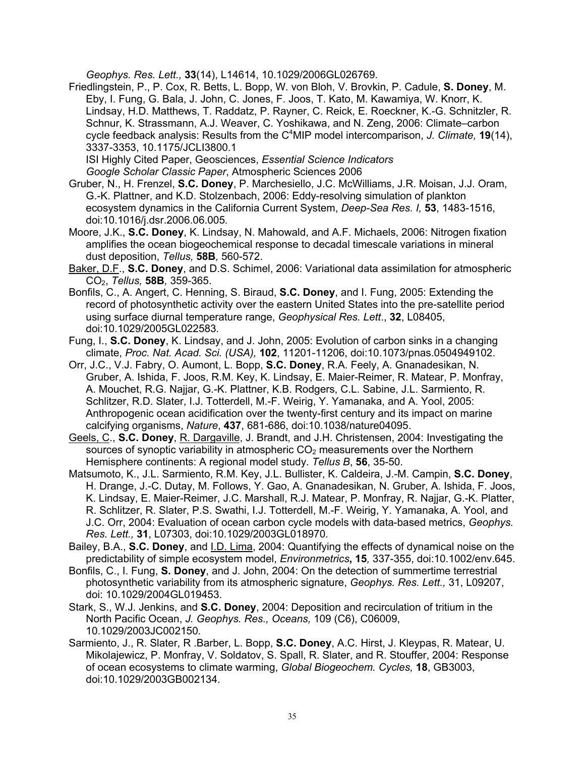*Geophys. Res. Lett.,* **33**(14), L14614, 10.1029/2006GL026769*.*

Friedlingstein, P., P. Cox, R. Betts, L. Bopp, W. von Bloh, V. Brovkin, P. Cadule, **S. Doney**, M. Eby, I. Fung, G. Bala, J. John, C. Jones, F. Joos, T. Kato, M. Kawamiya, W. Knorr, K. Lindsay, H.D. Matthews, T. Raddatz, P. Rayner, C. Reick, E. Roeckner, K.-G. Schnitzler, R. Schnur, K. Strassmann, A.J. Weaver, C. Yoshikawa, and N. Zeng, 2006: Climate–carbon cycle feedback analysis: Results from the C4 MIP model intercomparison, *J. Climate,* **19**(14), 3337-3353, 10.1175/JCLI3800.1

ISI Highly Cited Paper, Geosciences, *Essential Science Indicators Google Scholar Classic Paper*, Atmospheric Sciences 2006

- Gruber, N., H. Frenzel, **S.C. Doney**, P. Marchesiello, J.C. McWilliams, J.R. Moisan, J.J. Oram, G.-K. Plattner, and K.D. Stolzenbach, 2006: Eddy-resolving simulation of plankton ecosystem dynamics in the California Current System, *Deep-Sea Res. I,* **53**, 1483-1516, doi:10.1016/j.dsr.2006.06.005*.*
- Moore, J.K., **S.C. Doney**, K. Lindsay, N. Mahowald, and A.F. Michaels, 2006: Nitrogen fixation amplifies the ocean biogeochemical response to decadal timescale variations in mineral dust deposition, *Tellus,* **58B***,* 560-572.
- Baker, D.F., **S.C. Doney**, and D.S. Schimel, 2006: Variational data assimilation for atmospheric CO2, *Tellus,* **58B***,* 359-365.
- Bonfils, C., A. Angert, C. Henning, S. Biraud, **S.C. Doney**, and I. Fung, 2005: Extending the record of photosynthetic activity over the eastern United States into the pre-satellite period using surface diurnal temperature range, *Geophysical Res. Lett*., **32**, L08405, doi:10.1029/2005GL022583*.*
- Fung, I., **S.C. Doney**, K. Lindsay, and J. John, 2005: Evolution of carbon sinks in a changing climate, *Proc. Nat. Acad. Sci. (USA),* **102**, 11201-11206, doi:10.1073/pnas.0504949102.
- Orr, J.C., V.J. Fabry, O. Aumont, L. Bopp, **S.C. Doney**, R.A. Feely, A. Gnanadesikan, N. Gruber, A. Ishida, F. Joos, R.M. Key, K. Lindsay, E. Maier-Reimer, R. Matear, P. Monfray, A. Mouchet, R.G. Najjar, G.-K. Plattner, K.B. Rodgers, C.L. Sabine, J.L. Sarmiento, R. Schlitzer, R.D. Slater, I.J. Totterdell, M.-F. Weirig, Y. Yamanaka, and A. Yool, 2005: Anthropogenic ocean acidification over the twenty-first century and its impact on marine calcifying organisms, *Nature*, **437**, 681-686, doi:10.1038/nature04095.
- Geels, C., **S.C. Doney**, R. Dargaville, J. Brandt, and J.H. Christensen, 2004: Investigating the sources of synoptic variability in atmospheric  $CO<sub>2</sub>$  measurements over the Northern Hemisphere continents: A regional model study. *Tellus B*, **56**, 35-50.
- Matsumoto, K., J.L. Sarmiento, R.M. Key, J.L. Bullister, K. Caldeira, J.-M. Campin, **S.C. Doney**, H. Drange, J.-C. Dutay, M. Follows, Y. Gao, A. Gnanadesikan, N. Gruber, A. Ishida, F. Joos, K. Lindsay, E. Maier-Reimer, J.C. Marshall, R.J. Matear, P. Monfray, R. Najjar, G.-K. Platter, R. Schlitzer, R. Slater, P.S. Swathi, I.J. Totterdell, M.-F. Weirig, Y. Yamanaka, A. Yool, and J.C. Orr, 2004: Evaluation of ocean carbon cycle models with data-based metrics, *Geophys. Res. Lett.,* **31**, L07303, doi:10.1029/2003GL018970*.*
- Bailey, B.A., **S.C. Doney**, and I.D. Lima, 2004: Quantifying the effects of dynamical noise on the predictability of simple ecosystem model, *Environmetrics***, 15***,* 337-355, doi:10.1002/env.645.
- Bonfils, C., I. Fung, **S. Doney**, and J. John, 2004: On the detection of summertime terrestrial photosynthetic variability from its atmospheric signature, *Geophys. Res. Lett.,* 31, L09207, doi: 10.1029/2004GL019453.
- Stark, S., W.J. Jenkins, and **S.C. Doney**, 2004: Deposition and recirculation of tritium in the North Pacific Ocean, *J. Geophys. Res., Oceans,* 109 (C6), C06009, 10.1029/2003JC002150*.*
- Sarmiento, J., R. Slater, R .Barber, L. Bopp, **S.C. Doney**, A.C. Hirst, J. Kleypas, R. Matear, U. Mikolajewicz, P. Monfray, V. Soldatov, S. Spall, R. Slater, and R. Stouffer, 2004: Response of ocean ecosystems to climate warming, *Global Biogeochem. Cycles,* **18**, GB3003, doi:10.1029/2003GB002134.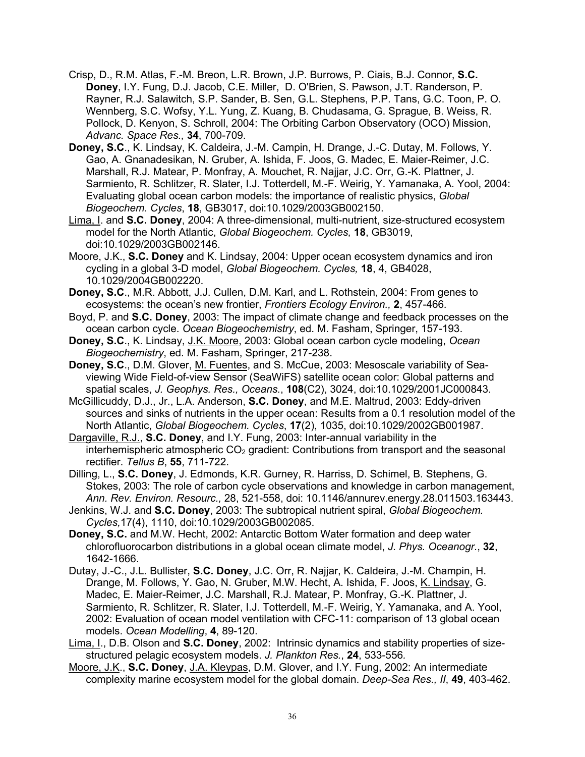- Crisp, D., R.M. Atlas, F.-M. Breon, L.R. Brown, J.P. Burrows, P. Ciais, B.J. Connor, **S.C. Doney**, I.Y. Fung, D.J. Jacob, C.E. Miller, D. O'Brien, S. Pawson, J.T. Randerson, P. Rayner, R.J. Salawitch, S.P. Sander, B. Sen, G.L. Stephens, P.P. Tans, G.C. Toon, P. O. Wennberg, S.C. Wofsy, Y.L. Yung, Z. Kuang, B. Chudasama, G. Sprague, B. Weiss, R. Pollock, D. Kenyon, S. Schroll, 2004: The Orbiting Carbon Observatory (OCO) Mission, *Advanc. Space Res.,* **34**, 700-709.
- **Doney, S.C**., K. Lindsay, K. Caldeira, J.-M. Campin, H. Drange, J.-C. Dutay, M. Follows, Y. Gao, A. Gnanadesikan, N. Gruber, A. Ishida, F. Joos, G. Madec, E. Maier-Reimer, J.C. Marshall, R.J. Matear, P. Monfray, A. Mouchet, R. Najjar, J.C. Orr, G.-K. Plattner, J. Sarmiento, R. Schlitzer, R. Slater, I.J. Totterdell, M.-F. Weirig, Y. Yamanaka, A. Yool, 2004: Evaluating global ocean carbon models: the importance of realistic physics, *Global Biogeochem. Cycles*, **18**, GB3017, doi:10.1029/2003GB002150.
- Lima, I. and **S.C. Doney**, 2004: A three-dimensional, multi-nutrient, size-structured ecosystem model for the North Atlantic, *Global Biogeochem. Cycles,* **18**, GB3019, doi:10.1029/2003GB002146.
- Moore, J.K., **S.C. Doney** and K. Lindsay, 2004: Upper ocean ecosystem dynamics and iron cycling in a global 3-D model, *Global Biogeochem. Cycles,* **18**, 4, GB4028, 10.1029/2004GB002220.
- **Doney, S.C**., M.R. Abbott, J.J. Cullen, D.M. Karl, and L. Rothstein, 2004: From genes to ecosystems: the ocean's new frontier, *Frontiers Ecology Environ.,* **2**, 457-466*.*
- Boyd, P. and **S.C. Doney**, 2003: The impact of climate change and feedback processes on the ocean carbon cycle. *Ocean Biogeochemistry*, ed. M. Fasham, Springer, 157-193.
- **Doney, S.C**., K. Lindsay, J.K. Moore, 2003: Global ocean carbon cycle modeling, *Ocean Biogeochemistry*, ed. M. Fasham, Springer, 217-238.
- **Doney, S.C**., D.M. Glover, M. Fuentes, and S. McCue, 2003: Mesoscale variability of Seaviewing Wide Field-of-view Sensor (SeaWiFS) satellite ocean color: Global patterns and spatial scales, *J. Geophys. Res., Oceans.*, **108**(C2), 3024, doi:10.1029/2001JC000843.
- McGillicuddy, D.J., Jr., L.A. Anderson, **S.C. Doney**, and M.E. Maltrud, 2003: Eddy-driven sources and sinks of nutrients in the upper ocean: Results from a 0.1 resolution model of the North Atlantic, *Global Biogeochem. Cycles*, **17**(2), 1035, doi:10.1029/2002GB001987.

Dargaville, R.J., **S.C. Doney**, and I.Y. Fung, 2003: Inter-annual variability in the interhemispheric atmospheric  $CO<sub>2</sub>$  gradient: Contributions from transport and the seasonal rectifier. *Tellus B*, **55**, 711-722.

Dilling, L., **S.C. Doney**, J. Edmonds, K.R. Gurney, R. Harriss, D. Schimel, B. Stephens, G. Stokes, 2003: The role of carbon cycle observations and knowledge in carbon management, *Ann. Rev. Environ. Resourc.,* 28, 521-558, doi: 10.1146/annurev.energy.28.011503.163443.

- Jenkins, W.J. and **S.C. Doney**, 2003: The subtropical nutrient spiral, *Global Biogeochem. Cycles,*17(4), 1110, doi:10.1029/2003GB002085.
- **Doney, S.C.** and M.W. Hecht, 2002: Antarctic Bottom Water formation and deep water chlorofluorocarbon distributions in a global ocean climate model, *J. Phys. Oceanogr.*, **32**, 1642-1666.
- Dutay, J.-C., J.L. Bullister, **S.C. Doney**, J.C. Orr, R. Najjar, K. Caldeira, J.-M. Champin, H. Drange, M. Follows, Y. Gao, N. Gruber, M.W. Hecht, A. Ishida, F. Joos, K. Lindsay, G. Madec, E. Maier-Reimer, J.C. Marshall, R.J. Matear, P. Monfray, G.-K. Plattner, J. Sarmiento, R. Schlitzer, R. Slater, I.J. Totterdell, M.-F. Weirig, Y. Yamanaka, and A. Yool, 2002: Evaluation of ocean model ventilation with CFC-11: comparison of 13 global ocean models. *Ocean Modelling*, **4**, 89-120.
- Lima, I., D.B. Olson and **S.C. Doney**, 2002: Intrinsic dynamics and stability properties of sizestructured pelagic ecosystem models. *J. Plankton Res.*, **24**, 533-556*.*
- Moore, J.K., **S.C. Doney**, J.A. Kleypas, D.M. Glover, and I.Y. Fung, 2002: An intermediate complexity marine ecosystem model for the global domain. *Deep-Sea Res., II*, **49**, 403-462.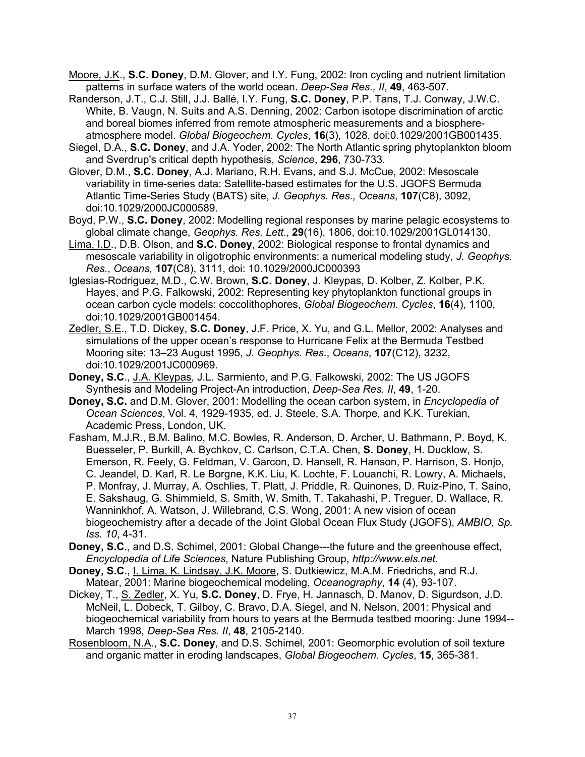- Moore, J.K., **S.C. Doney**, D.M. Glover, and I.Y. Fung, 2002: Iron cycling and nutrient limitation patterns in surface waters of the world ocean. *Deep-Sea Res., II*, **49**, 463-507.
- Randerson, J.T., C.J. Still, J.J. Ballé, I.Y. Fung, **S.C. Doney**, P.P. Tans, T.J. Conway, J.W.C. White, B. Vaugn, N. Suits and A.S. Denning, 2002: Carbon isotope discrimination of arctic and boreal biomes inferred from remote atmospheric measurements and a biosphereatmosphere model. *Global Biogeochem. Cycles*, **16**(3), 1028, doi:0.1029/2001GB001435.
- Siegel, D.A., **S.C. Doney**, and J.A. Yoder, 2002: The North Atlantic spring phytoplankton bloom and Sverdrup's critical depth hypothesis, *Science*, **296**, 730-733.
- Glover, D.M., **S.C. Doney**, A.J. Mariano, R.H. Evans, and S.J. McCue, 2002: Mesoscale variability in time-series data: Satellite-based estimates for the U.S. JGOFS Bermuda Atlantic Time-Series Study (BATS) site, *J. Geophys. Res., Oceans*, **107**(C8), 3092, doi:10.1029/2000JC000589.
- Boyd, P.W., **S.C. Doney**, 2002: Modelling regional responses by marine pelagic ecosystems to global climate change, *Geophys. Res. Lett*., **29**(16), 1806, doi:10.1029/2001GL014130.
- Lima, I.D., D.B. Olson, and **S.C. Doney**, 2002: Biological response to frontal dynamics and mesoscale variability in oligotrophic environments: a numerical modeling study, *J. Geophys. Res.*, *Oceans,* **107**(C8), 3111, doi: 10.1029/2000JC000393
- Iglesias-Rodriguez, M.D., C.W. Brown, **S.C. Doney**, J. Kleypas, D. Kolber, Z. Kolber, P.K. Hayes, and P.G. Falkowski, 2002: Representing key phytoplankton functional groups in ocean carbon cycle models: coccolithophores, *Global Biogeochem. Cycles*, **16**(4), 1100, doi:10.1029/2001GB001454.
- Zedler, S.E., T.D. Dickey, **S.C. Doney**, J.F. Price, X. Yu, and G.L. Mellor, 2002: Analyses and simulations of the upper ocean's response to Hurricane Felix at the Bermuda Testbed Mooring site: 13–23 August 1995, *J. Geophys. Res*., *Oceans*, **107**(C12), 3232, doi:10.1029/2001JC000969.
- **Doney, S.C**., J.A. Kleypas, J.L. Sarmiento, and P.G. Falkowski, 2002: The US JGOFS Synthesis and Modeling Project-An introduction, *Deep-Sea Res. II*, **49**, 1-20.
- **Doney, S.C.** and D.M. Glover, 2001: Modelling the ocean carbon system, in *Encyclopedia of Ocean Sciences*, Vol. 4, 1929-1935, ed. J. Steele, S.A. Thorpe, and K.K. Turekian, Academic Press, London, UK.
- Fasham, M.J.R., B.M. Balino, M.C. Bowles, R. Anderson, D. Archer, U. Bathmann, P. Boyd, K. Buesseler, P. Burkill, A. Bychkov, C. Carlson, C.T.A. Chen, **S. Doney**, H. Ducklow, S. Emerson, R. Feely, G. Feldman, V. Garcon, D. Hansell, R. Hanson, P. Harrison, S. Honjo, C. Jeandel, D. Karl, R. Le Borgne, K.K. Liu, K. Lochte, F. Louanchi, R. Lowry, A. Michaels, P. Monfray, J. Murray, A. Oschlies, T. Platt, J. Priddle, R. Quinones, D. Ruiz-Pino, T. Saino, E. Sakshaug, G. Shimmield, S. Smith, W. Smith, T. Takahashi, P. Treguer, D. Wallace, R. Wanninkhof, A. Watson, J. Willebrand, C.S. Wong, 2001: A new vision of ocean biogeochemistry after a decade of the Joint Global Ocean Flux Study (JGOFS), *AMBIO*, *Sp. Iss. 10*, 4-31.
- **Doney, S.C**., and D.S. Schimel, 2001: Global Change---the future and the greenhouse effect, *Encyclopedia of Life Sciences*, Nature Publishing Group, *http://www.els.net*.
- **Doney, S.C**., I. Lima, K. Lindsay, J.K. Moore, S. Dutkiewicz, M.A.M. Friedrichs, and R.J. Matear, 2001: Marine biogeochemical modeling, *Oceanography*, **14** (4), 93-107.
- Dickey, T., S. Zedler, X. Yu, **S.C. Doney**, D. Frye, H. Jannasch, D. Manov, D. Sigurdson, J.D. McNeil, L. Dobeck, T. Gilboy, C. Bravo, D.A. Siegel, and N. Nelson, 2001: Physical and biogeochemical variability from hours to years at the Bermuda testbed mooring: June 1994-- March 1998, *Deep-Sea Res. II*, **48**, 2105-2140.
- Rosenbloom, N.A., **S.C. Doney**, and D.S. Schimel, 2001: Geomorphic evolution of soil texture and organic matter in eroding landscapes, *Global Biogeochem. Cycles*, **15**, 365-381.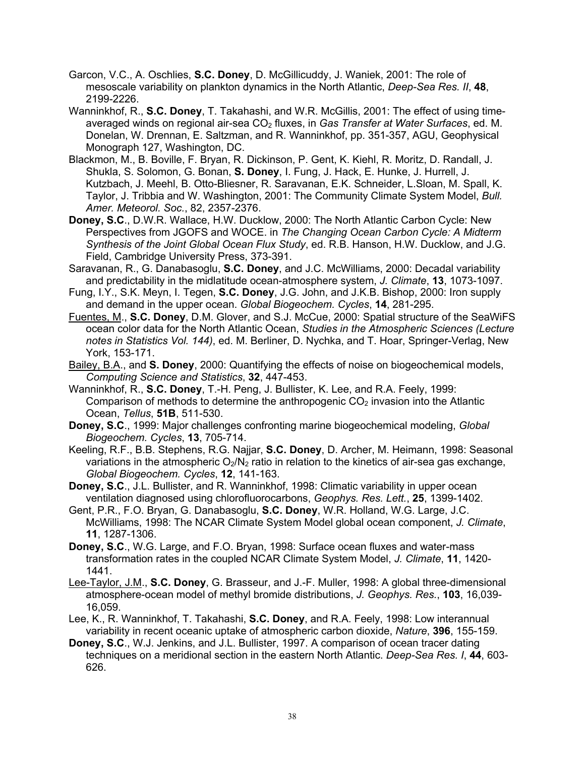- Garcon, V.C., A. Oschlies, **S.C. Doney**, D. McGillicuddy, J. Waniek, 2001: The role of mesoscale variability on plankton dynamics in the North Atlantic, *Deep-Sea Res. II*, **48**, 2199-2226.
- Wanninkhof, R., **S.C. Doney**, T. Takahashi, and W.R. McGillis, 2001: The effect of using timeaveraged winds on regional air-sea CO<sub>2</sub> fluxes, in *Gas Transfer at Water Surfaces*, ed. M. Donelan, W. Drennan, E. Saltzman, and R. Wanninkhof, pp. 351-357, AGU, Geophysical Monograph 127, Washington, DC.
- Blackmon, M., B. Boville, F. Bryan, R. Dickinson, P. Gent, K. Kiehl, R. Moritz, D. Randall, J. Shukla, S. Solomon, G. Bonan, **S. Doney**, I. Fung, J. Hack, E. Hunke, J. Hurrell, J. Kutzbach, J. Meehl, B. Otto-Bliesner, R. Saravanan, E.K. Schneider, L.Sloan, M. Spall, K. Taylor, J. Tribbia and W. Washington, 2001: The Community Climate System Model, *Bull. Amer. Meteorol. Soc.*, 82, 2357-2376.
- **Doney, S.C**., D.W.R. Wallace, H.W. Ducklow, 2000: The North Atlantic Carbon Cycle: New Perspectives from JGOFS and WOCE. in *The Changing Ocean Carbon Cycle: A Midterm Synthesis of the Joint Global Ocean Flux Study*, ed. R.B. Hanson, H.W. Ducklow, and J.G. Field, Cambridge University Press, 373-391.
- Saravanan, R., G. Danabasoglu, **S.C. Doney**, and J.C. McWilliams, 2000: Decadal variability and predictability in the midlatitude ocean-atmosphere system, *J. Climate*, **13**, 1073-1097.
- Fung, I.Y., S.K. Meyn, I. Tegen, **S.C. Doney**, J.G. John, and J.K.B. Bishop, 2000: Iron supply and demand in the upper ocean. *Global Biogeochem. Cycles*, **14**, 281-295.
- Fuentes, M., **S.C. Doney**, D.M. Glover, and S.J. McCue, 2000: Spatial structure of the SeaWiFS ocean color data for the North Atlantic Ocean, *Studies in the Atmospheric Sciences (Lecture notes in Statistics Vol. 144)*, ed. M. Berliner, D. Nychka, and T. Hoar, Springer-Verlag, New York, 153-171.
- Bailey, B.A., and **S. Doney**, 2000: Quantifying the effects of noise on biogeochemical models, *Computing Science and Statistics*, **32**, 447-453.
- Wanninkhof, R., **S.C. Doney**, T.-H. Peng, J. Bullister, K. Lee, and R.A. Feely, 1999: Comparison of methods to determine the anthropogenic  $CO<sub>2</sub>$  invasion into the Atlantic Ocean, *Tellus*, **51B**, 511-530.
- **Doney, S.C**., 1999: Major challenges confronting marine biogeochemical modeling, *Global Biogeochem. Cycles*, **13**, 705-714.
- Keeling, R.F., B.B. Stephens, R.G. Najjar, **S.C. Doney**, D. Archer, M. Heimann, 1998: Seasonal variations in the atmospheric  $O_2/N_2$  ratio in relation to the kinetics of air-sea gas exchange, *Global Biogeochem. Cycles*, **12**, 141-163.
- **Doney, S.C., J.L. Bullister, and R. Wanninkhof, 1998: Climatic variability in upper ocean** ventilation diagnosed using chlorofluorocarbons, *Geophys. Res. Lett.*, **25**, 1399-1402.
- Gent, P.R., F.O. Bryan, G. Danabasoglu, **S.C. Doney**, W.R. Holland, W.G. Large, J.C. McWilliams, 1998: The NCAR Climate System Model global ocean component, *J. Climate*, **11**, 1287-1306.
- **Doney, S.C**., W.G. Large, and F.O. Bryan, 1998: Surface ocean fluxes and water-mass transformation rates in the coupled NCAR Climate System Model, *J. Climate*, **11**, 1420- 1441.
- Lee-Taylor, J.M., **S.C. Doney**, G. Brasseur, and J.-F. Muller, 1998: A global three-dimensional atmosphere-ocean model of methyl bromide distributions, *J. Geophys. Res.*, **103**, 16,039- 16,059.
- Lee, K., R. Wanninkhof, T. Takahashi, **S.C. Doney**, and R.A. Feely, 1998: Low interannual variability in recent oceanic uptake of atmospheric carbon dioxide, *Nature*, **396**, 155-159.
- **Doney, S.C**., W.J. Jenkins, and J.L. Bullister, 1997. A comparison of ocean tracer dating techniques on a meridional section in the eastern North Atlantic. *Deep-Sea Res. I*, **44**, 603- 626.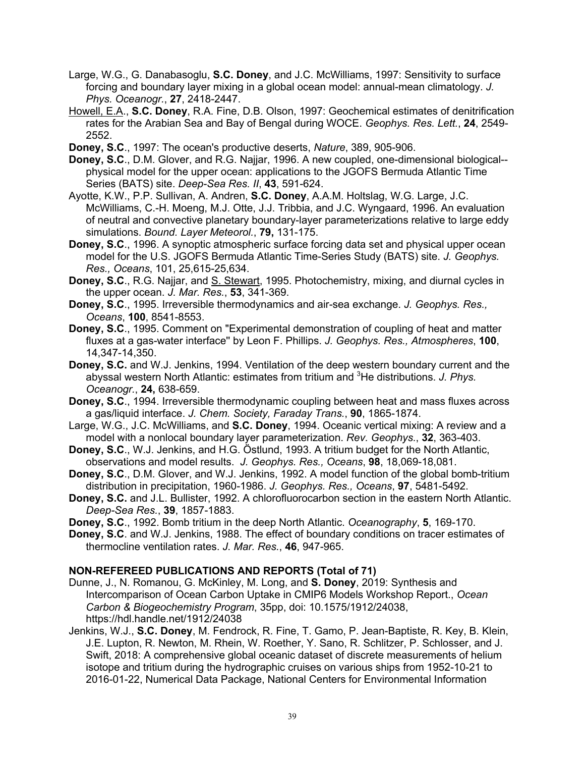- Large, W.G., G. Danabasoglu, **S.C. Doney**, and J.C. McWilliams, 1997: Sensitivity to surface forcing and boundary layer mixing in a global ocean model: annual-mean climatology. *J. Phys. Oceanogr.*, **27**, 2418-2447.
- Howell, E.A., **S.C. Doney**, R.A. Fine, D.B. Olson, 1997: Geochemical estimates of denitrification rates for the Arabian Sea and Bay of Bengal during WOCE. *Geophys. Res. Lett.*, **24**, 2549- 2552.
- **Doney, S.C**., 1997: The ocean's productive deserts, *Nature*, 389, 905-906.
- **Doney, S.C**., D.M. Glover, and R.G. Najjar, 1996. A new coupled, one-dimensional biological- physical model for the upper ocean: applications to the JGOFS Bermuda Atlantic Time Series (BATS) site. *Deep-Sea Res. II*, **43**, 591-624.
- Ayotte, K.W., P.P. Sullivan, A. Andren, **S.C. Doney**, A.A.M. Holtslag, W.G. Large, J.C. McWilliams, C.-H. Moeng, M.J. Otte, J.J. Tribbia, and J.C. Wyngaard, 1996. An evaluation of neutral and convective planetary boundary-layer parameterizations relative to large eddy simulations. *Bound. Layer Meteorol.*, **79,** 131-175.
- **Doney, S.C**., 1996. A synoptic atmospheric surface forcing data set and physical upper ocean model for the U.S. JGOFS Bermuda Atlantic Time-Series Study (BATS) site. *J. Geophys. Res., Oceans*, 101, 25,615-25,634.
- **Doney, S.C**., R.G. Najjar, and S. Stewart, 1995. Photochemistry, mixing, and diurnal cycles in the upper ocean. *J. Mar. Res.*, **53**, 341-369.
- **Doney, S.C**., 1995. Irreversible thermodynamics and air-sea exchange. *J. Geophys. Res., Oceans*, **100**, 8541-8553.
- **Doney, S.C**., 1995. Comment on "Experimental demonstration of coupling of heat and matter fluxes at a gas-water interface'' by Leon F. Phillips. *J. Geophys. Res., Atmospheres*, **100**, 14,347-14,350.
- **Doney, S.C.** and W.J. Jenkins, 1994. Ventilation of the deep western boundary current and the abyssal western North Atlantic: estimates from tritium and 3 He distributions. *J. Phys. Oceanogr.*, **24,** 638-659.
- **Doney, S.C**., 1994. Irreversible thermodynamic coupling between heat and mass fluxes across a gas/liquid interface. *J. Chem. Society, Faraday Trans.*, **90**, 1865-1874.
- Large, W.G., J.C. McWilliams, and **S.C. Doney**, 1994. Oceanic vertical mixing: A review and a model with a nonlocal boundary layer parameterization. *Rev. Geophys.*, **32**, 363-403.
- **Doney, S.C**., W.J. Jenkins, and H.G. Östlund, 1993. A tritium budget for the North Atlantic, observations and model results. *J. Geophys. Res., Oceans*, **98**, 18,069-18,081.
- **Doney, S.C**., D.M. Glover, and W.J. Jenkins, 1992. A model function of the global bomb-tritium distribution in precipitation, 1960-1986. *J. Geophys. Res., Oceans*, **97**, 5481-5492.
- **Doney, S.C.** and J.L. Bullister, 1992. A chlorofluorocarbon section in the eastern North Atlantic. *Deep-Sea Res.*, **39**, 1857-1883.
- **Doney, S.C**., 1992. Bomb tritium in the deep North Atlantic. *Oceanography*, **5**, 169-170.
- **Doney, S.C**. and W.J. Jenkins, 1988. The effect of boundary conditions on tracer estimates of thermocline ventilation rates. *J. Mar. Res.*, **46**, 947-965.

### **NON-REFEREED PUBLICATIONS AND REPORTS (Total of 71)**

- Dunne, J., N. Romanou, G. McKinley, M. Long, and **S. Doney**, 2019: Synthesis and Intercomparison of Ocean Carbon Uptake in CMIP6 Models Workshop Report., *Ocean Carbon & Biogeochemistry Program*, 35pp, doi: 10.1575/1912/24038, https://hdl.handle.net/1912/24038
- Jenkins, W.J., **S.C. Doney**, M. Fendrock, R. Fine, T. Gamo, P. Jean-Baptiste, R. Key, B. Klein, J.E. Lupton, R. Newton, M. Rhein, W. Roether, Y. Sano, R. Schlitzer, P. Schlosser, and J. Swift, 2018: A comprehensive global oceanic dataset of discrete measurements of helium isotope and tritium during the hydrographic cruises on various ships from 1952-10-21 to 2016-01-22, Numerical Data Package, National Centers for Environmental Information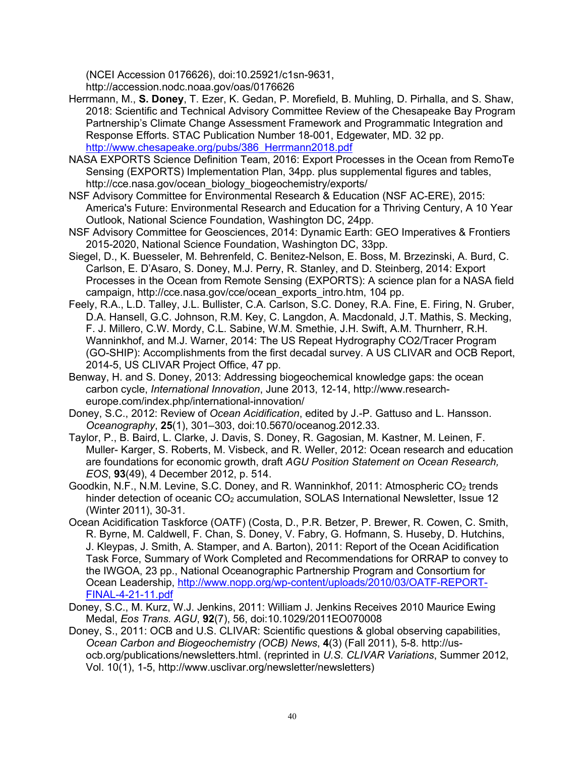(NCEI Accession 0176626), doi:10.25921/c1sn-9631,

http://accession.nodc.noaa.gov/oas/0176626

- Herrmann, M., **S. Doney**, T. Ezer, K. Gedan, P. Morefield, B. Muhling, D. Pirhalla, and S. Shaw, 2018: Scientific and Technical Advisory Committee Review of the Chesapeake Bay Program Partnership's Climate Change Assessment Framework and Programmatic Integration and Response Efforts. STAC Publication Number 18-001, Edgewater, MD. 32 pp. http://www.chesapeake.org/pubs/386\_Herrmann2018.pdf
- NASA EXPORTS Science Definition Team, 2016: Export Processes in the Ocean from RemoTe Sensing (EXPORTS) Implementation Plan, 34pp. plus supplemental figures and tables, http://cce.nasa.gov/ocean\_biology\_biogeochemistry/exports/
- NSF Advisory Committee for Environmental Research & Education (NSF AC-ERE), 2015: America's Future: Environmental Research and Education for a Thriving Century, A 10 Year Outlook, National Science Foundation, Washington DC, 24pp.
- NSF Advisory Committee for Geosciences, 2014: Dynamic Earth: GEO Imperatives & Frontiers 2015-2020, National Science Foundation, Washington DC, 33pp.
- Siegel, D., K. Buesseler, M. Behrenfeld, C. Benitez-Nelson, E. Boss, M. Brzezinski, A. Burd, C. Carlson, E. D'Asaro, S. Doney, M.J. Perry, R. Stanley, and D. Steinberg, 2014: Export Processes in the Ocean from Remote Sensing (EXPORTS): A science plan for a NASA field campaign, http://cce.nasa.gov/cce/ocean\_exports\_intro.htm, 104 pp.
- Feely, R.A., L.D. Talley, J.L. Bullister, C.A. Carlson, S.C. Doney, R.A. Fine, E. Firing, N. Gruber, D.A. Hansell, G.C. Johnson, R.M. Key, C. Langdon, A. Macdonald, J.T. Mathis, S. Mecking, F. J. Millero, C.W. Mordy, C.L. Sabine, W.M. Smethie, J.H. Swift, A.M. Thurnherr, R.H. Wanninkhof, and M.J. Warner, 2014: The US Repeat Hydrography CO2/Tracer Program (GO-SHIP): Accomplishments from the first decadal survey. A US CLIVAR and OCB Report, 2014-5, US CLIVAR Project Office, 47 pp.
- Benway, H. and S. Doney, 2013: Addressing biogeochemical knowledge gaps: the ocean carbon cycle, *International Innovation*, June 2013, 12-14, http://www.researcheurope.com/index.php/international-innovation/
- Doney, S.C., 2012: Review of *Ocean Acidification*, edited by J.-P. Gattuso and L. Hansson. *Oceanography*, **25**(1), 301–303, doi:10.5670/oceanog.2012.33.
- Taylor, P., B. Baird, L. Clarke, J. Davis, S. Doney, R. Gagosian, M. Kastner, M. Leinen, F. Muller- Karger, S. Roberts, M. Visbeck, and R. Weller, 2012: Ocean research and education are foundations for economic growth, draft *AGU Position Statement on Ocean Research, EOS*, **93**(49), 4 December 2012, p. 514.
- Goodkin, N.F., N.M. Levine, S.C. Doney, and R. Wanninkhof, 2011: Atmospheric  $CO<sub>2</sub>$  trends hinder detection of oceanic  $CO<sub>2</sub>$  accumulation, SOLAS International Newsletter, Issue 12 (Winter 2011), 30-31.
- Ocean Acidification Taskforce (OATF) (Costa, D., P.R. Betzer, P. Brewer, R. Cowen, C. Smith, R. Byrne, M. Caldwell, F. Chan, S. Doney, V. Fabry, G. Hofmann, S. Huseby, D. Hutchins, J. Kleypas, J. Smith, A. Stamper, and A. Barton), 2011: Report of the Ocean Acidification Task Force, Summary of Work Completed and Recommendations for ORRAP to convey to the IWGOA, 23 pp., National Oceanographic Partnership Program and Consortium for Ocean Leadership, http://www.nopp.org/wp-content/uploads/2010/03/OATF-REPORT-FINAL-4-21-11.pdf
- Doney, S.C., M. Kurz, W.J. Jenkins, 2011: William J. Jenkins Receives 2010 Maurice Ewing Medal, *Eos Trans. AGU*, **92**(7), 56, doi:10.1029/2011EO070008
- Doney, S., 2011: OCB and U.S. CLIVAR: Scientific questions & global observing capabilities, *Ocean Carbon and Biogeochemistry (OCB) News*, **4**(3) (Fall 2011), 5-8. http://usocb.org/publications/newsletters.html. (reprinted in *U.S. CLIVAR Variations*, Summer 2012, Vol. 10(1), 1-5, http://www.usclivar.org/newsletter/newsletters)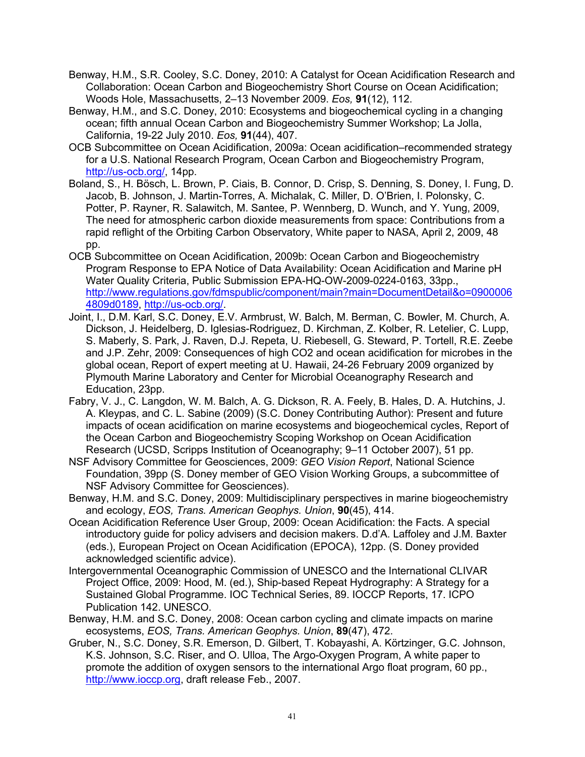- Benway, H.M., S.R. Cooley, S.C. Doney, 2010: A Catalyst for Ocean Acidification Research and Collaboration: Ocean Carbon and Biogeochemistry Short Course on Ocean Acidification; Woods Hole, Massachusetts, 2–13 November 2009. *Eos,* **91**(12), 112.
- Benway, H.M., and S.C. Doney, 2010: Ecosystems and biogeochemical cycling in a changing ocean; fifth annual Ocean Carbon and Biogeochemistry Summer Workshop; La Jolla, California, 19-22 July 2010. *Eos,* **91**(44), 407.
- OCB Subcommittee on Ocean Acidification, 2009a: Ocean acidification–recommended strategy for a U.S. National Research Program, Ocean Carbon and Biogeochemistry Program, http://us-ocb.org/, 14pp.
- Boland, S., H. Bösch, L. Brown, P. Ciais, B. Connor, D. Crisp, S. Denning, S. Doney, I. Fung, D. Jacob, B. Johnson, J. Martin-Torres, A. Michalak, C. Miller, D. O'Brien, I. Polonsky, C. Potter, P. Rayner, R. Salawitch, M. Santee, P. Wennberg, D. Wunch, and Y. Yung, 2009, The need for atmospheric carbon dioxide measurements from space: Contributions from a rapid reflight of the Orbiting Carbon Observatory, White paper to NASA, April 2, 2009, 48 pp.
- OCB Subcommittee on Ocean Acidification, 2009b: Ocean Carbon and Biogeochemistry Program Response to EPA Notice of Data Availability: Ocean Acidification and Marine pH Water Quality Criteria, Public Submission EPA-HQ-OW-2009-0224-0163, 33pp., http://www.regulations.gov/fdmspublic/component/main?main=DocumentDetail&o=0900006 4809d0189, http://us-ocb.org/.
- Joint, I., D.M. Karl, S.C. Doney, E.V. Armbrust, W. Balch, M. Berman, C. Bowler, M. Church, A. Dickson, J. Heidelberg, D. Iglesias-Rodriguez, D. Kirchman, Z. Kolber, R. Letelier, C. Lupp, S. Maberly, S. Park, J. Raven, D.J. Repeta, U. Riebesell, G. Steward, P. Tortell, R.E. Zeebe and J.P. Zehr, 2009: Consequences of high CO2 and ocean acidification for microbes in the global ocean, Report of expert meeting at U. Hawaii, 24-26 February 2009 organized by Plymouth Marine Laboratory and Center for Microbial Oceanography Research and Education, 23pp.
- Fabry, V. J., C. Langdon, W. M. Balch, A. G. Dickson, R. A. Feely, B. Hales, D. A. Hutchins, J. A. Kleypas, and C. L. Sabine (2009) (S.C. Doney Contributing Author): Present and future impacts of ocean acidification on marine ecosystems and biogeochemical cycles, Report of the Ocean Carbon and Biogeochemistry Scoping Workshop on Ocean Acidification Research (UCSD, Scripps Institution of Oceanography; 9–11 October 2007), 51 pp.
- NSF Advisory Committee for Geosciences, 2009: *GEO Vision Report*, National Science Foundation, 39pp (S. Doney member of GEO Vision Working Groups, a subcommittee of NSF Advisory Committee for Geosciences).
- Benway, H.M. and S.C. Doney, 2009: Multidisciplinary perspectives in marine biogeochemistry and ecology, *EOS, Trans. American Geophys. Union*, **90**(45), 414.
- Ocean Acidification Reference User Group, 2009: Ocean Acidification: the Facts. A special introductory guide for policy advisers and decision makers. D.d'A. Laffoley and J.M. Baxter (eds.), European Project on Ocean Acidification (EPOCA), 12pp. (S. Doney provided acknowledged scientific advice).
- Intergovernmental Oceanographic Commission of UNESCO and the International CLIVAR Project Office, 2009: Hood, M. (ed.), Ship-based Repeat Hydrography: A Strategy for a Sustained Global Programme. IOC Technical Series, 89. IOCCP Reports, 17. ICPO Publication 142. UNESCO.
- Benway, H.M. and S.C. Doney, 2008: Ocean carbon cycling and climate impacts on marine ecosystems, *EOS, Trans. American Geophys. Union*, **89**(47), 472.
- Gruber, N., S.C. Doney, S.R. Emerson, D. Gilbert, T. Kobayashi, A. Körtzinger, G.C. Johnson, K.S. Johnson, S.C. Riser, and O. Ulloa, The Argo-Oxygen Program, A white paper to promote the addition of oxygen sensors to the international Argo float program, 60 pp., http://www.joccp.org. draft release Feb., 2007.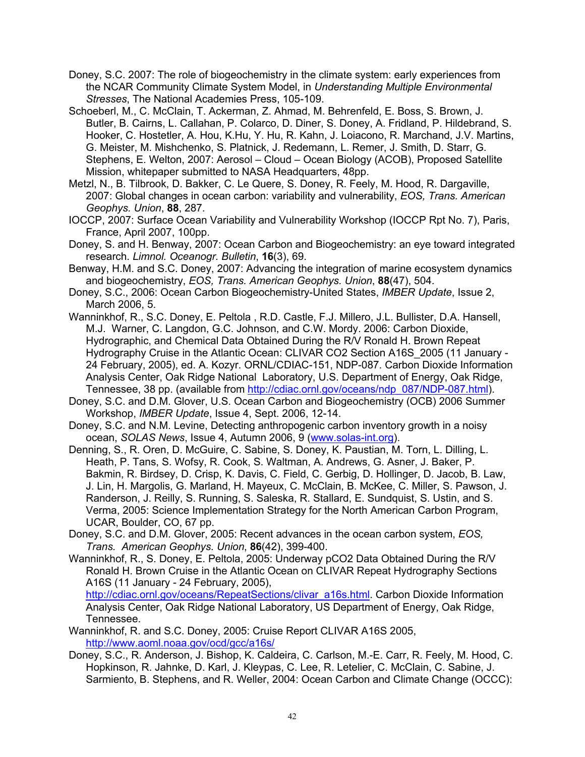- Doney, S.C. 2007: The role of biogeochemistry in the climate system: early experiences from the NCAR Community Climate System Model, in *Understanding Multiple Environmental Stresses*, The National Academies Press, 105-109.
- Schoeberl, M., C. McClain, T. Ackerman, Z. Ahmad, M. Behrenfeld, E. Boss, S. Brown, J. Butler, B. Cairns, L. Callahan, P. Colarco, D. Diner, S. Doney, A. Fridland, P. Hildebrand, S. Hooker, C. Hostetler, A. Hou, K.Hu, Y. Hu, R. Kahn, J. Loiacono, R. Marchand, J.V. Martins, G. Meister, M. Mishchenko, S. Platnick, J. Redemann, L. Remer, J. Smith, D. Starr, G. Stephens, E. Welton, 2007: Aerosol – Cloud – Ocean Biology (ACOB), Proposed Satellite Mission, whitepaper submitted to NASA Headquarters, 48pp.
- Metzl, N., B. Tilbrook, D. Bakker, C. Le Quere, S. Doney, R. Feely, M. Hood, R. Dargaville, 2007: Global changes in ocean carbon: variability and vulnerability, *EOS, Trans. American Geophys. Union*, **88**, 287.
- IOCCP, 2007: Surface Ocean Variability and Vulnerability Workshop (IOCCP Rpt No. 7), Paris, France, April 2007, 100pp.
- Doney, S. and H. Benway, 2007: Ocean Carbon and Biogeochemistry: an eye toward integrated research. *Limnol. Oceanogr. Bulletin*, **16**(3), 69.
- Benway, H.M. and S.C. Doney, 2007: Advancing the integration of marine ecosystem dynamics and biogeochemistry, *EOS, Trans. American Geophys. Union*, **88**(47), 504.
- Doney, S.C., 2006: Ocean Carbon Biogeochemistry-United States, *IMBER Update*, Issue 2, March 2006, 5.
- Wanninkhof, R., S.C. Doney, E. Peltola , R.D. Castle, F.J. Millero, J.L. Bullister, D.A. Hansell, M.J. Warner, C. Langdon, G.C. Johnson, and C.W. Mordy. 2006: Carbon Dioxide, Hydrographic, and Chemical Data Obtained During the R/V Ronald H. Brown Repeat Hydrography Cruise in the Atlantic Ocean: CLIVAR CO2 Section A16S\_2005 (11 January - 24 February, 2005), ed. A. Kozyr. ORNL/CDIAC-151, NDP-087. Carbon Dioxide Information Analysis Center, Oak Ridge National Laboratory, U.S. Department of Energy, Oak Ridge, Tennessee, 38 pp. (available from http://cdiac.ornl.gov/oceans/ndp\_087/NDP-087.html).
- Doney, S.C. and D.M. Glover, U.S. Ocean Carbon and Biogeochemistry (OCB) 2006 Summer Workshop, *IMBER Update*, Issue 4, Sept. 2006, 12-14.
- Doney, S.C. and N.M. Levine, Detecting anthropogenic carbon inventory growth in a noisy ocean, *SOLAS News*, Issue 4, Autumn 2006, 9 (www.solas-int.org).
- Denning, S., R. Oren, D. McGuire, C. Sabine, S. Doney, K. Paustian, M. Torn, L. Dilling, L. Heath, P. Tans, S. Wofsy, R. Cook, S. Waltman, A. Andrews, G. Asner, J. Baker, P. Bakmin, R. Birdsey, D. Crisp, K. Davis, C. Field, C. Gerbig, D. Hollinger, D. Jacob, B. Law, J. Lin, H. Margolis, G. Marland, H. Mayeux, C. McClain, B. McKee, C. Miller, S. Pawson, J. Randerson, J. Reilly, S. Running, S. Saleska, R. Stallard, E. Sundquist, S. Ustin, and S. Verma, 2005: Science Implementation Strategy for the North American Carbon Program, UCAR, Boulder, CO, 67 pp.
- Doney, S.C. and D.M. Glover, 2005: Recent advances in the ocean carbon system, *EOS, Trans. American Geophys. Union*, **86**(42), 399-400.
- Wanninkhof, R., S. Doney, E. Peltola, 2005: Underway pCO2 Data Obtained During the R/V Ronald H. Brown Cruise in the Atlantic Ocean on CLIVAR Repeat Hydrography Sections A16S (11 January - 24 February, 2005), http://cdiac.ornl.gov/oceans/RepeatSections/clivar\_a16s.html. Carbon Dioxide Information

Analysis Center, Oak Ridge National Laboratory, US Department of Energy, Oak Ridge, Tennessee.

- Wanninkhof, R. and S.C. Doney, 2005: Cruise Report CLIVAR A16S 2005, http://www.aoml.noaa.gov/ocd/gcc/a16s/
- Doney, S.C., R. Anderson, J. Bishop, K. Caldeira, C. Carlson, M.-E. Carr, R. Feely, M. Hood, C. Hopkinson, R. Jahnke, D. Karl, J. Kleypas, C. Lee, R. Letelier, C. McClain, C. Sabine, J. Sarmiento, B. Stephens, and R. Weller, 2004: Ocean Carbon and Climate Change (OCCC):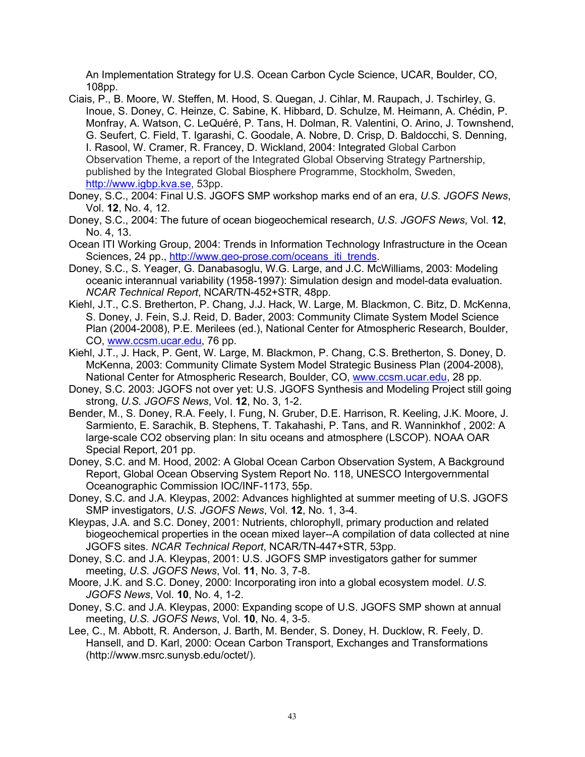An Implementation Strategy for U.S. Ocean Carbon Cycle Science, UCAR, Boulder, CO, 108pp.

- Ciais, P., B. Moore, W. Steffen, M. Hood, S. Quegan, J. Cihlar, M. Raupach, J. Tschirley, G. Inoue, S. Doney, C. Heinze, C. Sabine, K. Hibbard, D. Schulze, M. Heimann, A. Chédin, P. Monfray, A. Watson, C. LeQuéré, P. Tans, H. Dolman, R. Valentini, O. Arino, J. Townshend, G. Seufert, C. Field, T. Igarashi, C. Goodale, A. Nobre, D. Crisp, D. Baldocchi, S. Denning, I. Rasool, W. Cramer, R. Francey, D. Wickland, 2004: Integrated Global Carbon Observation Theme, a report of the Integrated Global Observing Strategy Partnership, published by the Integrated Global Biosphere Programme, Stockholm, Sweden, http://www.igbp.kva.se, 53pp.
- Doney, S.C., 2004: Final U.S. JGOFS SMP workshop marks end of an era, *U.S. JGOFS News*, Vol. **12**, No. 4, 12.
- Doney, S.C., 2004: The future of ocean biogeochemical research, *U.S. JGOFS News*, Vol. **12**, No. 4, 13.
- Ocean ITI Working Group, 2004: Trends in Information Technology Infrastructure in the Ocean Sciences, 24 pp., http://www.geo-prose.com/oceans\_iti\_trends.
- Doney, S.C., S. Yeager, G. Danabasoglu, W.G. Large, and J.C. McWilliams, 2003: Modeling oceanic interannual variability (1958-1997): Simulation design and model-data evaluation. *NCAR Technical Report*, NCAR/TN-452+STR, 48pp.
- Kiehl, J.T., C.S. Bretherton, P. Chang, J.J. Hack, W. Large, M. Blackmon, C. Bitz, D. McKenna, S. Doney, J. Fein, S.J. Reid, D. Bader, 2003: Community Climate System Model Science Plan (2004-2008), P.E. Merilees (ed.), National Center for Atmospheric Research, Boulder, CO, www.ccsm.ucar.edu, 76 pp.
- Kiehl, J.T., J. Hack, P. Gent, W. Large, M. Blackmon, P. Chang, C.S. Bretherton, S. Doney, D. McKenna, 2003: Community Climate System Model Strategic Business Plan (2004-2008), National Center for Atmospheric Research, Boulder, CO, www.ccsm.ucar.edu, 28 pp.
- Doney, S.C. 2003: JGOFS not over yet: U.S. JGOFS Synthesis and Modeling Project still going strong, *U.S. JGOFS News*, Vol. **12**, No. 3, 1-2.
- Bender, M., S. Doney, R.A. Feely, I. Fung, N. Gruber, D.E. Harrison, R. Keeling, J.K. Moore, J. Sarmiento, E. Sarachik, B. Stephens, T. Takahashi, P. Tans, and R. Wanninkhof , 2002: A large-scale CO2 observing plan: In situ oceans and atmosphere (LSCOP). NOAA OAR Special Report, 201 pp.
- Doney, S.C. and M. Hood, 2002: A Global Ocean Carbon Observation System, A Background Report, Global Ocean Observing System Report No. 118, UNESCO Intergovernmental Oceanographic Commission IOC/INF-1173, 55p.
- Doney, S.C. and J.A. Kleypas, 2002: Advances highlighted at summer meeting of U.S. JGOFS SMP investigators, *U.S. JGOFS News*, Vol. **12**, No. 1, 3-4.
- Kleypas, J.A. and S.C. Doney, 2001: Nutrients, chlorophyll, primary production and related biogeochemical properties in the ocean mixed layer--A compilation of data collected at nine JGOFS sites. *NCAR Technical Report*, NCAR/TN-447+STR, 53pp.
- Doney, S.C. and J.A. Kleypas, 2001: U.S. JGOFS SMP investigators gather for summer meeting, *U.S. JGOFS News*, Vol. **11**, No. 3, 7-8.
- Moore, J.K. and S.C. Doney, 2000: Incorporating iron into a global ecosystem model. *U.S. JGOFS News*, Vol. **10**, No. 4, 1-2.
- Doney, S.C. and J.A. Kleypas, 2000: Expanding scope of U.S. JGOFS SMP shown at annual meeting, *U.S. JGOFS News*, Vol. **10**, No. 4, 3-5.
- Lee, C., M. Abbott, R. Anderson, J. Barth, M. Bender, S. Doney, H. Ducklow, R. Feely, D. Hansell, and D. Karl, 2000: Ocean Carbon Transport, Exchanges and Transformations (http://www.msrc.sunysb.edu/octet/).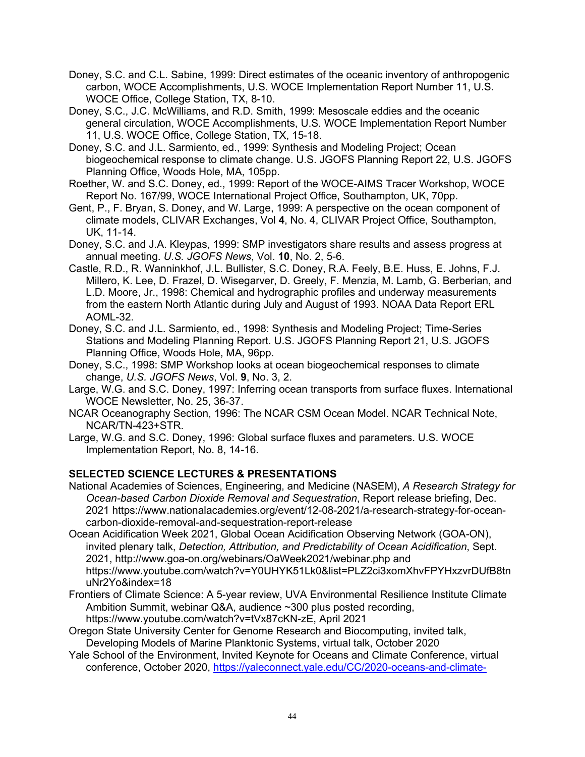Doney, S.C. and C.L. Sabine, 1999: Direct estimates of the oceanic inventory of anthropogenic carbon, WOCE Accomplishments, U.S. WOCE Implementation Report Number 11, U.S. WOCE Office, College Station, TX, 8-10.

Doney, S.C., J.C. McWilliams, and R.D. Smith, 1999: Mesoscale eddies and the oceanic general circulation, WOCE Accomplishments, U.S. WOCE Implementation Report Number 11, U.S. WOCE Office, College Station, TX, 15-18.

- Doney, S.C. and J.L. Sarmiento, ed., 1999: Synthesis and Modeling Project; Ocean biogeochemical response to climate change. U.S. JGOFS Planning Report 22, U.S. JGOFS Planning Office, Woods Hole, MA, 105pp.
- Roether, W. and S.C. Doney, ed., 1999: Report of the WOCE-AIMS Tracer Workshop, WOCE Report No. 167/99, WOCE International Project Office, Southampton, UK, 70pp.
- Gent, P., F. Bryan, S. Doney, and W. Large, 1999: A perspective on the ocean component of climate models, CLIVAR Exchanges, Vol **4**, No. 4, CLIVAR Project Office, Southampton, UK, 11-14.

Doney, S.C. and J.A. Kleypas, 1999: SMP investigators share results and assess progress at annual meeting. *U.S. JGOFS News*, Vol. **10**, No. 2, 5-6.

- Castle, R.D., R. Wanninkhof, J.L. Bullister, S.C. Doney, R.A. Feely, B.E. Huss, E. Johns, F.J. Millero, K. Lee, D. Frazel, D. Wisegarver, D. Greely, F. Menzia, M. Lamb, G. Berberian, and L.D. Moore, Jr., 1998: Chemical and hydrographic profiles and underway measurements from the eastern North Atlantic during July and August of 1993. NOAA Data Report ERL AOML-32.
- Doney, S.C. and J.L. Sarmiento, ed., 1998: Synthesis and Modeling Project; Time-Series Stations and Modeling Planning Report. U.S. JGOFS Planning Report 21, U.S. JGOFS Planning Office, Woods Hole, MA, 96pp.
- Doney, S.C., 1998: SMP Workshop looks at ocean biogeochemical responses to climate change, *U.S. JGOFS News*, Vol. **9**, No. 3, 2.
- Large, W.G. and S.C. Doney, 1997: Inferring ocean transports from surface fluxes. International WOCE Newsletter, No. 25, 36-37.
- NCAR Oceanography Section, 1996: The NCAR CSM Ocean Model. NCAR Technical Note, NCAR/TN-423+STR.
- Large, W.G. and S.C. Doney, 1996: Global surface fluxes and parameters. U.S. WOCE Implementation Report, No. 8, 14-16.

### **SELECTED SCIENCE LECTURES & PRESENTATIONS**

National Academies of Sciences, Engineering, and Medicine (NASEM), *A Research Strategy for Ocean-based Carbon Dioxide Removal and Sequestration*, Report release briefing, Dec. 2021 https://www.nationalacademies.org/event/12-08-2021/a-research-strategy-for-oceancarbon-dioxide-removal-and-sequestration-report-release

- Ocean Acidification Week 2021, Global Ocean Acidification Observing Network (GOA-ON), invited plenary talk, *Detection, Attribution, and Predictability of Ocean Acidification*, Sept. 2021, http://www.goa-on.org/webinars/OaWeek2021/webinar.php and https://www.youtube.com/watch?v=Y0UHYK51Lk0&list=PLZ2ci3xomXhvFPYHxzvrDUfB8tn uNr2Yo&index=18
- Frontiers of Climate Science: A 5-year review, UVA Environmental Resilience Institute Climate Ambition Summit, webinar Q&A, audience ~300 plus posted recording,
- https://www.youtube.com/watch?v=tVx87cKN-zE, April 2021 Oregon State University Center for Genome Research and Biocomputing, invited talk, Developing Models of Marine Planktonic Systems, virtual talk, October 2020
- Yale School of the Environment, Invited Keynote for Oceans and Climate Conference, virtual conference, October 2020, https://yaleconnect.yale.edu/CC/2020-oceans-and-climate-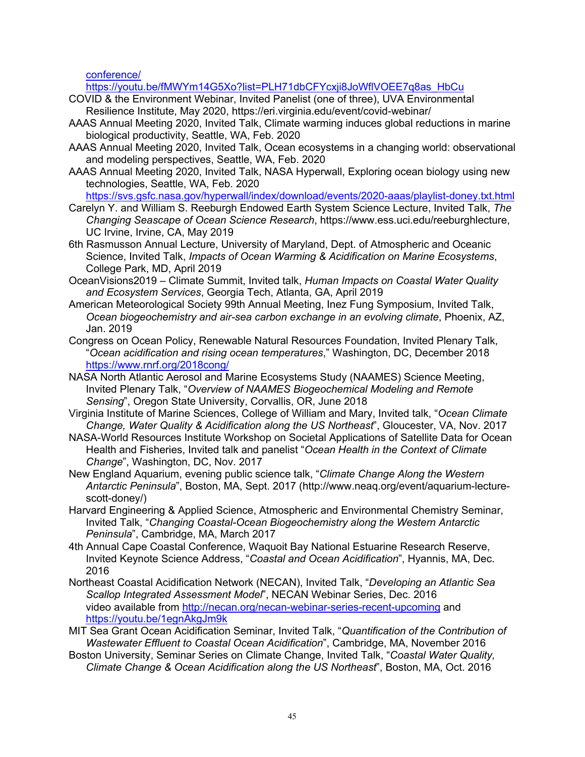conference/

https://youtu.be/fMWYm14G5Xo?list=PLH71dbCFYcxji8JoWflVOEE7q8as\_HbCu

- COVID & the Environment Webinar, Invited Panelist (one of three), UVA Environmental Resilience Institute, May 2020, https://eri.virginia.edu/event/covid-webinar/
- AAAS Annual Meeting 2020, Invited Talk, Climate warming induces global reductions in marine biological productivity, Seattle, WA, Feb. 2020
- AAAS Annual Meeting 2020, Invited Talk, Ocean ecosystems in a changing world: observational and modeling perspectives, Seattle, WA, Feb. 2020
- AAAS Annual Meeting 2020, Invited Talk, NASA Hyperwall, Exploring ocean biology using new technologies, Seattle, WA, Feb. 2020
	- https://svs.gsfc.nasa.gov/hyperwall/index/download/events/2020-aaas/playlist-doney.txt.html
- Carelyn Y. and William S. Reeburgh Endowed Earth System Science Lecture, Invited Talk, *The Changing Seascape of Ocean Science Research*, https://www.ess.uci.edu/reeburghlecture, UC Irvine, Irvine, CA, May 2019
- 6th Rasmusson Annual Lecture, University of Maryland, Dept. of Atmospheric and Oceanic Science, Invited Talk, *Impacts of Ocean Warming & Acidification on Marine Ecosystems*, College Park, MD, April 2019
- OceanVisions2019 Climate Summit, Invited talk, *Human Impacts on Coastal Water Quality and Ecosystem Services*, Georgia Tech, Atlanta, GA, April 2019
- American Meteorological Society 99th Annual Meeting, Inez Fung Symposium, Invited Talk, *Ocean biogeochemistry and air-sea carbon exchange in an evolving climate*, Phoenix, AZ, Jan. 2019
- Congress on Ocean Policy, Renewable Natural Resources Foundation, Invited Plenary Talk, "*Ocean acidification and rising ocean temperatures*," Washington, DC, December 2018 https://www.rnrf.org/2018cong/
- NASA North Atlantic Aerosol and Marine Ecosystems Study (NAAMES) Science Meeting, Invited Plenary Talk, "*Overview of NAAMES Biogeochemical Modeling and Remote Sensing*", Oregon State University, Corvallis, OR, June 2018
- Virginia Institute of Marine Sciences, College of William and Mary, Invited talk, "*Ocean Climate Change, Water Quality & Acidification along the US Northeast*", Gloucester, VA, Nov. 2017
- NASA-World Resources Institute Workshop on Societal Applications of Satellite Data for Ocean Health and Fisheries, Invited talk and panelist "*Ocean Health in the Context of Climate Change*", Washington, DC, Nov. 2017
- New England Aquarium, evening public science talk, "*Climate Change Along the Western Antarctic Peninsula*", Boston, MA, Sept. 2017 (http://www.neaq.org/event/aquarium-lecturescott-doney/)
- Harvard Engineering & Applied Science, Atmospheric and Environmental Chemistry Seminar, Invited Talk, "*Changing Coastal-Ocean Biogeochemistry along the Western Antarctic Peninsula*", Cambridge, MA, March 2017
- 4th Annual Cape Coastal Conference, Waquoit Bay National Estuarine Research Reserve, Invited Keynote Science Address, "*Coastal and Ocean Acidification*", Hyannis, MA, Dec. 2016
- Northeast Coastal Acidification Network (NECAN), Invited Talk, "*Developing an Atlantic Sea Scallop Integrated Assessment Model*", NECAN Webinar Series, Dec. 2016 video available from http://necan.org/necan-webinar-series-recent-upcoming and https://youtu.be/1egnAkgJm9k
- MIT Sea Grant Ocean Acidification Seminar, Invited Talk, "*Quantification of the Contribution of Wastewater Effluent to Coastal Ocean Acidification*", Cambridge, MA, November 2016
- Boston University, Seminar Series on Climate Change, Invited Talk, "*Coastal Water Quality, Climate Change & Ocean Acidification along the US Northeast*", Boston, MA, Oct. 2016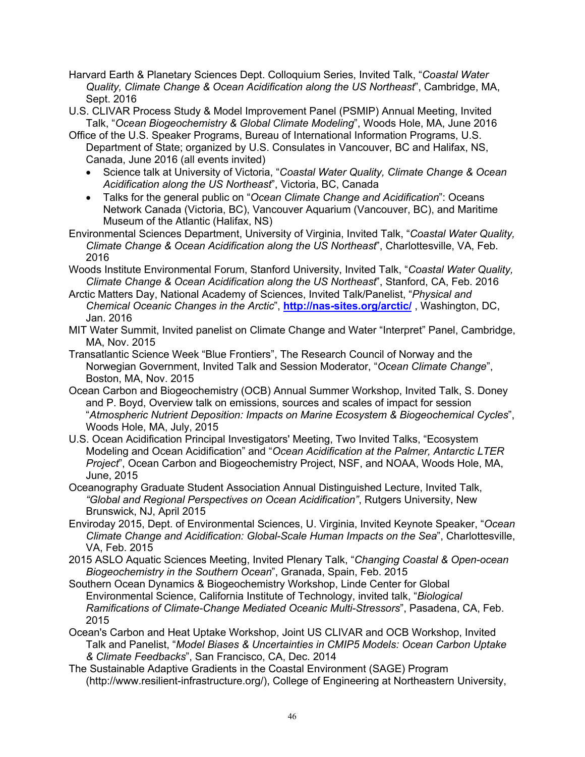- Harvard Earth & Planetary Sciences Dept. Colloquium Series, Invited Talk, "*Coastal Water Quality, Climate Change & Ocean Acidification along the US Northeast*", Cambridge, MA, Sept. 2016
- U.S. CLIVAR Process Study & Model Improvement Panel (PSMIP) Annual Meeting, Invited Talk, "*Ocean Biogeochemistry & Global Climate Modeling*", Woods Hole, MA, June 2016
- Office of the U.S. Speaker Programs, Bureau of International Information Programs, U.S. Department of State; organized by U.S. Consulates in Vancouver, BC and Halifax, NS, Canada, June 2016 (all events invited)
	- Science talk at University of Victoria, "*Coastal Water Quality, Climate Change & Ocean Acidification along the US Northeast*", Victoria, BC, Canada
	- Talks for the general public on "*Ocean Climate Change and Acidification*": Oceans Network Canada (Victoria, BC), Vancouver Aquarium (Vancouver, BC), and Maritime Museum of the Atlantic (Halifax, NS)
- Environmental Sciences Department, University of Virginia, Invited Talk, "*Coastal Water Quality, Climate Change & Ocean Acidification along the US Northeast*", Charlottesville, VA, Feb. 2016
- Woods Institute Environmental Forum, Stanford University, Invited Talk, "*Coastal Water Quality, Climate Change & Ocean Acidification along the US Northeast*", Stanford, CA, Feb. 2016
- Arctic Matters Day, National Academy of Sciences, Invited Talk/Panelist, "*Physical and Chemical Oceanic Changes in the Arctic*", **http://nas-sites.org/arctic/** , Washington, DC, Jan. 2016
- MIT Water Summit, Invited panelist on Climate Change and Water "Interpret" Panel, Cambridge, MA, Nov. 2015
- Transatlantic Science Week "Blue Frontiers", The Research Council of Norway and the Norwegian Government, Invited Talk and Session Moderator, "*Ocean Climate Change*", Boston, MA, Nov. 2015
- Ocean Carbon and Biogeochemistry (OCB) Annual Summer Workshop, Invited Talk, S. Doney and P. Boyd, Overview talk on emissions, sources and scales of impact for session "*Atmospheric Nutrient Deposition: Impacts on Marine Ecosystem & Biogeochemical Cycles*", Woods Hole, MA, July, 2015
- U.S. Ocean Acidification Principal Investigators' Meeting, Two Invited Talks, "Ecosystem Modeling and Ocean Acidification" and "*Ocean Acidification at the Palmer, Antarctic LTER Project*", Ocean Carbon and Biogeochemistry Project, NSF, and NOAA, Woods Hole, MA, June, 2015
- Oceanography Graduate Student Association Annual Distinguished Lecture, Invited Talk, *"Global and Regional Perspectives on Ocean Acidification"*, Rutgers University, New Brunswick, NJ, April 2015
- Enviroday 2015, Dept. of Environmental Sciences, U. Virginia, Invited Keynote Speaker, "*Ocean Climate Change and Acidification: Global-Scale Human Impacts on the Sea*", Charlottesville, VA, Feb. 2015
- 2015 ASLO Aquatic Sciences Meeting, Invited Plenary Talk, "*Changing Coastal & Open-ocean Biogeochemistry in the Southern Ocean*", Granada, Spain, Feb. 2015
- Southern Ocean Dynamics & Biogeochemistry Workshop, Linde Center for Global Environmental Science, California Institute of Technology, invited talk, "*Biological Ramifications of Climate-Change Mediated Oceanic Multi-Stressors*", Pasadena, CA, Feb. 2015
- Ocean's Carbon and Heat Uptake Workshop, Joint US CLIVAR and OCB Workshop, Invited Talk and Panelist, "*Model Biases & Uncertainties in CMIP5 Models: Ocean Carbon Uptake & Climate Feedbacks*", San Francisco, CA, Dec. 2014
- The Sustainable Adaptive Gradients in the Coastal Environment (SAGE) Program (http://www.resilient-infrastructure.org/), College of Engineering at Northeastern University,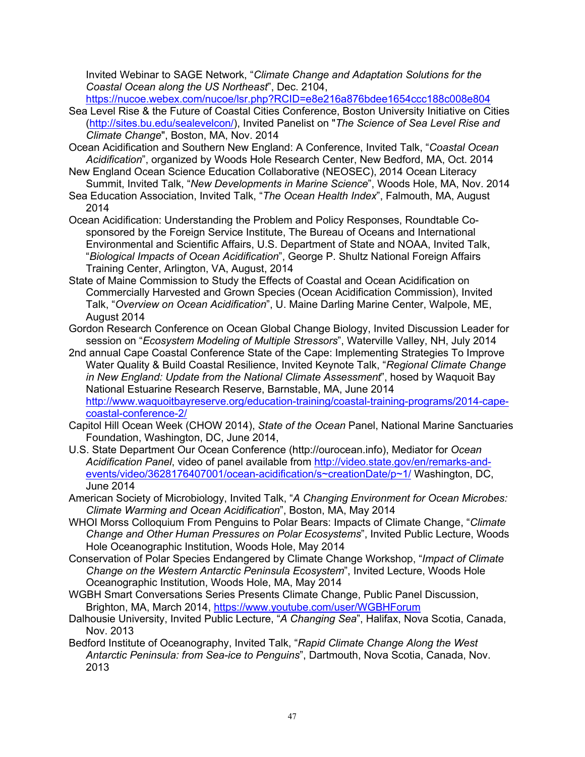Invited Webinar to SAGE Network, "*Climate Change and Adaptation Solutions for the Coastal Ocean along the US Northeast*", Dec. 2104,

https://nucoe.webex.com/nucoe/lsr.php?RCID=e8e216a876bdee1654ccc188c008e804

- Sea Level Rise & the Future of Coastal Cities Conference, Boston University Initiative on Cities (http://sites.bu.edu/sealevelcon/), Invited Panelist on "*The Science of Sea Level Rise and Climate Change*", Boston, MA, Nov. 2014
- Ocean Acidification and Southern New England: A Conference, Invited Talk, "*Coastal Ocean Acidification*", organized by Woods Hole Research Center, New Bedford, MA, Oct. 2014
- New England Ocean Science Education Collaborative (NEOSEC), 2014 Ocean Literacy Summit, Invited Talk, "*New Developments in Marine Science*", Woods Hole, MA, Nov. 2014
- Sea Education Association, Invited Talk, "*The Ocean Health Index*", Falmouth, MA, August 2014
- Ocean Acidification: Understanding the Problem and Policy Responses, Roundtable Cosponsored by the Foreign Service Institute, The Bureau of Oceans and International Environmental and Scientific Affairs, U.S. Department of State and NOAA, Invited Talk, "*Biological Impacts of Ocean Acidification*", George P. Shultz National Foreign Affairs Training Center, Arlington, VA, August, 2014
- State of Maine Commission to Study the Effects of Coastal and Ocean Acidification on Commercially Harvested and Grown Species (Ocean Acidification Commission), Invited Talk, "*Overview on Ocean Acidification*", U. Maine Darling Marine Center, Walpole, ME, August 2014
- Gordon Research Conference on Ocean Global Change Biology, Invited Discussion Leader for session on "*Ecosystem Modeling of Multiple Stressors*", Waterville Valley, NH, July 2014
- 2nd annual Cape Coastal Conference State of the Cape: Implementing Strategies To Improve Water Quality & Build Coastal Resilience, Invited Keynote Talk, "*Regional Climate Change in New England: Update from the National Climate Assessment*", hosed by Waquoit Bay National Estuarine Research Reserve, Barnstable, MA, June 2014 http://www.waquoitbayreserve.org/education-training/coastal-training-programs/2014-capecoastal-conference-2/
- Capitol Hill Ocean Week (CHOW 2014), *State of the Ocean* Panel, National Marine Sanctuaries Foundation, Washington, DC, June 2014,
- U.S. State Department Our Ocean Conference (http://ourocean.info), Mediator for *Ocean Acidification Panel*, video of panel available from http://video.state.gov/en/remarks-andevents/video/3628176407001/ocean-acidification/s~creationDate/p~1/ Washington, DC, June 2014
- American Society of Microbiology, Invited Talk, "*A Changing Environment for Ocean Microbes: Climate Warming and Ocean Acidification*", Boston, MA, May 2014
- WHOI Morss Colloquium From Penguins to Polar Bears: Impacts of Climate Change, "*Climate Change and Other Human Pressures on Polar Ecosystems*", Invited Public Lecture, Woods Hole Oceanographic Institution, Woods Hole, May 2014
- Conservation of Polar Species Endangered by Climate Change Workshop, "*Impact of Climate Change on the Western Antarctic Peninsula Ecosystem*", Invited Lecture, Woods Hole Oceanographic Institution, Woods Hole, MA, May 2014
- WGBH Smart Conversations Series Presents Climate Change, Public Panel Discussion, Brighton, MA, March 2014, https://www.youtube.com/user/WGBHForum
- Dalhousie University, Invited Public Lecture, "*A Changing Sea*", Halifax, Nova Scotia, Canada, Nov. 2013
- Bedford Institute of Oceanography, Invited Talk, "*Rapid Climate Change Along the West Antarctic Peninsula: from Sea-ice to Penguins*", Dartmouth, Nova Scotia, Canada, Nov. 2013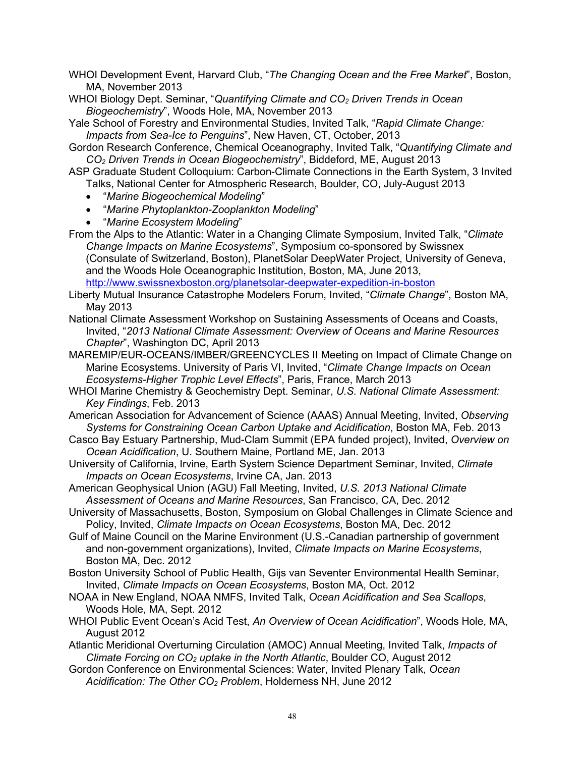- WHOI Development Event, Harvard Club, "*The Changing Ocean and the Free Market*", Boston, MA, November 2013
- WHOI Biology Dept. Seminar, "*Quantifying Climate and CO2 Driven Trends in Ocean Biogeochemistry*", Woods Hole, MA, November 2013
- Yale School of Forestry and Environmental Studies, Invited Talk, "*Rapid Climate Change: Impacts from Sea-Ice to Penguins*", New Haven, CT, October, 2013

Gordon Research Conference, Chemical Oceanography, Invited Talk, "*Quantifying Climate and CO2 Driven Trends in Ocean Biogeochemistry*", Biddeford, ME, August 2013

ASP Graduate Student Colloquium: Carbon-Climate Connections in the Earth System, 3 Invited

- Talks, National Center for Atmospheric Research, Boulder, CO, July-August 2013
- "*Marine Biogeochemical Modeling*"
- "*Marine Phytoplankton-Zooplankton Modeling*"
- "*Marine Ecosystem Modeling*"
- From the Alps to the Atlantic: Water in a Changing Climate Symposium, Invited Talk, "*Climate Change Impacts on Marine Ecosystems*", Symposium co-sponsored by Swissnex

(Consulate of Switzerland, Boston), PlanetSolar DeepWater Project, University of Geneva, and the Woods Hole Oceanographic Institution, Boston, MA, June 2013,

http://www.swissnexboston.org/planetsolar-deepwater-expedition-in-boston

- Liberty Mutual Insurance Catastrophe Modelers Forum, Invited, "*Climate Change*", Boston MA, May 2013
- National Climate Assessment Workshop on Sustaining Assessments of Oceans and Coasts, Invited, "*2013 National Climate Assessment: Overview of Oceans and Marine Resources Chapter*", Washington DC, April 2013
- MAREMIP/EUR-OCEANS/IMBER/GREENCYCLES II Meeting on Impact of Climate Change on Marine Ecosystems. University of Paris VI, Invited, "*Climate Change Impacts on Ocean Ecosystems-Higher Trophic Level Effects*", Paris, France, March 2013
- WHOI Marine Chemistry & Geochemistry Dept. Seminar, *U.S. National Climate Assessment: Key Findings*, Feb. 2013

American Association for Advancement of Science (AAAS) Annual Meeting, Invited, *Observing Systems for Constraining Ocean Carbon Uptake and Acidification*, Boston MA, Feb. 2013

- Casco Bay Estuary Partnership, Mud-Clam Summit (EPA funded project), Invited, *Overview on Ocean Acidification*, U. Southern Maine, Portland ME, Jan. 2013
- University of California, Irvine, Earth System Science Department Seminar, Invited, *Climate Impacts on Ocean Ecosystems*, Irvine CA, Jan. 2013
- American Geophysical Union (AGU) Fall Meeting, Invited, *U.S. 2013 National Climate Assessment of Oceans and Marine Resources*, San Francisco, CA, Dec. 2012
- University of Massachusetts, Boston, Symposium on Global Challenges in Climate Science and Policy, Invited, *Climate Impacts on Ocean Ecosystems*, Boston MA, Dec. 2012
- Gulf of Maine Council on the Marine Environment (U.S.-Canadian partnership of government and non-government organizations), Invited, *Climate Impacts on Marine Ecosystems*, Boston MA, Dec. 2012
- Boston University School of Public Health, Gijs van Seventer Environmental Health Seminar, Invited, *Climate Impacts on Ocean Ecosystems*, Boston MA, Oct. 2012
- NOAA in New England, NOAA NMFS, Invited Talk, *Ocean Acidification and Sea Scallops*, Woods Hole, MA, Sept. 2012
- WHOI Public Event Ocean's Acid Test, *An Overview of Ocean Acidification*", Woods Hole, MA, August 2012
- Atlantic Meridional Overturning Circulation (AMOC) Annual Meeting, Invited Talk, *Impacts of Climate Forcing on CO2 uptake in the North Atlantic*, Boulder CO, August 2012
- Gordon Conference on Environmental Sciences: Water, Invited Plenary Talk, *Ocean Acidification: The Other CO2 Problem*, Holderness NH, June 2012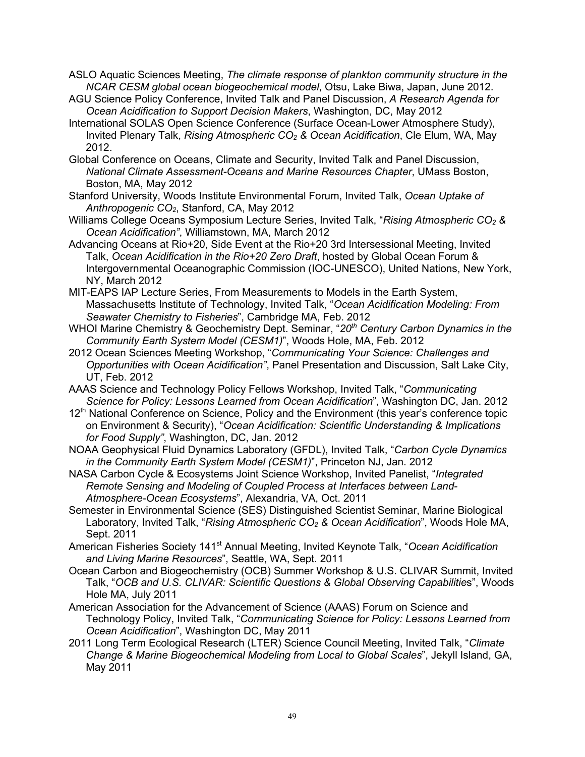- ASLO Aquatic Sciences Meeting, *The climate response of plankton community structure in the NCAR CESM global ocean biogeochemical model*, Otsu, Lake Biwa, Japan, June 2012.
- AGU Science Policy Conference, Invited Talk and Panel Discussion, *A Research Agenda for Ocean Acidification to Support Decision Makers*, Washington, DC, May 2012
- International SOLAS Open Science Conference (Surface Ocean-Lower Atmosphere Study), Invited Plenary Talk, *Rising Atmospheric CO2 & Ocean Acidification*, Cle Elum, WA, May 2012.
- Global Conference on Oceans, Climate and Security, Invited Talk and Panel Discussion, *National Climate Assessment-Oceans and Marine Resources Chapter*, UMass Boston, Boston, MA, May 2012
- Stanford University, Woods Institute Environmental Forum, Invited Talk, *Ocean Uptake of Anthropogenic CO2*, Stanford, CA, May 2012
- Williams College Oceans Symposium Lecture Series, Invited Talk, "*Rising Atmospheric CO2 & Ocean Acidification"*, Williamstown, MA, March 2012
- Advancing Oceans at Rio+20, Side Event at the Rio+20 3rd Intersessional Meeting, Invited Talk, *Ocean Acidification in the Rio+20 Zero Draft*, hosted by Global Ocean Forum & Intergovernmental Oceanographic Commission (IOC-UNESCO), United Nations, New York, NY, March 2012
- MIT-EAPS IAP Lecture Series, From Measurements to Models in the Earth System, Massachusetts Institute of Technology, Invited Talk, "*Ocean Acidification Modeling: From Seawater Chemistry to Fisheries*", Cambridge MA, Feb. 2012
- WHOI Marine Chemistry & Geochemistry Dept. Seminar, "*20th Century Carbon Dynamics in the Community Earth System Model (CESM1)*", Woods Hole, MA, Feb. 2012
- 2012 Ocean Sciences Meeting Workshop, "*Communicating Your Science: Challenges and Opportunities with Ocean Acidification"*, Panel Presentation and Discussion, Salt Lake City, UT, Feb. 2012
- AAAS Science and Technology Policy Fellows Workshop, Invited Talk, "*Communicating Science for Policy: Lessons Learned from Ocean Acidification*", Washington DC, Jan. 2012
- 12<sup>th</sup> National Conference on Science, Policy and the Environment (this year's conference topic on Environment & Security), "*Ocean Acidification: Scientific Understanding & Implications for Food Supply"*, Washington, DC, Jan. 2012
- NOAA Geophysical Fluid Dynamics Laboratory (GFDL), Invited Talk, "*Carbon Cycle Dynamics in the Community Earth System Model (CESM1)*", Princeton NJ, Jan. 2012
- NASA Carbon Cycle & Ecosystems Joint Science Workshop, Invited Panelist, "*Integrated Remote Sensing and Modeling of Coupled Process at Interfaces between Land-Atmosphere-Ocean Ecosystems*", Alexandria, VA, Oct. 2011
- Semester in Environmental Science (SES) Distinguished Scientist Seminar, Marine Biological Laboratory, Invited Talk, "*Rising Atmospheric CO2 & Ocean Acidification*", Woods Hole MA, Sept. 2011
- American Fisheries Society 141st Annual Meeting, Invited Keynote Talk, "*Ocean Acidification and Living Marine Resources*", Seattle, WA, Sept. 2011
- Ocean Carbon and Biogeochemistry (OCB) Summer Workshop & U.S. CLIVAR Summit, Invited Talk, "*OCB and U.S. CLIVAR: Scientific Questions & Global Observing Capabilitie*s", Woods Hole MA, July 2011
- American Association for the Advancement of Science (AAAS) Forum on Science and Technology Policy, Invited Talk, "*Communicating Science for Policy: Lessons Learned from Ocean Acidification*", Washington DC, May 2011
- 2011 Long Term Ecological Research (LTER) Science Council Meeting, Invited Talk, "*Climate Change & Marine Biogeochemical Modeling from Local to Global Scales*", Jekyll Island, GA, May 2011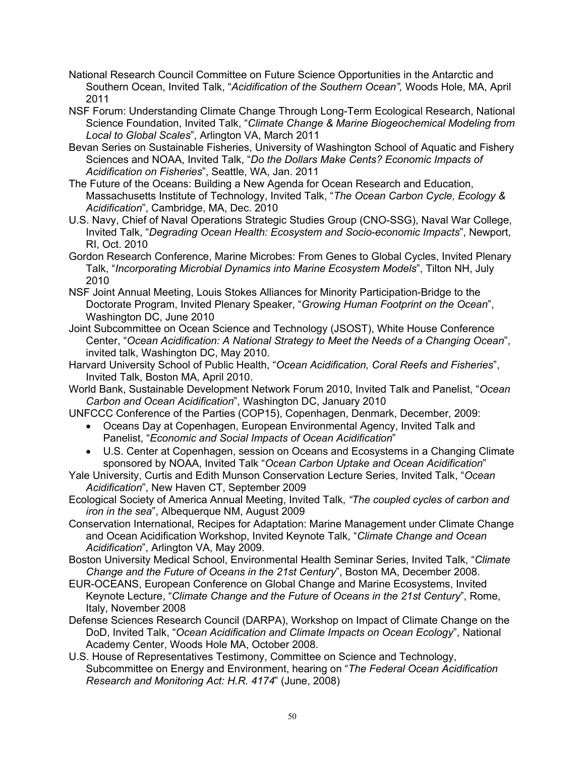- National Research Council Committee on Future Science Opportunities in the Antarctic and Southern Ocean, Invited Talk, "*Acidification of the Southern Ocean",* Woods Hole, MA, April 2011
- NSF Forum: Understanding Climate Change Through Long-Term Ecological Research, National Science Foundation, Invited Talk, "*Climate Change & Marine Biogeochemical Modeling from Local to Global Scales*", Arlington VA, March 2011
- Bevan Series on Sustainable Fisheries, University of Washington School of Aquatic and Fishery Sciences and NOAA, Invited Talk, "*Do the Dollars Make Cents? Economic Impacts of Acidification on Fisheries*", Seattle, WA, Jan. 2011
- The Future of the Oceans: Building a New Agenda for Ocean Research and Education, Massachusetts Institute of Technology, Invited Talk, "*The Ocean Carbon Cycle, Ecology & Acidification*", Cambridge, MA, Dec. 2010
- U.S. Navy, Chief of Naval Operations Strategic Studies Group (CNO-SSG), Naval War College, Invited Talk, "*Degrading Ocean Health: Ecosystem and Socio-economic Impacts*", Newport, RI, Oct. 2010
- Gordon Research Conference, Marine Microbes: From Genes to Global Cycles, Invited Plenary Talk, "*Incorporating Microbial Dynamics into Marine Ecosystem Models*", Tilton NH, July 2010
- NSF Joint Annual Meeting, Louis Stokes Alliances for Minority Participation-Bridge to the Doctorate Program, Invited Plenary Speaker, "*Growing Human Footprint on the Ocean*", Washington DC, June 2010
- Joint Subcommittee on Ocean Science and Technology (JSOST), White House Conference Center, "*Ocean Acidification: A National Strategy to Meet the Needs of a Changing Ocean*", invited talk, Washington DC, May 2010.
- Harvard University School of Public Health, "*Ocean Acidification, Coral Reefs and Fisheries*", Invited Talk, Boston MA, April 2010.
- World Bank, Sustainable Development Network Forum 2010, Invited Talk and Panelist, "*Ocean Carbon and Ocean Acidification*", Washington DC, January 2010
- UNFCCC Conference of the Parties (COP15), Copenhagen, Denmark, December, 2009:
	- Oceans Day at Copenhagen, European Environmental Agency, Invited Talk and Panelist, "*Economic and Social Impacts of Ocean Acidification*"
	- U.S. Center at Copenhagen, session on Oceans and Ecosystems in a Changing Climate sponsored by NOAA, Invited Talk "*Ocean Carbon Uptake and Ocean Acidification*"
- Yale University, Curtis and Edith Munson Conservation Lecture Series, Invited Talk, "*Ocean Acidification*", New Haven CT, September 2009
- Ecological Society of America Annual Meeting, Invited Talk, *"The coupled cycles of carbon and iron in the sea*", Albequerque NM, August 2009
- Conservation International, Recipes for Adaptation: Marine Management under Climate Change and Ocean Acidification Workshop, Invited Keynote Talk, "*Climate Change and Ocean Acidification*", Arlington VA, May 2009.
- Boston University Medical School, Environmental Health Seminar Series, Invited Talk, "*Climate Change and the Future of Oceans in the 21st Century*", Boston MA, December 2008.
- EUR-OCEANS, European Conference on Global Change and Marine Ecosystems, Invited Keynote Lecture, "*Climate Change and the Future of Oceans in the 21st Century*", Rome, Italy, November 2008
- Defense Sciences Research Council (DARPA), Workshop on Impact of Climate Change on the DoD, Invited Talk, "*Ocean Acidification and Climate Impacts on Ocean Ecology*", National Academy Center, Woods Hole MA, October 2008.
- U.S. House of Representatives Testimony, Committee on Science and Technology, Subcommittee on Energy and Environment, hearing on "*The Federal Ocean Acidification Research and Monitoring Act: H.R. 4174*" (June, 2008)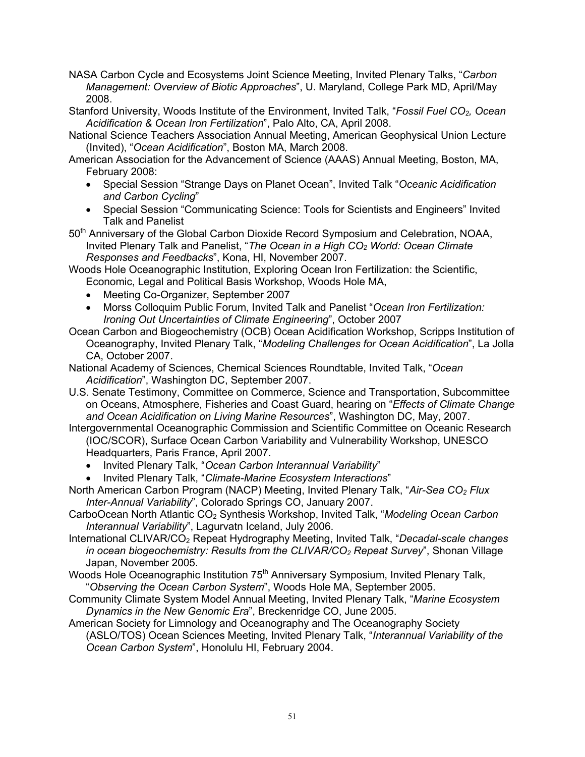- NASA Carbon Cycle and Ecosystems Joint Science Meeting, Invited Plenary Talks, "*Carbon Management: Overview of Biotic Approaches*", U. Maryland, College Park MD, April/May 2008.
- Stanford University, Woods Institute of the Environment, Invited Talk, "*Fossil Fuel CO2, Ocean Acidification & Ocean Iron Fertilization*", Palo Alto, CA, April 2008.
- National Science Teachers Association Annual Meeting, American Geophysical Union Lecture (Invited), "*Ocean Acidification*", Boston MA, March 2008.
- American Association for the Advancement of Science (AAAS) Annual Meeting, Boston, MA, February 2008:
	- Special Session "Strange Days on Planet Ocean", Invited Talk "*Oceanic Acidification and Carbon Cycling*"
	- Special Session "Communicating Science: Tools for Scientists and Engineers" Invited Talk and Panelist
- 50<sup>th</sup> Anniversary of the Global Carbon Dioxide Record Symposium and Celebration, NOAA, Invited Plenary Talk and Panelist, "*The Ocean in a High CO2 World: Ocean Climate Responses and Feedbacks*", Kona, HI, November 2007.
- Woods Hole Oceanographic Institution, Exploring Ocean Iron Fertilization: the Scientific, Economic, Legal and Political Basis Workshop, Woods Hole MA,
	- Meeting Co-Organizer, September 2007
	- Morss Colloquim Public Forum, Invited Talk and Panelist "*Ocean Iron Fertilization: Ironing Out Uncertainties of Climate Engineering*", October 2007
- Ocean Carbon and Biogeochemistry (OCB) Ocean Acidification Workshop, Scripps Institution of Oceanography, Invited Plenary Talk, "*Modeling Challenges for Ocean Acidification*", La Jolla CA, October 2007.
- National Academy of Sciences, Chemical Sciences Roundtable, Invited Talk, "*Ocean Acidification*", Washington DC, September 2007.
- U.S. Senate Testimony, Committee on Commerce, Science and Transportation, Subcommittee on Oceans, Atmosphere, Fisheries and Coast Guard, hearing on "*Effects of Climate Change and Ocean Acidification on Living Marine Resources*", Washington DC, May, 2007.
- Intergovernmental Oceanographic Commission and Scientific Committee on Oceanic Research (IOC/SCOR), Surface Ocean Carbon Variability and Vulnerability Workshop, UNESCO Headquarters, Paris France, April 2007.
	- Invited Plenary Talk, "*Ocean Carbon Interannual Variability*"
	- Invited Plenary Talk, "*Climate-Marine Ecosystem Interactions*"
- North American Carbon Program (NACP) Meeting, Invited Plenary Talk, "*Air-Sea CO2 Flux Inter-Annual Variability*", Colorado Springs CO, January 2007.
- CarboOcean North Atlantic CO2 Synthesis Workshop, Invited Talk, "*Modeling Ocean Carbon Interannual Variability*", Lagurvatn Iceland, July 2006.
- International CLIVAR/CO2 Repeat Hydrography Meeting, Invited Talk, "*Decadal-scale changes in ocean biogeochemistry: Results from the CLIVAR/CO2 Repeat Survey*", Shonan Village Japan, November 2005.
- Woods Hole Oceanographic Institution 75<sup>th</sup> Anniversary Symposium, Invited Plenary Talk, "*Observing the Ocean Carbon System*", Woods Hole MA, September 2005.
- Community Climate System Model Annual Meeting, Invited Plenary Talk, "*Marine Ecosystem Dynamics in the New Genomic Era*", Breckenridge CO, June 2005.
- American Society for Limnology and Oceanography and The Oceanography Society (ASLO/TOS) Ocean Sciences Meeting, Invited Plenary Talk, "*Interannual Variability of the Ocean Carbon System*", Honolulu HI, February 2004.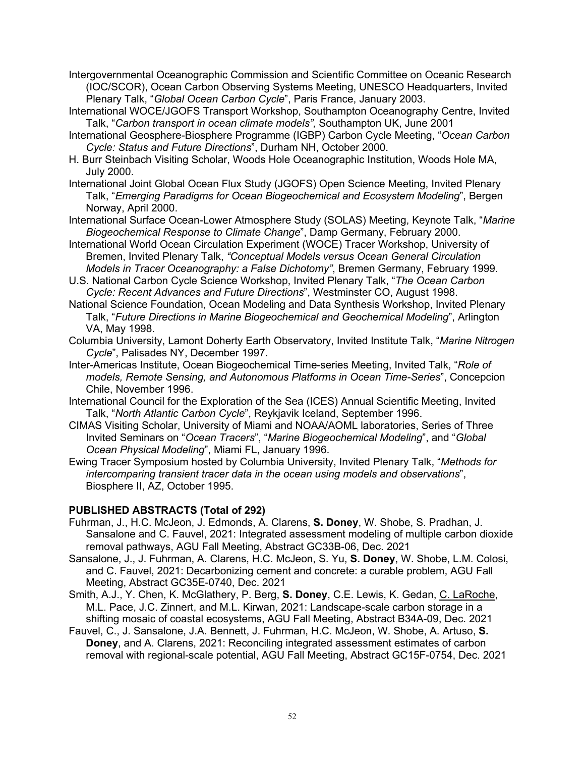- Intergovernmental Oceanographic Commission and Scientific Committee on Oceanic Research (IOC/SCOR), Ocean Carbon Observing Systems Meeting, UNESCO Headquarters, Invited Plenary Talk, "*Global Ocean Carbon Cycle*", Paris France, January 2003.
- International WOCE/JGOFS Transport Workshop, Southampton Oceanography Centre, Invited Talk, "*Carbon transport in ocean climate models",* Southampton UK, June 2001
- International Geosphere-Biosphere Programme (IGBP) Carbon Cycle Meeting, "*Ocean Carbon Cycle: Status and Future Directions*", Durham NH, October 2000.
- H. Burr Steinbach Visiting Scholar, Woods Hole Oceanographic Institution, Woods Hole MA, July 2000.
- International Joint Global Ocean Flux Study (JGOFS) Open Science Meeting, Invited Plenary Talk, "*Emerging Paradigms for Ocean Biogeochemical and Ecosystem Modeling*", Bergen Norway, April 2000.
- International Surface Ocean-Lower Atmosphere Study (SOLAS) Meeting, Keynote Talk, "*Marine Biogeochemical Response to Climate Change*", Damp Germany, February 2000.
- International World Ocean Circulation Experiment (WOCE) Tracer Workshop, University of Bremen, Invited Plenary Talk, *"Conceptual Models versus Ocean General Circulation Models in Tracer Oceanography: a False Dichotomy"*, Bremen Germany, February 1999.
- U.S. National Carbon Cycle Science Workshop, Invited Plenary Talk, "*The Ocean Carbon Cycle: Recent Advances and Future Directions*", Westminster CO, August 1998.
- National Science Foundation, Ocean Modeling and Data Synthesis Workshop, Invited Plenary Talk, "*Future Directions in Marine Biogeochemical and Geochemical Modeling*", Arlington VA, May 1998.
- Columbia University, Lamont Doherty Earth Observatory, Invited Institute Talk, "*Marine Nitrogen Cycle*", Palisades NY, December 1997.
- Inter-Americas Institute, Ocean Biogeochemical Time-series Meeting, Invited Talk, "*Role of models, Remote Sensing, and Autonomous Platforms in Ocean Time-Series*", Concepcion Chile, November 1996.
- International Council for the Exploration of the Sea (ICES) Annual Scientific Meeting, Invited Talk, "*North Atlantic Carbon Cycle*", Reykjavik Iceland, September 1996.
- CIMAS Visiting Scholar, University of Miami and NOAA/AOML laboratories, Series of Three Invited Seminars on "*Ocean Tracers*", "*Marine Biogeochemical Modeling*", and "*Global Ocean Physical Modeling*", Miami FL, January 1996.
- Ewing Tracer Symposium hosted by Columbia University, Invited Plenary Talk, "*Methods for intercomparing transient tracer data in the ocean using models and observations*", Biosphere II, AZ, October 1995.

### **PUBLISHED ABSTRACTS (Total of 292)**

- Fuhrman, J., H.C. McJeon, J. Edmonds, A. Clarens, **S. Doney**, W. Shobe, S. Pradhan, J. Sansalone and C. Fauvel, 2021: Integrated assessment modeling of multiple carbon dioxide removal pathways, AGU Fall Meeting, Abstract GC33B-06, Dec. 2021
- Sansalone, J., J. Fuhrman, A. Clarens, H.C. McJeon, S. Yu, **S. Doney**, W. Shobe, L.M. Colosi, and C. Fauvel, 2021: Decarbonizing cement and concrete: a curable problem, AGU Fall Meeting, Abstract GC35E-0740, Dec. 2021
- Smith, A.J., Y. Chen, K. McGlathery, P. Berg, **S. Doney**, C.E. Lewis, K. Gedan, C. LaRoche, M.L. Pace, J.C. Zinnert, and M.L. Kirwan, 2021: Landscape-scale carbon storage in a shifting mosaic of coastal ecosystems, AGU Fall Meeting, Abstract B34A-09, Dec. 2021
- Fauvel, C., J. Sansalone, J.A. Bennett, J. Fuhrman, H.C. McJeon, W. Shobe, A. Artuso, **S. Doney**, and A. Clarens, 2021: Reconciling integrated assessment estimates of carbon removal with regional-scale potential, AGU Fall Meeting, Abstract GC15F-0754, Dec. 2021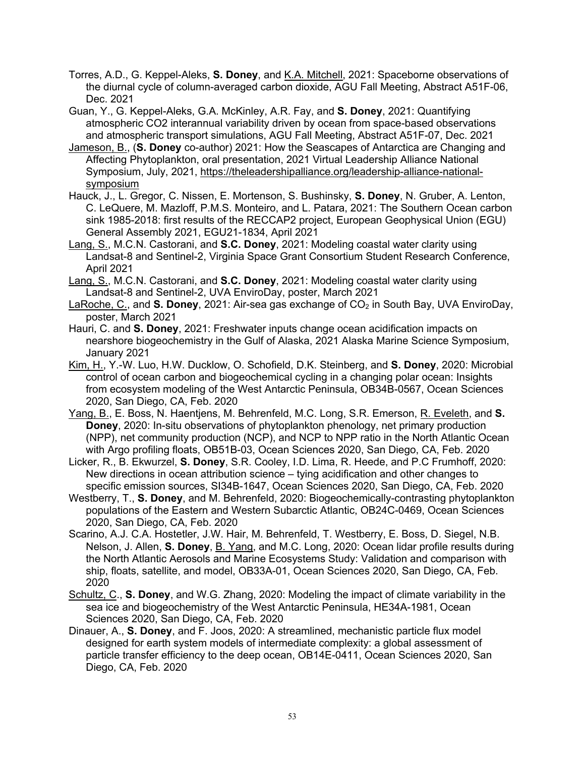- Torres, A.D., G. Keppel-Aleks, **S. Doney**, and K.A. Mitchell, 2021: Spaceborne observations of the diurnal cycle of column-averaged carbon dioxide, AGU Fall Meeting, Abstract A51F-06, Dec. 2021
- Guan, Y., G. Keppel-Aleks, G.A. McKinley, A.R. Fay, and **S. Doney**, 2021: Quantifying atmospheric CO2 interannual variability driven by ocean from space-based observations and atmospheric transport simulations, AGU Fall Meeting, Abstract A51F-07, Dec. 2021
- Jameson, B., (**S. Doney** co-author) 2021: How the Seascapes of Antarctica are Changing and Affecting Phytoplankton, oral presentation, 2021 Virtual Leadership Alliance National Symposium, July, 2021, https://theleadershipalliance.org/leadership-alliance-nationalsymposium
- Hauck, J., L. Gregor, C. Nissen, E. Mortenson, S. Bushinsky, **S. Doney**, N. Gruber, A. Lenton, C. LeQuere, M. Mazloff, P.M.S. Monteiro, and L. Patara, 2021: The Southern Ocean carbon sink 1985-2018: first results of the RECCAP2 project, European Geophysical Union (EGU) General Assembly 2021, EGU21-1834, April 2021
- Lang, S., M.C.N. Castorani, and **S.C. Doney**, 2021: Modeling coastal water clarity using Landsat-8 and Sentinel-2, Virginia Space Grant Consortium Student Research Conference, April 2021
- Lang, S., M.C.N. Castorani, and **S.C. Doney**, 2021: Modeling coastal water clarity using Landsat-8 and Sentinel-2, UVA EnviroDay, poster, March 2021
- LaRoche, C., and **S. Doney**, 2021: Air-sea gas exchange of CO<sub>2</sub> in South Bay, UVA EnviroDay, poster, March 2021
- Hauri, C. and **S. Doney**, 2021: Freshwater inputs change ocean acidification impacts on nearshore biogeochemistry in the Gulf of Alaska, 2021 Alaska Marine Science Symposium, January 2021
- Kim, H., Y.-W. Luo, H.W. Ducklow, O. Schofield, D.K. Steinberg, and **S. Doney**, 2020: Microbial control of ocean carbon and biogeochemical cycling in a changing polar ocean: Insights from ecosystem modeling of the West Antarctic Peninsula, OB34B-0567, Ocean Sciences 2020, San Diego, CA, Feb. 2020
- Yang, B., E. Boss, N. Haentjens, M. Behrenfeld, M.C. Long, S.R. Emerson, R. Eveleth, and **S. Doney**, 2020: In-situ observations of phytoplankton phenology, net primary production (NPP), net community production (NCP), and NCP to NPP ratio in the North Atlantic Ocean with Argo profiling floats, OB51B-03, Ocean Sciences 2020, San Diego, CA, Feb. 2020
- Licker, R., B. Ekwurzel, **S. Doney**, S.R. Cooley, I.D. Lima, R. Heede, and P.C Frumhoff, 2020: New directions in ocean attribution science – tying acidification and other changes to specific emission sources, SI34B-1647, Ocean Sciences 2020, San Diego, CA, Feb. 2020
- Westberry, T., **S. Doney**, and M. Behrenfeld, 2020: Biogeochemically-contrasting phytoplankton populations of the Eastern and Western Subarctic Atlantic, OB24C-0469, Ocean Sciences 2020, San Diego, CA, Feb. 2020
- Scarino, A.J. C.A. Hostetler, J.W. Hair, M. Behrenfeld, T. Westberry, E. Boss, D. Siegel, N.B. Nelson, J. Allen, **S. Doney**, B. Yang, and M.C. Long, 2020: Ocean lidar profile results during the North Atlantic Aerosols and Marine Ecosystems Study: Validation and comparison with ship, floats, satellite, and model, OB33A-01, Ocean Sciences 2020, San Diego, CA, Feb. 2020
- Schultz, C., **S. Doney**, and W.G. Zhang, 2020: Modeling the impact of climate variability in the sea ice and biogeochemistry of the West Antarctic Peninsula, HE34A-1981, Ocean Sciences 2020, San Diego, CA, Feb. 2020
- Dinauer, A., **S. Doney**, and F. Joos, 2020: A streamlined, mechanistic particle flux model designed for earth system models of intermediate complexity: a global assessment of particle transfer efficiency to the deep ocean, OB14E-0411, Ocean Sciences 2020, San Diego, CA, Feb. 2020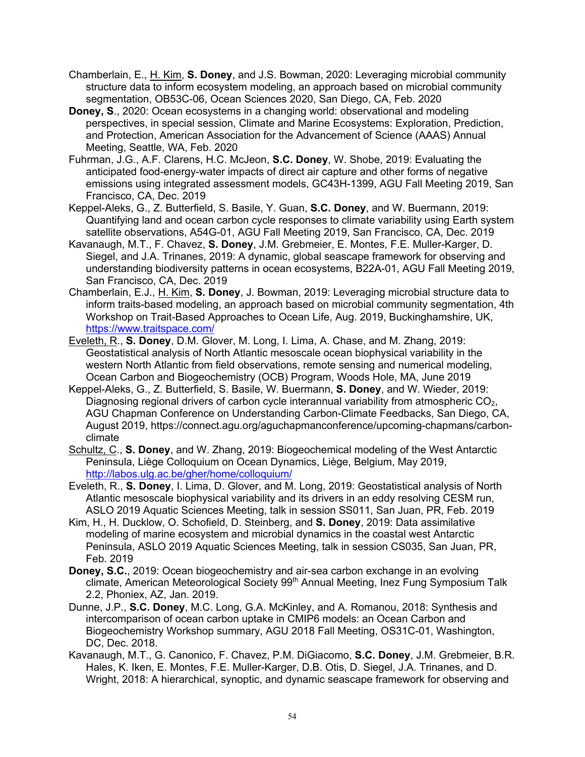- Chamberlain, E., H. Kim, **S. Doney**, and J.S. Bowman, 2020: Leveraging microbial community structure data to inform ecosystem modeling, an approach based on microbial community segmentation, OB53C-06, Ocean Sciences 2020, San Diego, CA, Feb. 2020
- **Doney, S**., 2020: Ocean ecosystems in a changing world: observational and modeling perspectives, in special session, Climate and Marine Ecosystems: Exploration, Prediction, and Protection, American Association for the Advancement of Science (AAAS) Annual Meeting, Seattle, WA, Feb. 2020
- Fuhrman, J.G., A.F. Clarens, H.C. McJeon, **S.C. Doney**, W. Shobe, 2019: Evaluating the anticipated food-energy-water impacts of direct air capture and other forms of negative emissions using integrated assessment models, GC43H-1399, AGU Fall Meeting 2019, San Francisco, CA, Dec. 2019
- Keppel-Aleks, G., Z. Butterfield, S. Basile, Y. Guan, **S.C. Doney**, and W. Buermann, 2019: Quantifying land and ocean carbon cycle responses to climate variability using Earth system satellite observations, A54G-01, AGU Fall Meeting 2019, San Francisco, CA, Dec. 2019
- Kavanaugh, M.T., F. Chavez, **S. Doney**, J.M. Grebmeier, E. Montes, F.E. Muller-Karger, D. Siegel, and J.A. Trinanes, 2019: A dynamic, global seascape framework for observing and understanding biodiversity patterns in ocean ecosystems, B22A-01, AGU Fall Meeting 2019, San Francisco, CA, Dec. 2019
- Chamberlain, E.J., H. Kim, **S. Doney**, J. Bowman, 2019: Leveraging microbial structure data to inform traits-based modeling, an approach based on microbial community segmentation, 4th Workshop on Trait-Based Approaches to Ocean Life, Aug. 2019, Buckinghamshire, UK, https://www.traitspace.com/
- Eveleth, R., **S. Doney**, D.M. Glover, M. Long, I. Lima, A. Chase, and M. Zhang, 2019: Geostatistical analysis of North Atlantic mesoscale ocean biophysical variability in the western North Atlantic from field observations, remote sensing and numerical modeling, Ocean Carbon and Biogeochemistry (OCB) Program, Woods Hole, MA, June 2019
- Keppel-Aleks, G., Z. Butterfield, S. Basile, W. Buermann, **S. Doney**, and W. Wieder, 2019: Diagnosing regional drivers of carbon cycle interannual variability from atmospheric  $CO<sub>2</sub>$ , AGU Chapman Conference on Understanding Carbon-Climate Feedbacks, San Diego, CA, August 2019, https://connect.agu.org/aguchapmanconference/upcoming-chapmans/carbonclimate
- Schultz, C., **S. Doney**, and W. Zhang, 2019: Biogeochemical modeling of the West Antarctic Peninsula, Liège Colloquium on Ocean Dynamics, Liège, Belgium, May 2019, http://labos.ulg.ac.be/gher/home/colloquium/
- Eveleth, R., **S. Doney**, I. Lima, D. Glover, and M. Long, 2019: Geostatistical analysis of North Atlantic mesoscale biophysical variability and its drivers in an eddy resolving CESM run, ASLO 2019 Aquatic Sciences Meeting, talk in session SS011, San Juan, PR, Feb. 2019
- Kim, H., H. Ducklow, O. Schofield, D. Steinberg, and **S. Doney**, 2019: Data assimilative modeling of marine ecosystem and microbial dynamics in the coastal west Antarctic Peninsula, ASLO 2019 Aquatic Sciences Meeting, talk in session CS035, San Juan, PR, Feb. 2019
- **Doney, S.C.**, 2019: Ocean biogeochemistry and air-sea carbon exchange in an evolving climate, American Meteorological Society 99<sup>th</sup> Annual Meeting, Inez Fung Symposium Talk 2.2, Phoniex, AZ, Jan. 2019.
- Dunne, J.P., **S.C. Doney**, M.C. Long, G.A. McKinley, and A. Romanou, 2018: Synthesis and intercomparison of ocean carbon uptake in CMIP6 models: an Ocean Carbon and Biogeochemistry Workshop summary, AGU 2018 Fall Meeting, OS31C-01, Washington, DC, Dec. 2018.
- Kavanaugh, M.T., G. Canonico, F. Chavez, P.M. DiGiacomo, **S.C. Doney**, J.M. Grebmeier, B.R. Hales, K. Iken, E. Montes, F.E. Muller-Karger, D.B. Otis, D. Siegel, J.A. Trinanes, and D. Wright, 2018: A hierarchical, synoptic, and dynamic seascape framework for observing and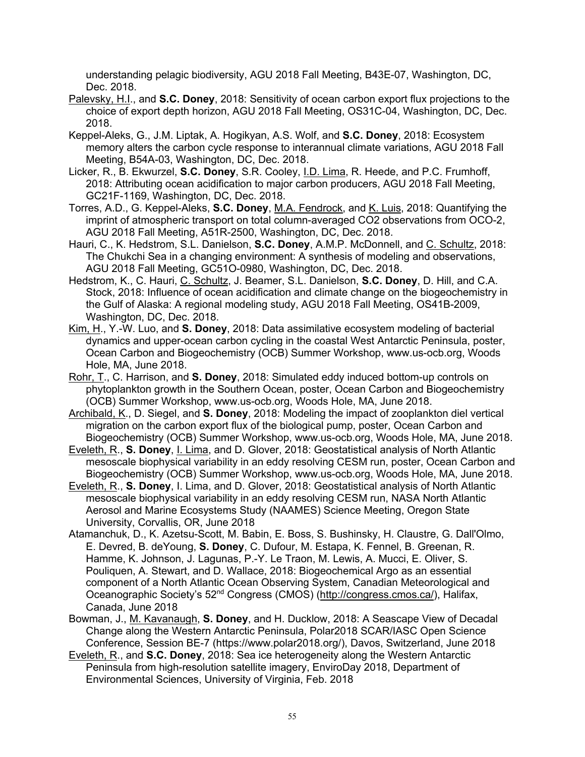understanding pelagic biodiversity, AGU 2018 Fall Meeting, B43E-07, Washington, DC, Dec. 2018.

- Palevsky, H.I., and **S.C. Doney**, 2018: Sensitivity of ocean carbon export flux projections to the choice of export depth horizon, AGU 2018 Fall Meeting, OS31C-04, Washington, DC, Dec. 2018.
- Keppel-Aleks, G., J.M. Liptak, A. Hogikyan, A.S. Wolf, and **S.C. Doney**, 2018: Ecosystem memory alters the carbon cycle response to interannual climate variations, AGU 2018 Fall Meeting, B54A-03, Washington, DC, Dec. 2018.
- Licker, R., B. Ekwurzel, **S.C. Doney**, S.R. Cooley, I.D. Lima, R. Heede, and P.C. Frumhoff, 2018: Attributing ocean acidification to major carbon producers, AGU 2018 Fall Meeting, GC21F-1169, Washington, DC, Dec. 2018.
- Torres, A.D., G. Keppel-Aleks, **S.C. Doney**, M.A. Fendrock, and K. Luis, 2018: Quantifying the imprint of atmospheric transport on total column-averaged CO2 observations from OCO-2, AGU 2018 Fall Meeting, A51R-2500, Washington, DC, Dec. 2018.
- Hauri, C., K. Hedstrom, S.L. Danielson, **S.C. Doney**, A.M.P. McDonnell, and C. Schultz, 2018: The Chukchi Sea in a changing environment: A synthesis of modeling and observations, AGU 2018 Fall Meeting, GC51O-0980, Washington, DC, Dec. 2018.
- Hedstrom, K., C. Hauri, C. Schultz, J. Beamer, S.L. Danielson, **S.C. Doney**, D. Hill, and C.A. Stock, 2018: Influence of ocean acidification and climate change on the biogeochemistry in the Gulf of Alaska: A regional modeling study, AGU 2018 Fall Meeting, OS41B-2009, Washington, DC, Dec. 2018.
- Kim, H., Y.-W. Luo, and **S. Doney**, 2018: Data assimilative ecosystem modeling of bacterial dynamics and upper-ocean carbon cycling in the coastal West Antarctic Peninsula, poster, Ocean Carbon and Biogeochemistry (OCB) Summer Workshop, www.us-ocb.org, Woods Hole, MA, June 2018.
- Rohr, T., C. Harrison, and **S. Doney**, 2018: Simulated eddy induced bottom-up controls on phytoplankton growth in the Southern Ocean, poster, Ocean Carbon and Biogeochemistry (OCB) Summer Workshop, www.us-ocb.org, Woods Hole, MA, June 2018.
- Archibald, K., D. Siegel, and **S. Doney**, 2018: Modeling the impact of zooplankton diel vertical migration on the carbon export flux of the biological pump, poster, Ocean Carbon and Biogeochemistry (OCB) Summer Workshop, www.us-ocb.org, Woods Hole, MA, June 2018.
- Eveleth, R., **S. Doney**, I. Lima, and D. Glover, 2018: Geostatistical analysis of North Atlantic mesoscale biophysical variability in an eddy resolving CESM run, poster, Ocean Carbon and Biogeochemistry (OCB) Summer Workshop, www.us-ocb.org, Woods Hole, MA, June 2018.
- Eveleth, R., **S. Doney**, I. Lima, and D. Glover, 2018: Geostatistical analysis of North Atlantic mesoscale biophysical variability in an eddy resolving CESM run, NASA North Atlantic Aerosol and Marine Ecosystems Study (NAAMES) Science Meeting, Oregon State University, Corvallis, OR, June 2018
- Atamanchuk, D., K. Azetsu-Scott, M. Babin, E. Boss, S. Bushinsky, H. Claustre, G. Dall'Olmo, E. Devred, B. deYoung, **S. Doney**, C. Dufour, M. Estapa, K. Fennel, B. Greenan, R. Hamme, K. Johnson, J. Lagunas, P.-Y. Le Traon, M. Lewis, A. Mucci, E. Oliver, S. Pouliquen, A. Stewart, and D. Wallace, 2018: Biogeochemical Argo as an essential component of a North Atlantic Ocean Observing System, Canadian Meteorological and Oceanographic Society's 52nd Congress (CMOS) (http://congress.cmos.ca/), Halifax, Canada, June 2018
- Bowman, J., M. Kavanaugh, **S. Doney**, and H. Ducklow, 2018: A Seascape View of Decadal Change along the Western Antarctic Peninsula, Polar2018 SCAR/IASC Open Science Conference, Session BE-7 (https://www.polar2018.org/), Davos, Switzerland, June 2018
- Eveleth, R., and **S.C. Doney**, 2018: Sea ice heterogeneity along the Western Antarctic Peninsula from high-resolution satellite imagery, EnviroDay 2018, Department of Environmental Sciences, University of Virginia, Feb. 2018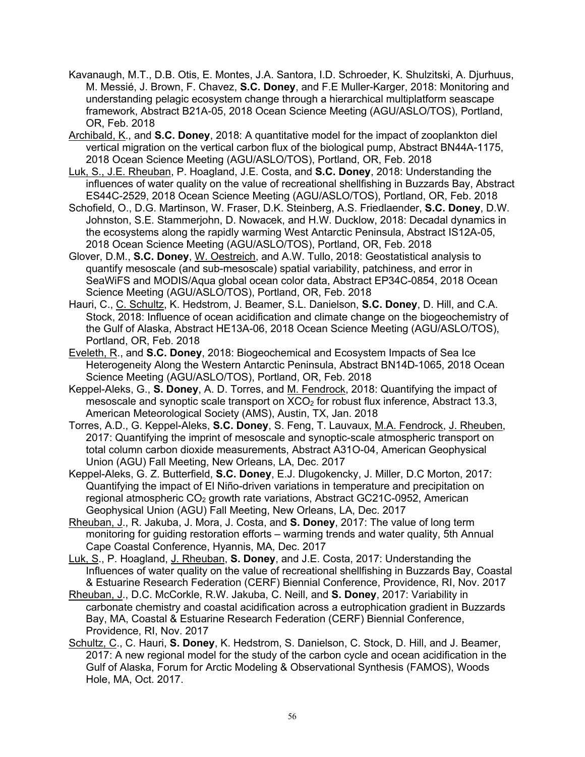- Kavanaugh, M.T., D.B. Otis, E. Montes, J.A. Santora, I.D. Schroeder, K. Shulzitski, A. Djurhuus, M. Messié, J. Brown, F. Chavez, **S.C. Doney**, and F.E Muller-Karger, 2018: Monitoring and understanding pelagic ecosystem change through a hierarchical multiplatform seascape framework, Abstract B21A-05, 2018 Ocean Science Meeting (AGU/ASLO/TOS), Portland, OR, Feb. 2018
- Archibald, K., and **S.C. Doney**, 2018: A quantitative model for the impact of zooplankton diel vertical migration on the vertical carbon flux of the biological pump, Abstract BN44A-1175, 2018 Ocean Science Meeting (AGU/ASLO/TOS), Portland, OR, Feb. 2018
- Luk, S., J.E. Rheuban, P. Hoagland, J.E. Costa, and **S.C. Doney**, 2018: Understanding the influences of water quality on the value of recreational shellfishing in Buzzards Bay, Abstract ES44C-2529, 2018 Ocean Science Meeting (AGU/ASLO/TOS), Portland, OR, Feb. 2018
- Schofield, O., D.G. Martinson, W. Fraser, D.K. Steinberg, A.S. Friedlaender, **S.C. Doney**, D.W. Johnston, S.E. Stammerjohn, D. Nowacek, and H.W. Ducklow, 2018: Decadal dynamics in the ecosystems along the rapidly warming West Antarctic Peninsula, Abstract IS12A-05, 2018 Ocean Science Meeting (AGU/ASLO/TOS), Portland, OR, Feb. 2018
- Glover, D.M., **S.C. Doney**, W. Oestreich, and A.W. Tullo, 2018: Geostatistical analysis to quantify mesoscale (and sub-mesoscale) spatial variability, patchiness, and error in SeaWiFS and MODIS/Aqua global ocean color data, Abstract EP34C-0854, 2018 Ocean Science Meeting (AGU/ASLO/TOS), Portland, OR, Feb. 2018
- Hauri, C., C. Schultz, K. Hedstrom, J. Beamer, S.L. Danielson, **S.C. Doney**, D. Hill, and C.A. Stock, 2018: Influence of ocean acidification and climate change on the biogeochemistry of the Gulf of Alaska, Abstract HE13A-06, 2018 Ocean Science Meeting (AGU/ASLO/TOS), Portland, OR, Feb. 2018
- Eveleth, R., and **S.C. Doney**, 2018: Biogeochemical and Ecosystem Impacts of Sea Ice Heterogeneity Along the Western Antarctic Peninsula, Abstract BN14D-1065, 2018 Ocean Science Meeting (AGU/ASLO/TOS), Portland, OR, Feb. 2018
- Keppel-Aleks, G., **S. Doney**, A. D. Torres, and M. Fendrock, 2018: Quantifying the impact of mesoscale and synoptic scale transport on  $XCO<sub>2</sub>$  for robust flux inference, Abstract 13.3, American Meteorological Society (AMS), Austin, TX, Jan. 2018
- Torres, A.D., G. Keppel-Aleks, **S.C. Doney**, S. Feng, T. Lauvaux, M.A. Fendrock, J. Rheuben, 2017: Quantifying the imprint of mesoscale and synoptic-scale atmospheric transport on total column carbon dioxide measurements, Abstract A31O-04, American Geophysical Union (AGU) Fall Meeting, New Orleans, LA, Dec. 2017
- Keppel-Aleks, G. Z. Butterfield, **S.C. Doney**, E.J. Dlugokencky, J. Miller, D.C Morton, 2017: Quantifying the impact of El Niño-driven variations in temperature and precipitation on regional atmospheric  $CO<sub>2</sub>$  growth rate variations, Abstract GC21C-0952, American Geophysical Union (AGU) Fall Meeting, New Orleans, LA, Dec. 2017
- Rheuban, J., R. Jakuba, J. Mora, J. Costa, and **S. Doney**, 2017: The value of long term monitoring for guiding restoration efforts – warming trends and water quality, 5th Annual Cape Coastal Conference, Hyannis, MA, Dec. 2017
- Luk, S., P. Hoagland, J. Rheuban, **S. Doney**, and J.E. Costa, 2017: Understanding the Influences of water quality on the value of recreational shellfishing in Buzzards Bay, Coastal & Estuarine Research Federation (CERF) Biennial Conference, Providence, RI, Nov. 2017
- Rheuban, J., D.C. McCorkle, R.W. Jakuba, C. Neill, and **S. Doney**, 2017: Variability in carbonate chemistry and coastal acidification across a eutrophication gradient in Buzzards Bay, MA, Coastal & Estuarine Research Federation (CERF) Biennial Conference, Providence, RI, Nov. 2017
- Schultz, C., C. Hauri, **S. Doney**, K. Hedstrom, S. Danielson, C. Stock, D. Hill, and J. Beamer, 2017: A new regional model for the study of the carbon cycle and ocean acidification in the Gulf of Alaska, Forum for Arctic Modeling & Observational Synthesis (FAMOS), Woods Hole, MA, Oct. 2017.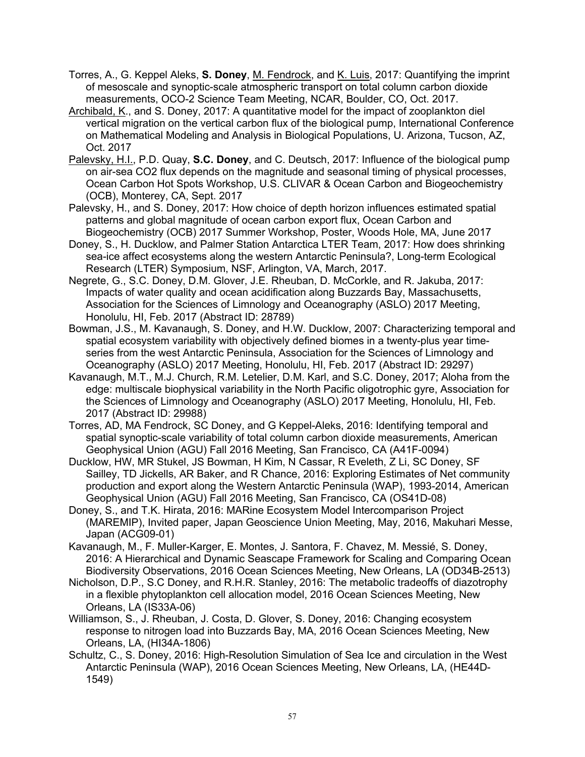- Torres, A., G. Keppel Aleks, **S. Doney**, M. Fendrock, and K. Luis, 2017: Quantifying the imprint of mesoscale and synoptic-scale atmospheric transport on total column carbon dioxide measurements, OCO-2 Science Team Meeting, NCAR, Boulder, CO, Oct. 2017.
- Archibald, K., and S. Doney, 2017: A quantitative model for the impact of zooplankton diel vertical migration on the vertical carbon flux of the biological pump, International Conference on Mathematical Modeling and Analysis in Biological Populations, U. Arizona, Tucson, AZ, Oct. 2017
- Palevsky, H.I., P.D. Quay, **S.C. Doney**, and C. Deutsch, 2017: Influence of the biological pump on air-sea CO2 flux depends on the magnitude and seasonal timing of physical processes, Ocean Carbon Hot Spots Workshop, U.S. CLIVAR & Ocean Carbon and Biogeochemistry (OCB), Monterey, CA, Sept. 2017
- Palevsky, H., and S. Doney, 2017: How choice of depth horizon influences estimated spatial patterns and global magnitude of ocean carbon export flux, Ocean Carbon and Biogeochemistry (OCB) 2017 Summer Workshop, Poster, Woods Hole, MA, June 2017
- Doney, S., H. Ducklow, and Palmer Station Antarctica LTER Team, 2017: How does shrinking sea-ice affect ecosystems along the western Antarctic Peninsula?, Long-term Ecological Research (LTER) Symposium, NSF, Arlington, VA, March, 2017.
- Negrete, G., S.C. Doney, D.M. Glover, J.E. Rheuban, D. McCorkle, and R. Jakuba, 2017: Impacts of water quality and ocean acidification along Buzzards Bay, Massachusetts, Association for the Sciences of Limnology and Oceanography (ASLO) 2017 Meeting, Honolulu, HI, Feb. 2017 (Abstract ID: 28789)
- Bowman, J.S., M. Kavanaugh, S. Doney, and H.W. Ducklow, 2007: Characterizing temporal and spatial ecosystem variability with objectively defined biomes in a twenty-plus year timeseries from the west Antarctic Peninsula, Association for the Sciences of Limnology and Oceanography (ASLO) 2017 Meeting, Honolulu, HI, Feb. 2017 (Abstract ID: 29297)
- Kavanaugh, M.T., M.J. Church, R.M. Letelier, D.M. Karl, and S.C. Doney, 2017; Aloha from the edge: multiscale biophysical variability in the North Pacific oligotrophic gyre, Association for the Sciences of Limnology and Oceanography (ASLO) 2017 Meeting, Honolulu, HI, Feb. 2017 (Abstract ID: 29988)
- Torres, AD, MA Fendrock, SC Doney, and G Keppel-Aleks, 2016: Identifying temporal and spatial synoptic-scale variability of total column carbon dioxide measurements, American Geophysical Union (AGU) Fall 2016 Meeting, San Francisco, CA (A41F-0094)
- Ducklow, HW, MR Stukel, JS Bowman, H Kim, N Cassar, R Eveleth, Z Li, SC Doney, SF Sailley, TD Jickells, AR Baker, and R Chance, 2016: Exploring Estimates of Net community production and export along the Western Antarctic Peninsula (WAP), 1993-2014, American Geophysical Union (AGU) Fall 2016 Meeting, San Francisco, CA (OS41D-08)
- Doney, S., and T.K. Hirata, 2016: MARine Ecosystem Model Intercomparison Project (MAREMIP), Invited paper, Japan Geoscience Union Meeting, May, 2016, Makuhari Messe, Japan (ACG09-01)
- Kavanaugh, M., F. Muller-Karger, E. Montes, J. Santora, F. Chavez, M. Messié, S. Doney, 2016: A Hierarchical and Dynamic Seascape Framework for Scaling and Comparing Ocean Biodiversity Observations, 2016 Ocean Sciences Meeting, New Orleans, LA (OD34B-2513)
- Nicholson, D.P., S.C Doney, and R.H.R. Stanley, 2016: The metabolic tradeoffs of diazotrophy in a flexible phytoplankton cell allocation model, 2016 Ocean Sciences Meeting, New Orleans, LA (IS33A-06)
- Williamson, S., J. Rheuban, J. Costa, D. Glover, S. Doney, 2016: Changing ecosystem response to nitrogen load into Buzzards Bay, MA, 2016 Ocean Sciences Meeting, New Orleans, LA, (HI34A-1806)
- Schultz, C., S. Doney, 2016: High-Resolution Simulation of Sea Ice and circulation in the West Antarctic Peninsula (WAP), 2016 Ocean Sciences Meeting, New Orleans, LA, (HE44D-1549)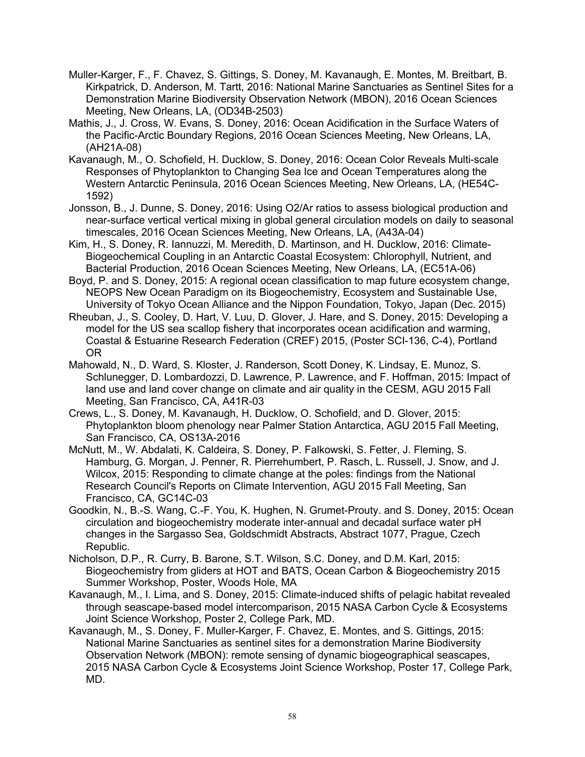- Muller-Karger, F., F. Chavez, S. Gittings, S. Doney, M. Kavanaugh, E. Montes, M. Breitbart, B. Kirkpatrick, D. Anderson, M. Tartt, 2016: National Marine Sanctuaries as Sentinel Sites for a Demonstration Marine Biodiversity Observation Network (MBON), 2016 Ocean Sciences Meeting, New Orleans, LA, (OD34B-2503)
- Mathis, J., J. Cross, W. Evans, S. Doney, 2016: Ocean Acidification in the Surface Waters of the Pacific-Arctic Boundary Regions, 2016 Ocean Sciences Meeting, New Orleans, LA, (AH21A-08)
- Kavanaugh, M., O. Schofield, H. Ducklow, S. Doney, 2016: Ocean Color Reveals Multi-scale Responses of Phytoplankton to Changing Sea Ice and Ocean Temperatures along the Western Antarctic Peninsula, 2016 Ocean Sciences Meeting, New Orleans, LA, (HE54C-1592)
- Jonsson, B., J. Dunne, S. Doney, 2016: Using O2/Ar ratios to assess biological production and near-surface vertical vertical mixing in global general circulation models on daily to seasonal timescales, 2016 Ocean Sciences Meeting, New Orleans, LA, (A43A-04)
- Kim, H., S. Doney, R. Iannuzzi, M. Meredith, D. Martinson, and H. Ducklow, 2016: Climate-Biogeochemical Coupling in an Antarctic Coastal Ecosystem: Chlorophyll, Nutrient, and Bacterial Production, 2016 Ocean Sciences Meeting, New Orleans, LA, (EC51A-06)
- Boyd, P. and S. Doney, 2015: A regional ocean classification to map future ecosystem change, NEOPS New Ocean Paradigm on its Biogeochemistry, Ecosystem and Sustainable Use, University of Tokyo Ocean Alliance and the Nippon Foundation, Tokyo, Japan (Dec. 2015)
- Rheuban, J., S. Cooley, D. Hart, V. Luu, D. Glover, J. Hare, and S. Doney, 2015: Developing a model for the US sea scallop fishery that incorporates ocean acidification and warming, Coastal & Estuarine Research Federation (CREF) 2015, (Poster SCI-136, C-4), Portland OR
- Mahowald, N., D. Ward, S. Kloster, J. Randerson, Scott Doney, K. Lindsay, E. Munoz, S. Schlunegger, D. Lombardozzi, D. Lawrence, P. Lawrence, and F. Hoffman, 2015: Impact of land use and land cover change on climate and air quality in the CESM, AGU 2015 Fall Meeting, San Francisco, CA, A41R-03
- Crews, L., S. Doney, M. Kavanaugh, H. Ducklow, O. Schofield, and D. Glover, 2015: Phytoplankton bloom phenology near Palmer Station Antarctica, AGU 2015 Fall Meeting, San Francisco, CA, OS13A-2016
- McNutt, M., W. Abdalati, K. Caldeira, S. Doney, P. Falkowski, S. Fetter, J. Fleming, S. Hamburg, G. Morgan, J. Penner, R. Pierrehumbert, P. Rasch, L. Russell, J. Snow, and J. Wilcox, 2015: Responding to climate change at the poles: findings from the National Research Council's Reports on Climate Intervention, AGU 2015 Fall Meeting, San Francisco, CA, GC14C-03
- Goodkin, N., B.-S. Wang, C.-F. You, K. Hughen, N. Grumet-Prouty. and S. Doney, 2015: Ocean circulation and biogeochemistry moderate inter-annual and decadal surface water pH changes in the Sargasso Sea, Goldschmidt Abstracts, Abstract 1077, Prague, Czech Republic.
- Nicholson, D.P., R. Curry, B. Barone, S.T. Wilson, S.C. Doney, and D.M. Karl, 2015: Biogeochemistry from gliders at HOT and BATS, Ocean Carbon & Biogeochemistry 2015 Summer Workshop, Poster, Woods Hole, MA
- Kavanaugh, M., I. Lima, and S. Doney, 2015: Climate-induced shifts of pelagic habitat revealed through seascape-based model intercomparison, 2015 NASA Carbon Cycle & Ecosystems Joint Science Workshop, Poster 2, College Park, MD.
- Kavanaugh, M., S. Doney, F. Muller-Karger, F. Chavez, E. Montes, and S. Gittings, 2015: National Marine Sanctuaries as sentinel sites for a demonstration Marine Biodiversity Observation Network (MBON): remote sensing of dynamic biogeographical seascapes, 2015 NASA Carbon Cycle & Ecosystems Joint Science Workshop, Poster 17, College Park, MD.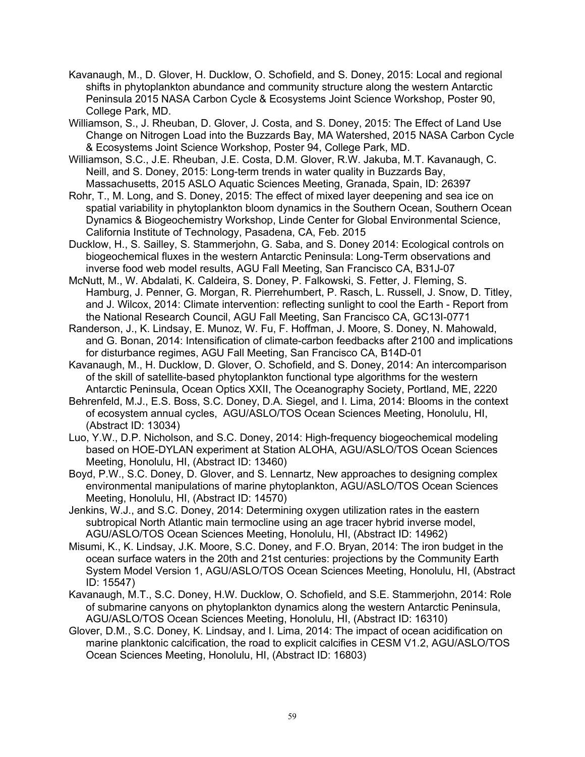- Kavanaugh, M., D. Glover, H. Ducklow, O. Schofield, and S. Doney, 2015: Local and regional shifts in phytoplankton abundance and community structure along the western Antarctic Peninsula 2015 NASA Carbon Cycle & Ecosystems Joint Science Workshop, Poster 90, College Park, MD.
- Williamson, S., J. Rheuban, D. Glover, J. Costa, and S. Doney, 2015: The Effect of Land Use Change on Nitrogen Load into the Buzzards Bay, MA Watershed, 2015 NASA Carbon Cycle & Ecosystems Joint Science Workshop, Poster 94, College Park, MD.
- Williamson, S.C., J.E. Rheuban, J.E. Costa, D.M. Glover, R.W. Jakuba, M.T. Kavanaugh, C. Neill, and S. Doney, 2015: Long-term trends in water quality in Buzzards Bay, Massachusetts, 2015 ASLO Aquatic Sciences Meeting, Granada, Spain, ID: 26397
- Rohr, T., M. Long, and S. Doney, 2015: The effect of mixed layer deepening and sea ice on spatial variability in phytoplankton bloom dynamics in the Southern Ocean, Southern Ocean Dynamics & Biogeochemistry Workshop, Linde Center for Global Environmental Science, California Institute of Technology, Pasadena, CA, Feb. 2015
- Ducklow, H., S. Sailley, S. Stammerjohn, G. Saba, and S. Doney 2014: Ecological controls on biogeochemical fluxes in the western Antarctic Peninsula: Long-Term observations and inverse food web model results, AGU Fall Meeting, San Francisco CA, B31J-07
- McNutt, M., W. Abdalati, K. Caldeira, S. Doney, P. Falkowski, S. Fetter, J. Fleming, S. Hamburg, J. Penner, G. Morgan, R. Pierrehumbert, P. Rasch, L. Russell, J. Snow, D. Titley, and J. Wilcox, 2014: Climate intervention: reflecting sunlight to cool the Earth - Report from the National Research Council, AGU Fall Meeting, San Francisco CA, GC13I-0771
- Randerson, J., K. Lindsay, E. Munoz, W. Fu, F. Hoffman, J. Moore, S. Doney, N. Mahowald, and G. Bonan, 2014: Intensification of climate-carbon feedbacks after 2100 and implications for disturbance regimes, AGU Fall Meeting, San Francisco CA, B14D-01
- Kavanaugh, M., H. Ducklow, D. Glover, O. Schofield, and S. Doney, 2014: An intercomparison of the skill of satellite-based phytoplankton functional type algorithms for the western Antarctic Peninsula, Ocean Optics XXII, The Oceanography Society, Portland, ME, 2220
- Behrenfeld, M.J., E.S. Boss, S.C. Doney, D.A. Siegel, and I. Lima, 2014: Blooms in the context of ecosystem annual cycles, AGU/ASLO/TOS Ocean Sciences Meeting, Honolulu, HI, (Abstract ID: 13034)
- Luo, Y.W., D.P. Nicholson, and S.C. Doney, 2014: High-frequency biogeochemical modeling based on HOE-DYLAN experiment at Station ALOHA, AGU/ASLO/TOS Ocean Sciences Meeting, Honolulu, HI, (Abstract ID: 13460)
- Boyd, P.W., S.C. Doney, D. Glover, and S. Lennartz, New approaches to designing complex environmental manipulations of marine phytoplankton, AGU/ASLO/TOS Ocean Sciences Meeting, Honolulu, HI, (Abstract ID: 14570)
- Jenkins, W.J., and S.C. Doney, 2014: Determining oxygen utilization rates in the eastern subtropical North Atlantic main termocline using an age tracer hybrid inverse model, AGU/ASLO/TOS Ocean Sciences Meeting, Honolulu, HI, (Abstract ID: 14962)
- Misumi, K., K. Lindsay, J.K. Moore, S.C. Doney, and F.O. Bryan, 2014: The iron budget in the ocean surface waters in the 20th and 21st centuries: projections by the Community Earth System Model Version 1, AGU/ASLO/TOS Ocean Sciences Meeting, Honolulu, HI, (Abstract ID: 15547)
- Kavanaugh, M.T., S.C. Doney, H.W. Ducklow, O. Schofield, and S.E. Stammerjohn, 2014: Role of submarine canyons on phytoplankton dynamics along the western Antarctic Peninsula, AGU/ASLO/TOS Ocean Sciences Meeting, Honolulu, HI, (Abstract ID: 16310)
- Glover, D.M., S.C. Doney, K. Lindsay, and I. Lima, 2014: The impact of ocean acidification on marine planktonic calcification, the road to explicit calcifies in CESM V1.2, AGU/ASLO/TOS Ocean Sciences Meeting, Honolulu, HI, (Abstract ID: 16803)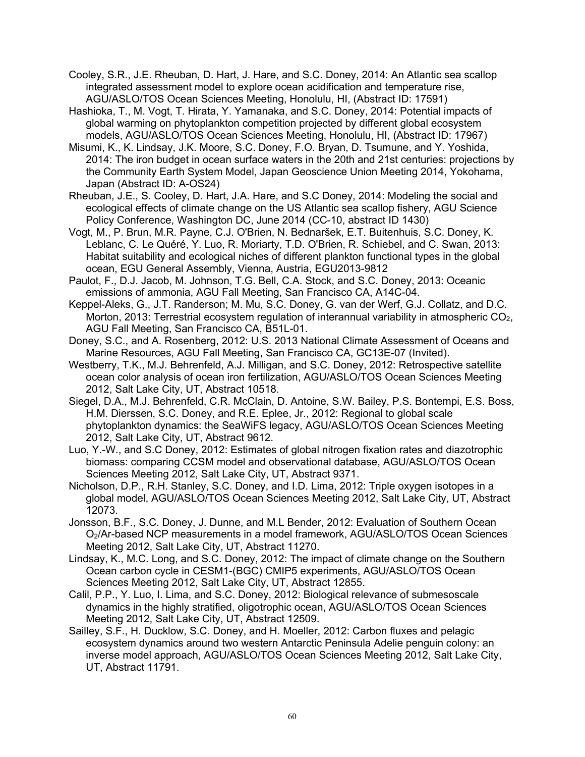- Cooley, S.R., J.E. Rheuban, D. Hart, J. Hare, and S.C. Doney, 2014: An Atlantic sea scallop integrated assessment model to explore ocean acidification and temperature rise, AGU/ASLO/TOS Ocean Sciences Meeting, Honolulu, HI, (Abstract ID: 17591)
- Hashioka, T., M. Vogt, T. Hirata, Y. Yamanaka, and S.C. Doney, 2014: Potential impacts of global warming on phytoplankton competition projected by different global ecosystem models, AGU/ASLO/TOS Ocean Sciences Meeting, Honolulu, HI, (Abstract ID: 17967)
- Misumi, K., K. Lindsay, J.K. Moore, S.C. Doney, F.O. Bryan, D. Tsumune, and Y. Yoshida, 2014: The iron budget in ocean surface waters in the 20th and 21st centuries: projections by the Community Earth System Model, Japan Geoscience Union Meeting 2014, Yokohama, Japan (Abstract ID: A-OS24)
- Rheuban, J.E., S. Cooley, D. Hart, J.A. Hare, and S.C Doney, 2014: Modeling the social and ecological effects of climate change on the US Atlantic sea scallop fishery, AGU Science Policy Conference, Washington DC, June 2014 (CC-10, abstract ID 1430)
- Vogt, M., P. Brun, M.R. Payne, C.J. O'Brien, N. Bednaršek, E.T. Buitenhuis, S.C. Doney, K. Leblanc, C. Le Quéré, Y. Luo, R. Moriarty, T.D. O'Brien, R. Schiebel, and C. Swan, 2013: Habitat suitability and ecological niches of different plankton functional types in the global ocean, EGU General Assembly, Vienna, Austria, EGU2013-9812
- Paulot, F., D.J. Jacob, M. Johnson, T.G. Bell, C.A. Stock, and S.C. Doney, 2013: Oceanic emissions of ammonia, AGU Fall Meeting, San Francisco CA, A14C-04.
- Keppel-Aleks, G., J.T. Randerson; M. Mu, S.C. Doney, G. van der Werf, G.J. Collatz, and D.C. Morton, 2013: Terrestrial ecosystem regulation of interannual variability in atmospheric  $CO<sub>2</sub>$ , AGU Fall Meeting, San Francisco CA, B51L-01.
- Doney, S.C., and A. Rosenberg, 2012: U.S. 2013 National Climate Assessment of Oceans and Marine Resources, AGU Fall Meeting, San Francisco CA, GC13E-07 (Invited).
- Westberry, T.K., M.J. Behrenfeld, A.J. Milligan, and S.C. Doney, 2012: Retrospective satellite ocean color analysis of ocean iron fertilization, AGU/ASLO/TOS Ocean Sciences Meeting 2012, Salt Lake City, UT, Abstract 10518.
- Siegel, D.A., M.J. Behrenfeld, C.R. McClain, D. Antoine, S.W. Bailey, P.S. Bontempi, E.S. Boss, H.M. Dierssen, S.C. Doney, and R.E. Eplee, Jr., 2012: Regional to global scale phytoplankton dynamics: the SeaWiFS legacy, AGU/ASLO/TOS Ocean Sciences Meeting 2012, Salt Lake City, UT, Abstract 9612.
- Luo, Y.-W., and S.C Doney, 2012: Estimates of global nitrogen fixation rates and diazotrophic biomass: comparing CCSM model and observational database, AGU/ASLO/TOS Ocean Sciences Meeting 2012, Salt Lake City, UT, Abstract 9371.
- Nicholson, D.P., R.H. Stanley, S.C. Doney, and I.D. Lima, 2012: Triple oxygen isotopes in a global model, AGU/ASLO/TOS Ocean Sciences Meeting 2012, Salt Lake City, UT, Abstract 12073.
- Jonsson, B.F., S.C. Doney, J. Dunne, and M.L Bender, 2012: Evaluation of Southern Ocean O2/Ar-based NCP measurements in a model framework, AGU/ASLO/TOS Ocean Sciences Meeting 2012, Salt Lake City, UT, Abstract 11270.
- Lindsay, K., M.C. Long, and S.C. Doney, 2012: The impact of climate change on the Southern Ocean carbon cycle in CESM1-(BGC) CMIP5 experiments, AGU/ASLO/TOS Ocean Sciences Meeting 2012, Salt Lake City, UT, Abstract 12855.
- Calil, P.P., Y. Luo, I. Lima, and S.C. Doney, 2012: Biological relevance of submesoscale dynamics in the highly stratified, oligotrophic ocean, AGU/ASLO/TOS Ocean Sciences Meeting 2012, Salt Lake City, UT, Abstract 12509.
- Sailley, S.F., H. Ducklow, S.C. Doney, and H. Moeller, 2012: Carbon fluxes and pelagic ecosystem dynamics around two western Antarctic Peninsula Adelie penguin colony: an inverse model approach, AGU/ASLO/TOS Ocean Sciences Meeting 2012, Salt Lake City, UT, Abstract 11791.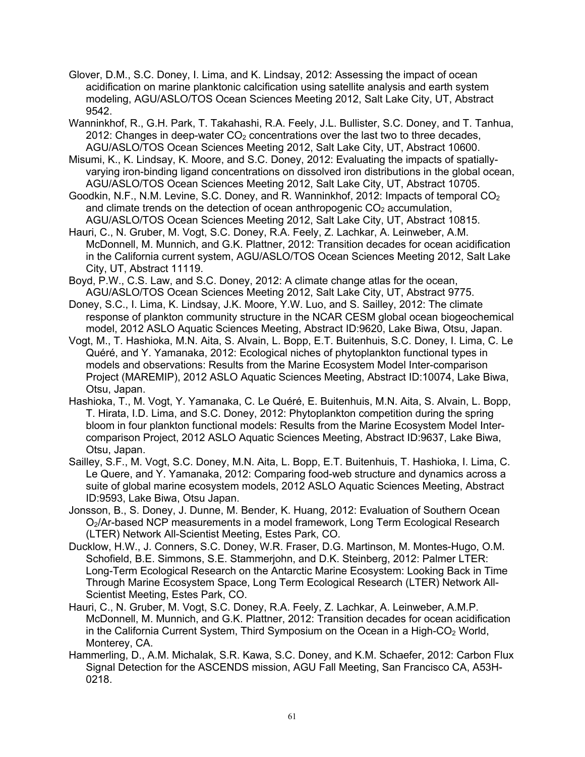- Glover, D.M., S.C. Doney, I. Lima, and K. Lindsay, 2012: Assessing the impact of ocean acidification on marine planktonic calcification using satellite analysis and earth system modeling, AGU/ASLO/TOS Ocean Sciences Meeting 2012, Salt Lake City, UT, Abstract 9542.
- Wanninkhof, R., G.H. Park, T. Takahashi, R.A. Feely, J.L. Bullister, S.C. Doney, and T. Tanhua, 2012: Changes in deep-water  $CO<sub>2</sub>$  concentrations over the last two to three decades, AGU/ASLO/TOS Ocean Sciences Meeting 2012, Salt Lake City, UT, Abstract 10600.
- Misumi, K., K. Lindsay, K. Moore, and S.C. Doney, 2012: Evaluating the impacts of spatiallyvarying iron-binding ligand concentrations on dissolved iron distributions in the global ocean, AGU/ASLO/TOS Ocean Sciences Meeting 2012, Salt Lake City, UT, Abstract 10705.
- Goodkin, N.F., N.M. Levine, S.C. Doney, and R. Wanninkhof, 2012: Impacts of temporal  $CO<sub>2</sub>$ and climate trends on the detection of ocean anthropogenic  $CO<sub>2</sub>$  accumulation, AGU/ASLO/TOS Ocean Sciences Meeting 2012, Salt Lake City, UT, Abstract 10815.
- Hauri, C., N. Gruber, M. Vogt, S.C. Doney, R.A. Feely, Z. Lachkar, A. Leinweber, A.M. McDonnell, M. Munnich, and G.K. Plattner, 2012: Transition decades for ocean acidification in the California current system, AGU/ASLO/TOS Ocean Sciences Meeting 2012, Salt Lake City, UT, Abstract 11119.
- Boyd, P.W., C.S. Law, and S.C. Doney, 2012: A climate change atlas for the ocean, AGU/ASLO/TOS Ocean Sciences Meeting 2012, Salt Lake City, UT, Abstract 9775.
- Doney, S.C., I. Lima, K. Lindsay, J.K. Moore, Y.W. Luo, and S. Sailley, 2012: The climate response of plankton community structure in the NCAR CESM global ocean biogeochemical model, 2012 ASLO Aquatic Sciences Meeting, Abstract ID:9620, Lake Biwa, Otsu, Japan.
- Vogt, M., T. Hashioka, M.N. Aita, S. Alvain, L. Bopp, E.T. Buitenhuis, S.C. Doney, I. Lima, C. Le Quéré, and Y. Yamanaka, 2012: Ecological niches of phytoplankton functional types in models and observations: Results from the Marine Ecosystem Model Inter-comparison Project (MAREMIP), 2012 ASLO Aquatic Sciences Meeting, Abstract ID:10074, Lake Biwa, Otsu, Japan.
- Hashioka, T., M. Vogt, Y. Yamanaka, C. Le Quéré, E. Buitenhuis, M.N. Aita, S. Alvain, L. Bopp, T. Hirata, I.D. Lima, and S.C. Doney, 2012: Phytoplankton competition during the spring bloom in four plankton functional models: Results from the Marine Ecosystem Model Intercomparison Project, 2012 ASLO Aquatic Sciences Meeting, Abstract ID:9637, Lake Biwa, Otsu, Japan.
- Sailley, S.F., M. Vogt, S.C. Doney, M.N. Aita, L. Bopp, E.T. Buitenhuis, T. Hashioka, I. Lima, C. Le Quere, and Y. Yamanaka, 2012: Comparing food-web structure and dynamics across a suite of global marine ecosystem models, 2012 ASLO Aquatic Sciences Meeting, Abstract ID:9593, Lake Biwa, Otsu Japan.
- Jonsson, B., S. Doney, J. Dunne, M. Bender, K. Huang, 2012: Evaluation of Southern Ocean O2/Ar-based NCP measurements in a model framework, Long Term Ecological Research (LTER) Network All-Scientist Meeting, Estes Park, CO.
- Ducklow, H.W., J. Conners, S.C. Doney, W.R. Fraser, D.G. Martinson, M. Montes-Hugo, O.M. Schofield, B.E. Simmons, S.E. Stammerjohn, and D.K. Steinberg, 2012: Palmer LTER: Long-Term Ecological Research on the Antarctic Marine Ecosystem: Looking Back in Time Through Marine Ecosystem Space, Long Term Ecological Research (LTER) Network All-Scientist Meeting, Estes Park, CO.
- Hauri, C., N. Gruber, M. Vogt, S.C. Doney, R.A. Feely, Z. Lachkar, A. Leinweber, A.M.P. McDonnell, M. Munnich, and G.K. Plattner, 2012: Transition decades for ocean acidification in the California Current System, Third Symposium on the Ocean in a High-CO<sub>2</sub> World, Monterey, CA.
- Hammerling, D., A.M. Michalak, S.R. Kawa, S.C. Doney, and K.M. Schaefer, 2012: Carbon Flux Signal Detection for the ASCENDS mission, AGU Fall Meeting, San Francisco CA, A53H-0218.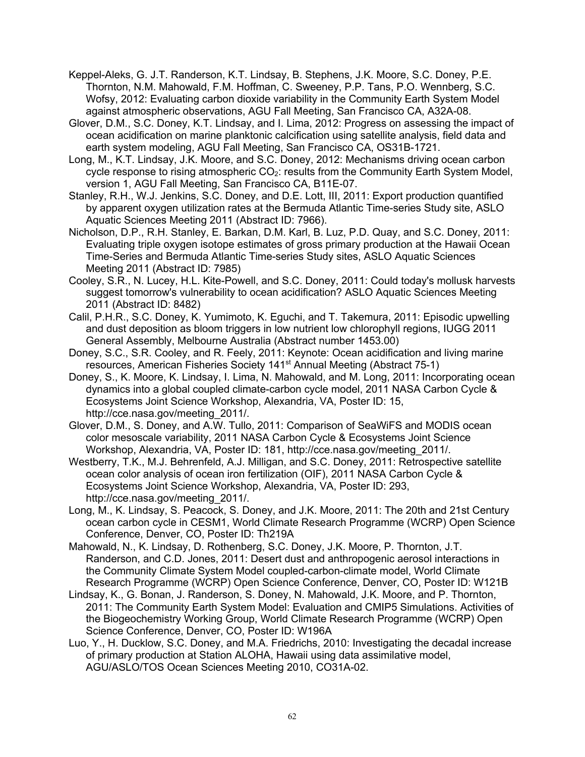- Keppel-Aleks, G. J.T. Randerson, K.T. Lindsay, B. Stephens, J.K. Moore, S.C. Doney, P.E. Thornton, N.M. Mahowald, F.M. Hoffman, C. Sweeney, P.P. Tans, P.O. Wennberg, S.C. Wofsy, 2012: Evaluating carbon dioxide variability in the Community Earth System Model against atmospheric observations, AGU Fall Meeting, San Francisco CA, A32A-08.
- Glover, D.M., S.C. Doney, K.T. Lindsay, and I. Lima, 2012: Progress on assessing the impact of ocean acidification on marine planktonic calcification using satellite analysis, field data and earth system modeling, AGU Fall Meeting, San Francisco CA, OS31B-1721.
- Long, M., K.T. Lindsay, J.K. Moore, and S.C. Doney, 2012: Mechanisms driving ocean carbon cycle response to rising atmospheric  $CO<sub>2</sub>$ : results from the Community Earth System Model, version 1, AGU Fall Meeting, San Francisco CA, B11E-07.
- Stanley, R.H., W.J. Jenkins, S.C. Doney, and D.E. Lott, III, 2011: Export production quantified by apparent oxygen utilization rates at the Bermuda Atlantic Time-series Study site, ASLO Aquatic Sciences Meeting 2011 (Abstract ID: 7966).
- Nicholson, D.P., R.H. Stanley, E. Barkan, D.M. Karl, B. Luz, P.D. Quay, and S.C. Doney, 2011: Evaluating triple oxygen isotope estimates of gross primary production at the Hawaii Ocean Time-Series and Bermuda Atlantic Time-series Study sites, ASLO Aquatic Sciences Meeting 2011 (Abstract ID: 7985)
- Cooley, S.R., N. Lucey, H.L. Kite-Powell, and S.C. Doney, 2011: Could today's mollusk harvests suggest tomorrow's vulnerability to ocean acidification? ASLO Aquatic Sciences Meeting 2011 (Abstract ID: 8482)
- Calil, P.H.R., S.C. Doney, K. Yumimoto, K. Eguchi, and T. Takemura, 2011: Episodic upwelling and dust deposition as bloom triggers in low nutrient low chlorophyll regions, IUGG 2011 General Assembly, Melbourne Australia (Abstract number 1453.00)
- Doney, S.C., S.R. Cooley, and R. Feely, 2011: Keynote: Ocean acidification and living marine resources, American Fisheries Society 141<sup>st</sup> Annual Meeting (Abstract 75-1)
- Doney, S., K. Moore, K. Lindsay, I. Lima, N. Mahowald, and M. Long, 2011: Incorporating ocean dynamics into a global coupled climate-carbon cycle model, 2011 NASA Carbon Cycle & Ecosystems Joint Science Workshop, Alexandria, VA, Poster ID: 15, http://cce.nasa.gov/meeting\_2011/.
- Glover, D.M., S. Doney, and A.W. Tullo, 2011: Comparison of SeaWiFS and MODIS ocean color mesoscale variability, 2011 NASA Carbon Cycle & Ecosystems Joint Science Workshop, Alexandria, VA, Poster ID: 181, http://cce.nasa.gov/meeting\_2011/.
- Westberry, T.K., M.J. Behrenfeld, A.J. Milligan, and S.C. Doney, 2011: Retrospective satellite ocean color analysis of ocean iron fertilization (OIF), 2011 NASA Carbon Cycle & Ecosystems Joint Science Workshop, Alexandria, VA, Poster ID: 293, http://cce.nasa.gov/meeting\_2011/.
- Long, M., K. Lindsay, S. Peacock, S. Doney, and J.K. Moore, 2011: The 20th and 21st Century ocean carbon cycle in CESM1, World Climate Research Programme (WCRP) Open Science Conference, Denver, CO, Poster ID: Th219A
- Mahowald, N., K. Lindsay, D. Rothenberg, S.C. Doney, J.K. Moore, P. Thornton, J.T. Randerson, and C.D. Jones, 2011: Desert dust and anthropogenic aerosol interactions in the Community Climate System Model coupled-carbon-climate model, World Climate Research Programme (WCRP) Open Science Conference, Denver, CO, Poster ID: W121B
- Lindsay, K., G. Bonan, J. Randerson, S. Doney, N. Mahowald, J.K. Moore, and P. Thornton, 2011: The Community Earth System Model: Evaluation and CMIP5 Simulations. Activities of the Biogeochemistry Working Group, World Climate Research Programme (WCRP) Open Science Conference, Denver, CO, Poster ID: W196A
- Luo, Y., H. Ducklow, S.C. Doney, and M.A. Friedrichs, 2010: Investigating the decadal increase of primary production at Station ALOHA, Hawaii using data assimilative model, AGU/ASLO/TOS Ocean Sciences Meeting 2010, CO31A-02.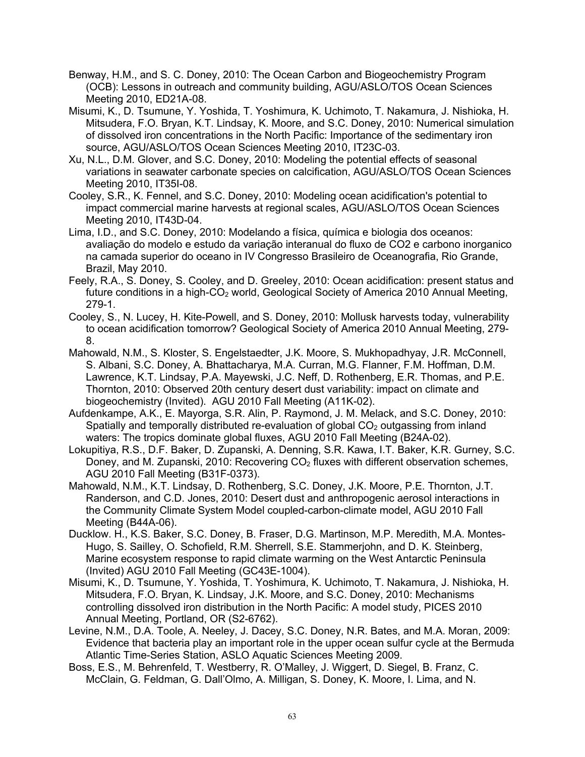- Benway, H.M., and S. C. Doney, 2010: The Ocean Carbon and Biogeochemistry Program (OCB): Lessons in outreach and community building, AGU/ASLO/TOS Ocean Sciences Meeting 2010, ED21A-08.
- Misumi, K., D. Tsumune, Y. Yoshida, T. Yoshimura, K. Uchimoto, T. Nakamura, J. Nishioka, H. Mitsudera, F.O. Bryan, K.T. Lindsay, K. Moore, and S.C. Doney, 2010: Numerical simulation of dissolved iron concentrations in the North Pacific: Importance of the sedimentary iron source, AGU/ASLO/TOS Ocean Sciences Meeting 2010, IT23C-03.
- Xu, N.L., D.M. Glover, and S.C. Doney, 2010: Modeling the potential effects of seasonal variations in seawater carbonate species on calcification, AGU/ASLO/TOS Ocean Sciences Meeting 2010, IT35I-08.
- Cooley, S.R., K. Fennel, and S.C. Doney, 2010: Modeling ocean acidification's potential to impact commercial marine harvests at regional scales, AGU/ASLO/TOS Ocean Sciences Meeting 2010, IT43D-04.
- Lima, I.D., and S.C. Doney, 2010: Modelando a física, química e biologia dos oceanos: avaliação do modelo e estudo da variação interanual do fluxo de CO2 e carbono inorganico na camada superior do oceano in IV Congresso Brasileiro de Oceanografia, Rio Grande, Brazil, May 2010.
- Feely, R.A., S. Doney, S. Cooley, and D. Greeley, 2010: Ocean acidification: present status and future conditions in a high- $CO<sub>2</sub>$  world, Geological Society of America 2010 Annual Meeting, 279-1.
- Cooley, S., N. Lucey, H. Kite-Powell, and S. Doney, 2010: Mollusk harvests today, vulnerability to ocean acidification tomorrow? Geological Society of America 2010 Annual Meeting, 279- 8.
- Mahowald, N.M., S. Kloster, S. Engelstaedter, J.K. Moore, S. Mukhopadhyay, J.R. McConnell, S. Albani, S.C. Doney, A. Bhattacharya, M.A. Curran, M.G. Flanner, F.M. Hoffman, D.M. Lawrence, K.T. Lindsay, P.A. Mayewski, J.C. Neff, D. Rothenberg, E.R. Thomas, and P.E. Thornton, 2010: Observed 20th century desert dust variability: impact on climate and biogeochemistry (Invited). AGU 2010 Fall Meeting (A11K-02).
- Aufdenkampe, A.K., E. Mayorga, S.R. Alin, P. Raymond, J. M. Melack, and S.C. Doney, 2010: Spatially and temporally distributed re-evaluation of global  $CO<sub>2</sub>$  outgassing from inland waters: The tropics dominate global fluxes, AGU 2010 Fall Meeting (B24A-02).
- Lokupitiya, R.S., D.F. Baker, D. Zupanski, A. Denning, S.R. Kawa, I.T. Baker, K.R. Gurney, S.C. Doney, and M. Zupanski, 2010: Recovering  $CO<sub>2</sub>$  fluxes with different observation schemes, AGU 2010 Fall Meeting (B31F-0373).
- Mahowald, N.M., K.T. Lindsay, D. Rothenberg, S.C. Doney, J.K. Moore, P.E. Thornton, J.T. Randerson, and C.D. Jones, 2010: Desert dust and anthropogenic aerosol interactions in the Community Climate System Model coupled-carbon-climate model, AGU 2010 Fall Meeting (B44A-06).
- Ducklow. H., K.S. Baker, S.C. Doney, B. Fraser, D.G. Martinson, M.P. Meredith, M.A. Montes-Hugo, S. Sailley, O. Schofield, R.M. Sherrell, S.E. Stammerjohn, and D. K. Steinberg, Marine ecosystem response to rapid climate warming on the West Antarctic Peninsula (Invited) AGU 2010 Fall Meeting (GC43E-1004).
- Misumi, K., D. Tsumune, Y. Yoshida, T. Yoshimura, K. Uchimoto, T. Nakamura, J. Nishioka, H. Mitsudera, F.O. Bryan, K. Lindsay, J.K. Moore, and S.C. Doney, 2010: Mechanisms controlling dissolved iron distribution in the North Pacific: A model study, PICES 2010 Annual Meeting, Portland, OR (S2-6762).
- Levine, N.M., D.A. Toole, A. Neeley, J. Dacey, S.C. Doney, N.R. Bates, and M.A. Moran, 2009: Evidence that bacteria play an important role in the upper ocean sulfur cycle at the Bermuda Atlantic Time-Series Station, ASLO Aquatic Sciences Meeting 2009.
- Boss, E.S., M. Behrenfeld, T. Westberry, R. O'Malley, J. Wiggert, D. Siegel, B. Franz, C. McClain, G. Feldman, G. Dall'Olmo, A. Milligan, S. Doney, K. Moore, I. Lima, and N.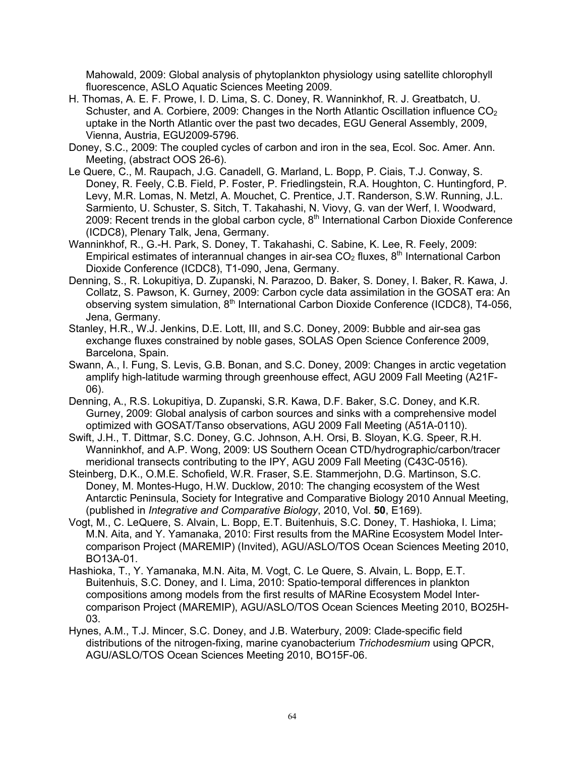Mahowald, 2009: Global analysis of phytoplankton physiology using satellite chlorophyll fluorescence, ASLO Aquatic Sciences Meeting 2009.

- H. Thomas, A. E. F. Prowe, I. D. Lima, S. C. Doney, R. Wanninkhof, R. J. Greatbatch, U. Schuster, and A. Corbiere, 2009: Changes in the North Atlantic Oscillation influence  $CO<sub>2</sub>$ uptake in the North Atlantic over the past two decades, EGU General Assembly, 2009, Vienna, Austria, EGU2009-5796.
- Doney, S.C., 2009: The coupled cycles of carbon and iron in the sea, Ecol. Soc. Amer. Ann. Meeting, (abstract OOS 26-6).
- Le Quere, C., M. Raupach, J.G. Canadell, G. Marland, L. Bopp, P. Ciais, T.J. Conway, S. Doney, R. Feely, C.B. Field, P. Foster, P. Friedlingstein, R.A. Houghton, C. Huntingford, P. Levy, M.R. Lomas, N. Metzl, A. Mouchet, C. Prentice, J.T. Randerson, S.W. Running, J.L. Sarmiento, U. Schuster, S. Sitch, T. Takahashi, N. Viovy, G. van der Werf, I. Woodward, 2009: Recent trends in the global carbon cycle,  $8<sup>th</sup>$  International Carbon Dioxide Conference (ICDC8), Plenary Talk, Jena, Germany.
- Wanninkhof, R., G.-H. Park, S. Doney, T. Takahashi, C. Sabine, K. Lee, R. Feely, 2009: Empirical estimates of interannual changes in air-sea  $CO<sub>2</sub>$  fluxes,  $8<sup>th</sup>$  International Carbon Dioxide Conference (ICDC8), T1-090, Jena, Germany.
- Denning, S., R. Lokupitiya, D. Zupanski, N. Parazoo, D. Baker, S. Doney, I. Baker, R. Kawa, J. Collatz, S. Pawson, K. Gurney, 2009: Carbon cycle data assimilation in the GOSAT era: An observing system simulation,  $8<sup>th</sup>$  International Carbon Dioxide Conference (ICDC8), T4-056, Jena, Germany.
- Stanley, H.R., W.J. Jenkins, D.E. Lott, III, and S.C. Doney, 2009: Bubble and air-sea gas exchange fluxes constrained by noble gases, SOLAS Open Science Conference 2009, Barcelona, Spain.
- Swann, A., I. Fung, S. Levis, G.B. Bonan, and S.C. Doney, 2009: Changes in arctic vegetation amplify high-latitude warming through greenhouse effect, AGU 2009 Fall Meeting (A21F-06).
- Denning, A., R.S. Lokupitiya, D. Zupanski, S.R. Kawa, D.F. Baker, S.C. Doney, and K.R. Gurney, 2009: Global analysis of carbon sources and sinks with a comprehensive model optimized with GOSAT/Tanso observations, AGU 2009 Fall Meeting (A51A-0110).
- Swift, J.H., T. Dittmar, S.C. Doney, G.C. Johnson, A.H. Orsi, B. Sloyan, K.G. Speer, R.H. Wanninkhof, and A.P. Wong, 2009: US Southern Ocean CTD/hydrographic/carbon/tracer meridional transects contributing to the IPY, AGU 2009 Fall Meeting (C43C-0516).
- Steinberg, D.K., O.M.E. Schofield, W.R. Fraser, S.E. Stammerjohn, D.G. Martinson, S.C. Doney, M. Montes-Hugo, H.W. Ducklow, 2010: The changing ecosystem of the West Antarctic Peninsula, Society for Integrative and Comparative Biology 2010 Annual Meeting, (published in *Integrative and Comparative Biology*, 2010, Vol. **50**, E169).
- Vogt, M., C. LeQuere, S. Alvain, L. Bopp, E.T. Buitenhuis, S.C. Doney, T. Hashioka, I. Lima; M.N. Aita, and Y. Yamanaka, 2010: First results from the MARine Ecosystem Model Intercomparison Project (MAREMIP) (Invited), AGU/ASLO/TOS Ocean Sciences Meeting 2010, BO13A-01.
- Hashioka, T., Y. Yamanaka, M.N. Aita, M. Vogt, C. Le Quere, S. Alvain, L. Bopp, E.T. Buitenhuis, S.C. Doney, and I. Lima, 2010: Spatio-temporal differences in plankton compositions among models from the first results of MARine Ecosystem Model Intercomparison Project (MAREMIP), AGU/ASLO/TOS Ocean Sciences Meeting 2010, BO25H-03.
- Hynes, A.M., T.J. Mincer, S.C. Doney, and J.B. Waterbury, 2009: Clade-specific field distributions of the nitrogen-fixing, marine cyanobacterium *Trichodesmium* using QPCR, AGU/ASLO/TOS Ocean Sciences Meeting 2010, BO15F-06.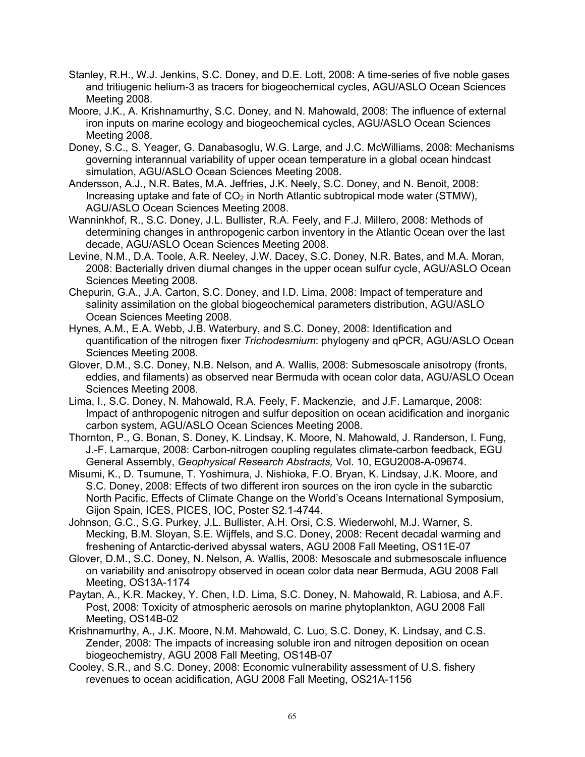- Stanley, R.H., W.J. Jenkins, S.C. Doney, and D.E. Lott, 2008: A time-series of five noble gases and tritiugenic helium-3 as tracers for biogeochemical cycles, AGU/ASLO Ocean Sciences Meeting 2008.
- Moore, J.K., A. Krishnamurthy, S.C. Doney, and N. Mahowald, 2008: The influence of external iron inputs on marine ecology and biogeochemical cycles, AGU/ASLO Ocean Sciences Meeting 2008.
- Doney, S.C., S. Yeager, G. Danabasoglu, W.G. Large, and J.C. McWilliams, 2008: Mechanisms governing interannual variability of upper ocean temperature in a global ocean hindcast simulation, AGU/ASLO Ocean Sciences Meeting 2008.
- Andersson, A.J., N.R. Bates, M.A. Jeffries, J.K. Neely, S.C. Doney, and N. Benoit, 2008: Increasing uptake and fate of  $CO<sub>2</sub>$  in North Atlantic subtropical mode water (STMW), AGU/ASLO Ocean Sciences Meeting 2008.
- Wanninkhof, R., S.C. Doney, J.L. Bullister, R.A. Feely, and F.J. Millero, 2008: Methods of determining changes in anthropogenic carbon inventory in the Atlantic Ocean over the last decade, AGU/ASLO Ocean Sciences Meeting 2008.
- Levine, N.M., D.A. Toole, A.R. Neeley, J.W. Dacey, S.C. Doney, N.R. Bates, and M.A. Moran, 2008: Bacterially driven diurnal changes in the upper ocean sulfur cycle, AGU/ASLO Ocean Sciences Meeting 2008.
- Chepurin, G.A., J.A. Carton, S.C. Doney, and I.D. Lima, 2008: Impact of temperature and salinity assimilation on the global biogeochemical parameters distribution, AGU/ASLO Ocean Sciences Meeting 2008.
- Hynes, A.M., E.A. Webb, J.B. Waterbury, and S.C. Doney, 2008: Identification and quantification of the nitrogen fixer *Trichodesmium*: phylogeny and qPCR, AGU/ASLO Ocean Sciences Meeting 2008.
- Glover, D.M., S.C. Doney, N.B. Nelson, and A. Wallis, 2008: Submesoscale anisotropy (fronts, eddies, and filaments) as observed near Bermuda with ocean color data, AGU/ASLO Ocean Sciences Meeting 2008.
- Lima, I., S.C. Doney, N. Mahowald, R.A. Feely, F. Mackenzie, and J.F. Lamarque, 2008: Impact of anthropogenic nitrogen and sulfur deposition on ocean acidification and inorganic carbon system, AGU/ASLO Ocean Sciences Meeting 2008.
- Thornton, P., G. Bonan, S. Doney, K. Lindsay, K. Moore, N. Mahowald, J. Randerson, I. Fung, J.-F. Lamarque, 2008: Carbon-nitrogen coupling regulates climate-carbon feedback, EGU General Assembly, *Geophysical Research Abstracts,* Vol. 10, EGU2008-A-09674.
- Misumi, K., D. Tsumune, T. Yoshimura, J. Nishioka, F.O. Bryan, K. Lindsay, J.K. Moore, and S.C. Doney, 2008: Effects of two different iron sources on the iron cycle in the subarctic North Pacific, Effects of Climate Change on the World's Oceans International Symposium, Gijon Spain, ICES, PICES, IOC, Poster S2.1-4744.
- Johnson, G.C., S.G. Purkey, J.L. Bullister, A.H. Orsi, C.S. Wiederwohl, M.J. Warner, S. Mecking, B.M. Sloyan, S.E. Wijffels, and S.C. Doney, 2008: Recent decadal warming and freshening of Antarctic-derived abyssal waters, AGU 2008 Fall Meeting, OS11E-07
- Glover, D.M., S.C. Doney, N. Nelson, A. Wallis, 2008: Mesoscale and submesoscale influence on variability and anisotropy observed in ocean color data near Bermuda, AGU 2008 Fall Meeting, OS13A-1174
- Paytan, A., K.R. Mackey, Y. Chen, I.D. Lima, S.C. Doney, N. Mahowald, R. Labiosa, and A.F. Post, 2008: Toxicity of atmospheric aerosols on marine phytoplankton, AGU 2008 Fall Meeting, OS14B-02
- Krishnamurthy, A., J.K. Moore, N.M. Mahowald, C. Luo, S.C. Doney, K. Lindsay, and C.S. Zender, 2008: The impacts of increasing soluble iron and nitrogen deposition on ocean biogeochemistry, AGU 2008 Fall Meeting, OS14B-07
- Cooley, S.R., and S.C. Doney, 2008: Economic vulnerability assessment of U.S. fishery revenues to ocean acidification, AGU 2008 Fall Meeting, OS21A-1156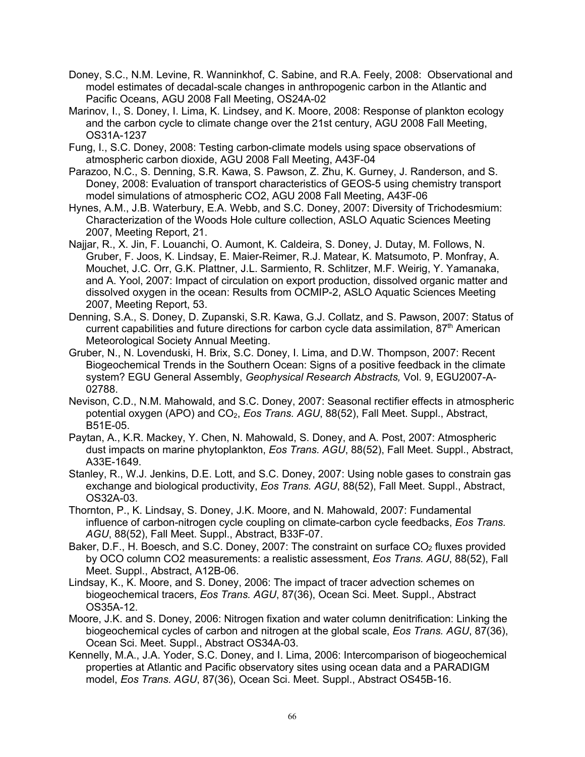- Doney, S.C., N.M. Levine, R. Wanninkhof, C. Sabine, and R.A. Feely, 2008: Observational and model estimates of decadal-scale changes in anthropogenic carbon in the Atlantic and Pacific Oceans, AGU 2008 Fall Meeting, OS24A-02
- Marinov, I., S. Doney, I. Lima, K. Lindsey, and K. Moore, 2008: Response of plankton ecology and the carbon cycle to climate change over the 21st century, AGU 2008 Fall Meeting, OS31A-1237
- Fung, I., S.C. Doney, 2008: Testing carbon-climate models using space observations of atmospheric carbon dioxide, AGU 2008 Fall Meeting, A43F-04
- Parazoo, N.C., S. Denning, S.R. Kawa, S. Pawson, Z. Zhu, K. Gurney, J. Randerson, and S. Doney, 2008: Evaluation of transport characteristics of GEOS-5 using chemistry transport model simulations of atmospheric CO2, AGU 2008 Fall Meeting, A43F-06
- Hynes, A.M., J.B. Waterbury, E.A. Webb, and S.C. Doney, 2007: Diversity of Trichodesmium: Characterization of the Woods Hole culture collection, ASLO Aquatic Sciences Meeting 2007, Meeting Report, 21.
- Najjar, R., X. Jin, F. Louanchi, O. Aumont, K. Caldeira, S. Doney, J. Dutay, M. Follows, N. Gruber, F. Joos, K. Lindsay, E. Maier-Reimer, R.J. Matear, K. Matsumoto, P. Monfray, A. Mouchet, J.C. Orr, G.K. Plattner, J.L. Sarmiento, R. Schlitzer, M.F. Weirig, Y. Yamanaka, and A. Yool, 2007: Impact of circulation on export production, dissolved organic matter and dissolved oxygen in the ocean: Results from OCMIP-2, ASLO Aquatic Sciences Meeting 2007, Meeting Report, 53.
- Denning, S.A., S. Doney, D. Zupanski, S.R. Kawa, G.J. Collatz, and S. Pawson, 2007: Status of current capabilities and future directions for carbon cycle data assimilation,  $87<sup>th</sup>$  American Meteorological Society Annual Meeting.
- Gruber, N., N. Lovenduski, H. Brix, S.C. Doney, I. Lima, and D.W. Thompson, 2007: Recent Biogeochemical Trends in the Southern Ocean: Signs of a positive feedback in the climate system? EGU General Assembly, *Geophysical Research Abstracts,* Vol. 9, EGU2007-A-02788.
- Nevison, C.D., N.M. Mahowald, and S.C. Doney, 2007: Seasonal rectifier effects in atmospheric potential oxygen (APO) and CO2, *Eos Trans. AGU*, 88(52), Fall Meet. Suppl., Abstract, B51E-05.
- Paytan, A., K.R. Mackey, Y. Chen, N. Mahowald, S. Doney, and A. Post, 2007: Atmospheric dust impacts on marine phytoplankton, *Eos Trans. AGU*, 88(52), Fall Meet. Suppl., Abstract, A33E-1649.
- Stanley, R., W.J. Jenkins, D.E. Lott, and S.C. Doney, 2007: Using noble gases to constrain gas exchange and biological productivity, *Eos Trans. AGU*, 88(52), Fall Meet. Suppl., Abstract, OS32A-03.
- Thornton, P., K. Lindsay, S. Doney, J.K. Moore, and N. Mahowald, 2007: Fundamental influence of carbon-nitrogen cycle coupling on climate-carbon cycle feedbacks, *Eos Trans. AGU*, 88(52), Fall Meet. Suppl., Abstract, B33F-07.
- Baker, D.F., H. Boesch, and S.C. Doney, 2007: The constraint on surface  $CO<sub>2</sub>$  fluxes provided by OCO column CO2 measurements: a realistic assessment, *Eos Trans. AGU*, 88(52), Fall Meet. Suppl., Abstract, A12B-06.
- Lindsay, K., K. Moore, and S. Doney, 2006: The impact of tracer advection schemes on biogeochemical tracers, *Eos Trans. AGU*, 87(36), Ocean Sci. Meet. Suppl., Abstract OS35A-12.
- Moore, J.K. and S. Doney, 2006: Nitrogen fixation and water column denitrification: Linking the biogeochemical cycles of carbon and nitrogen at the global scale, *Eos Trans. AGU*, 87(36), Ocean Sci. Meet. Suppl., Abstract OS34A-03.
- Kennelly, M.A., J.A. Yoder, S.C. Doney, and I. Lima, 2006: Intercomparison of biogeochemical properties at Atlantic and Pacific observatory sites using ocean data and a PARADIGM model, *Eos Trans. AGU*, 87(36), Ocean Sci. Meet. Suppl., Abstract OS45B-16.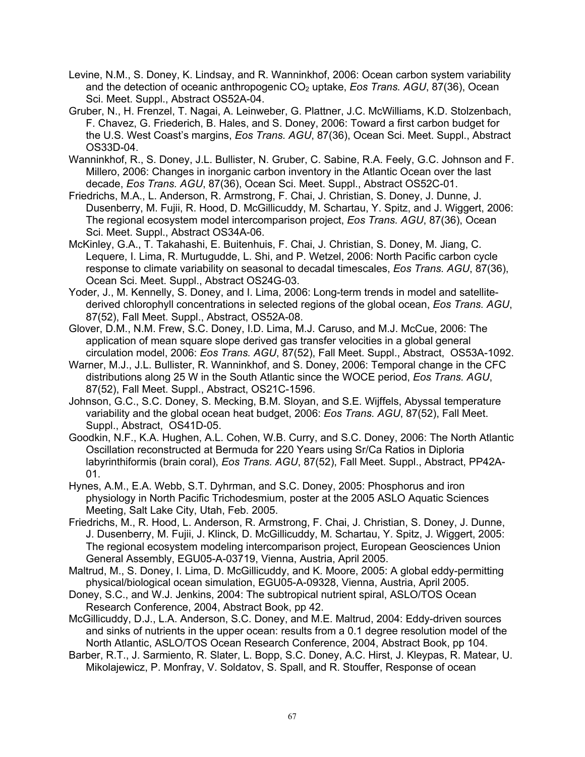- Levine, N.M., S. Doney, K. Lindsay, and R. Wanninkhof, 2006: Ocean carbon system variability and the detection of oceanic anthropogenic CO<sub>2</sub> uptake, *Eos Trans. AGU*, 87(36), Ocean Sci. Meet. Suppl., Abstract OS52A-04.
- Gruber, N., H. Frenzel, T. Nagai, A. Leinweber, G. Plattner, J.C. McWilliams, K.D. Stolzenbach, F. Chavez, G. Friederich, B. Hales, and S. Doney, 2006: Toward a first carbon budget for the U.S. West Coast's margins, *Eos Trans. AGU*, 87(36), Ocean Sci. Meet. Suppl., Abstract OS33D-04.
- Wanninkhof, R., S. Doney, J.L. Bullister, N. Gruber, C. Sabine, R.A. Feely, G.C. Johnson and F. Millero, 2006: Changes in inorganic carbon inventory in the Atlantic Ocean over the last decade, *Eos Trans. AGU*, 87(36), Ocean Sci. Meet. Suppl., Abstract OS52C-01.
- Friedrichs, M.A., L. Anderson, R. Armstrong, F. Chai, J. Christian, S. Doney, J. Dunne, J. Dusenberry, M. Fujii, R. Hood, D. McGillicuddy, M. Schartau, Y. Spitz, and J. Wiggert, 2006: The regional ecosystem model intercomparison project, *Eos Trans. AGU*, 87(36), Ocean Sci. Meet. Suppl., Abstract OS34A-06.
- McKinley, G.A., T. Takahashi, E. Buitenhuis, F. Chai, J. Christian, S. Doney, M. Jiang, C. Lequere, I. Lima, R. Murtugudde, L. Shi, and P. Wetzel, 2006: North Pacific carbon cycle response to climate variability on seasonal to decadal timescales, *Eos Trans. AGU*, 87(36), Ocean Sci. Meet. Suppl., Abstract OS24G-03.
- Yoder, J., M. Kennelly, S. Doney, and I. Lima, 2006: Long-term trends in model and satellitederived chlorophyll concentrations in selected regions of the global ocean, *Eos Trans. AGU*, 87(52), Fall Meet. Suppl., Abstract, OS52A-08.
- Glover, D.M., N.M. Frew, S.C. Doney, I.D. Lima, M.J. Caruso, and M.J. McCue, 2006: The application of mean square slope derived gas transfer velocities in a global general circulation model, 2006: *Eos Trans. AGU*, 87(52), Fall Meet. Suppl., Abstract, OS53A-1092.
- Warner, M.J., J.L. Bullister, R. Wanninkhof, and S. Doney, 2006: Temporal change in the CFC distributions along 25 W in the South Atlantic since the WOCE period, *Eos Trans. AGU*, 87(52), Fall Meet. Suppl., Abstract, OS21C-1596.
- Johnson, G.C., S.C. Doney, S. Mecking, B.M. Sloyan, and S.E. Wijffels, Abyssal temperature variability and the global ocean heat budget, 2006: *Eos Trans. AGU*, 87(52), Fall Meet. Suppl., Abstract, OS41D-05.
- Goodkin, N.F., K.A. Hughen, A.L. Cohen, W.B. Curry, and S.C. Doney, 2006: The North Atlantic Oscillation reconstructed at Bermuda for 220 Years using Sr/Ca Ratios in Diploria labyrinthiformis (brain coral), *Eos Trans. AGU*, 87(52), Fall Meet. Suppl., Abstract, PP42A-01.
- Hynes, A.M., E.A. Webb, S.T. Dyhrman, and S.C. Doney, 2005: Phosphorus and iron physiology in North Pacific Trichodesmium, poster at the 2005 ASLO Aquatic Sciences Meeting, Salt Lake City, Utah, Feb. 2005.
- Friedrichs, M., R. Hood, L. Anderson, R. Armstrong, F. Chai, J. Christian, S. Doney, J. Dunne, J. Dusenberry, M. Fujii, J. Klinck, D. McGillicuddy, M. Schartau, Y. Spitz, J. Wiggert, 2005: The regional ecosystem modeling intercomparison project, European Geosciences Union General Assembly, EGU05-A-03719, Vienna, Austria, April 2005.
- Maltrud, M., S. Doney, I. Lima, D. McGillicuddy, and K. Moore, 2005: A global eddy-permitting physical/biological ocean simulation, EGU05-A-09328, Vienna, Austria, April 2005.
- Doney, S.C., and W.J. Jenkins, 2004: The subtropical nutrient spiral, ASLO/TOS Ocean Research Conference, 2004, Abstract Book, pp 42.
- McGillicuddy, D.J., L.A. Anderson, S.C. Doney, and M.E. Maltrud, 2004: Eddy-driven sources and sinks of nutrients in the upper ocean: results from a 0.1 degree resolution model of the North Atlantic, ASLO/TOS Ocean Research Conference, 2004, Abstract Book, pp 104.
- Barber, R.T., J. Sarmiento, R. Slater, L. Bopp, S.C. Doney, A.C. Hirst, J. Kleypas, R. Matear, U. Mikolajewicz, P. Monfray, V. Soldatov, S. Spall, and R. Stouffer, Response of ocean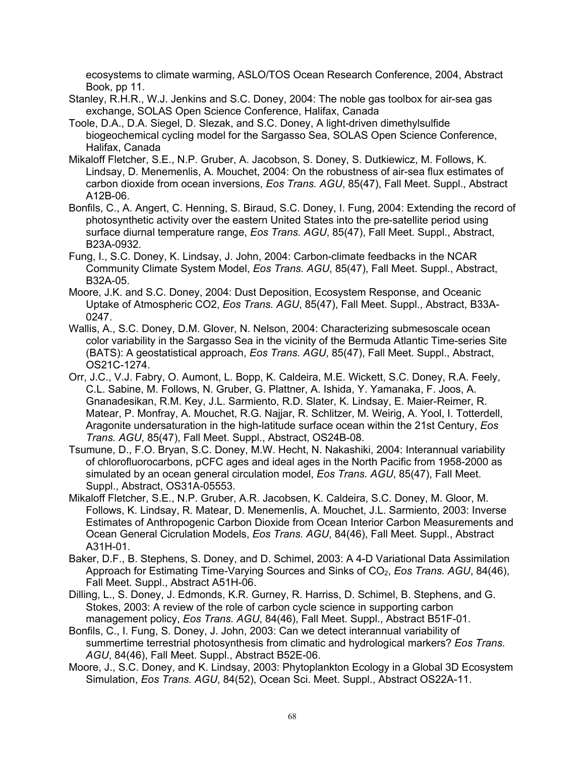ecosystems to climate warming, ASLO/TOS Ocean Research Conference, 2004, Abstract Book, pp 11.

- Stanley, R.H.R., W.J. Jenkins and S.C. Doney, 2004: The noble gas toolbox for air-sea gas exchange, SOLAS Open Science Conference, Halifax, Canada
- Toole, D.A., D.A. Siegel, D. Slezak, and S.C. Doney, A light-driven dimethylsulfide biogeochemical cycling model for the Sargasso Sea, SOLAS Open Science Conference, Halifax, Canada
- Mikaloff Fletcher, S.E., N.P. Gruber, A. Jacobson, S. Doney, S. Dutkiewicz, M. Follows, K. Lindsay, D. Menemenlis, A. Mouchet, 2004: On the robustness of air-sea flux estimates of carbon dioxide from ocean inversions, *Eos Trans. AGU*, 85(47), Fall Meet. Suppl., Abstract A12B-06.
- Bonfils, C., A. Angert, C. Henning, S. Biraud, S.C. Doney, I. Fung, 2004: Extending the record of photosynthetic activity over the eastern United States into the pre-satellite period using surface diurnal temperature range, *Eos Trans. AGU*, 85(47), Fall Meet. Suppl., Abstract, B23A-0932.
- Fung, I., S.C. Doney, K. Lindsay, J. John, 2004: Carbon-climate feedbacks in the NCAR Community Climate System Model, *Eos Trans. AGU*, 85(47), Fall Meet. Suppl., Abstract, B32A-05.
- Moore, J.K. and S.C. Doney, 2004: Dust Deposition, Ecosystem Response, and Oceanic Uptake of Atmospheric CO2, *Eos Trans. AGU*, 85(47), Fall Meet. Suppl., Abstract, B33A-0247.
- Wallis, A., S.C. Doney, D.M. Glover, N. Nelson, 2004: Characterizing submesoscale ocean color variability in the Sargasso Sea in the vicinity of the Bermuda Atlantic Time-series Site (BATS): A geostatistical approach, *Eos Trans. AGU*, 85(47), Fall Meet. Suppl., Abstract, OS21C-1274.
- Orr, J.C., V.J. Fabry, O. Aumont, L. Bopp, K. Caldeira, M.E. Wickett, S.C. Doney, R.A. Feely, C.L. Sabine, M. Follows, N. Gruber, G. Plattner, A. Ishida, Y. Yamanaka, F. Joos, A. Gnanadesikan, R.M. Key, J.L. Sarmiento, R.D. Slater, K. Lindsay, E. Maier-Reimer, R. Matear, P. Monfray, A. Mouchet, R.G. Najjar, R. Schlitzer, M. Weirig, A. Yool, I. Totterdell, Aragonite undersaturation in the high-latitude surface ocean within the 21st Century, *Eos Trans. AGU*, 85(47), Fall Meet. Suppl., Abstract, OS24B-08.
- Tsumune, D., F.O. Bryan, S.C. Doney, M.W. Hecht, N. Nakashiki, 2004: Interannual variability of chlorofluorocarbons, pCFC ages and ideal ages in the North Pacific from 1958-2000 as simulated by an ocean general circulation model, *Eos Trans. AGU*, 85(47), Fall Meet. Suppl., Abstract, OS31A-05553.
- Mikaloff Fletcher, S.E., N.P. Gruber, A.R. Jacobsen, K. Caldeira, S.C. Doney, M. Gloor, M. Follows, K. Lindsay, R. Matear, D. Menemenlis, A. Mouchet, J.L. Sarmiento, 2003: Inverse Estimates of Anthropogenic Carbon Dioxide from Ocean Interior Carbon Measurements and Ocean General Cicrulation Models, *Eos Trans. AGU*, 84(46), Fall Meet. Suppl., Abstract A31H-01.
- Baker, D.F., B. Stephens, S. Doney, and D. Schimel, 2003: A 4-D Variational Data Assimilation Approach for Estimating Time-Varying Sources and Sinks of CO2, *Eos Trans. AGU*, 84(46), Fall Meet. Suppl., Abstract A51H-06.
- Dilling, L., S. Doney, J. Edmonds, K.R. Gurney, R. Harriss, D. Schimel, B. Stephens, and G. Stokes, 2003: A review of the role of carbon cycle science in supporting carbon management policy, *Eos Trans. AGU*, 84(46), Fall Meet. Suppl., Abstract B51F-01.
- Bonfils, C., I. Fung, S. Doney, J. John, 2003: Can we detect interannual variability of summertime terrestrial photosynthesis from climatic and hydrological markers? *Eos Trans. AGU*, 84(46), Fall Meet. Suppl., Abstract B52E-06.
- Moore, J., S.C. Doney, and K. Lindsay, 2003: Phytoplankton Ecology in a Global 3D Ecosystem Simulation, *Eos Trans. AGU*, 84(52), Ocean Sci. Meet. Suppl., Abstract OS22A-11.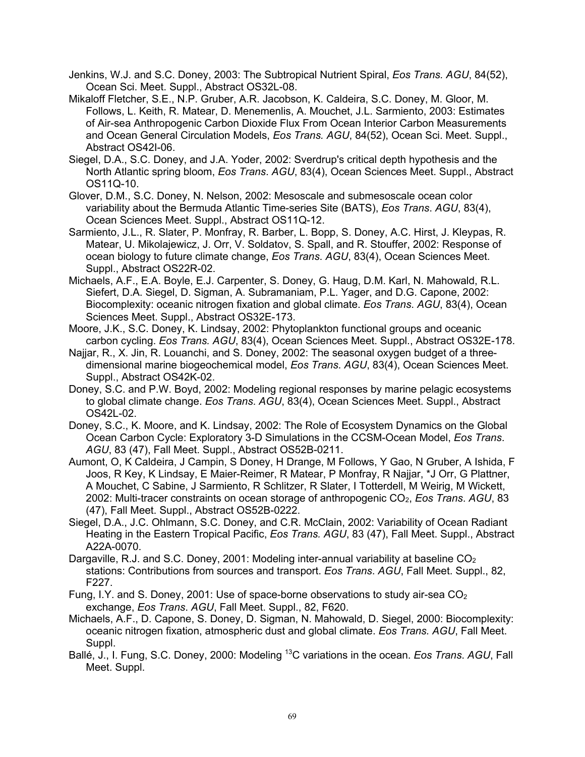- Jenkins, W.J. and S.C. Doney, 2003: The Subtropical Nutrient Spiral, *Eos Trans. AGU*, 84(52), Ocean Sci. Meet. Suppl., Abstract OS32L-08.
- Mikaloff Fletcher, S.E., N.P. Gruber, A.R. Jacobson, K. Caldeira, S.C. Doney, M. Gloor, M. Follows, L. Keith, R. Matear, D. Menemenlis, A. Mouchet, J.L. Sarmiento, 2003: Estimates of Air-sea Anthropogenic Carbon Dioxide Flux From Ocean Interior Carbon Measurements and Ocean General Circulation Models, *Eos Trans. AGU*, 84(52), Ocean Sci. Meet. Suppl., Abstract OS42I-06.
- Siegel, D.A., S.C. Doney, and J.A. Yoder, 2002: Sverdrup's critical depth hypothesis and the North Atlantic spring bloom, *Eos Trans*. *AGU*, 83(4), Ocean Sciences Meet. Suppl., Abstract OS11Q-10.
- Glover, D.M., S.C. Doney, N. Nelson, 2002: Mesoscale and submesoscale ocean color variability about the Bermuda Atlantic Time-series Site (BATS), *Eos Trans*. *AGU*, 83(4), Ocean Sciences Meet. Suppl., Abstract OS11Q-12.
- Sarmiento, J.L., R. Slater, P. Monfray, R. Barber, L. Bopp, S. Doney, A.C. Hirst, J. Kleypas, R. Matear, U. Mikolajewicz, J. Orr, V. Soldatov, S. Spall, and R. Stouffer, 2002: Response of ocean biology to future climate change, *Eos Trans*. *AGU*, 83(4), Ocean Sciences Meet. Suppl., Abstract OS22R-02.
- Michaels, A.F., E.A. Boyle, E.J. Carpenter, S. Doney, G. Haug, D.M. Karl, N. Mahowald, R.L. Siefert, D.A. Siegel, D. Sigman, A. Subramaniam, P.L. Yager, and D.G. Capone, 2002: Biocomplexity: oceanic nitrogen fixation and global climate. *Eos Trans*. *AGU*, 83(4), Ocean Sciences Meet. Suppl., Abstract OS32E-173.
- Moore, J.K., S.C. Doney, K. Lindsay, 2002: Phytoplankton functional groups and oceanic carbon cycling. *Eos Trans. AGU*, 83(4), Ocean Sciences Meet. Suppl., Abstract OS32E-178.
- Najjar, R., X. Jin, R. Louanchi, and S. Doney, 2002: The seasonal oxygen budget of a threedimensional marine biogeochemical model, *Eos Trans*. *AGU*, 83(4), Ocean Sciences Meet. Suppl., Abstract OS42K-02.
- Doney, S.C. and P.W. Boyd, 2002: Modeling regional responses by marine pelagic ecosystems to global climate change. *Eos Trans*. *AGU*, 83(4), Ocean Sciences Meet. Suppl., Abstract OS42L-02.
- Doney, S.C., K. Moore, and K. Lindsay, 2002: The Role of Ecosystem Dynamics on the Global Ocean Carbon Cycle: Exploratory 3-D Simulations in the CCSM-Ocean Model, *Eos Trans*. *AGU*, 83 (47), Fall Meet. Suppl., Abstract OS52B-0211.
- Aumont, O, K Caldeira, J Campin, S Doney, H Drange, M Follows, Y Gao, N Gruber, A Ishida, F Joos, R Key, K Lindsay, E Maier-Reimer, R Matear, P Monfray, R Najjar, \*J Orr, G Plattner, A Mouchet, C Sabine, J Sarmiento, R Schlitzer, R Slater, I Totterdell, M Weirig, M Wickett, 2002: Multi-tracer constraints on ocean storage of anthropogenic CO2, *Eos Trans*. *AGU*, 83 (47), Fall Meet. Suppl., Abstract OS52B-0222.
- Siegel, D.A., J.C. Ohlmann, S.C. Doney, and C.R. McClain, 2002: Variability of Ocean Radiant Heating in the Eastern Tropical Pacific, *Eos Trans. AGU*, 83 (47), Fall Meet. Suppl., Abstract A22A-0070.
- Dargaville, R.J. and S.C. Doney, 2001: Modeling inter-annual variability at baseline  $CO<sub>2</sub>$ stations: Contributions from sources and transport. *Eos Trans*. *AGU*, Fall Meet. Suppl., 82, F227.
- Fung, I.Y. and S. Doney, 2001: Use of space-borne observations to study air-sea  $CO<sub>2</sub>$ exchange, *Eos Trans*. *AGU*, Fall Meet. Suppl., 82, F620.
- Michaels, A.F., D. Capone, S. Doney, D. Sigman, N. Mahowald, D. Siegel, 2000: Biocomplexity: oceanic nitrogen fixation, atmospheric dust and global climate. *Eos Trans. AGU*, Fall Meet. Suppl.
- Ballé, J., I. Fung, S.C. Doney, 2000: Modeling 13C variations in the ocean. *Eos Trans*. *AGU*, Fall Meet. Suppl.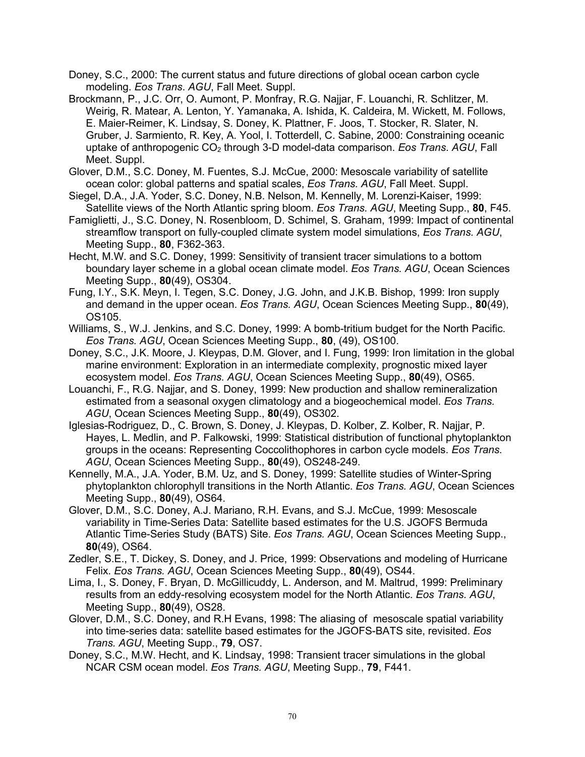- Doney, S.C., 2000: The current status and future directions of global ocean carbon cycle modeling. *Eos Trans*. *AGU*, Fall Meet. Suppl.
- Brockmann, P., J.C. Orr, O. Aumont, P. Monfray, R.G. Najjar, F. Louanchi, R. Schlitzer, M. Weirig, R. Matear, A. Lenton, Y. Yamanaka, A. Ishida, K. Caldeira, M. Wickett, M. Follows, E. Maier-Reimer, K. Lindsay, S. Doney, K. Plattner, F. Joos, T. Stocker, R. Slater, N. Gruber, J. Sarmiento, R. Key, A. Yool, I. Totterdell, C. Sabine, 2000: Constraining oceanic uptake of anthropogenic CO2 through 3-D model-data comparison. *Eos Trans*. *AGU*, Fall Meet. Suppl.
- Glover, D.M., S.C. Doney, M. Fuentes, S.J. McCue, 2000: Mesoscale variability of satellite ocean color: global patterns and spatial scales, *Eos Trans. AGU*, Fall Meet. Suppl.
- Siegel, D.A., J.A. Yoder, S.C. Doney, N.B. Nelson, M. Kennelly, M. Lorenzi-Kaiser, 1999: Satellite views of the North Atlantic spring bloom. *Eos Trans. AGU*, Meeting Supp., **80**, F45.
- Famiglietti, J., S.C. Doney, N. Rosenbloom, D. Schimel, S. Graham, 1999: Impact of continental streamflow transport on fully-coupled climate system model simulations, *Eos Trans. AGU*, Meeting Supp., **80**, F362-363.
- Hecht, M.W. and S.C. Doney, 1999: Sensitivity of transient tracer simulations to a bottom boundary layer scheme in a global ocean climate model. *Eos Trans. AGU*, Ocean Sciences Meeting Supp., **80**(49), OS304.
- Fung, I.Y., S.K. Meyn, I. Tegen, S.C. Doney, J.G. John, and J.K.B. Bishop, 1999: Iron supply and demand in the upper ocean. *Eos Trans. AGU*, Ocean Sciences Meeting Supp., **80**(49), OS105.
- Williams, S., W.J. Jenkins, and S.C. Doney, 1999: A bomb-tritium budget for the North Pacific. *Eos Trans. AGU*, Ocean Sciences Meeting Supp., **80**, (49), OS100.
- Doney, S.C., J.K. Moore, J. Kleypas, D.M. Glover, and I. Fung, 1999: Iron limitation in the global marine environment: Exploration in an intermediate complexity, prognostic mixed layer ecosystem model. *Eos Trans. AGU*, Ocean Sciences Meeting Supp., **80**(49), OS65.
- Louanchi, F., R.G. Najjar, and S. Doney, 1999: New production and shallow remineralization estimated from a seasonal oxygen climatology and a biogeochemical model. *Eos Trans. AGU*, Ocean Sciences Meeting Supp., **80**(49), OS302.
- Iglesias-Rodriguez, D., C. Brown, S. Doney, J. Kleypas, D. Kolber, Z. Kolber, R. Najjar, P. Hayes, L. Medlin, and P. Falkowski, 1999: Statistical distribution of functional phytoplankton groups in the oceans: Representing Coccolithophores in carbon cycle models. *Eos Trans. AGU*, Ocean Sciences Meeting Supp., **80**(49), OS248-249.
- Kennelly, M.A., J.A. Yoder, B.M. Uz, and S. Doney, 1999: Satellite studies of Winter-Spring phytoplankton chlorophyll transitions in the North Atlantic. *Eos Trans. AGU*, Ocean Sciences Meeting Supp., **80**(49), OS64.
- Glover, D.M., S.C. Doney, A.J. Mariano, R.H. Evans, and S.J. McCue, 1999: Mesoscale variability in Time-Series Data: Satellite based estimates for the U.S. JGOFS Bermuda Atlantic Time-Series Study (BATS) Site. *Eos Trans. AGU*, Ocean Sciences Meeting Supp., **80**(49), OS64.
- Zedler, S.E., T. Dickey, S. Doney, and J. Price, 1999: Observations and modeling of Hurricane Felix. *Eos Trans. AGU*, Ocean Sciences Meeting Supp., **80**(49), OS44.
- Lima, I., S. Doney, F. Bryan, D. McGillicuddy, L. Anderson, and M. Maltrud, 1999: Preliminary results from an eddy-resolving ecosystem model for the North Atlantic. *Eos Trans. AGU*, Meeting Supp., **80**(49), OS28.
- Glover, D.M., S.C. Doney, and R.H Evans, 1998: The aliasing of mesoscale spatial variability into time-series data: satellite based estimates for the JGOFS-BATS site, revisited. *Eos Trans. AGU*, Meeting Supp., **79**, OS7.
- Doney, S.C., M.W. Hecht, and K. Lindsay, 1998: Transient tracer simulations in the global NCAR CSM ocean model. *Eos Trans. AGU*, Meeting Supp., **79**, F441.